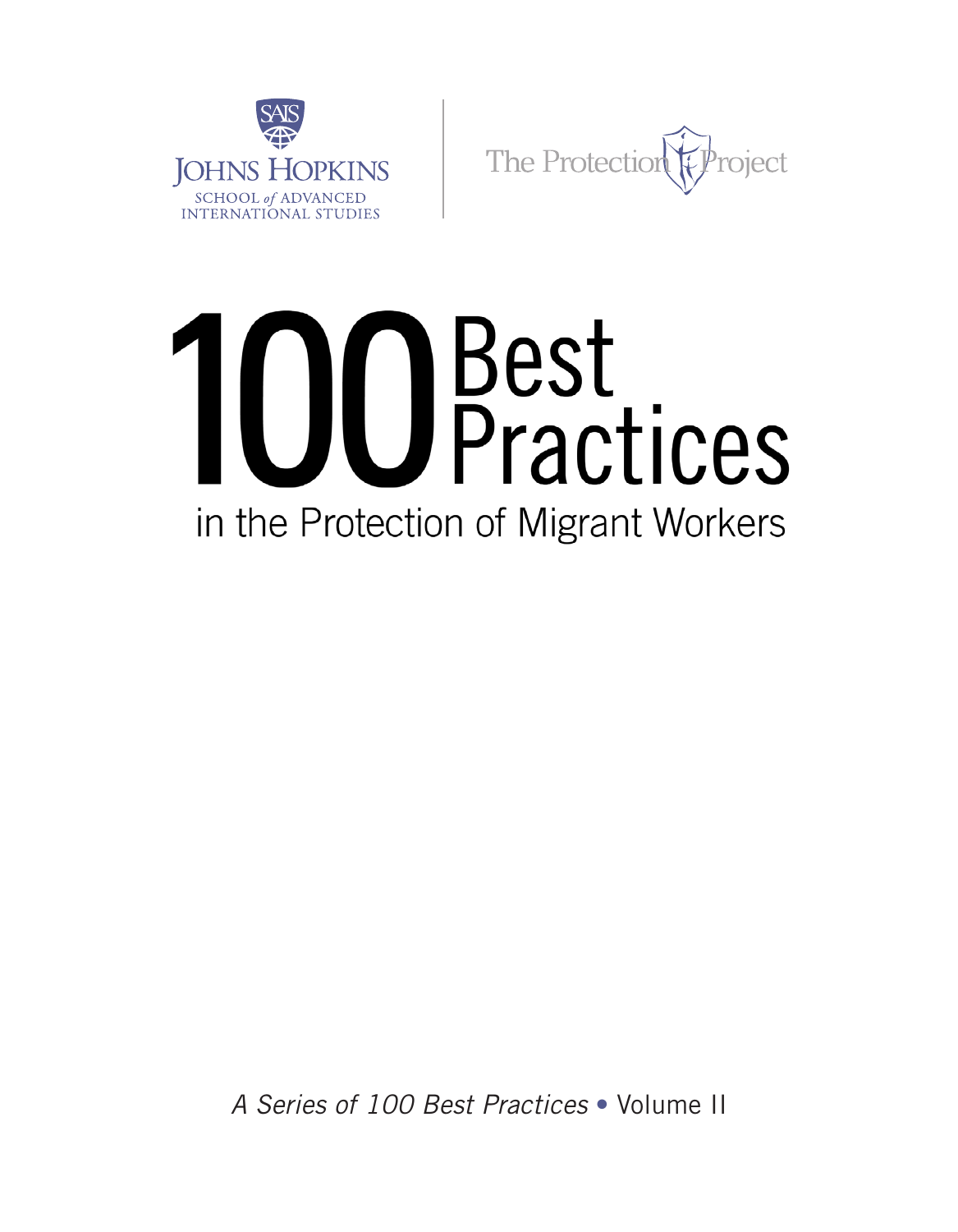

The Protection roject

# 100 Best<br>
Practices in the Protection of Migrant Workers

*A Series of 100 Best Practices* • Volume II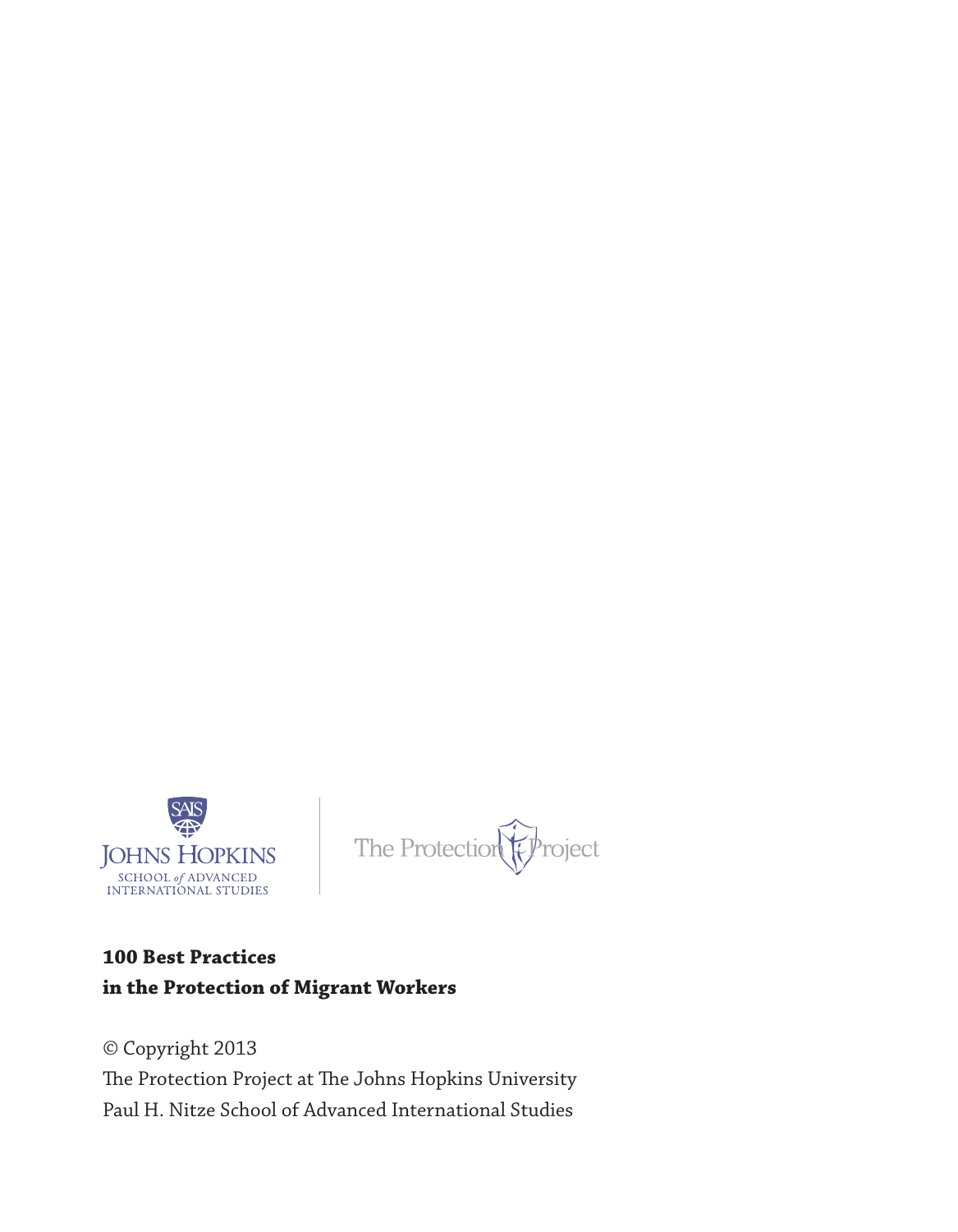

The Protection (Project

#### **100 Best Practices in the Protection of Migrant Workers**

© Copyright 2013 The Protection Project at The Johns Hopkins University Paul H. Nitze School of Advanced International Studies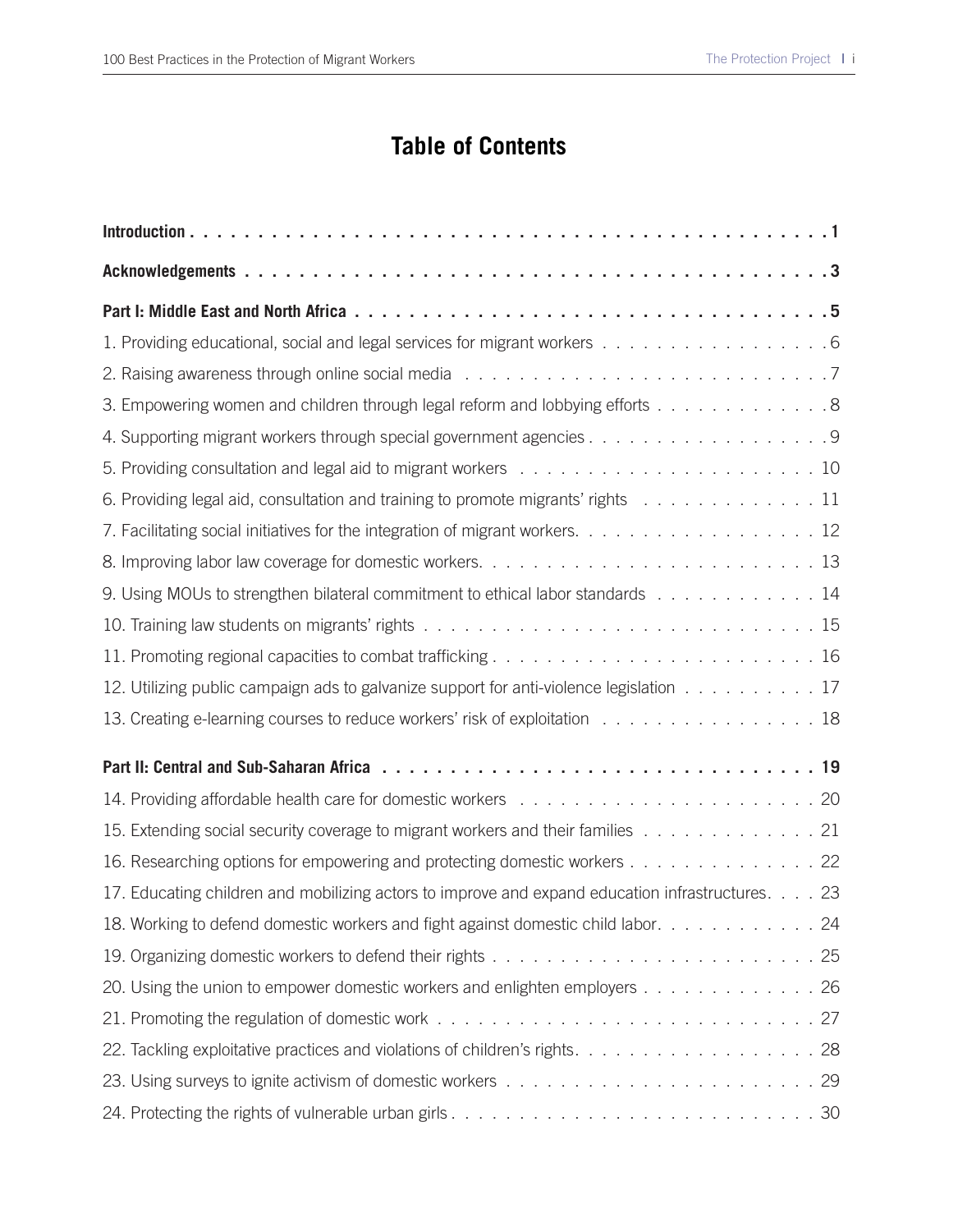#### **Table of Contents**

| 1. Providing educational, social and legal services for migrant workers 6                        |
|--------------------------------------------------------------------------------------------------|
|                                                                                                  |
| 3. Empowering women and children through legal reform and lobbying efforts 8                     |
|                                                                                                  |
|                                                                                                  |
| 6. Providing legal aid, consultation and training to promote migrants' rights 11                 |
| 7. Facilitating social initiatives for the integration of migrant workers. 12                    |
|                                                                                                  |
| 9. Using MOUs to strengthen bilateral commitment to ethical labor standards 14                   |
|                                                                                                  |
|                                                                                                  |
| 12. Utilizing public campaign ads to galvanize support for anti-violence legislation 17          |
| 13. Creating e-learning courses to reduce workers' risk of exploitation 18                       |
|                                                                                                  |
|                                                                                                  |
| 15. Extending social security coverage to migrant workers and their families 21                  |
| 16. Researching options for empowering and protecting domestic workers 22                        |
| 17. Educating children and mobilizing actors to improve and expand education infrastructures. 23 |
| 18. Working to defend domestic workers and fight against domestic child labor. 24                |
|                                                                                                  |
| 20. Using the union to empower domestic workers and enlighten employers 26                       |
|                                                                                                  |
| 22. Tackling exploitative practices and violations of children's rights. 28                      |
|                                                                                                  |
|                                                                                                  |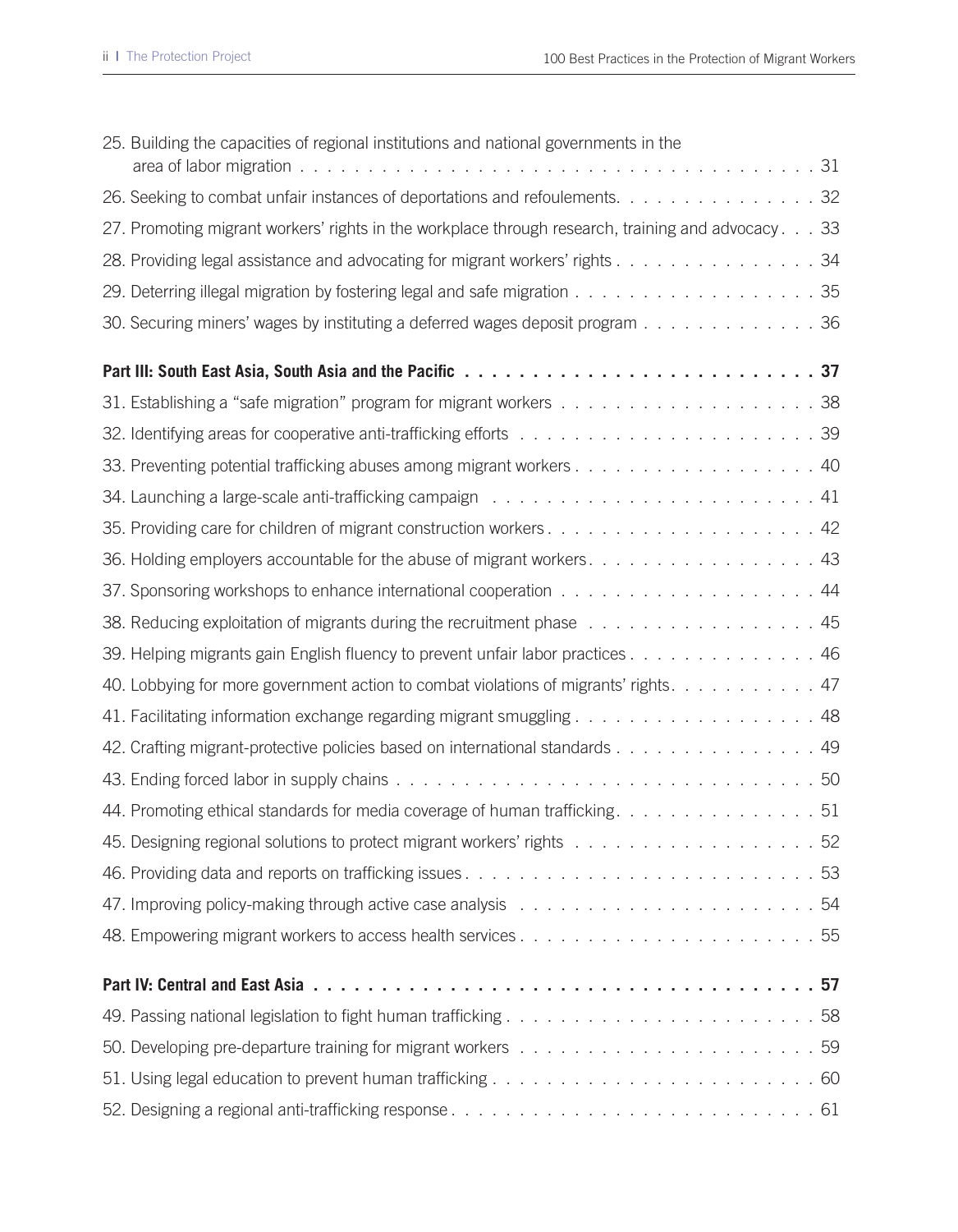| 25. Building the capacities of regional institutions and national governments in the               |
|----------------------------------------------------------------------------------------------------|
| 26. Seeking to combat unfair instances of deportations and refoulements. 32                        |
| 27. Promoting migrant workers' rights in the workplace through research, training and advocacy. 33 |
| 28. Providing legal assistance and advocating for migrant workers' rights 34                       |
| 29. Deterring illegal migration by fostering legal and safe migration 35                           |
| 30. Securing miners' wages by instituting a deferred wages deposit program 36                      |
|                                                                                                    |
|                                                                                                    |
|                                                                                                    |
|                                                                                                    |
|                                                                                                    |
|                                                                                                    |
| 36. Holding employers accountable for the abuse of migrant workers. 43                             |
|                                                                                                    |
| 38. Reducing exploitation of migrants during the recruitment phase 45                              |
| 39. Helping migrants gain English fluency to prevent unfair labor practices 46                     |
| 40. Lobbying for more government action to combat violations of migrants' rights. 47               |
| 41. Facilitating information exchange regarding migrant smuggling 48                               |
| 42. Crafting migrant-protective policies based on international standards 49                       |
|                                                                                                    |
| 44. Promoting ethical standards for media coverage of human trafficking. 51                        |
|                                                                                                    |
|                                                                                                    |
|                                                                                                    |
|                                                                                                    |
|                                                                                                    |
|                                                                                                    |
|                                                                                                    |
|                                                                                                    |
|                                                                                                    |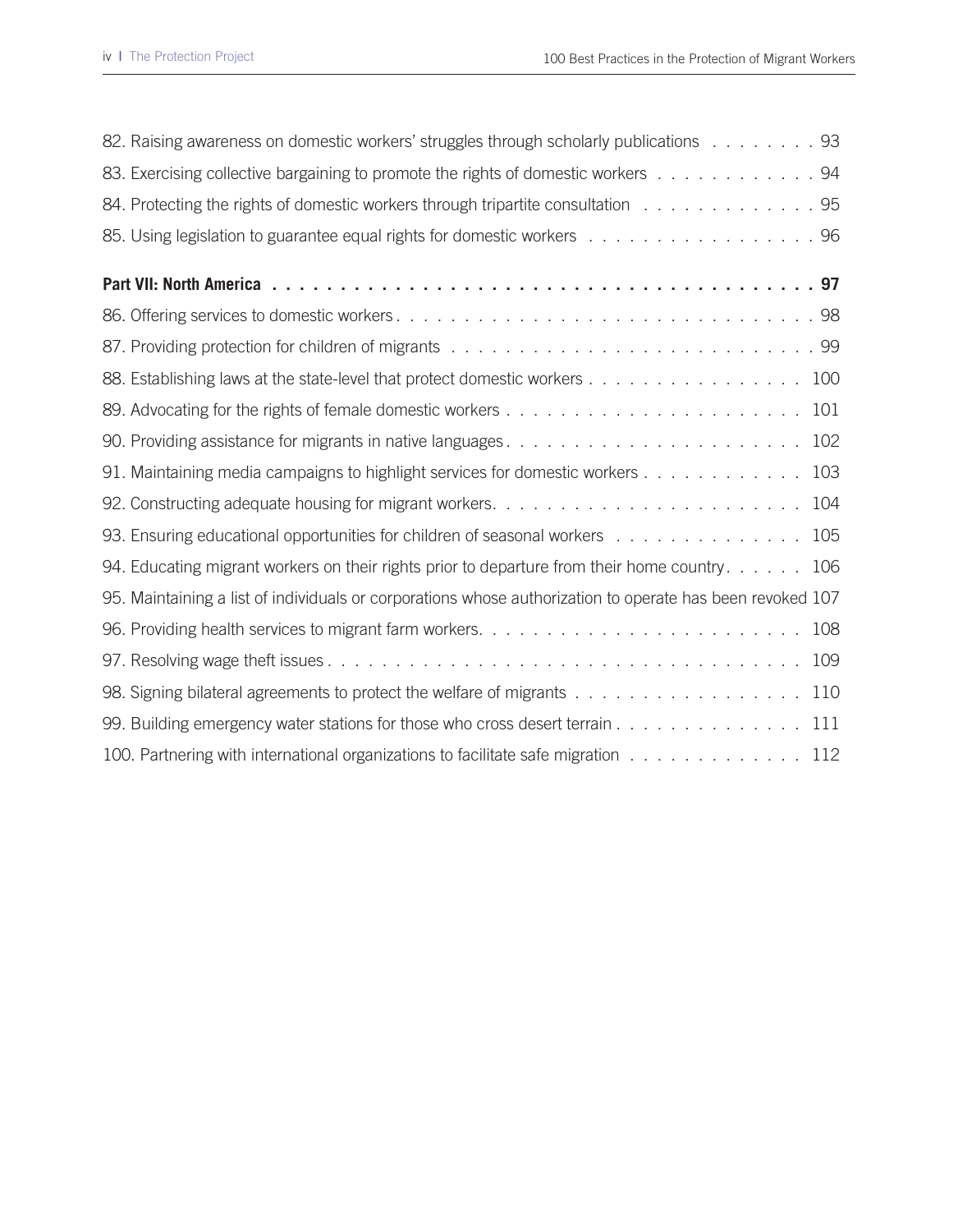| 82. Raising awareness on domestic workers' struggles through scholarly publications 93                    |
|-----------------------------------------------------------------------------------------------------------|
| 83. Exercising collective bargaining to promote the rights of domestic workers 94                         |
| 84. Protecting the rights of domestic workers through tripartite consultation 95                          |
| 85. Using legislation to guarantee equal rights for domestic workers 96                                   |
|                                                                                                           |
|                                                                                                           |
|                                                                                                           |
| 88. Establishing laws at the state-level that protect domestic workers 100                                |
|                                                                                                           |
|                                                                                                           |
| 91. Maintaining media campaigns to highlight services for domestic workers 103                            |
|                                                                                                           |
| 93. Ensuring educational opportunities for children of seasonal workers 105                               |
| 94. Educating migrant workers on their rights prior to departure from their home country. 106             |
| 95. Maintaining a list of individuals or corporations whose authorization to operate has been revoked 107 |
| 108                                                                                                       |
|                                                                                                           |
| 98. Signing bilateral agreements to protect the welfare of migrants 110                                   |
| 99. Building emergency water stations for those who cross desert terrain 111                              |
| 100. Partnering with international organizations to facilitate safe migration 112                         |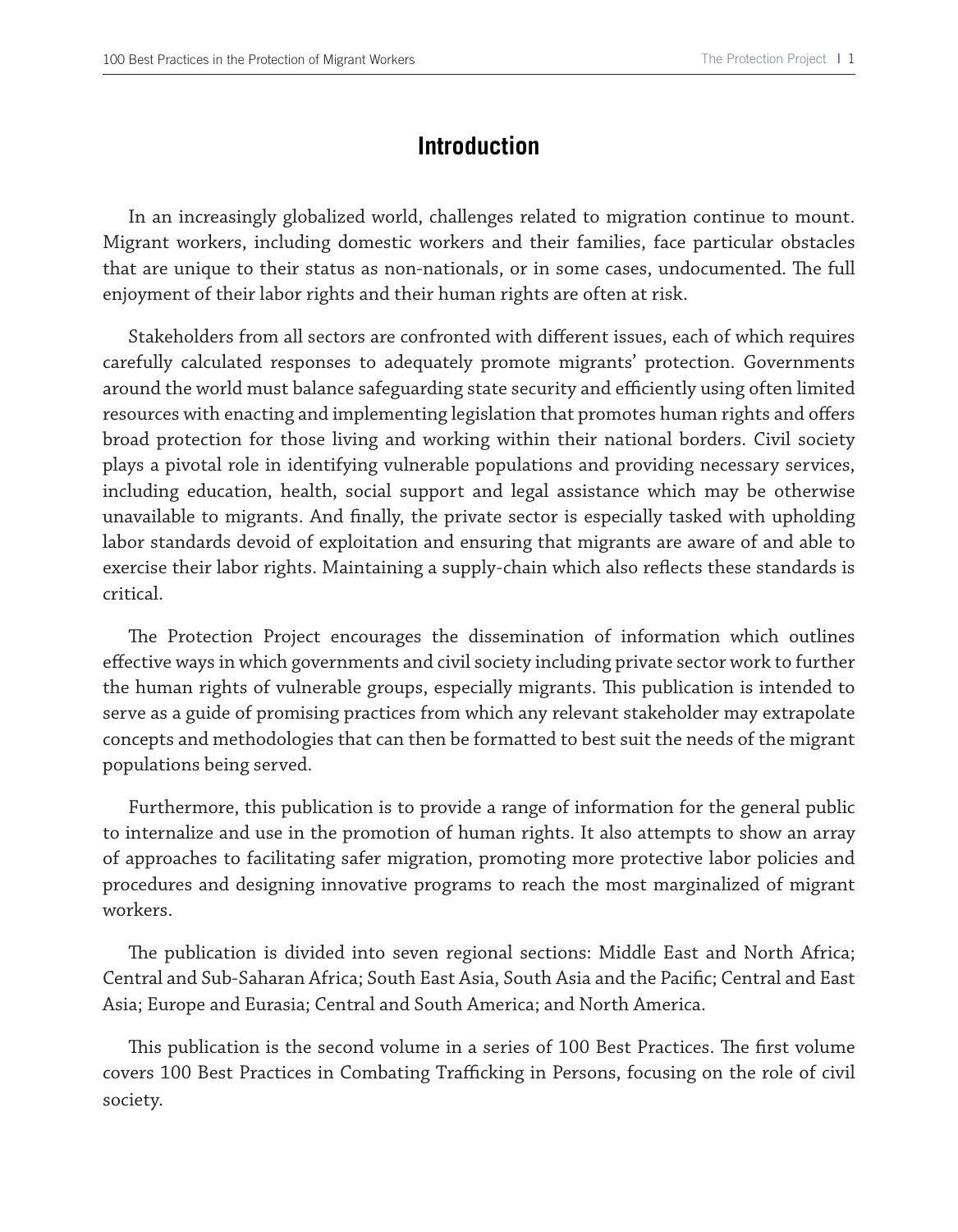#### **Introduction**

In an increasingly globalized world, challenges related to migration continue to mount. Migrant workers, including domestic workers and their families, face particular obstacles that are unique to their status as non-nationals, or in some cases, undocumented. The full enjoyment of their labor rights and their human rights are often at risk.

Stakeholders from all sectors are confronted with diferent issues, each of which requires carefully calculated responses to adequately promote migrants' protection. Governments around the world must balance safeguarding state security and efficiently using often limited resources with enacting and implementing legislation that promotes human rights and ofers broad protection for those living and working within their national borders. Civil society plays a pivotal role in identifying vulnerable populations and providing necessary services, including education, health, social support and legal assistance which may be otherwise unavailable to migrants. And fnally, the private sector is especially tasked with upholding labor standards devoid of exploitation and ensuring that migrants are aware of and able to exercise their labor rights. Maintaining a supply-chain which also refects these standards is critical.

The Protection Project encourages the dissemination of information which outlines efective ways in which governments and civil society including private sector work to further the human rights of vulnerable groups, especially migrants. This publication is intended to serve as a guide of promising practices from which any relevant stakeholder may extrapolate concepts and methodologies that can then be formatted to best suit the needs of the migrant populations being served.

Furthermore, this publication is to provide a range of information for the general public to internalize and use in the promotion of human rights. It also attempts to show an array of approaches to facilitating safer migration, promoting more protective labor policies and procedures and designing innovative programs to reach the most marginalized of migrant workers.

The publication is divided into seven regional sections: Middle East and North Africa; Central and Sub-Saharan Africa; South East Asia, South Asia and the Pacifc; Central and East Asia; Europe and Eurasia; Central and South America; and North America.

This publication is the second volume in a series of 100 Best Practices. The first volume covers 100 Best Practices in Combating Trafficking in Persons, focusing on the role of civil society.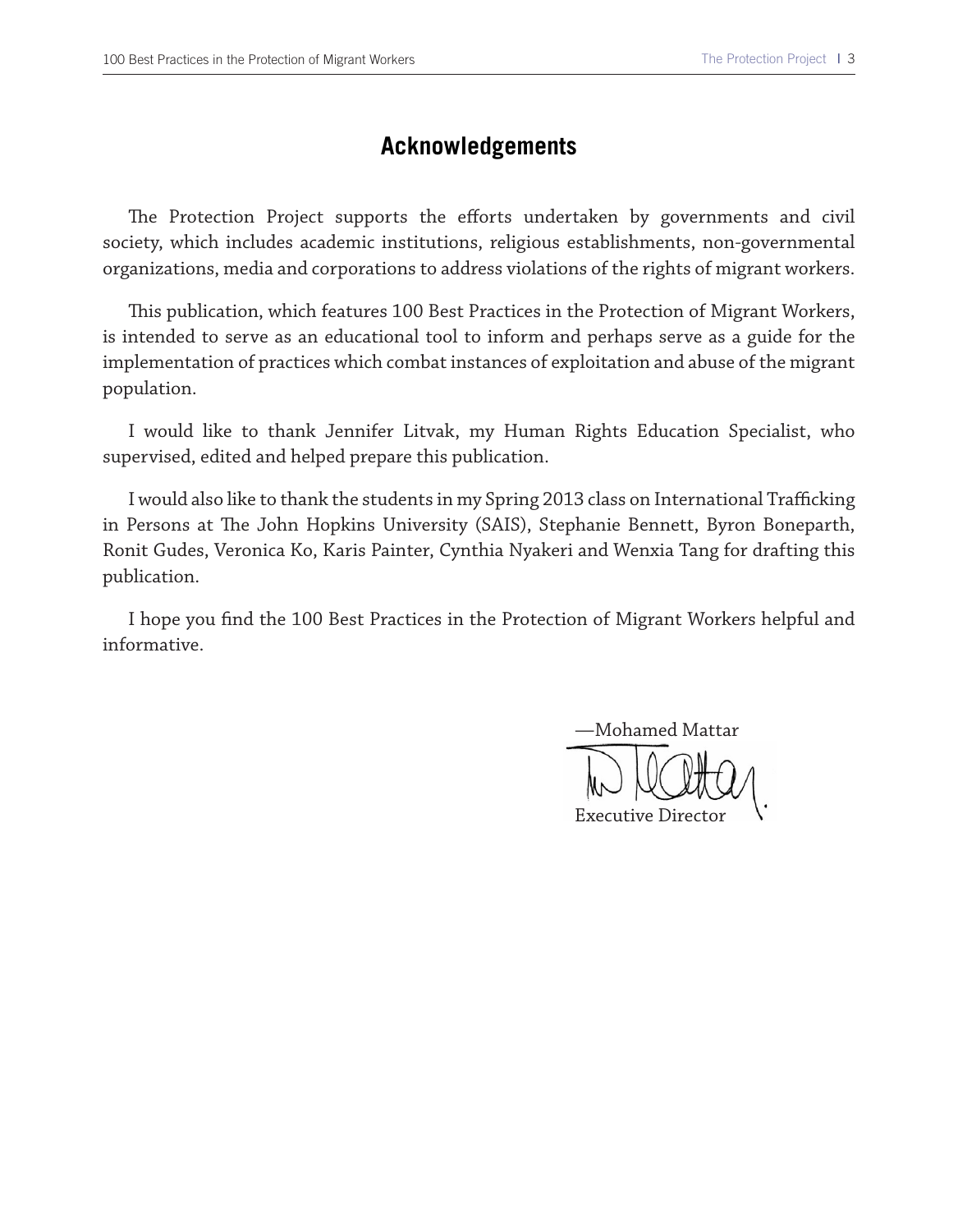#### **Acknowledgements**

The Protection Project supports the efforts undertaken by governments and civil society, which includes academic institutions, religious establishments, non-governmental organizations, media and corporations to address violations of the rights of migrant workers.

Tis publication, which features 100 Best Practices in the Protection of Migrant Workers, is intended to serve as an educational tool to inform and perhaps serve as a guide for the implementation of practices which combat instances of exploitation and abuse of the migrant population.

I would like to thank Jennifer Litvak, my Human Rights Education Specialist, who supervised, edited and helped prepare this publication.

I would also like to thank the students in my Spring 2013 class on International Trafficking in Persons at The John Hopkins University (SAIS), Stephanie Bennett, Byron Boneparth, Ronit Gudes, Veronica Ko, Karis Painter, Cynthia Nyakeri and Wenxia Tang for drafting this publication.

I hope you fnd the 100 Best Practices in the Protection of Migrant Workers helpful and informative.

—Mohamed Mattar Executive Director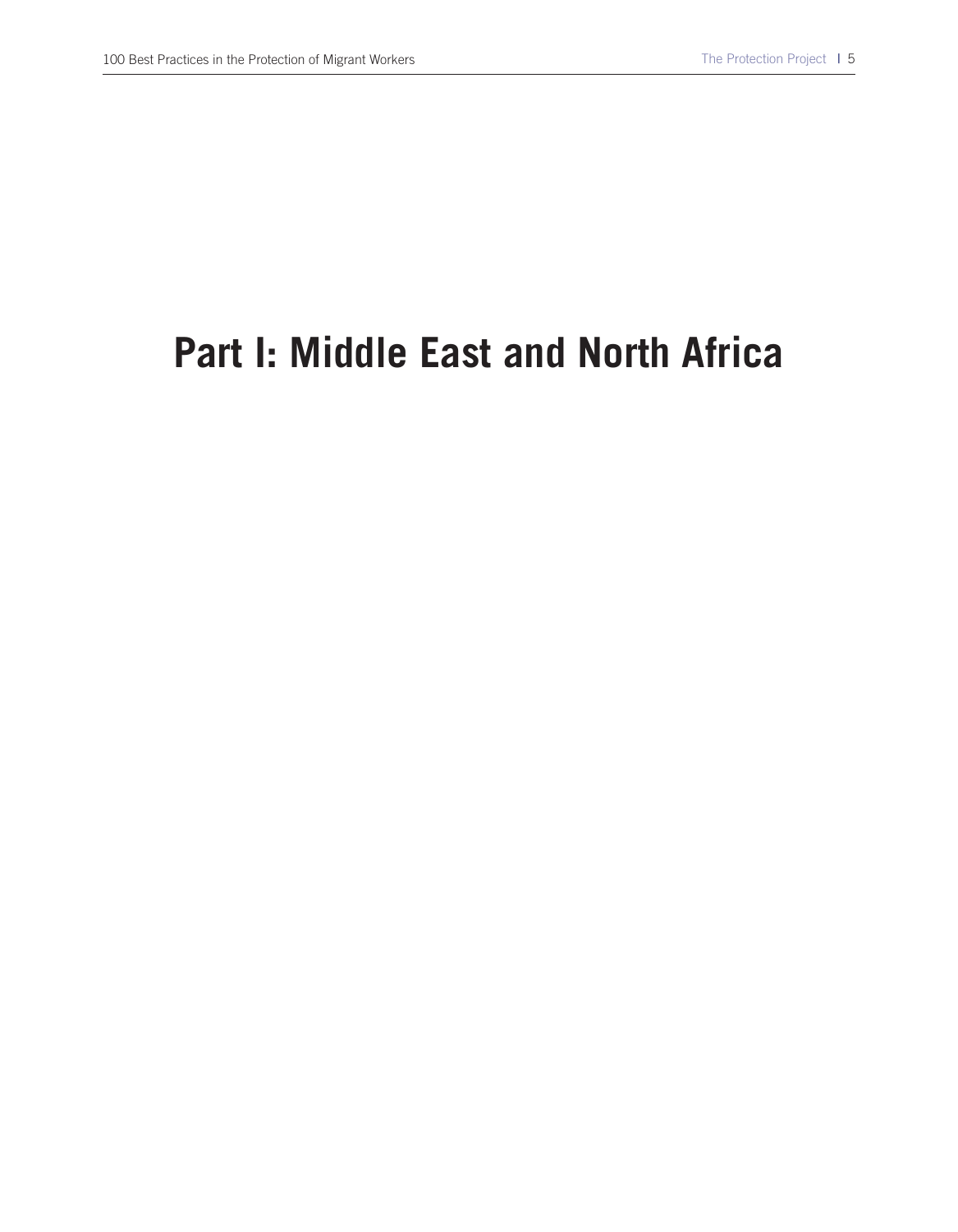# **Part I: Middle East and North Africa**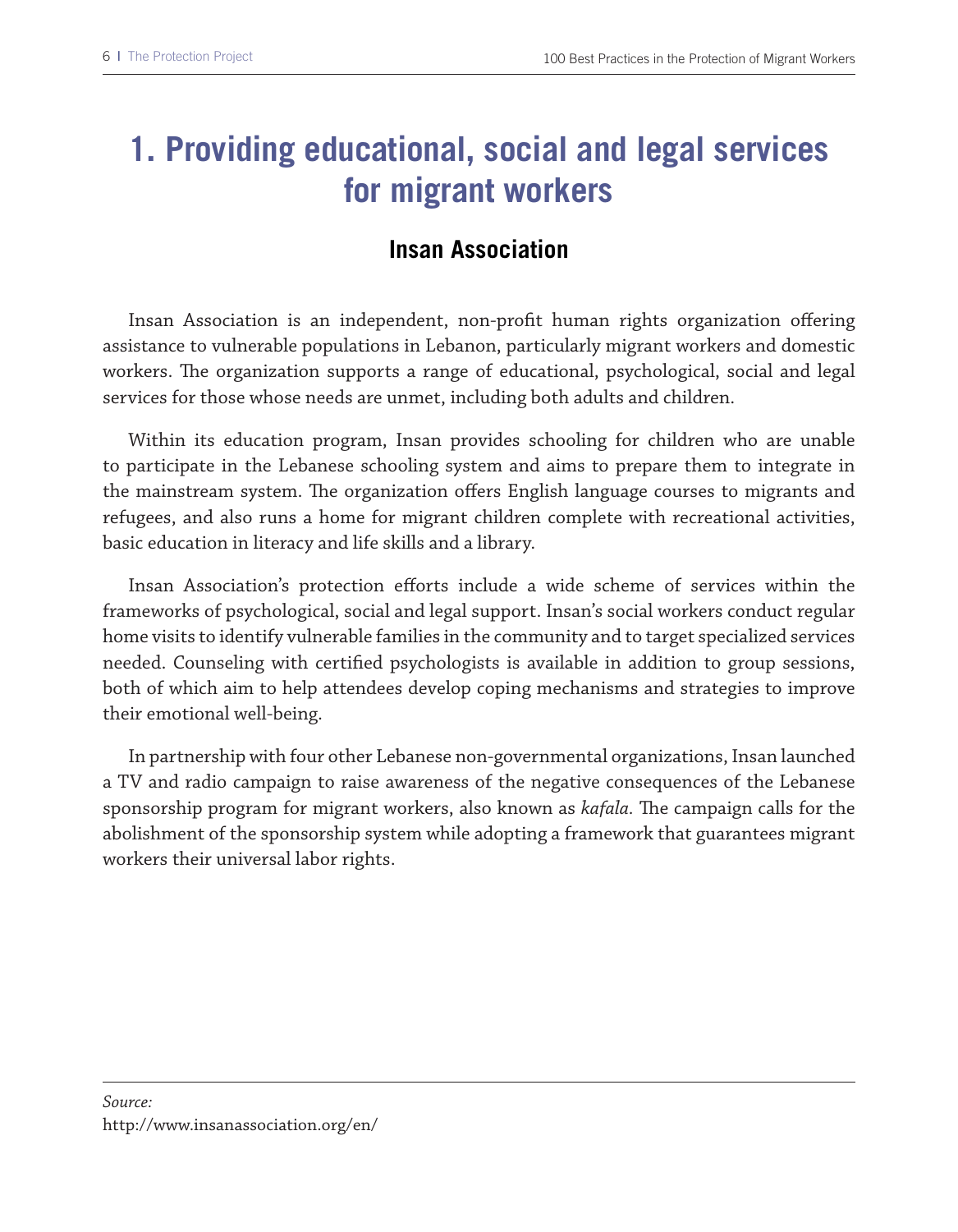# **1. Providing educational, social and legal services for migrant workers**

## **Insan Association**

Insan Association is an independent, non-proft human rights organization ofering assistance to vulnerable populations in Lebanon, particularly migrant workers and domestic workers. The organization supports a range of educational, psychological, social and legal services for those whose needs are unmet, including both adults and children.

Within its education program, Insan provides schooling for children who are unable to participate in the Lebanese schooling system and aims to prepare them to integrate in the mainstream system. The organization offers English language courses to migrants and refugees, and also runs a home for migrant children complete with recreational activities, basic education in literacy and life skills and a library.

Insan Association's protection efforts include a wide scheme of services within the frameworks of psychological, social and legal support. Insan's social workers conduct regular home visits to identify vulnerable families in the community and to target specialized services needed. Counseling with certifed psychologists is available in addition to group sessions, both of which aim to help attendees develop coping mechanisms and strategies to improve their emotional well-being.

In partnership with four other Lebanese non-governmental organizations, Insan launched a TV and radio campaign to raise awareness of the negative consequences of the Lebanese sponsorship program for migrant workers, also known as *kafala*. The campaign calls for the abolishment of the sponsorship system while adopting a framework that guarantees migrant workers their universal labor rights.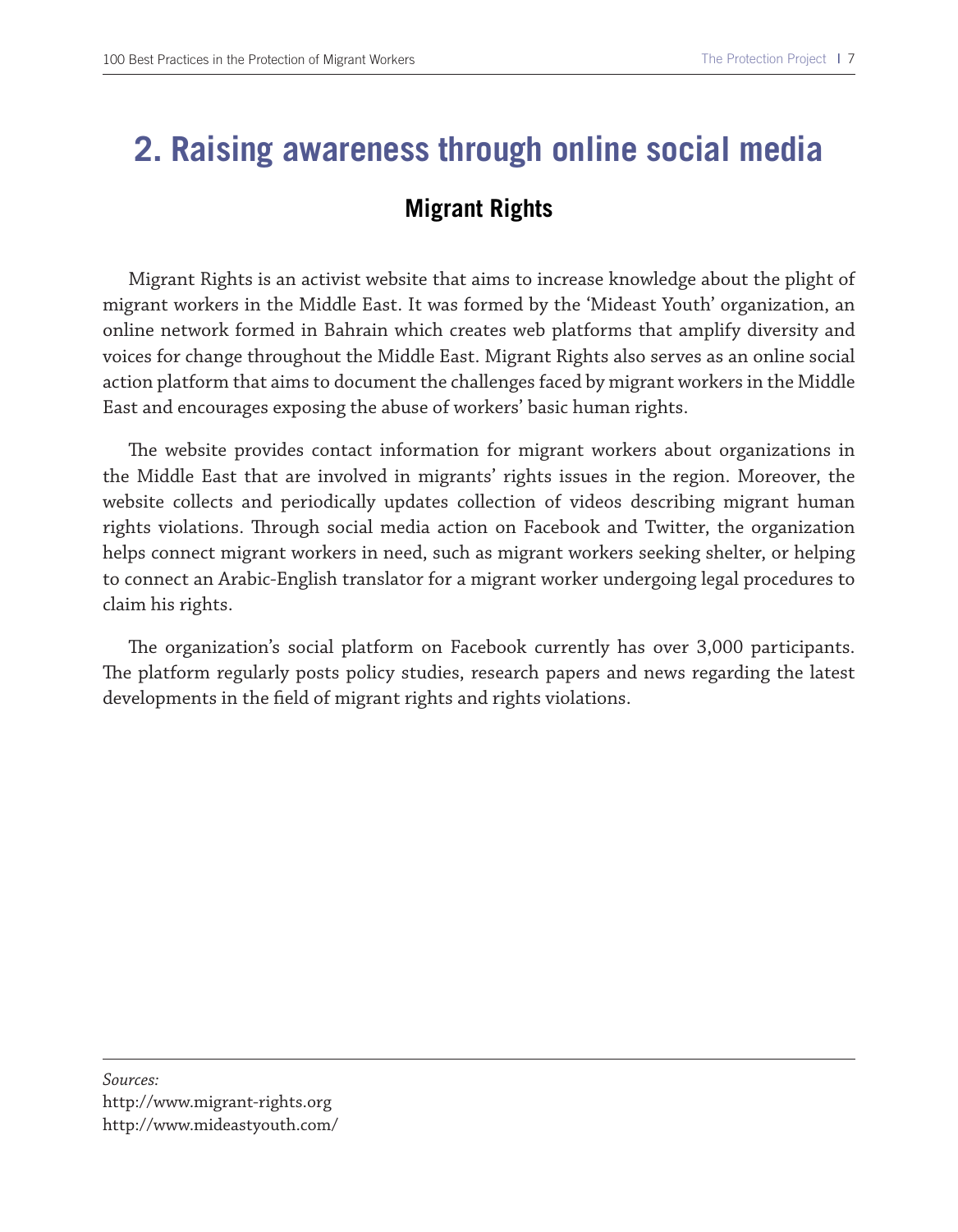# **2. Raising awareness through online social media Migrant Rights**

Migrant Rights is an activist website that aims to increase knowledge about the plight of migrant workers in the Middle East. It was formed by the 'Mideast Youth' organization, an online network formed in Bahrain which creates web platforms that amplify diversity and voices for change throughout the Middle East. Migrant Rights also serves as an online social action platform that aims to document the challenges faced by migrant workers in the Middle East and encourages exposing the abuse of workers' basic human rights.

The website provides contact information for migrant workers about organizations in the Middle East that are involved in migrants' rights issues in the region. Moreover, the website collects and periodically updates collection of videos describing migrant human rights violations. Through social media action on Facebook and Twitter, the organization helps connect migrant workers in need, such as migrant workers seeking shelter, or helping to connect an Arabic-English translator for a migrant worker undergoing legal procedures to claim his rights.

The organization's social platform on Facebook currently has over 3,000 participants. The platform regularly posts policy studies, research papers and news regarding the latest developments in the feld of migrant rights and rights violations.

#### *Sources:*

http://www.migrant-rights.org http://www.mideastyouth.com/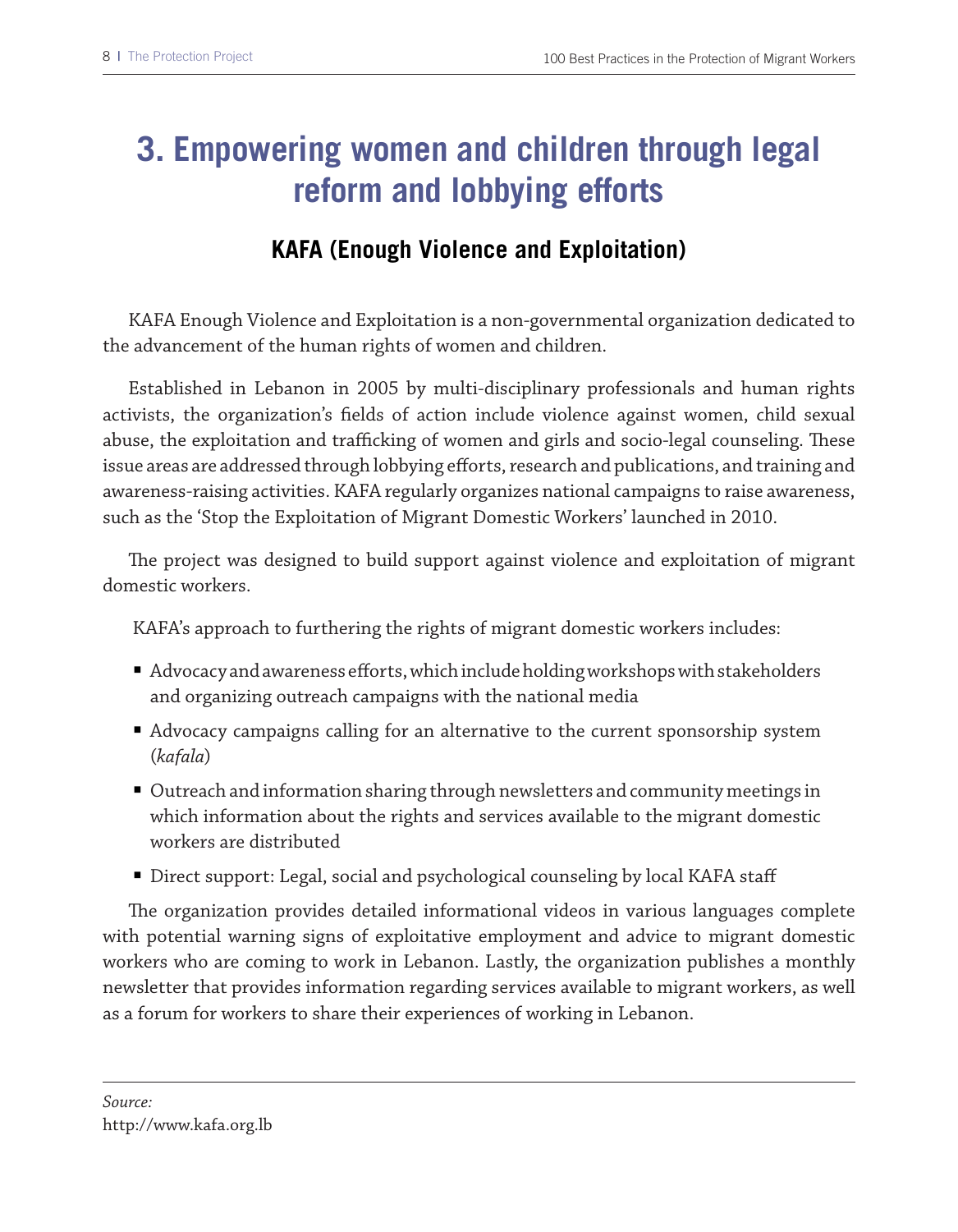# **3. Empowering women and children through legal reform and lobbying efforts**

## **KAFA (Enough Violence and Exploitation)**

KAFA Enough Violence and Exploitation is a non-governmental organization dedicated to the advancement of the human rights of women and children.

Established in Lebanon in 2005 by multi-disciplinary professionals and human rights activists, the organization's felds of action include violence against women, child sexual abuse, the exploitation and trafficking of women and girls and socio-legal counseling. These issue areas are addressed through lobbying eforts, research and publications, and training and awareness-raising activities. KAFA regularly organizes national campaigns to raise awareness, such as the 'Stop the Exploitation of Migrant Domestic Workers' launched in 2010.

The project was designed to build support against violence and exploitation of migrant domestic workers.

KAFA's approach to furthering the rights of migrant domestic workers includes:

- Advocacy and awareness efforts, which include holding workshops with stakeholders and organizing outreach campaigns with the national media
- Advocacy campaigns calling for an alternative to the current sponsorship system (*kafala*)
- Outreach and information sharing through newsletters and community meetings in which information about the rights and services available to the migrant domestic workers are distributed
- Direct support: Legal, social and psychological counseling by local KAFA staff

The organization provides detailed informational videos in various languages complete with potential warning signs of exploitative employment and advice to migrant domestic workers who are coming to work in Lebanon. Lastly, the organization publishes a monthly newsletter that provides information regarding services available to migrant workers, as well as a forum for workers to share their experiences of working in Lebanon.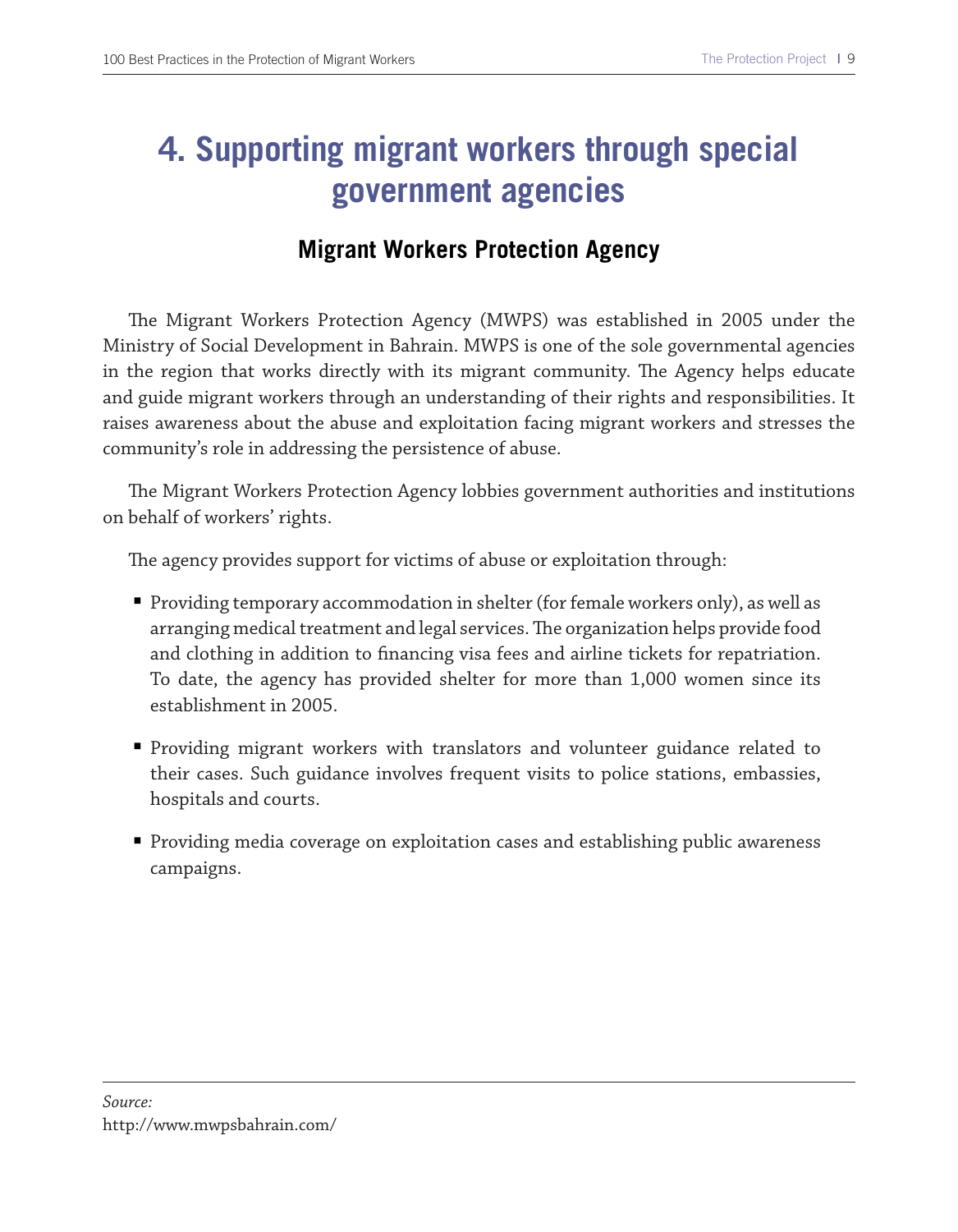# **4. Supporting migrant workers through special government agencies**

#### **Migrant Workers Protection Agency**

The Migrant Workers Protection Agency (MWPS) was established in 2005 under the Ministry of Social Development in Bahrain. MWPS is one of the sole governmental agencies in the region that works directly with its migrant community. The Agency helps educate and guide migrant workers through an understanding of their rights and responsibilities. It raises awareness about the abuse and exploitation facing migrant workers and stresses the community's role in addressing the persistence of abuse.

The Migrant Workers Protection Agency lobbies government authorities and institutions on behalf of workers' rights.

The agency provides support for victims of abuse or exploitation through:

- Providing temporary accommodation in shelter (for female workers only), as well as arranging medical treatment and legal services. The organization helps provide food and clothing in addition to fnancing visa fees and airline tickets for repatriation. To date, the agency has provided shelter for more than 1,000 women since its establishment in 2005.
- Providing migrant workers with translators and volunteer guidance related to their cases. Such guidance involves frequent visits to police stations, embassies, hospitals and courts.
- Providing media coverage on exploitation cases and establishing public awareness campaigns.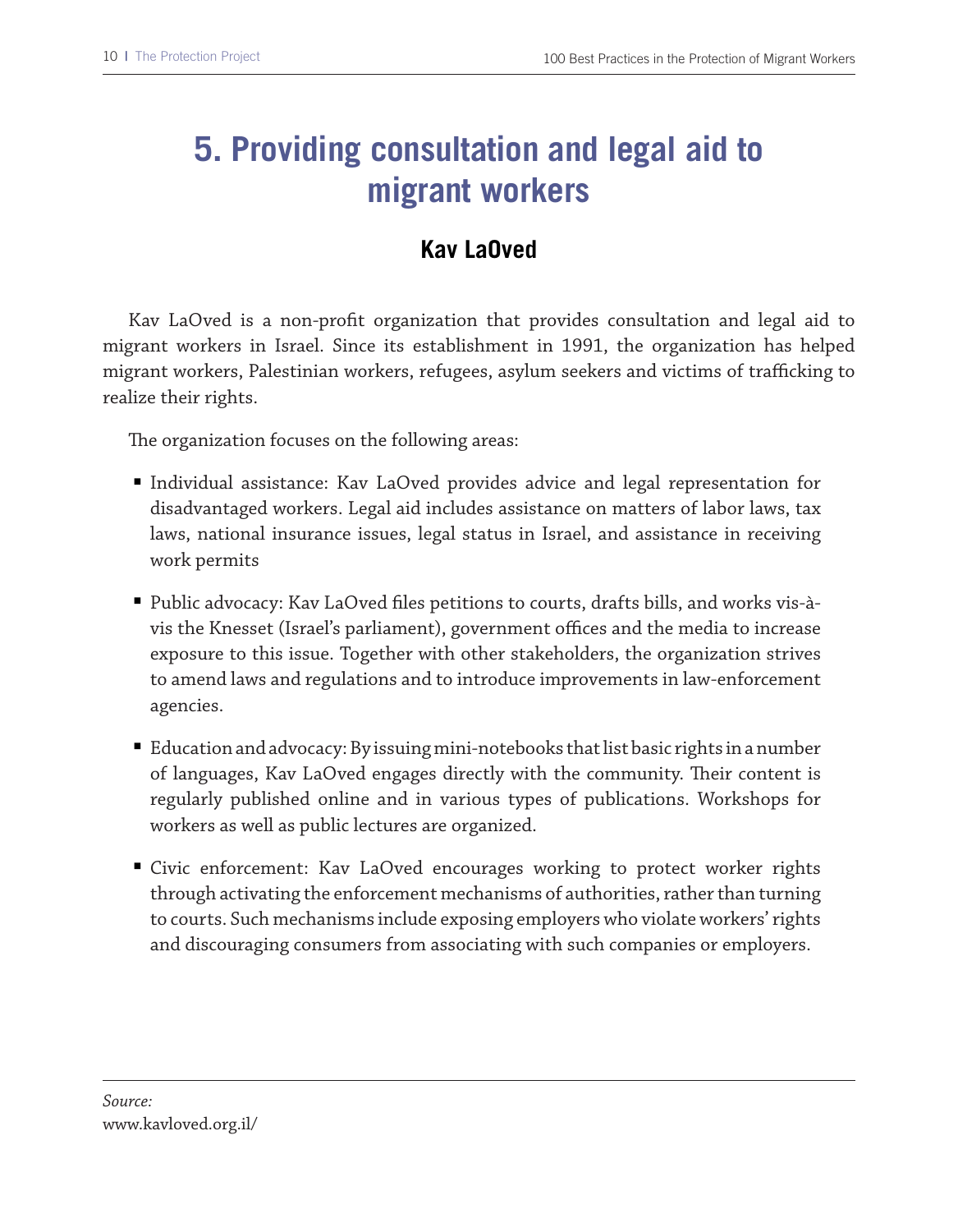# **5. Providing consultation and legal aid to migrant workers**

## **Kav LaOved**

Kav LaOved is a non-proft organization that provides consultation and legal aid to migrant workers in Israel. Since its establishment in 1991, the organization has helped migrant workers, Palestinian workers, refugees, asylum seekers and victims of trafficking to realize their rights.

The organization focuses on the following areas:

- Individual assistance: Kav LaOved provides advice and legal representation for disadvantaged workers. Legal aid includes assistance on matters of labor laws, tax laws, national insurance issues, legal status in Israel, and assistance in receiving work permits
- Public advocacy: Kav LaOved fles petitions to courts, drafts bills, and works vis-àvis the Knesset (Israel's parliament), government offices and the media to increase exposure to this issue. Together with other stakeholders, the organization strives to amend laws and regulations and to introduce improvements in law-enforcement agencies.
- Education and advocacy: By issuing mini-notebooks that list basic rights in a number of languages, Kav LaOved engages directly with the community. Their content is regularly published online and in various types of publications. Workshops for workers as well as public lectures are organized.
- Civic enforcement: Kav LaOved encourages working to protect worker rights through activating the enforcement mechanisms of authorities, rather than turning to courts. Such mechanisms include exposing employers who violate workers' rights and discouraging consumers from associating with such companies or employers.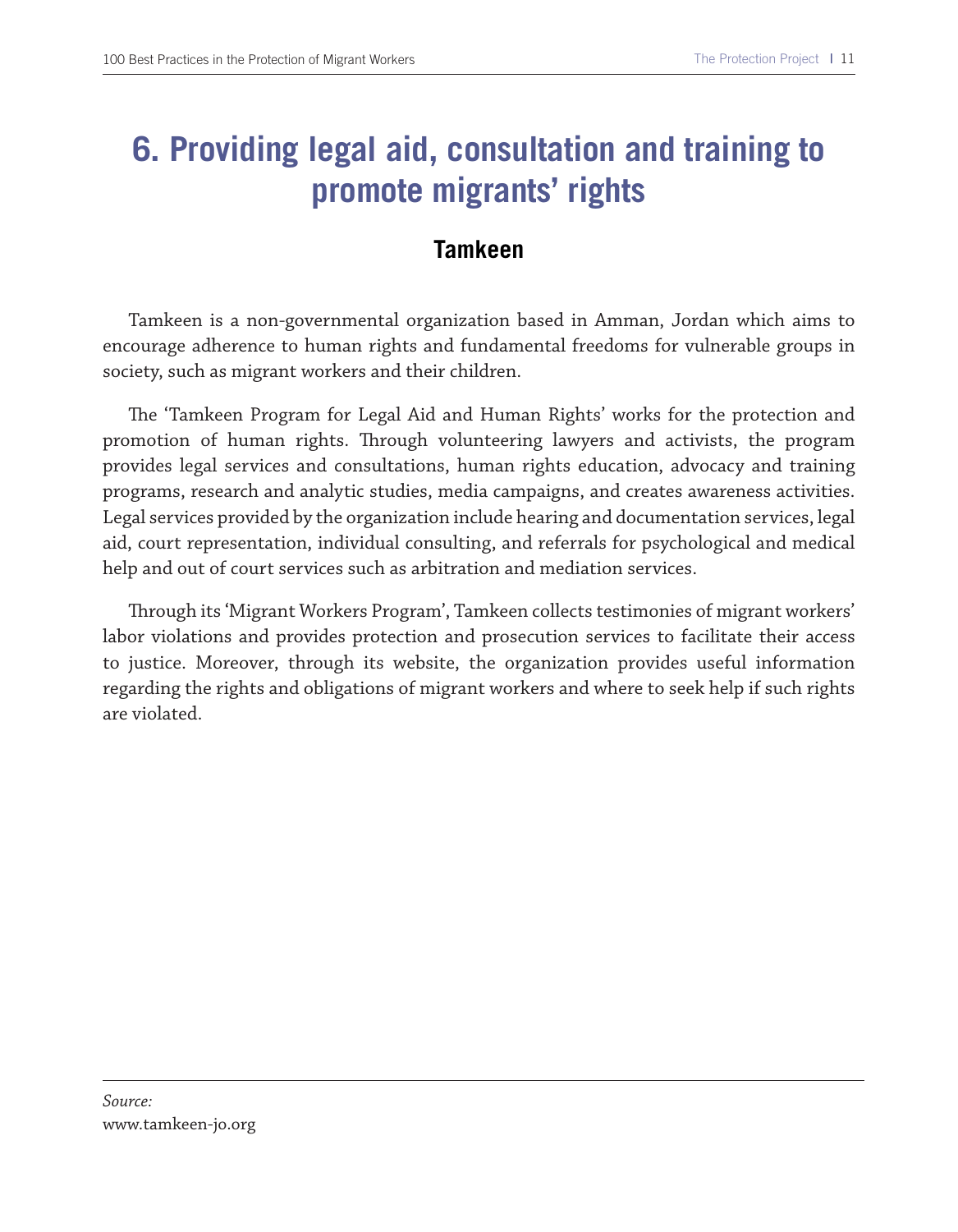# **6. Providing legal aid, consultation and training to promote migrants' rights**

#### **Tamkeen**

Tamkeen is a non-governmental organization based in Amman, Jordan which aims to encourage adherence to human rights and fundamental freedoms for vulnerable groups in society, such as migrant workers and their children.

The 'Tamkeen Program for Legal Aid and Human Rights' works for the protection and promotion of human rights. Trough volunteering lawyers and activists, the program provides legal services and consultations, human rights education, advocacy and training programs, research and analytic studies, media campaigns, and creates awareness activities. Legal services provided by the organization include hearing and documentation services, legal aid, court representation, individual consulting, and referrals for psychological and medical help and out of court services such as arbitration and mediation services.

Trough its 'Migrant Workers Program', Tamkeen collects testimonies of migrant workers' labor violations and provides protection and prosecution services to facilitate their access to justice. Moreover, through its website, the organization provides useful information regarding the rights and obligations of migrant workers and where to seek help if such rights are violated.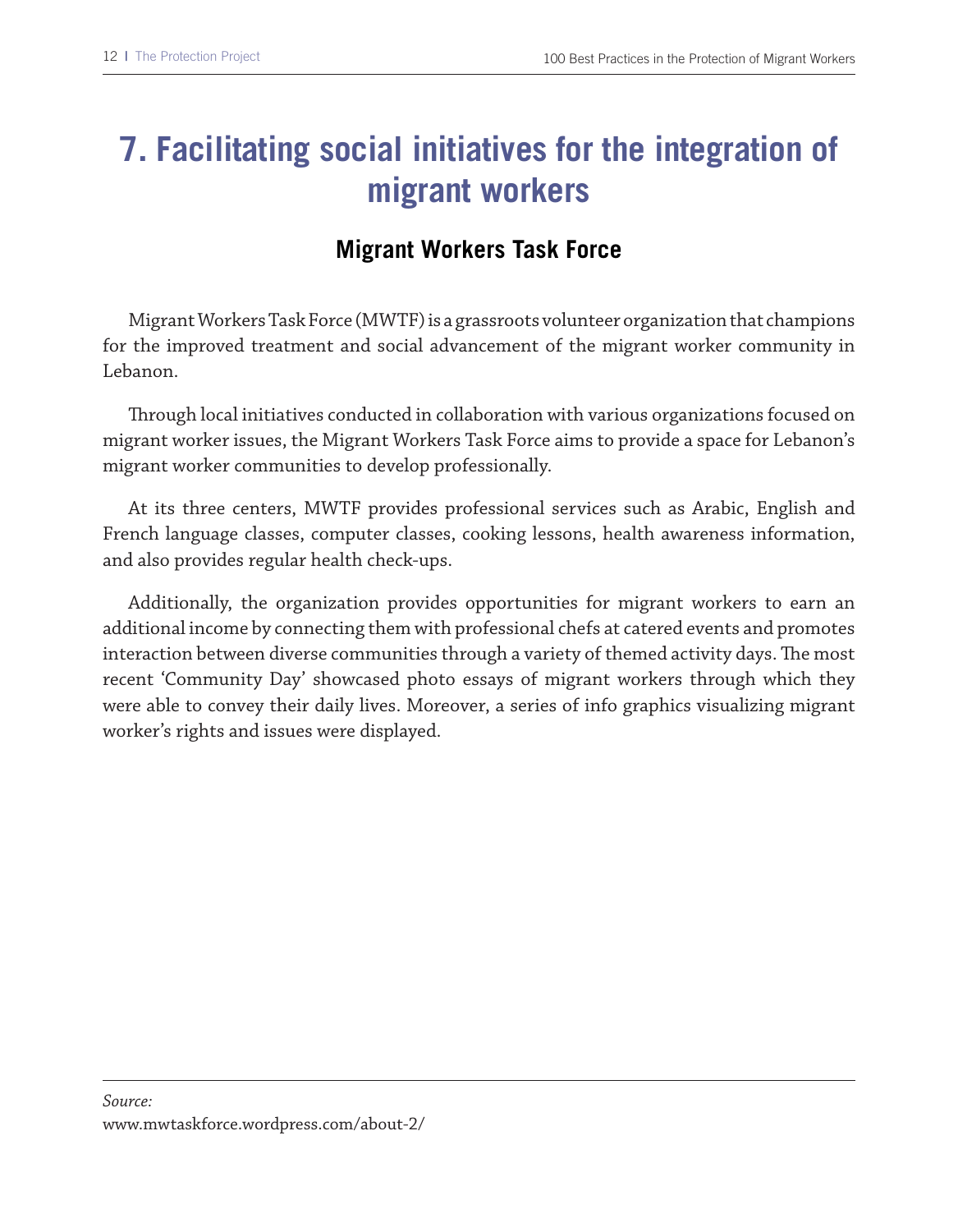# **7. Facilitating social initiatives for the integration of migrant workers**

## **Migrant Workers Task Force**

Migrant Workers Task Force (MWTF) is a grassroots volunteer organization that champions for the improved treatment and social advancement of the migrant worker community in Lebanon.

Trough local initiatives conducted in collaboration with various organizations focused on migrant worker issues, the Migrant Workers Task Force aims to provide a space for Lebanon's migrant worker communities to develop professionally.

At its three centers, MWTF provides professional services such as Arabic, English and French language classes, computer classes, cooking lessons, health awareness information, and also provides regular health check-ups.

Additionally, the organization provides opportunities for migrant workers to earn an additional income by connecting them with professional chefs at catered events and promotes interaction between diverse communities through a variety of themed activity days. The most recent 'Community Day' showcased photo essays of migrant workers through which they were able to convey their daily lives. Moreover, a series of info graphics visualizing migrant worker's rights and issues were displayed.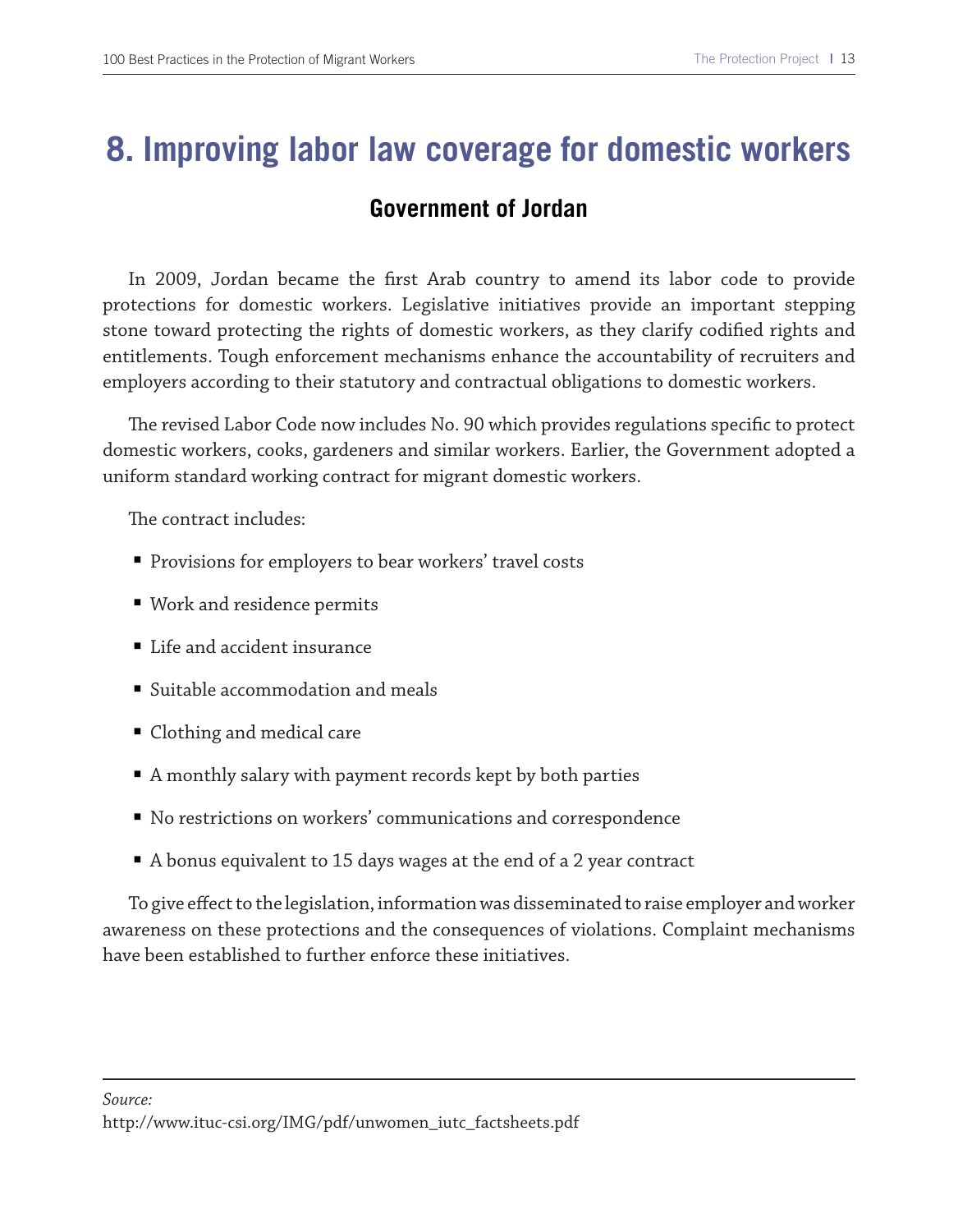## **8. Improving labor law coverage for domestic workers**

#### **Government of Jordan**

In 2009, Jordan became the frst Arab country to amend its labor code to provide protections for domestic workers. Legislative initiatives provide an important stepping stone toward protecting the rights of domestic workers, as they clarify codifed rights and entitlements. Tough enforcement mechanisms enhance the accountability of recruiters and employers according to their statutory and contractual obligations to domestic workers.

The revised Labor Code now includes No. 90 which provides regulations specific to protect domestic workers, cooks, gardeners and similar workers. Earlier, the Government adopted a uniform standard working contract for migrant domestic workers.

The contract includes:

- Provisions for employers to bear workers' travel costs
- Work and residence permits
- Life and accident insurance
- Suitable accommodation and meals
- Clothing and medical care
- A monthly salary with payment records kept by both parties
- No restrictions on workers' communications and correspondence
- A bonus equivalent to 15 days wages at the end of a 2 year contract

To give efect to the legislation, information was disseminated to raise employer and worker awareness on these protections and the consequences of violations. Complaint mechanisms have been established to further enforce these initiatives.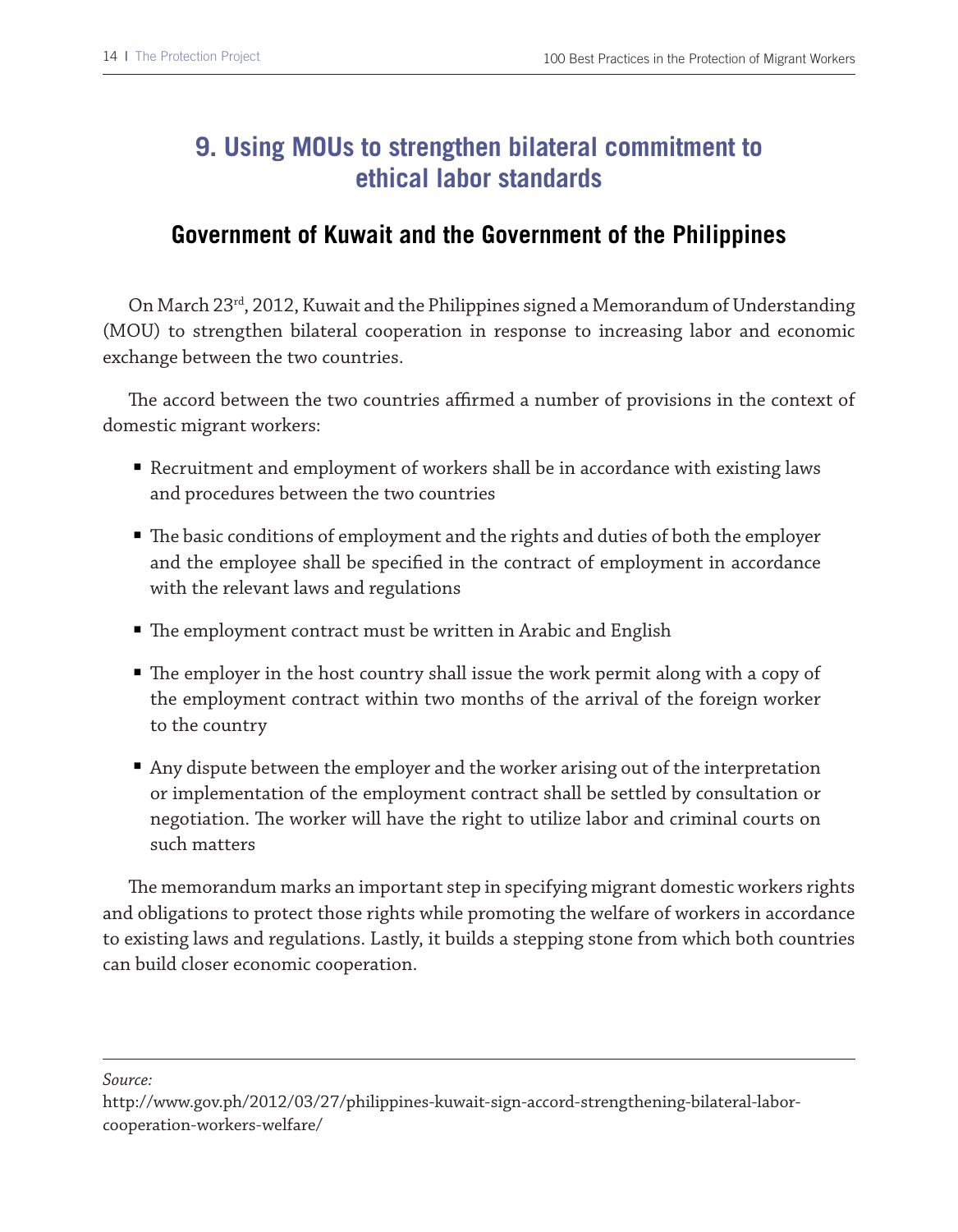## **9. Using MOUs to strengthen bilateral commitment to ethical labor standards**

#### **Government of Kuwait and the Government of the Philippines**

On March 23rd, 2012, Kuwait and the Philippines signed a Memorandum of Understanding (MOU) to strengthen bilateral cooperation in response to increasing labor and economic exchange between the two countries.

The accord between the two countries affirmed a number of provisions in the context of domestic migrant workers:

- Recruitment and employment of workers shall be in accordance with existing laws and procedures between the two countries
- $\blacksquare$  The basic conditions of employment and the rights and duties of both the employer and the employee shall be specifed in the contract of employment in accordance with the relevant laws and regulations
- $\;\blacksquare\;$  The employment contract must be written in Arabic and English
- $\blacksquare$  The employer in the host country shall issue the work permit along with a copy of the employment contract within two months of the arrival of the foreign worker to the country
- Any dispute between the employer and the worker arising out of the interpretation or implementation of the employment contract shall be settled by consultation or negotiation. The worker will have the right to utilize labor and criminal courts on such matters

The memorandum marks an important step in specifying migrant domestic workers rights and obligations to protect those rights while promoting the welfare of workers in accordance to existing laws and regulations. Lastly, it builds a stepping stone from which both countries can build closer economic cooperation.

*Source:*

http://www.gov.ph/2012/03/27/philippines-kuwait-sign-accord-strengthening-bilateral-laborcooperation-workers-welfare/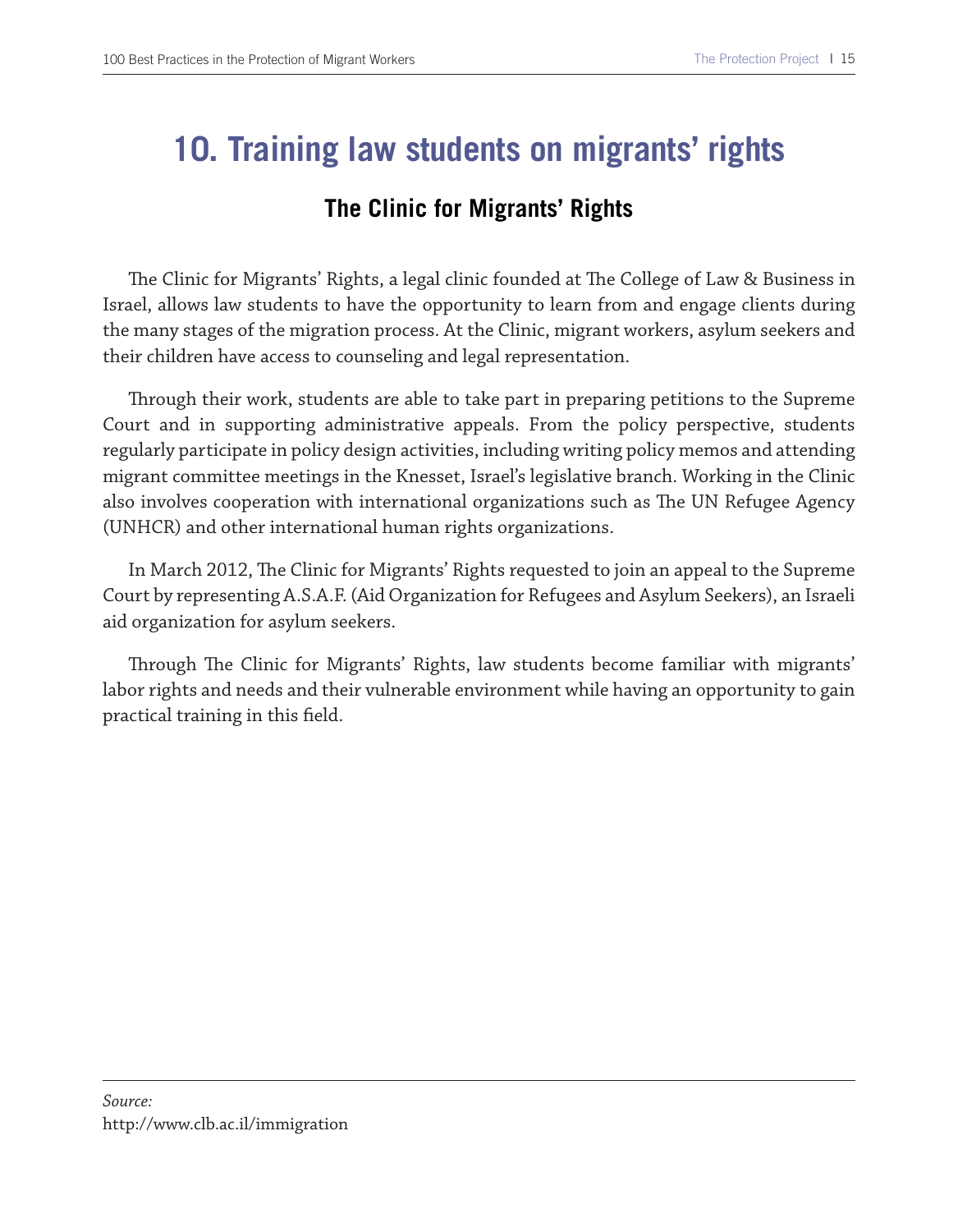## **10. Training law students on migrants' rights**

## **The Clinic for Migrants' Rights**

The Clinic for Migrants' Rights, a legal clinic founded at The College of Law & Business in Israel, allows law students to have the opportunity to learn from and engage clients during the many stages of the migration process. At the Clinic, migrant workers, asylum seekers and their children have access to counseling and legal representation.

Trough their work, students are able to take part in preparing petitions to the Supreme Court and in supporting administrative appeals. From the policy perspective, students regularly participate in policy design activities, including writing policy memos and attending migrant committee meetings in the Knesset, Israel's legislative branch. Working in the Clinic also involves cooperation with international organizations such as The UN Refugee Agency (UNHCR) and other international human rights organizations.

In March 2012, Te Clinic for Migrants' Rights requested to join an appeal to the Supreme Court by representing A.S.A.F. (Aid Organization for Refugees and Asylum Seekers), an Israeli aid organization for asylum seekers.

Through The Clinic for Migrants' Rights, law students become familiar with migrants' labor rights and needs and their vulnerable environment while having an opportunity to gain practical training in this feld.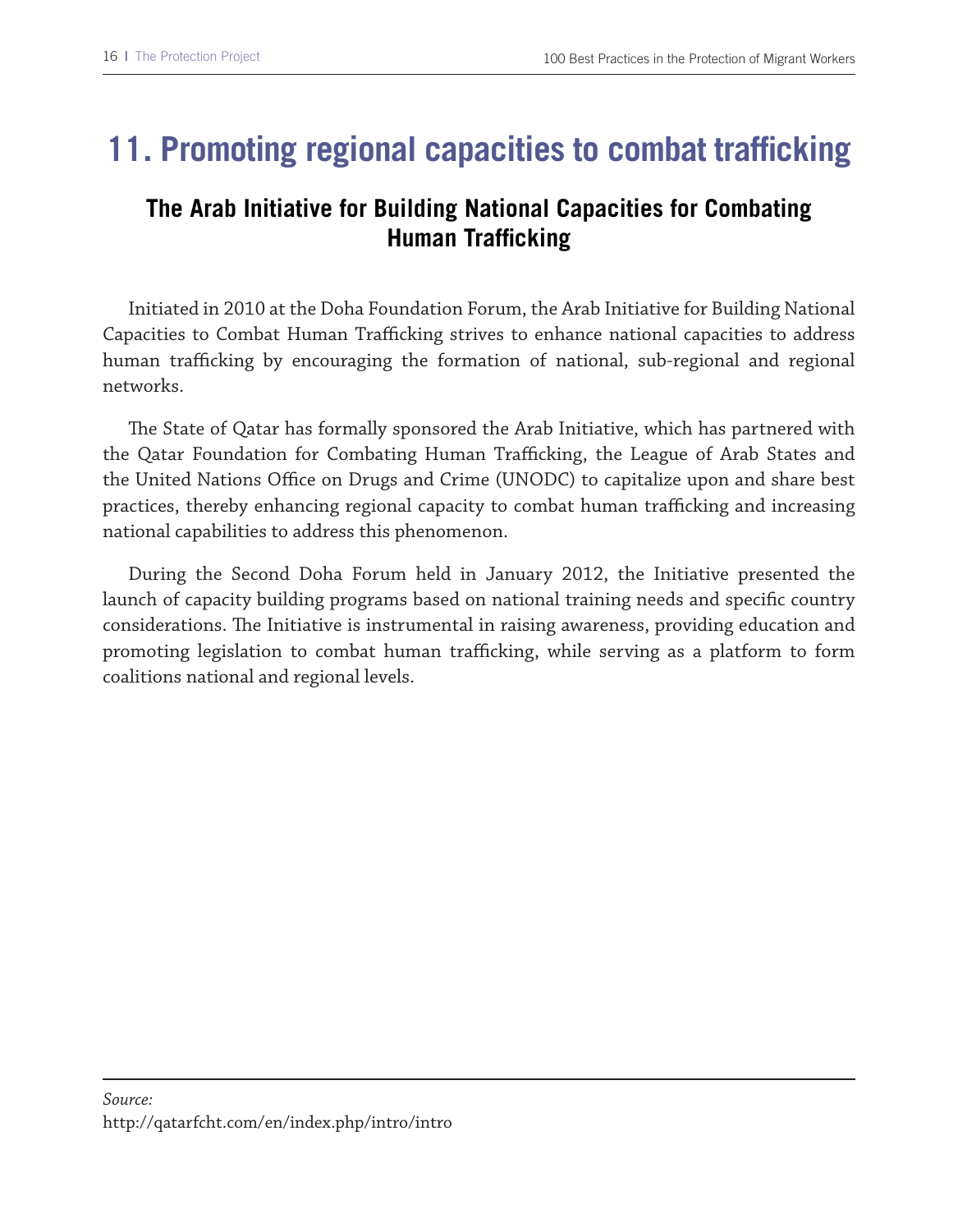## **11. Promoting regional capacities to combat trafficking**

## **The Arab Initiative for Building National Capacities for Combating Human Trafficking**

Initiated in 2010 at the Doha Foundation Forum, the Arab Initiative for Building National Capacities to Combat Human Trafficking strives to enhance national capacities to address human trafficking by encouraging the formation of national, sub-regional and regional networks.

The State of Qatar has formally sponsored the Arab Initiative, which has partnered with the Qatar Foundation for Combating Human Trafficking, the League of Arab States and the United Nations Office on Drugs and Crime (UNODC) to capitalize upon and share best practices, thereby enhancing regional capacity to combat human trafficking and increasing national capabilities to address this phenomenon.

During the Second Doha Forum held in January 2012, the Initiative presented the launch of capacity building programs based on national training needs and specifc country considerations. The Initiative is instrumental in raising awareness, providing education and promoting legislation to combat human trafficking, while serving as a platform to form coalitions national and regional levels.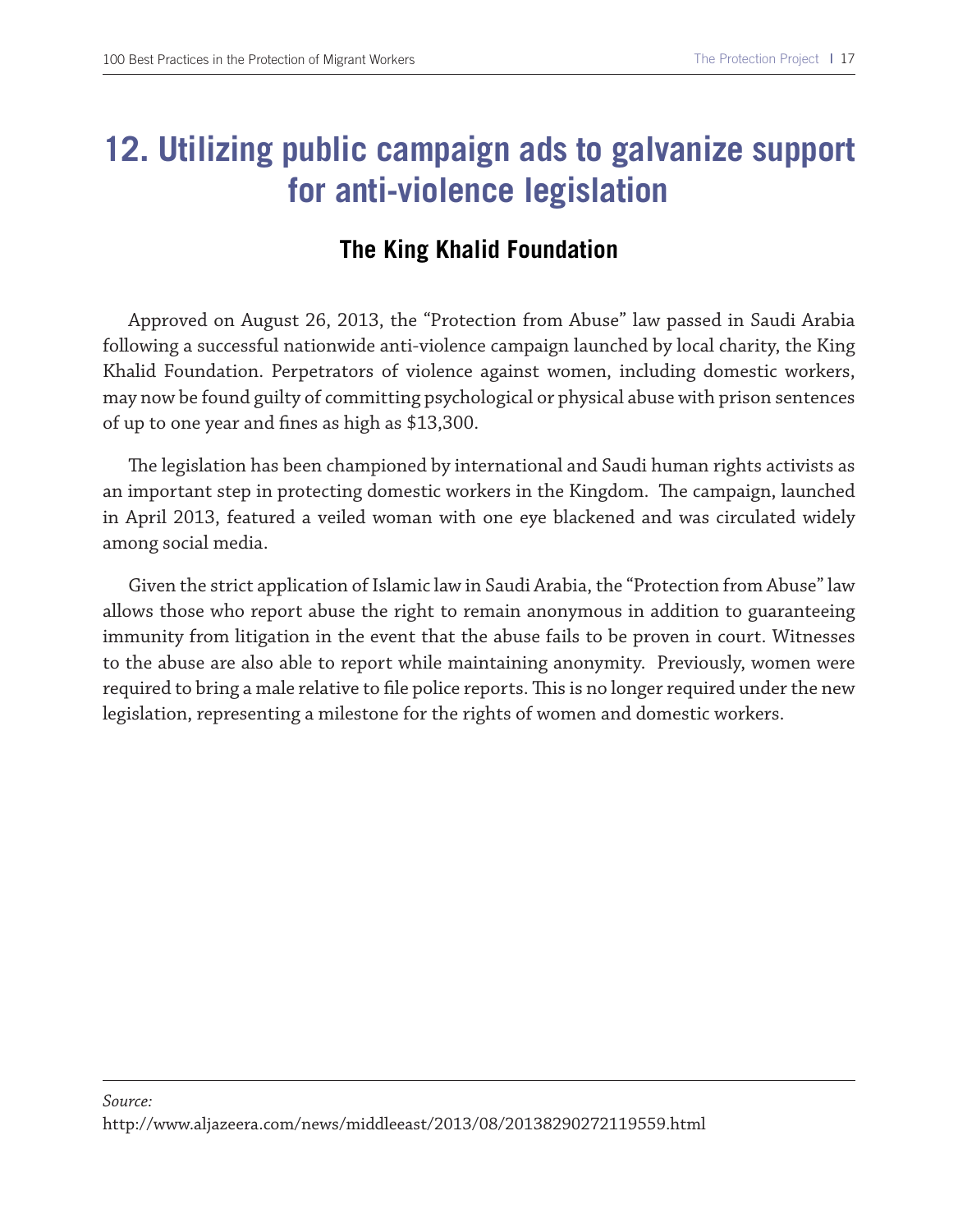## **12. Utilizing public campaign ads to galvanize support for anti-violence legislation**

## **The King Khalid Foundation**

Approved on August 26, 2013, the "Protection from Abuse" law passed in Saudi Arabia following a successful nationwide anti-violence campaign launched by local charity, the King Khalid Foundation. Perpetrators of violence against women, including domestic workers, may now be found guilty of committing psychological or physical abuse with prison sentences of up to one year and fnes as high as \$13,300.

The legislation has been championed by international and Saudi human rights activists as an important step in protecting domestic workers in the Kingdom. The campaign, launched in April 2013, featured a veiled woman with one eye blackened and was circulated widely among social media.

Given the strict application of Islamic law in Saudi Arabia, the "Protection from Abuse" law allows those who report abuse the right to remain anonymous in addition to guaranteeing immunity from litigation in the event that the abuse fails to be proven in court. Witnesses to the abuse are also able to report while maintaining anonymity. Previously, women were required to bring a male relative to file police reports. This is no longer required under the new legislation, representing a milestone for the rights of women and domestic workers.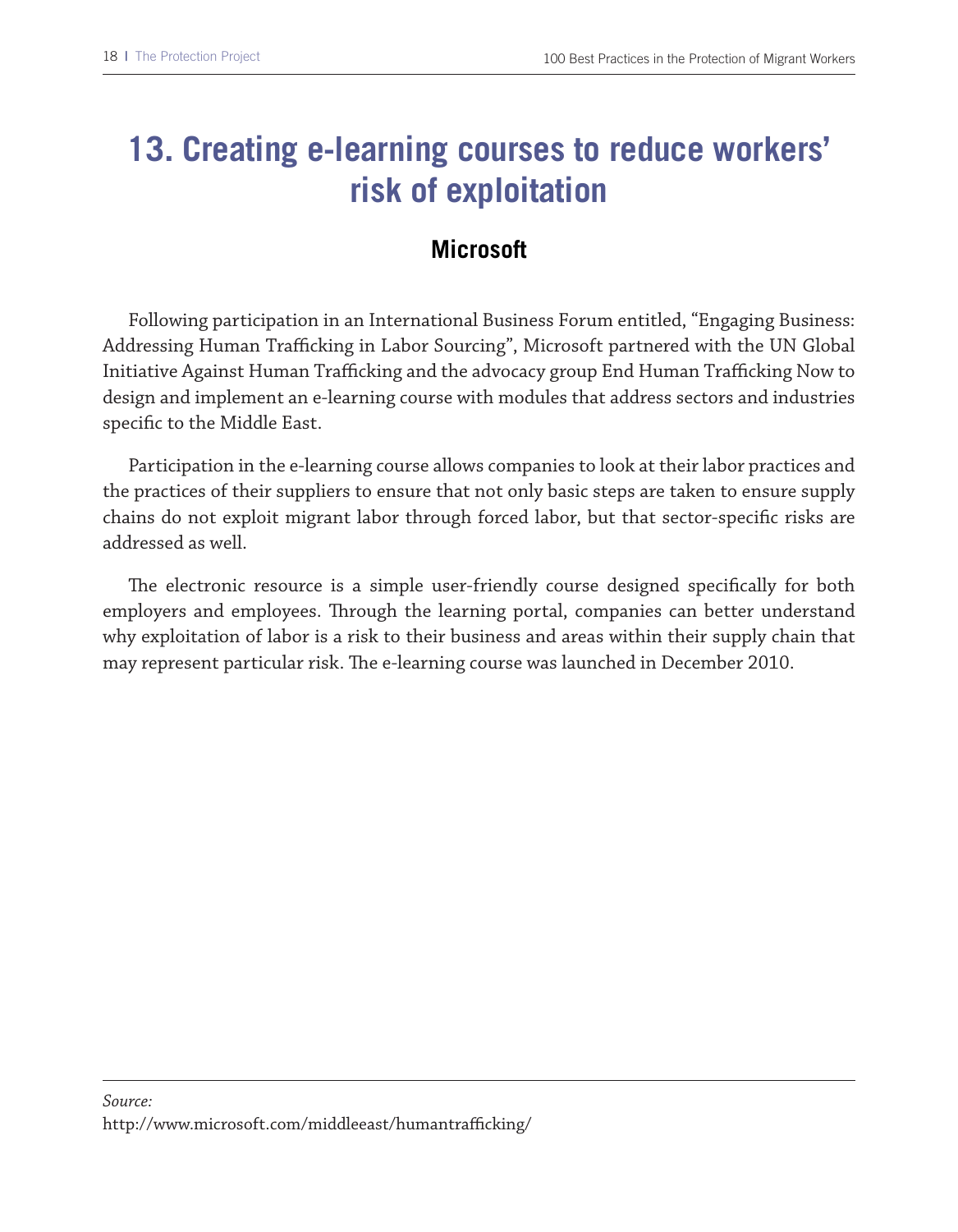## **13. Creating e-learning courses to reduce workers' risk of exploitation**

## **Microsoft**

Following participation in an International Business Forum entitled, "Engaging Business: Addressing Human Trafficking in Labor Sourcing", Microsoft partnered with the UN Global Initiative Against Human Trafficking and the advocacy group End Human Trafficking Now to design and implement an e-learning course with modules that address sectors and industries specifc to the Middle East.

Participation in the e-learning course allows companies to look at their labor practices and the practices of their suppliers to ensure that not only basic steps are taken to ensure supply chains do not exploit migrant labor through forced labor, but that sector-specifc risks are addressed as well.

The electronic resource is a simple user-friendly course designed specifically for both employers and employees. Trough the learning portal, companies can better understand why exploitation of labor is a risk to their business and areas within their supply chain that may represent particular risk. The e-learning course was launched in December 2010.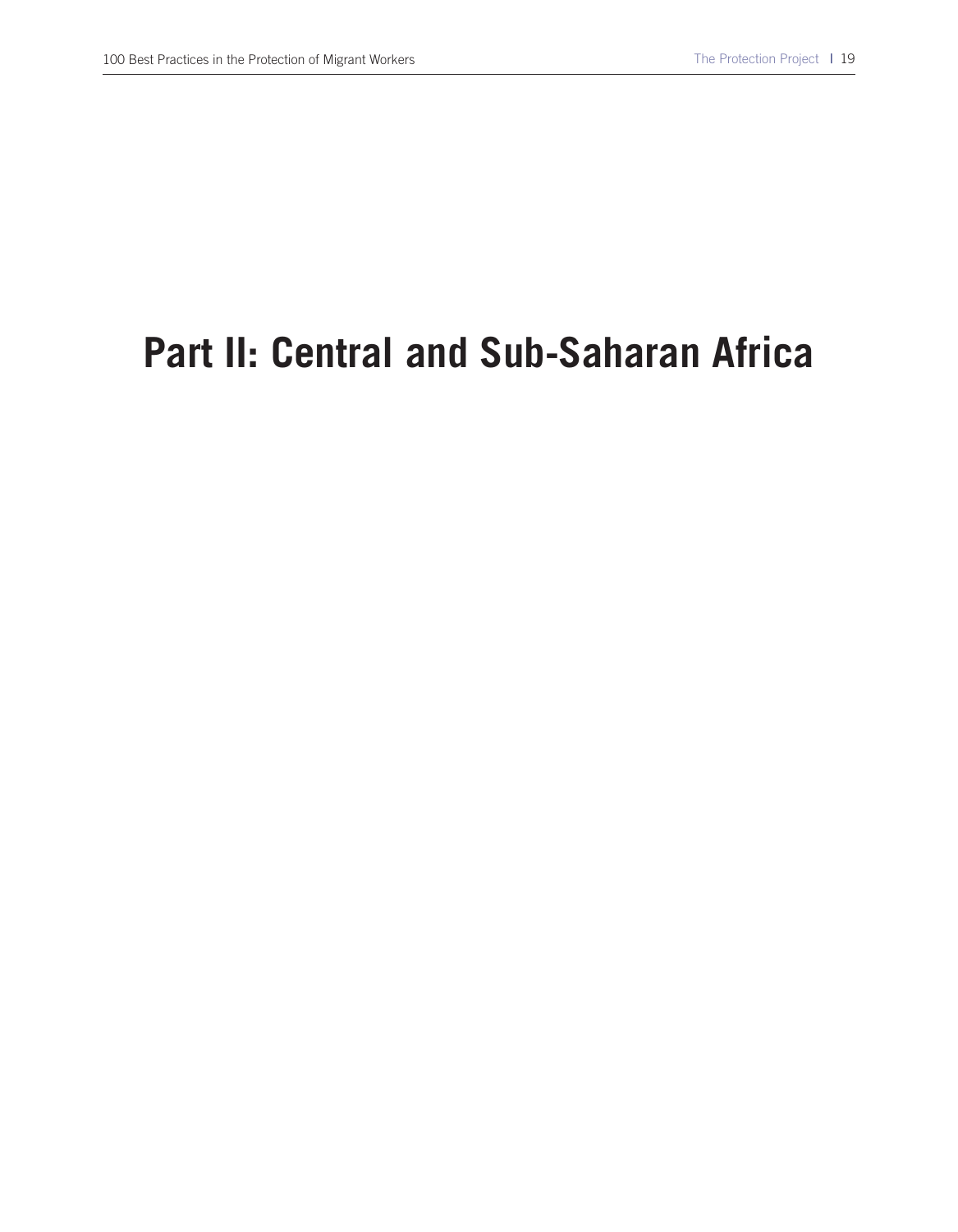# **Part II: Central and Sub-Saharan Africa**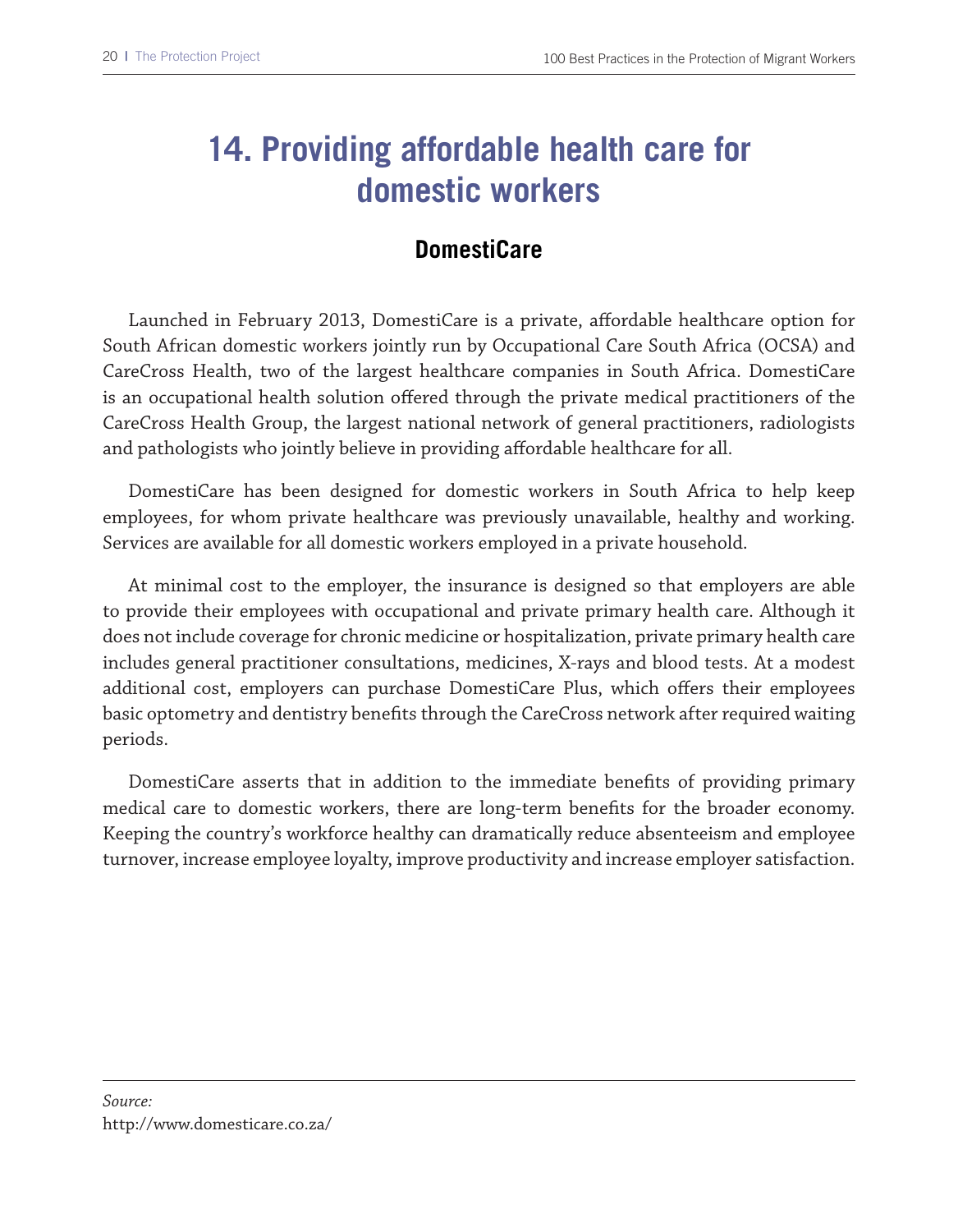## **14. Providing affordable health care for domestic workers**

## **DomestiCare**

Launched in February 2013, DomestiCare is a private, afordable healthcare option for South African domestic workers jointly run by Occupational Care South Africa (OCSA) and CareCross Health, two of the largest healthcare companies in South Africa. DomestiCare is an occupational health solution ofered through the private medical practitioners of the CareCross Health Group, the largest national network of general practitioners, radiologists and pathologists who jointly believe in providing afordable healthcare for all.

DomestiCare has been designed for domestic workers in South Africa to help keep employees, for whom private healthcare was previously unavailable, healthy and working. Services are available for all domestic workers employed in a private household.

At minimal cost to the employer, the insurance is designed so that employers are able to provide their employees with occupational and private primary health care. Although it does not include coverage for chronic medicine or hospitalization, private primary health care includes general practitioner consultations, medicines, X-rays and blood tests. At a modest additional cost, employers can purchase DomestiCare Plus, which ofers their employees basic optometry and dentistry benefts through the CareCross network after required waiting periods.

DomestiCare asserts that in addition to the immediate benefts of providing primary medical care to domestic workers, there are long-term benefts for the broader economy. Keeping the country's workforce healthy can dramatically reduce absenteeism and employee turnover, increase employee loyalty, improve productivity and increase employer satisfaction.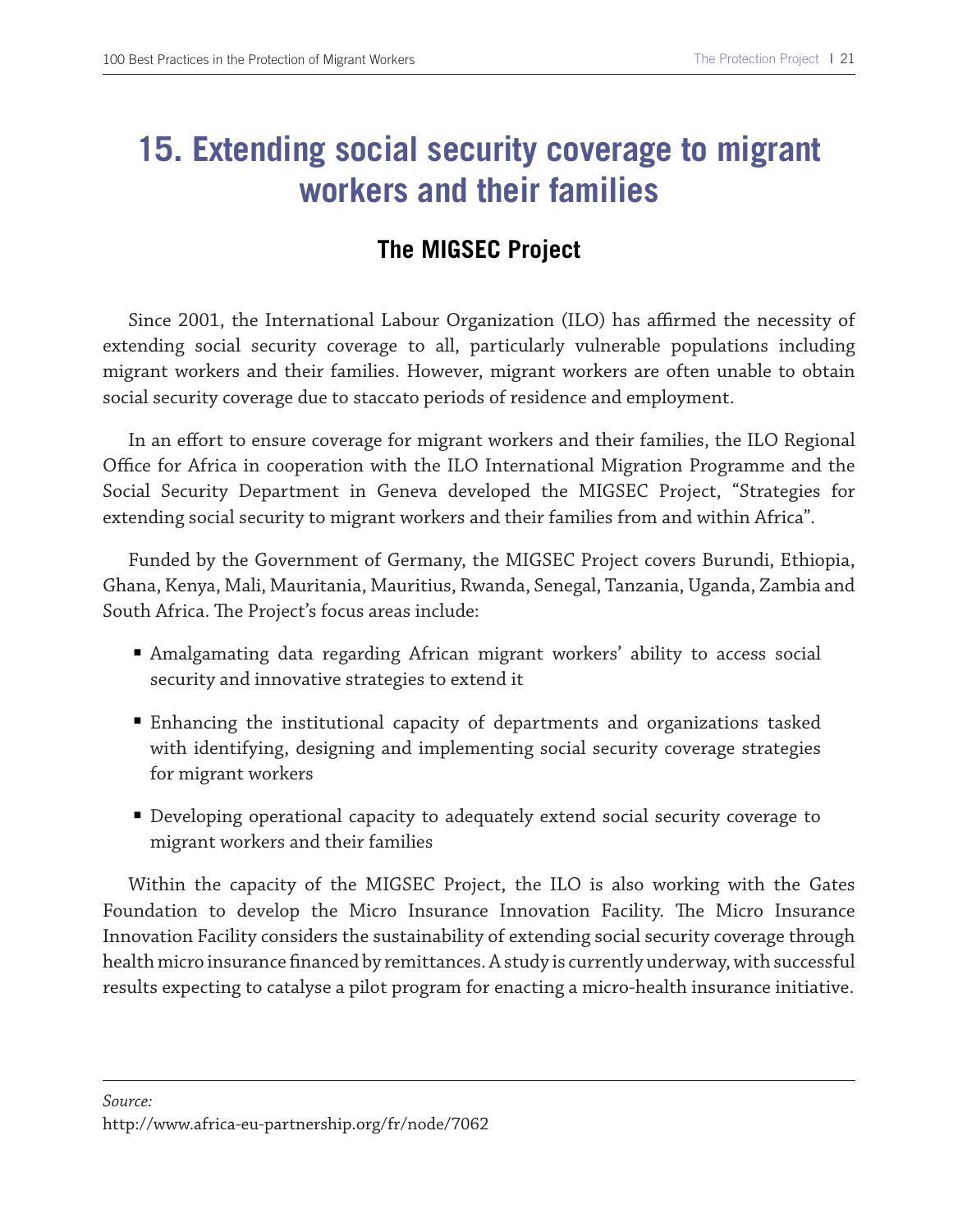## **15. Extending social security coverage to migrant workers and their families**

## **The MIGSEC Project**

Since 2001, the International Labour Organization (ILO) has affirmed the necessity of extending social security coverage to all, particularly vulnerable populations including migrant workers and their families. However, migrant workers are often unable to obtain social security coverage due to staccato periods of residence and employment.

In an efort to ensure coverage for migrant workers and their families, the ILO Regional Office for Africa in cooperation with the ILO International Migration Programme and the Social Security Department in Geneva developed the MIGSEC Project, "Strategies for extending social security to migrant workers and their families from and within Africa".

Funded by the Government of Germany, the MIGSEC Project covers Burundi, Ethiopia, Ghana, Kenya, Mali, Mauritania, Mauritius, Rwanda, Senegal, Tanzania, Uganda, Zambia and South Africa. The Project's focus areas include:

- Amalgamating data regarding African migrant workers' ability to access social security and innovative strategies to extend it
- Enhancing the institutional capacity of departments and organizations tasked with identifying, designing and implementing social security coverage strategies for migrant workers
- Developing operational capacity to adequately extend social security coverage to migrant workers and their families

Within the capacity of the MIGSEC Project, the ILO is also working with the Gates Foundation to develop the Micro Insurance Innovation Facility. The Micro Insurance Innovation Facility considers the sustainability of extending social security coverage through health micro insurance fnanced by remittances. A study is currently underway, with successful results expecting to catalyse a pilot program for enacting a micro-health insurance initiative.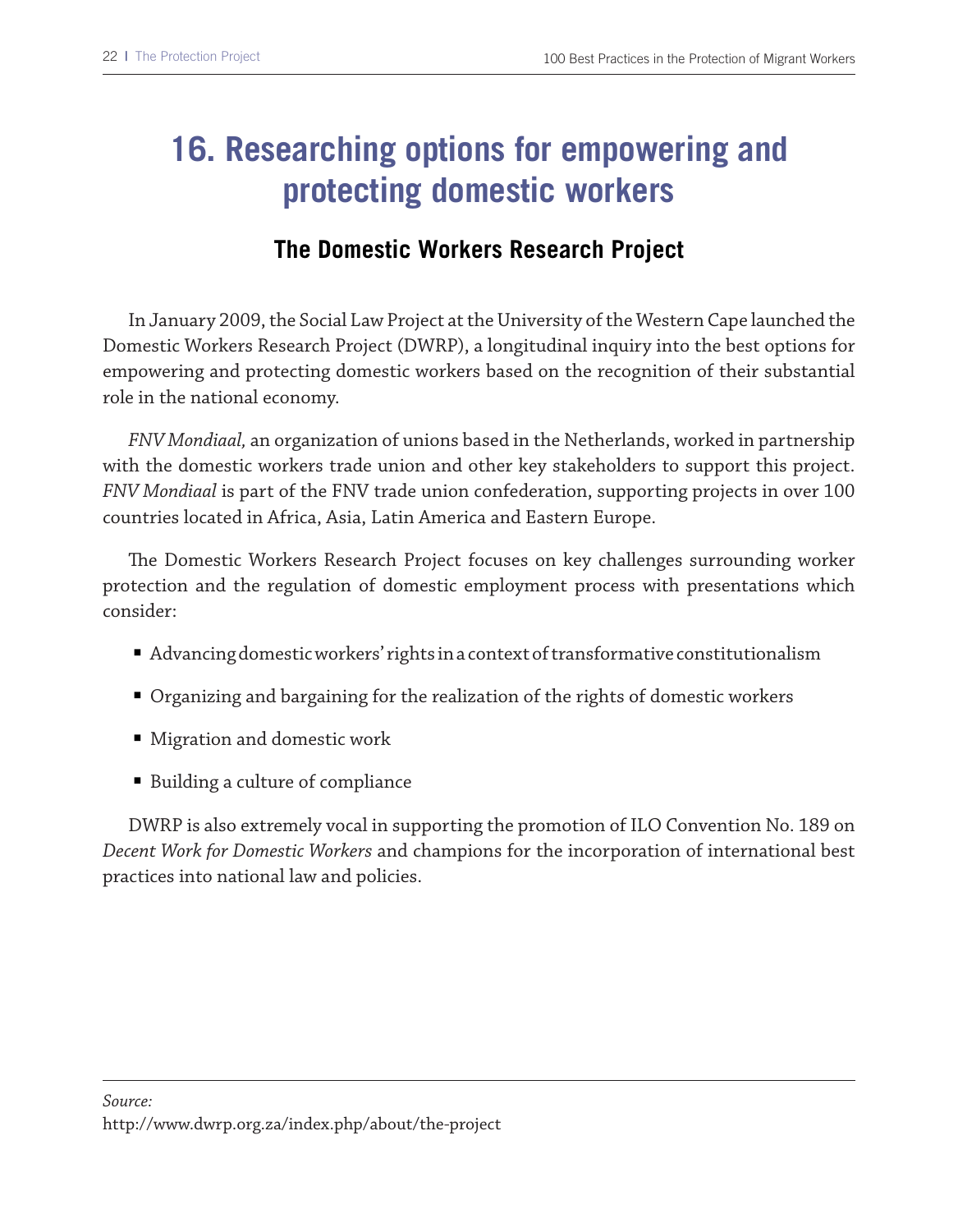# **16. Researching options for empowering and protecting domestic workers**

#### **The Domestic Workers Research Project**

In January 2009, the Social Law Project at the University of the Western Cape launched the Domestic Workers Research Project (DWRP), a longitudinal inquiry into the best options for empowering and protecting domestic workers based on the recognition of their substantial role in the national economy.

*FNV Mondiaal,* an organization of unions based in the Netherlands, worked in partnership with the domestic workers trade union and other key stakeholders to support this project. *FNV Mondiaal* is part of the FNV trade union confederation, supporting projects in over 100 countries located in Africa, Asia, Latin America and Eastern Europe.

The Domestic Workers Research Project focuses on key challenges surrounding worker protection and the regulation of domestic employment process with presentations which consider:

- Advancing domestic workers' rights in a context of transformative constitutionalism
- Organizing and bargaining for the realization of the rights of domestic workers
- Migration and domestic work
- Building a culture of compliance

DWRP is also extremely vocal in supporting the promotion of ILO Convention No. 189 on *Decent Work for Domestic Workers* and champions for the incorporation of international best practices into national law and policies.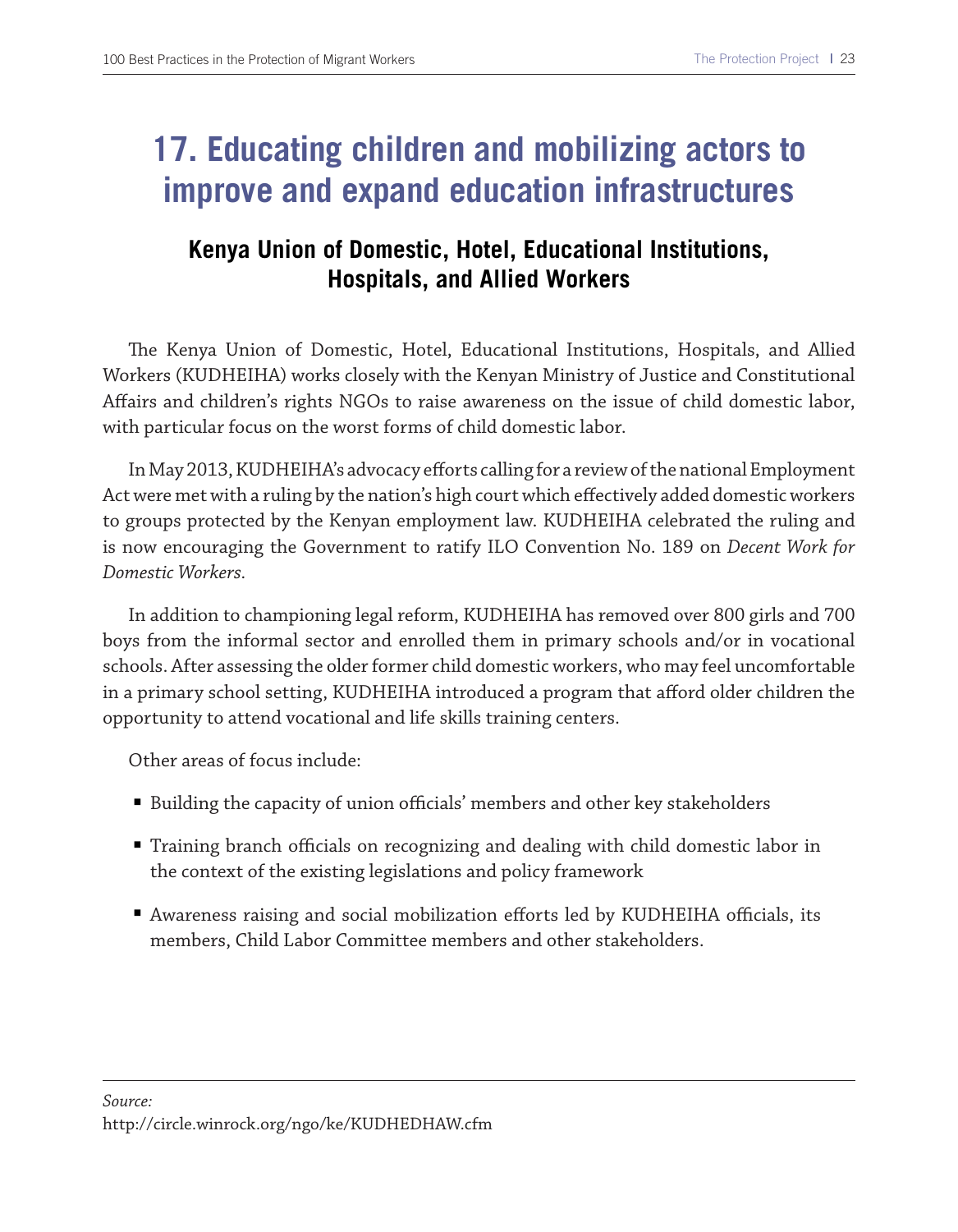## **17. Educating children and mobilizing actors to improve and expand education infrastructures**

## **Kenya Union of Domestic, Hotel, Educational Institutions, Hospitals, and Allied Workers**

The Kenya Union of Domestic, Hotel, Educational Institutions, Hospitals, and Allied Workers (KUDHEIHA) works closely with the Kenyan Ministry of Justice and Constitutional Afairs and children's rights NGOs to raise awareness on the issue of child domestic labor, with particular focus on the worst forms of child domestic labor.

In May 2013, KUDHEIHA's advocacy eforts calling for a review of the national Employment Act were met with a ruling by the nation's high court which efectively added domestic workers to groups protected by the Kenyan employment law. KUDHEIHA celebrated the ruling and is now encouraging the Government to ratify ILO Convention No. 189 on *Decent Work for Domestic Workers.*

In addition to championing legal reform, KUDHEIHA has removed over 800 girls and 700 boys from the informal sector and enrolled them in primary schools and/or in vocational schools. After assessing the older former child domestic workers, who may feel uncomfortable in a primary school setting, KUDHEIHA introduced a program that aford older children the opportunity to attend vocational and life skills training centers.

Other areas of focus include:

- Building the capacity of union officials' members and other key stakeholders
- Training branch officials on recognizing and dealing with child domestic labor in the context of the existing legislations and policy framework
- Awareness raising and social mobilization efforts led by KUDHEIHA officials, its members, Child Labor Committee members and other stakeholders.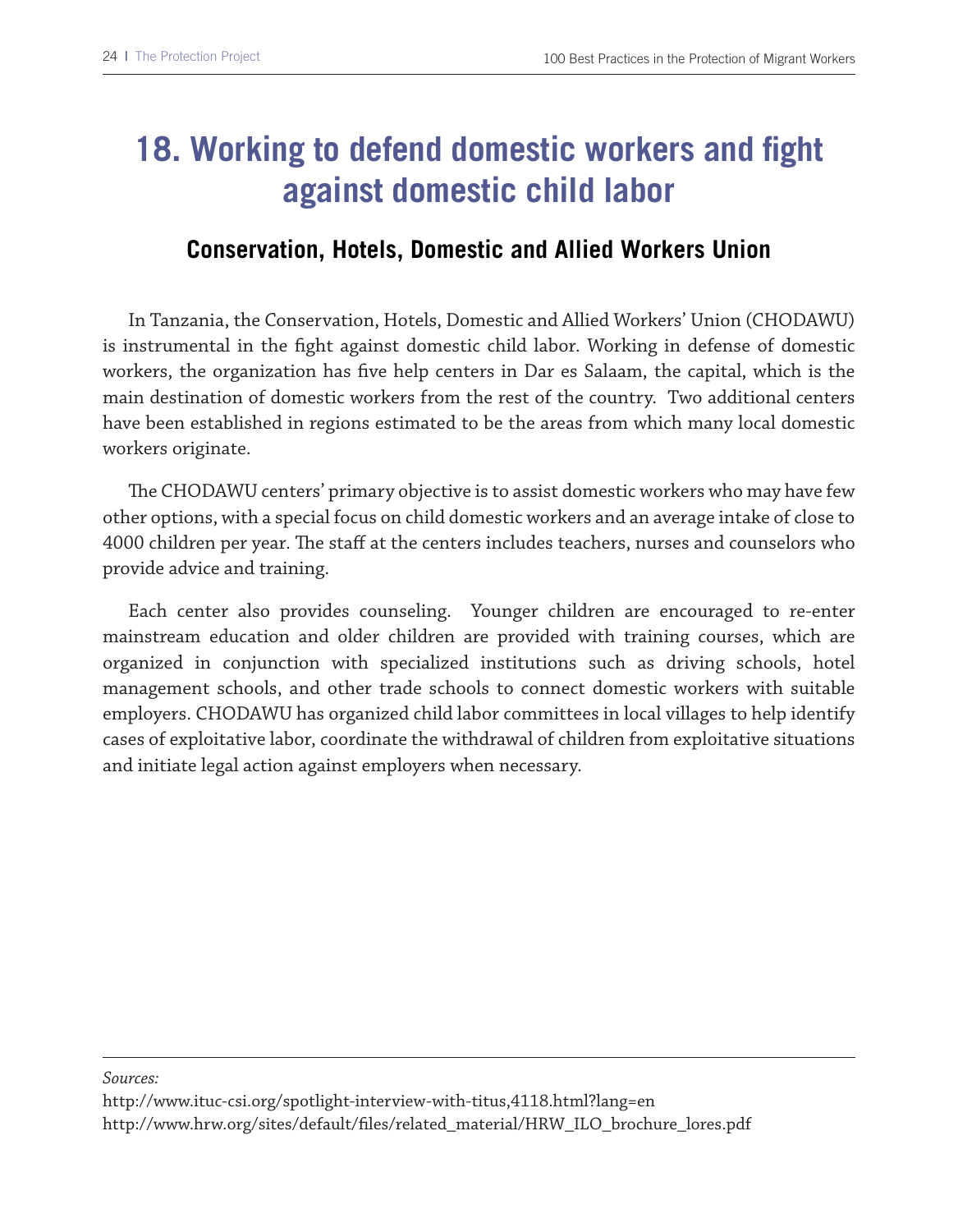# **18. Working to defend domestic workers and fight against domestic child labor**

#### **Conservation, Hotels, Domestic and Allied Workers Union**

In Tanzania, the Conservation, Hotels, Domestic and Allied Workers' Union (CHODAWU) is instrumental in the fght against domestic child labor. Working in defense of domestic workers, the organization has fve help centers in Dar es Salaam, the capital, which is the main destination of domestic workers from the rest of the country. Two additional centers have been established in regions estimated to be the areas from which many local domestic workers originate.

The CHODAWU centers' primary objective is to assist domestic workers who may have few other options, with a special focus on child domestic workers and an average intake of close to 4000 children per year. The staff at the centers includes teachers, nurses and counselors who provide advice and training.

Each center also provides counseling. Younger children are encouraged to re-enter mainstream education and older children are provided with training courses, which are organized in conjunction with specialized institutions such as driving schools, hotel management schools, and other trade schools to connect domestic workers with suitable employers. CHODAWU has organized child labor committees in local villages to help identify cases of exploitative labor, coordinate the withdrawal of children from exploitative situations and initiate legal action against employers when necessary.

*Sources:* 

http://www.ituc-csi.org/spotlight-interview-with-titus,4118.html?lang=en http://www.hrw.org/sites/default/fles/related\_material/HRW\_ILO\_brochure\_lores.pdf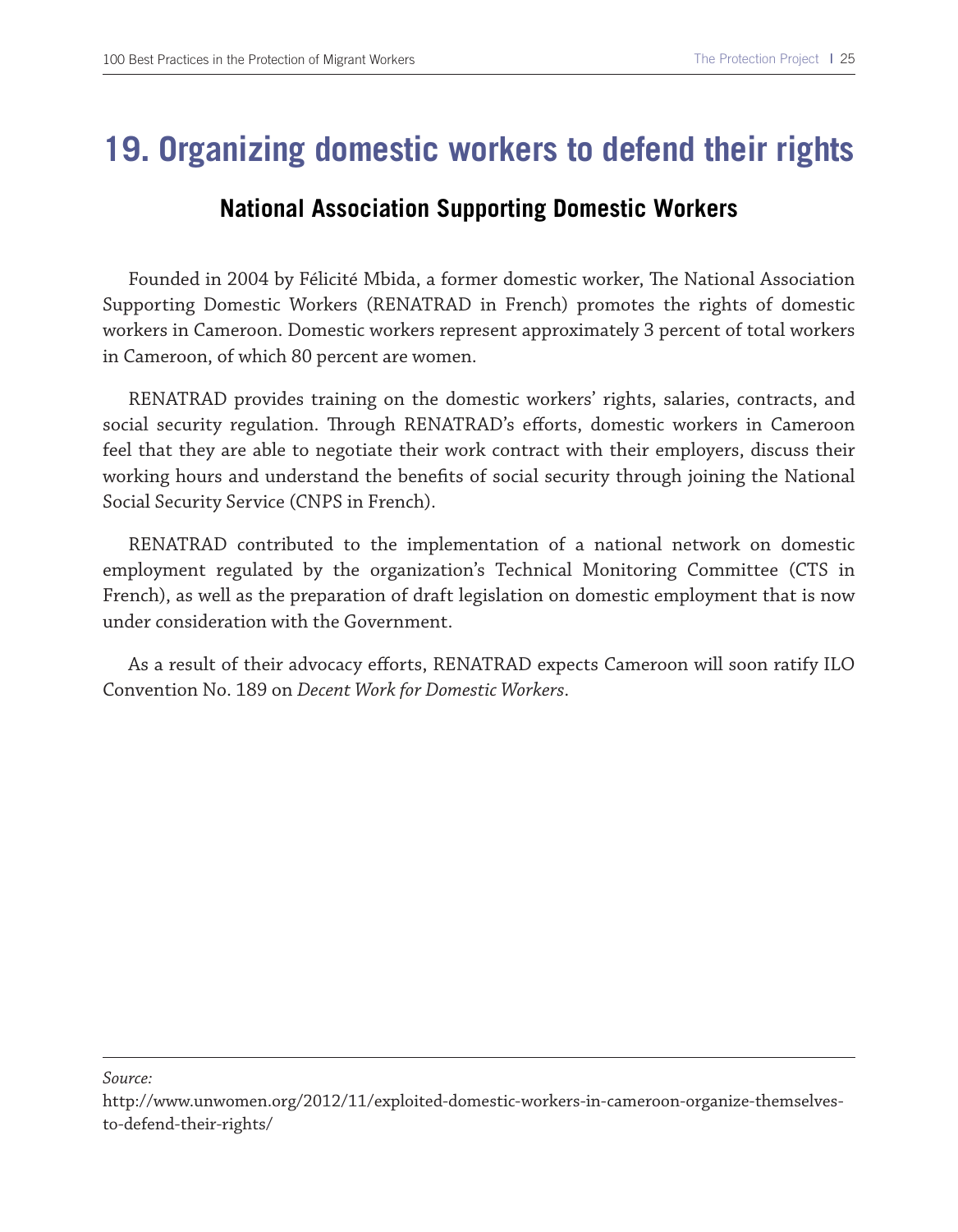## **19. Organizing domestic workers to defend their rights**

#### **National Association Supporting Domestic Workers**

Founded in 2004 by Félicité Mbida, a former domestic worker, The National Association Supporting Domestic Workers (RENATRAD in French) promotes the rights of domestic workers in Cameroon. Domestic workers represent approximately 3 percent of total workers in Cameroon, of which 80 percent are women.

RENATRAD provides training on the domestic workers' rights, salaries, contracts, and social security regulation. Through RENATRAD's efforts, domestic workers in Cameroon feel that they are able to negotiate their work contract with their employers, discuss their working hours and understand the benefts of social security through joining the National Social Security Service (CNPS in French).

RENATRAD contributed to the implementation of a national network on domestic employment regulated by the organization's Technical Monitoring Committee (CTS in French), as well as the preparation of draft legislation on domestic employment that is now under consideration with the Government.

As a result of their advocacy eforts, RENATRAD expects Cameroon will soon ratify ILO Convention No. 189 on *Decent Work for Domestic Workers*.

*Source:*

http://www.unwomen.org/2012/11/exploited-domestic-workers-in-cameroon-organize-themselvesto-defend-their-rights/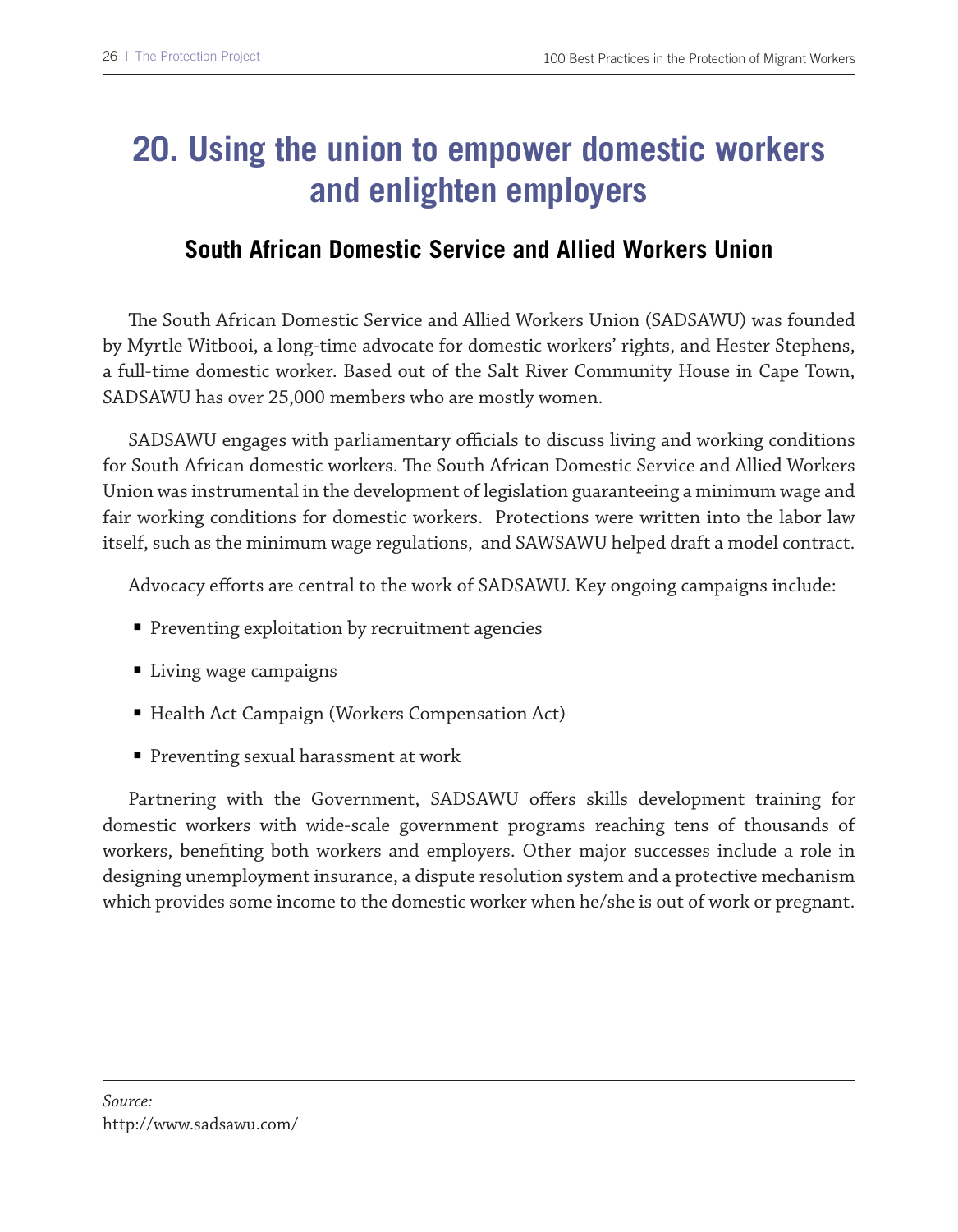# **20. Using the union to empower domestic workers and enlighten employers**

#### **South African Domestic Service and Allied Workers Union**

The South African Domestic Service and Allied Workers Union (SADSAWU) was founded by Myrtle Witbooi, a long-time advocate for domestic workers' rights, and Hester Stephens, a full-time domestic worker. Based out of the Salt River Community House in Cape Town, SADSAWU has over 25,000 members who are mostly women.

SADSAWU engages with parliamentary officials to discuss living and working conditions for South African domestic workers. The South African Domestic Service and Allied Workers Union was instrumental in the development of legislation guaranteeing a minimum wage and fair working conditions for domestic workers. Protections were written into the labor law itself, such as the minimum wage regulations, and SAWSAWU helped draft a model contract.

Advocacy eforts are central to the work of SADSAWU. Key ongoing campaigns include:

- Preventing exploitation by recruitment agencies
- Living wage campaigns
- Health Act Campaign (Workers Compensation Act)
- Preventing sexual harassment at work

Partnering with the Government, SADSAWU offers skills development training for domestic workers with wide-scale government programs reaching tens of thousands of workers, benefting both workers and employers. Other major successes include a role in designing unemployment insurance, a dispute resolution system and a protective mechanism which provides some income to the domestic worker when he/she is out of work or pregnant.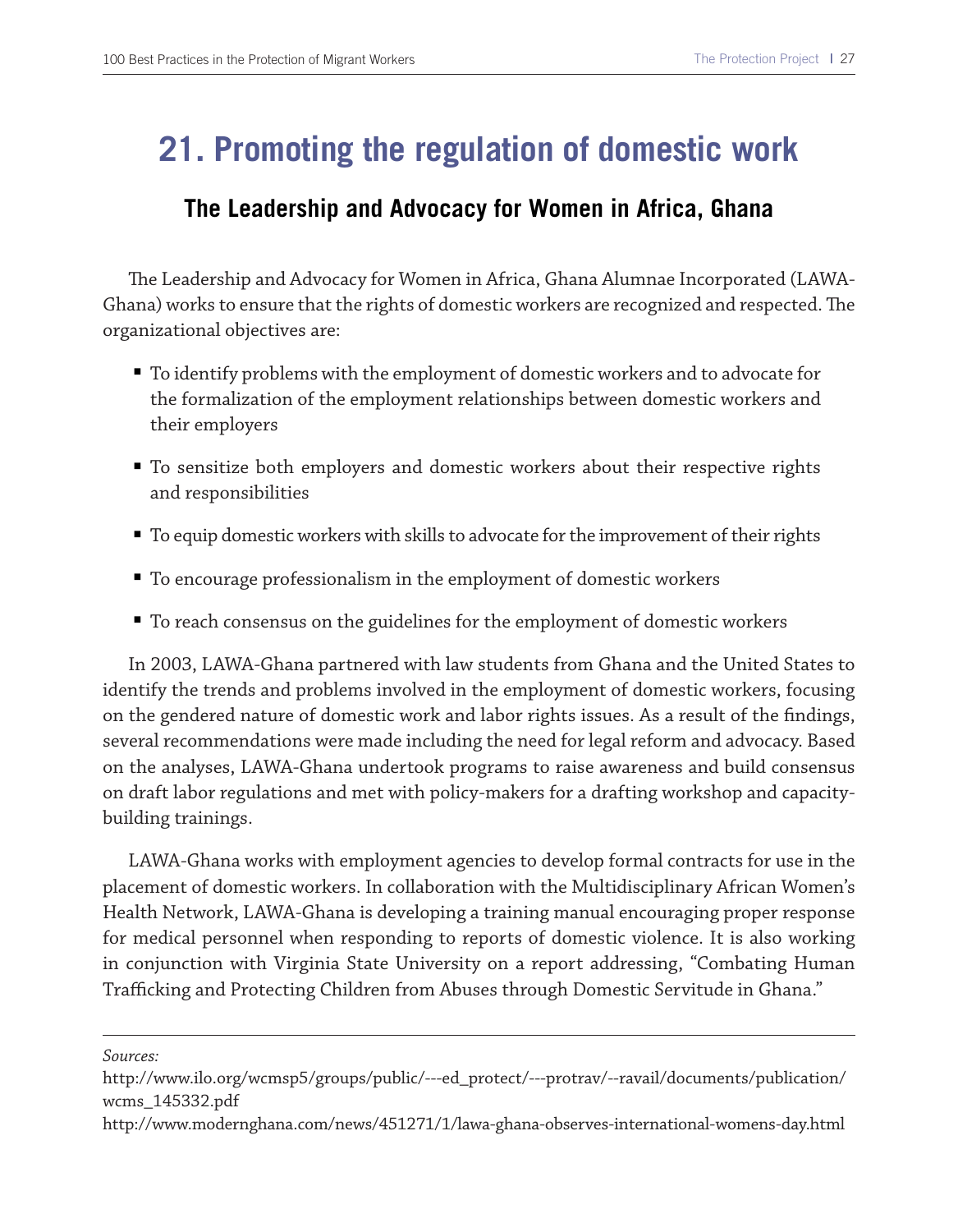## **21. Promoting the regulation of domestic work**

#### **The Leadership and Advocacy for Women in Africa, Ghana**

Te Leadership and Advocacy for Women in Africa, Ghana Alumnae Incorporated (LAWA-Ghana) works to ensure that the rights of domestic workers are recognized and respected. The organizational objectives are:

- To identify problems with the employment of domestic workers and to advocate for the formalization of the employment relationships between domestic workers and their employers
- To sensitize both employers and domestic workers about their respective rights and responsibilities
- To equip domestic workers with skills to advocate for the improvement of their rights
- To encourage professionalism in the employment of domestic workers
- To reach consensus on the guidelines for the employment of domestic workers

In 2003, LAWA-Ghana partnered with law students from Ghana and the United States to identify the trends and problems involved in the employment of domestic workers, focusing on the gendered nature of domestic work and labor rights issues. As a result of the fndings, several recommendations were made including the need for legal reform and advocacy. Based on the analyses, LAWA-Ghana undertook programs to raise awareness and build consensus on draft labor regulations and met with policy-makers for a drafting workshop and capacitybuilding trainings.

LAWA-Ghana works with employment agencies to develop formal contracts for use in the placement of domestic workers. In collaboration with the Multidisciplinary African Women's Health Network, LAWA-Ghana is developing a training manual encouraging proper response for medical personnel when responding to reports of domestic violence. It is also working in conjunction with Virginia State University on a report addressing, "Combating Human Trafficking and Protecting Children from Abuses through Domestic Servitude in Ghana."

*Sources:* 

http://www.ilo.org/wcmsp5/groups/public/---ed\_protect/---protrav/--ravail/documents/publication/ wcms\_145332.pdf

http://www.modernghana.com/news/451271/1/lawa-ghana-observes-international-womens-day.html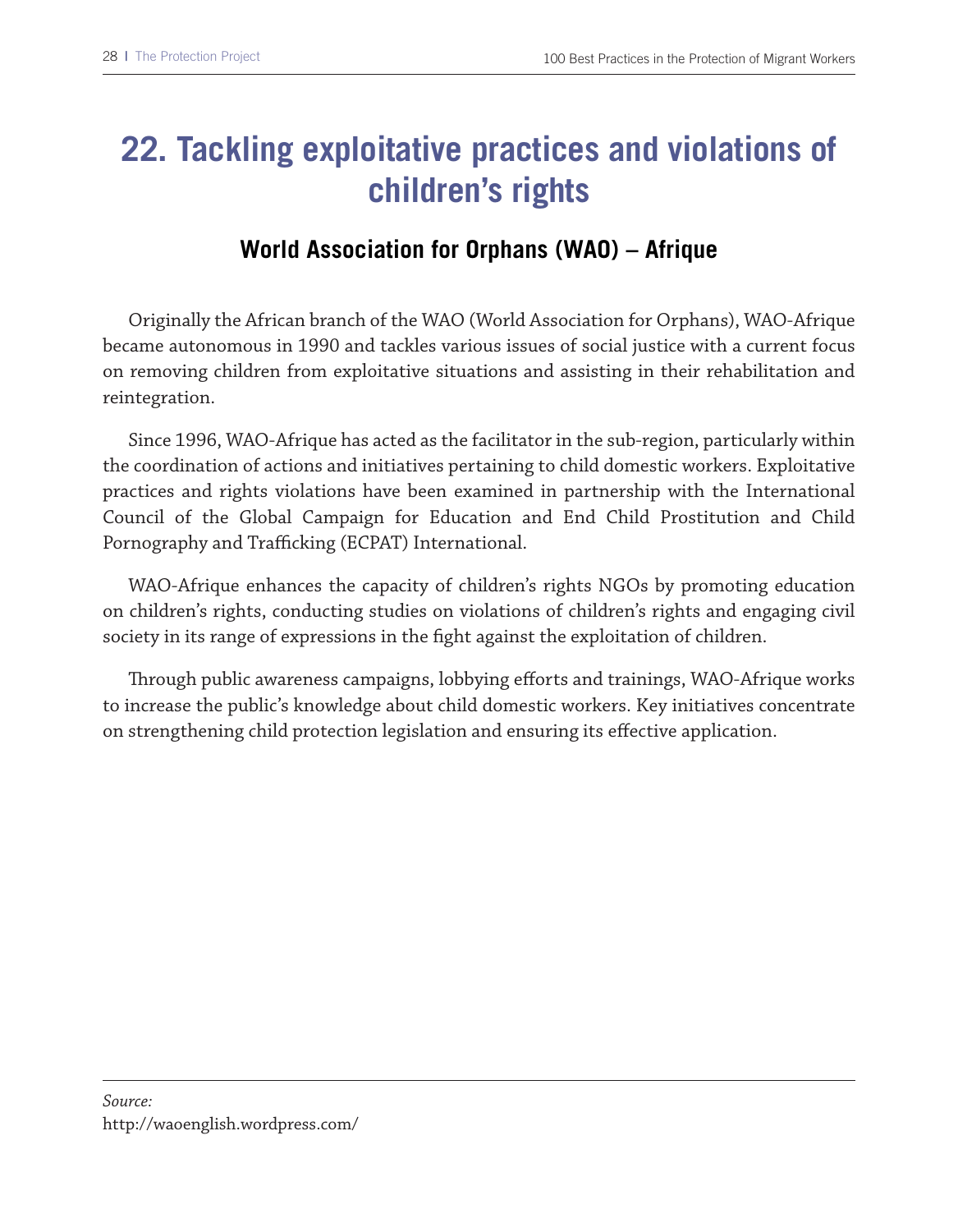# **22. Tackling exploitative practices and violations of children's rights**

## **World Association for Orphans (WAO) – Afrique**

Originally the African branch of the WAO (World Association for Orphans), WAO-Afrique became autonomous in 1990 and tackles various issues of social justice with a current focus on removing children from exploitative situations and assisting in their rehabilitation and reintegration.

Since 1996, WAO-Afrique has acted as the facilitator in the sub-region, particularly within the coordination of actions and initiatives pertaining to child domestic workers. Exploitative practices and rights violations have been examined in partnership with the International Council of the Global Campaign for Education and End Child Prostitution and Child Pornography and Trafficking (ECPAT) International.

WAO-Afrique enhances the capacity of children's rights NGOs by promoting education on children's rights, conducting studies on violations of children's rights and engaging civil society in its range of expressions in the fght against the exploitation of children.

Trough public awareness campaigns, lobbying eforts and trainings, WAO-Afrique works to increase the public's knowledge about child domestic workers. Key initiatives concentrate on strengthening child protection legislation and ensuring its efective application.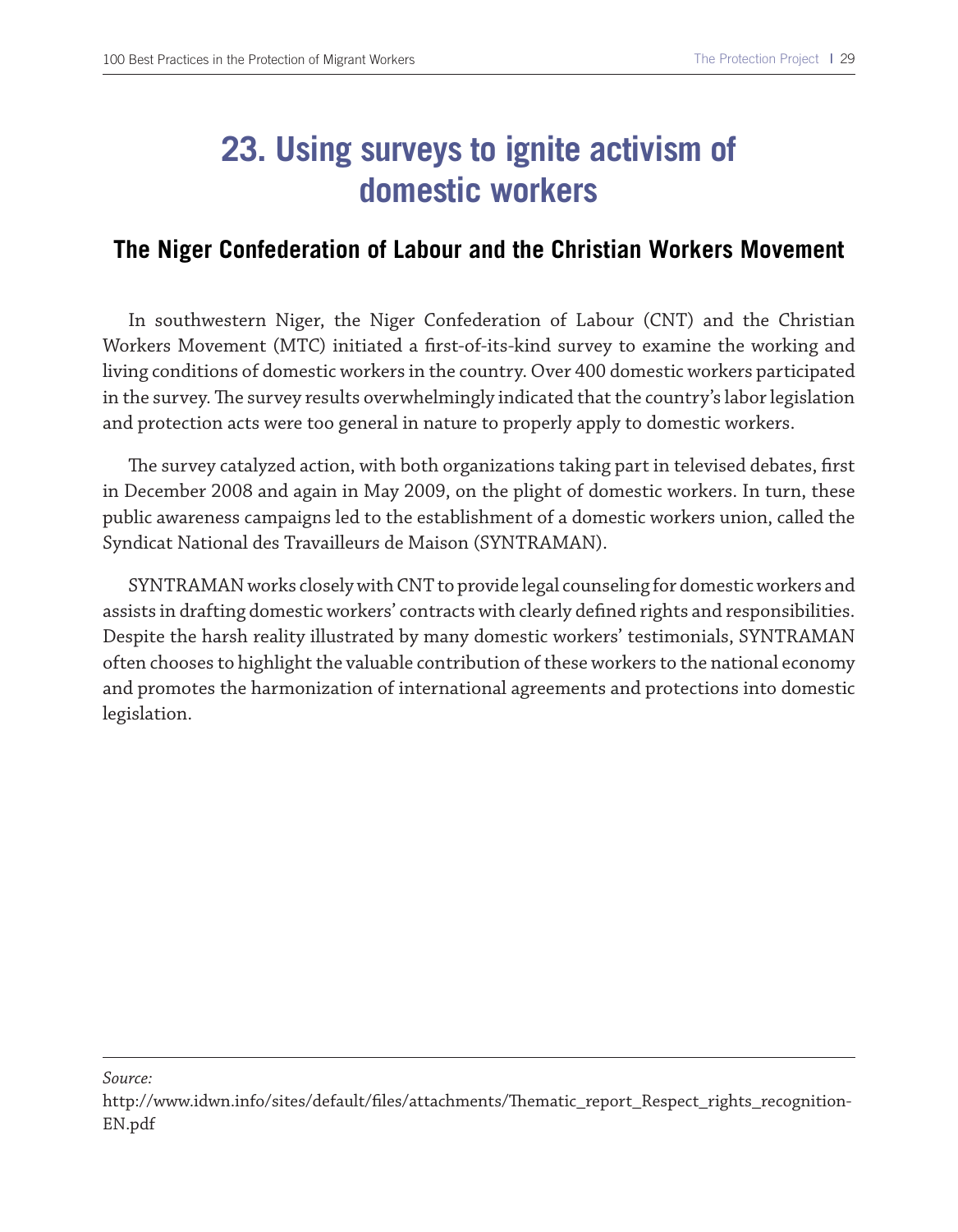### **23. Using surveys to ignite activism of domestic workers**

#### **The Niger Confederation of Labour and the Christian Workers Movement**

In southwestern Niger, the Niger Confederation of Labour (CNT) and the Christian Workers Movement (MTC) initiated a frst-of-its-kind survey to examine the working and living conditions of domestic workers in the country. Over 400 domestic workers participated in the survey. The survey results overwhelmingly indicated that the country's labor legislation and protection acts were too general in nature to properly apply to domestic workers.

The survey catalyzed action, with both organizations taking part in televised debates, first in December 2008 and again in May 2009, on the plight of domestic workers. In turn, these public awareness campaigns led to the establishment of a domestic workers union, called the Syndicat National des Travailleurs de Maison (SYNTRAMAN).

SYNTRAMAN works closely with CNT to provide legal counseling for domestic workers and assists in drafting domestic workers' contracts with clearly defned rights and responsibilities. Despite the harsh reality illustrated by many domestic workers' testimonials, SYNTRAMAN often chooses to highlight the valuable contribution of these workers to the national economy and promotes the harmonization of international agreements and protections into domestic legislation.

http://www.idwn.info/sites/default/files/attachments/Thematic\_report\_Respect\_rights\_recognition-EN.pdf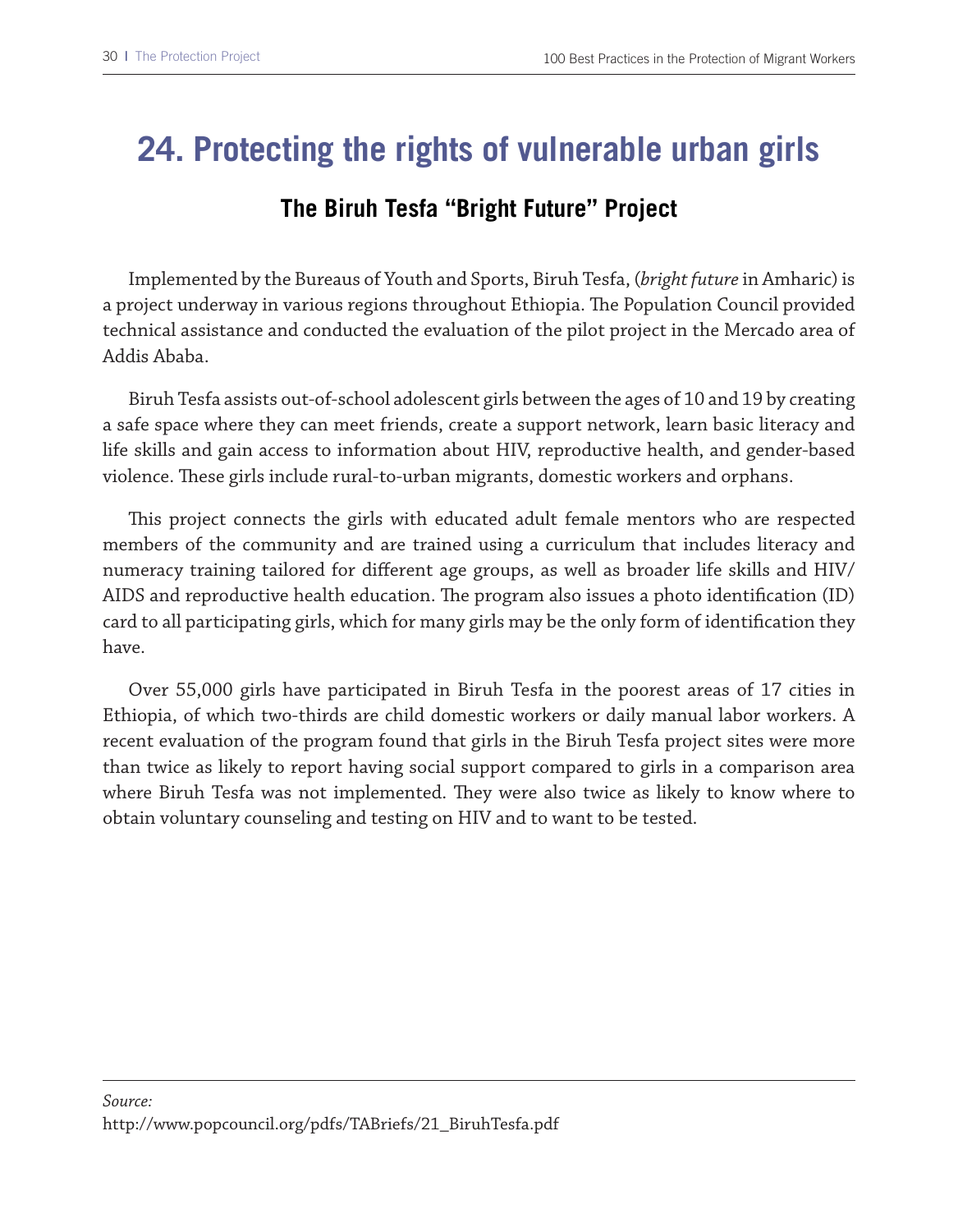### **24. Protecting the rights of vulnerable urban girls**

#### **The Biruh Tesfa "Bright Future" Project**

Implemented by the Bureaus of Youth and Sports, Biruh Tesfa, (*bright future* in Amharic) is a project underway in various regions throughout Ethiopia. The Population Council provided technical assistance and conducted the evaluation of the pilot project in the Mercado area of Addis Ababa.

Biruh Tesfa assists out-of-school adolescent girls between the ages of 10 and 19 by creating a safe space where they can meet friends, create a support network, learn basic literacy and life skills and gain access to information about HIV, reproductive health, and gender-based violence. These girls include rural-to-urban migrants, domestic workers and orphans.

This project connects the girls with educated adult female mentors who are respected members of the community and are trained using a curriculum that includes literacy and numeracy training tailored for diferent age groups, as well as broader life skills and HIV/ AIDS and reproductive health education. The program also issues a photo identification (ID) card to all participating girls, which for many girls may be the only form of identifcation they have.

Over 55,000 girls have participated in Biruh Tesfa in the poorest areas of 17 cities in Ethiopia, of which two-thirds are child domestic workers or daily manual labor workers. A recent evaluation of the program found that girls in the Biruh Tesfa project sites were more than twice as likely to report having social support compared to girls in a comparison area where Biruh Tesfa was not implemented. They were also twice as likely to know where to obtain voluntary counseling and testing on HIV and to want to be tested.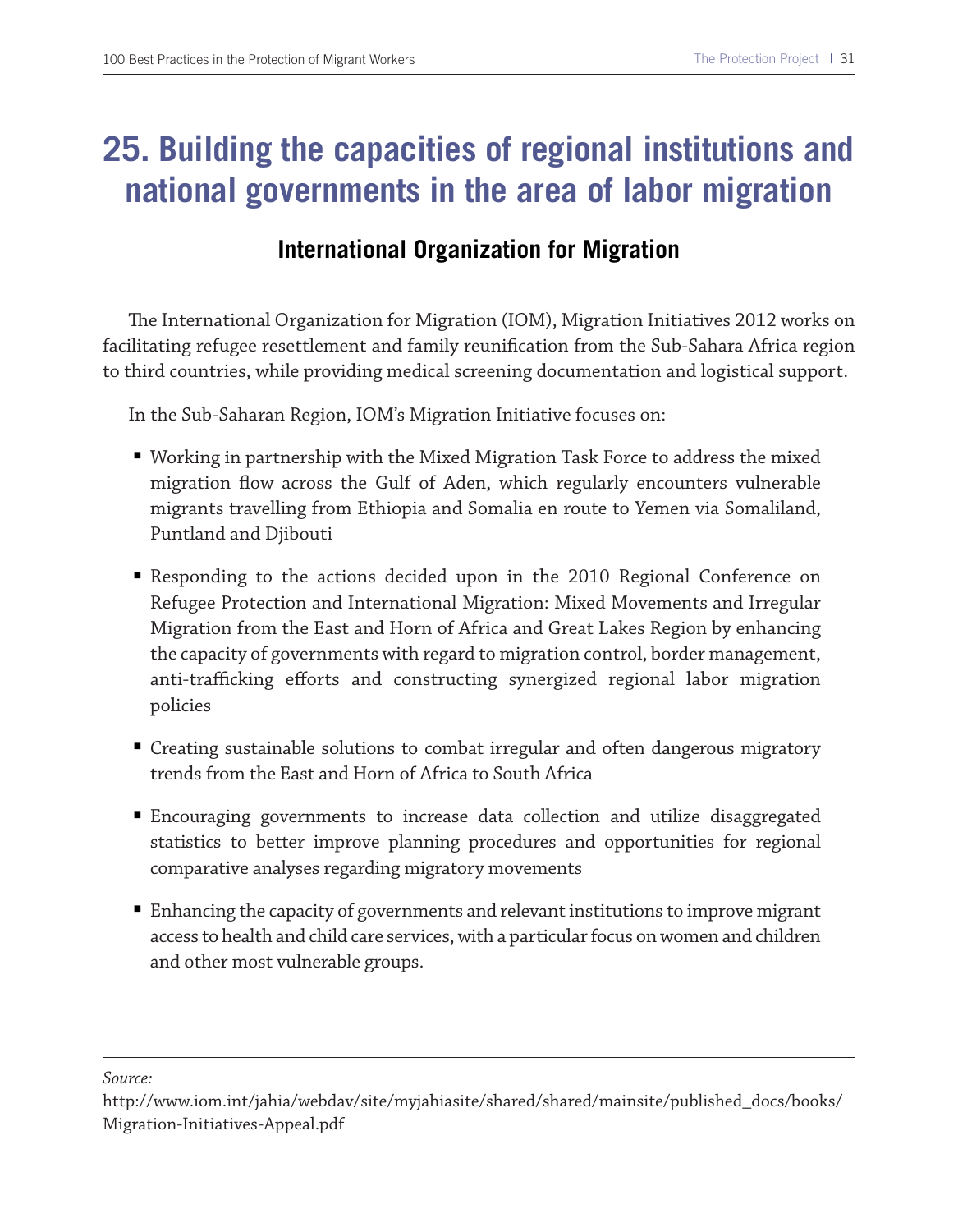### **25. Building the capacities of regional institutions and national governments in the area of labor migration**

#### **International Organization for Migration**

The International Organization for Migration (IOM), Migration Initiatives 2012 works on facilitating refugee resettlement and family reunifcation from the Sub-Sahara Africa region to third countries, while providing medical screening documentation and logistical support.

In the Sub-Saharan Region, IOM's Migration Initiative focuses on:

- Working in partnership with the Mixed Migration Task Force to address the mixed migration fow across the Gulf of Aden, which regularly encounters vulnerable migrants travelling from Ethiopia and Somalia en route to Yemen via Somaliland, Puntland and Djibouti
- Responding to the actions decided upon in the 2010 Regional Conference on Refugee Protection and International Migration: Mixed Movements and Irregular Migration from the East and Horn of Africa and Great Lakes Region by enhancing the capacity of governments with regard to migration control, border management, anti-trafficking efforts and constructing synergized regional labor migration policies
- Creating sustainable solutions to combat irregular and often dangerous migratory trends from the East and Horn of Africa to South Africa
- Encouraging governments to increase data collection and utilize disaggregated statistics to better improve planning procedures and opportunities for regional comparative analyses regarding migratory movements
- Enhancing the capacity of governments and relevant institutions to improve migrant access to health and child care services, with a particular focus on women and children and other most vulnerable groups.

http://www.iom.int/jahia/webdav/site/myjahiasite/shared/shared/mainsite/published\_docs/books/ Migration-Initiatives-Appeal.pdf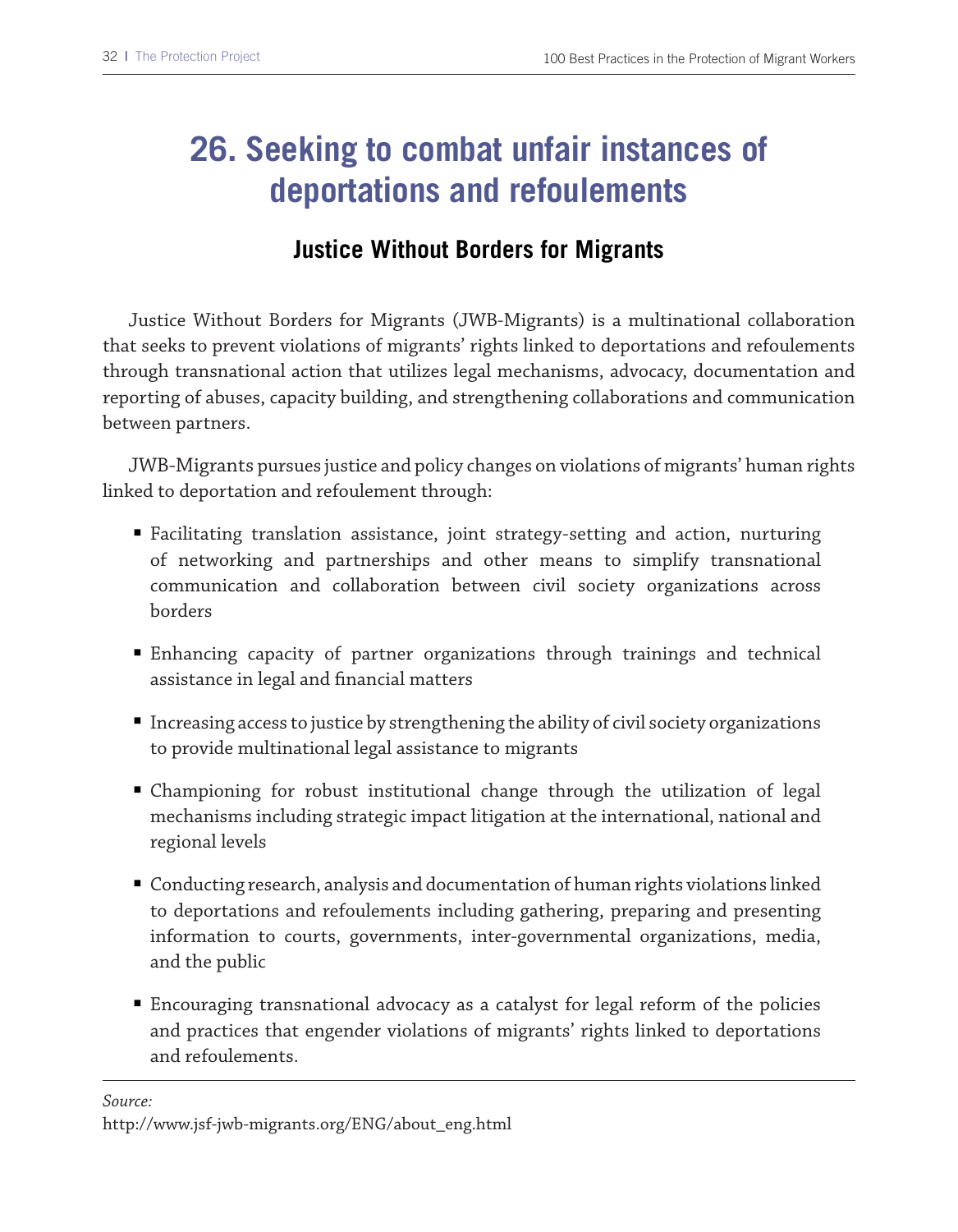### **26. Seeking to combat unfair instances of deportations and refoulements**

#### **Justice Without Borders for Migrants**

Justice Without Borders for Migrants (JWB-Migrants) is a multinational collaboration that seeks to prevent violations of migrants' rights linked to deportations and refoulements through transnational action that utilizes legal mechanisms, advocacy, documentation and reporting of abuses, capacity building, and strengthening collaborations and communication between partners.

JWB-Migrants pursues justice and policy changes on violations of migrants' human rights linked to deportation and refoulement through:

- Facilitating translation assistance, joint strategy-setting and action, nurturing of networking and partnerships and other means to simplify transnational communication and collaboration between civil society organizations across borders
- Enhancing capacity of partner organizations through trainings and technical assistance in legal and fnancial matters
- Increasing access to justice by strengthening the ability of civil society organizations to provide multinational legal assistance to migrants
- Championing for robust institutional change through the utilization of legal mechanisms including strategic impact litigation at the international, national and regional levels
- Conducting research, analysis and documentation of human rights violations linked to deportations and refoulements including gathering, preparing and presenting information to courts, governments, inter-governmental organizations, media, and the public
- Encouraging transnational advocacy as a catalyst for legal reform of the policies and practices that engender violations of migrants' rights linked to deportations and refoulements.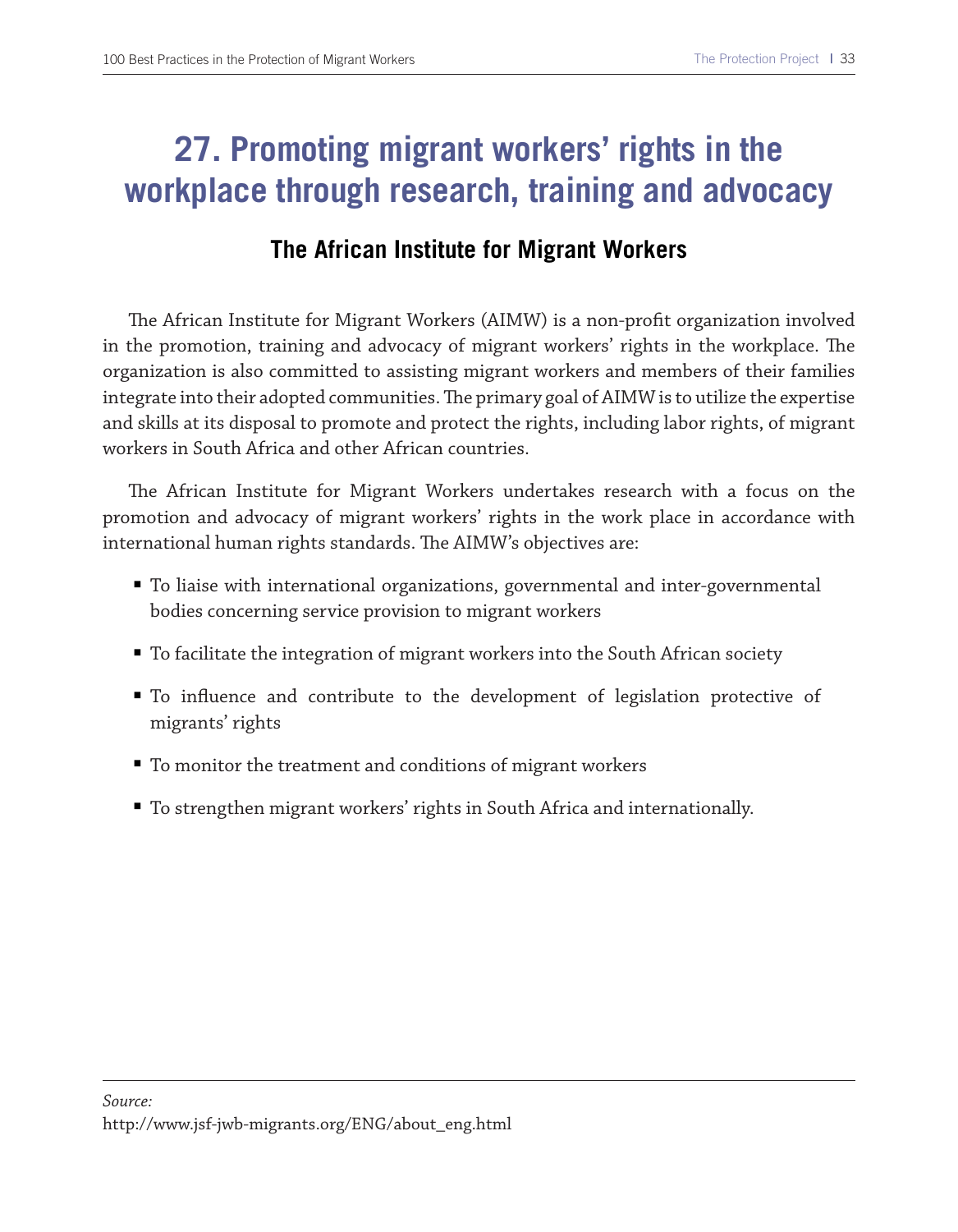### **27. Promoting migrant workers' rights in the workplace through research, training and advocacy**

#### **The African Institute for Migrant Workers**

The African Institute for Migrant Workers (AIMW) is a non-profit organization involved in the promotion, training and advocacy of migrant workers' rights in the workplace. The organization is also committed to assisting migrant workers and members of their families integrate into their adopted communities. The primary goal of AIMW is to utilize the expertise and skills at its disposal to promote and protect the rights, including labor rights, of migrant workers in South Africa and other African countries.

The African Institute for Migrant Workers undertakes research with a focus on the promotion and advocacy of migrant workers' rights in the work place in accordance with international human rights standards. The AIMW's objectives are:

- To liaise with international organizations, governmental and inter-governmental bodies concerning service provision to migrant workers
- To facilitate the integration of migrant workers into the South African society
- To influence and contribute to the development of legislation protective of migrants' rights
- To monitor the treatment and conditions of migrant workers
- To strengthen migrant workers' rights in South Africa and internationally.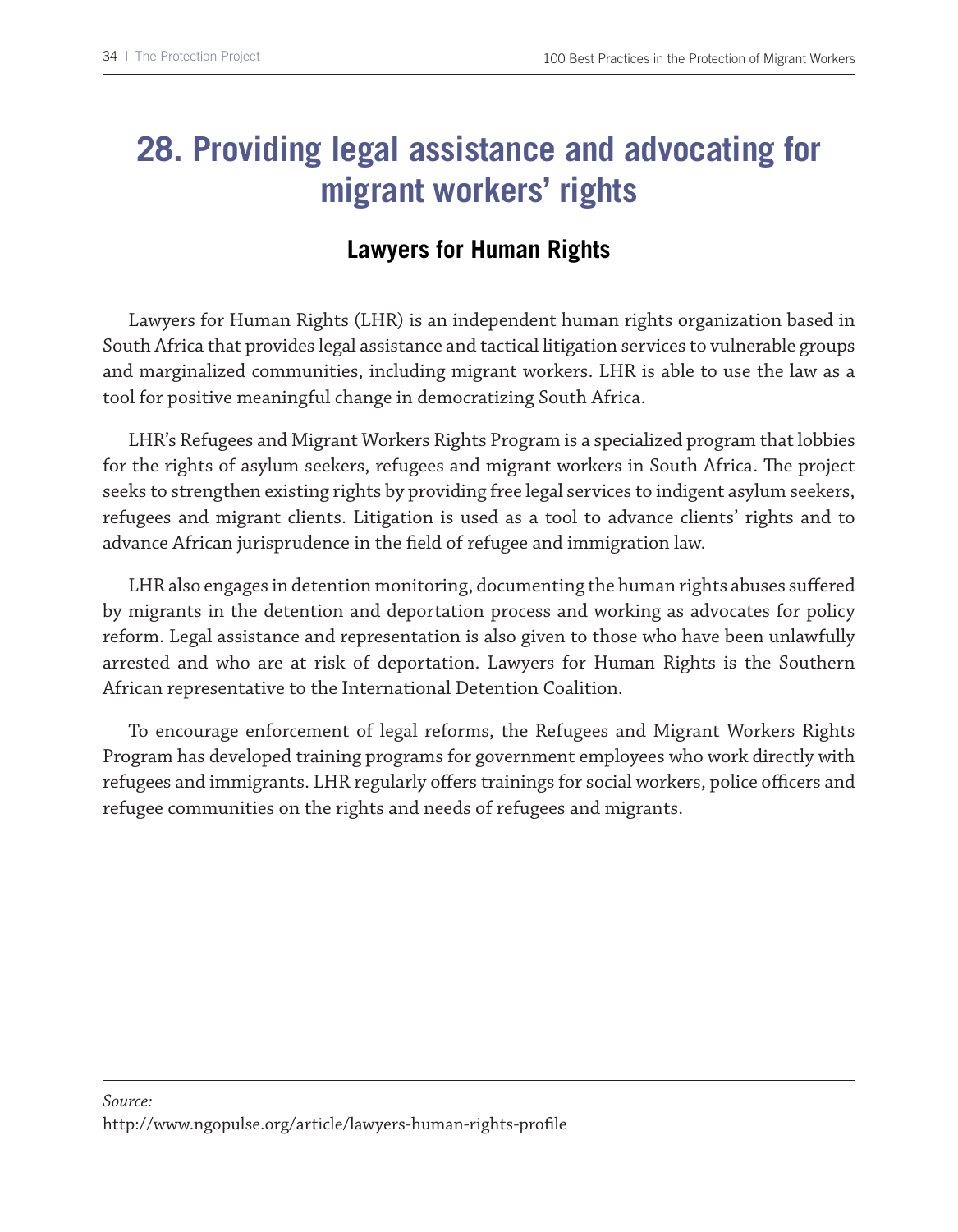## **28. Providing legal assistance and advocating for migrant workers' rights**

### **Lawyers for Human Rights**

Lawyers for Human Rights (LHR) is an independent human rights organization based in South Africa that provides legal assistance and tactical litigation services to vulnerable groups and marginalized communities, including migrant workers. LHR is able to use the law as a tool for positive meaningful change in democratizing South Africa.

LHR's Refugees and Migrant Workers Rights Program is a specialized program that lobbies for the rights of asylum seekers, refugees and migrant workers in South Africa. The project seeks to strengthen existing rights by providing free legal services to indigent asylum seekers, refugees and migrant clients. Litigation is used as a tool to advance clients' rights and to advance African jurisprudence in the feld of refugee and immigration law.

LHR also engages in detention monitoring, documenting the human rights abuses sufered by migrants in the detention and deportation process and working as advocates for policy reform. Legal assistance and representation is also given to those who have been unlawfully arrested and who are at risk of deportation. Lawyers for Human Rights is the Southern African representative to the International Detention Coalition.

To encourage enforcement of legal reforms, the Refugees and Migrant Workers Rights Program has developed training programs for government employees who work directly with refugees and immigrants. LHR regularly offers trainings for social workers, police officers and refugee communities on the rights and needs of refugees and migrants.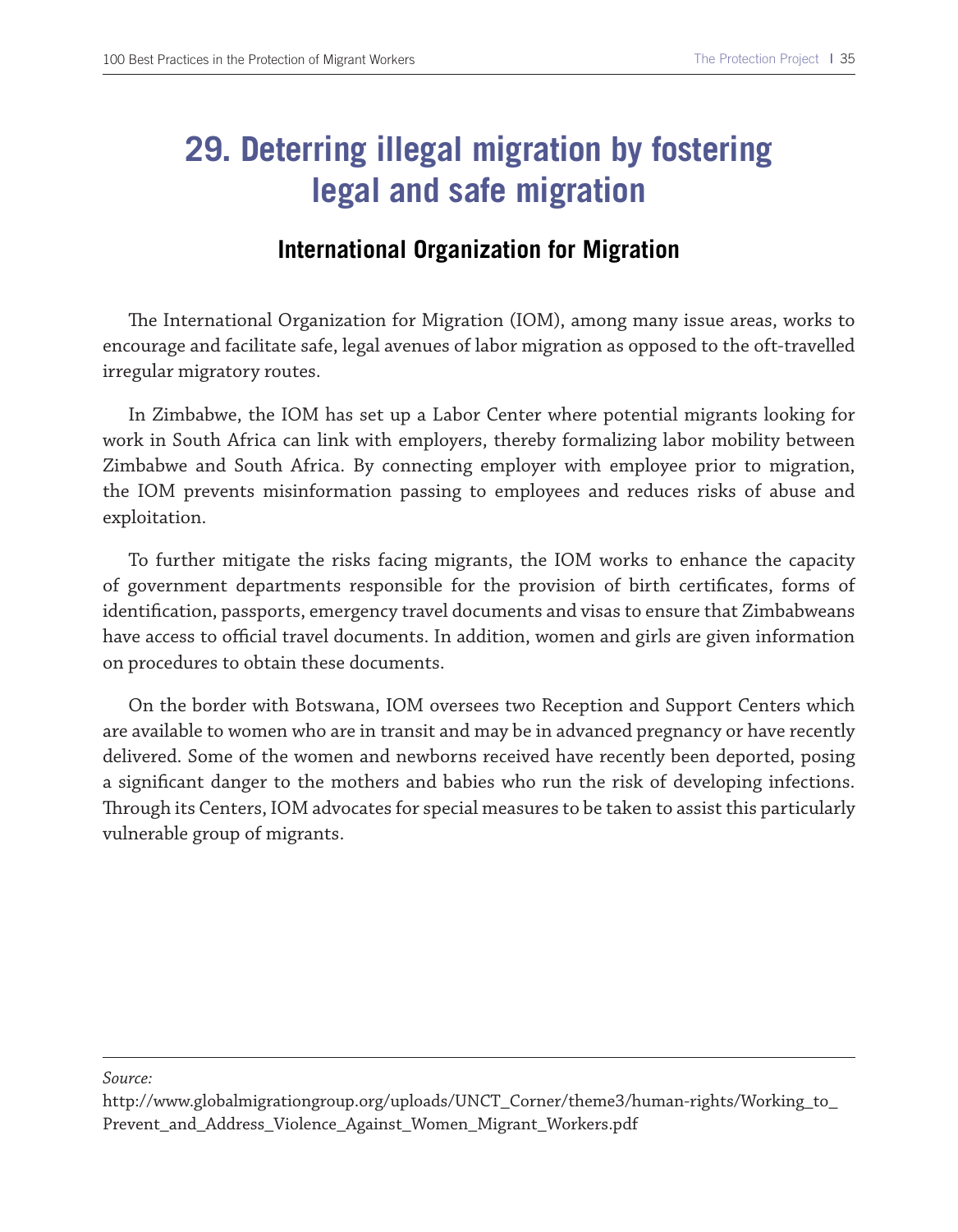## **29. Deterring illegal migration by fostering legal and safe migration**

#### **International Organization for Migration**

The International Organization for Migration (IOM), among many issue areas, works to encourage and facilitate safe, legal avenues of labor migration as opposed to the oft-travelled irregular migratory routes.

In Zimbabwe, the IOM has set up a Labor Center where potential migrants looking for work in South Africa can link with employers, thereby formalizing labor mobility between Zimbabwe and South Africa. By connecting employer with employee prior to migration, the IOM prevents misinformation passing to employees and reduces risks of abuse and exploitation.

To further mitigate the risks facing migrants, the IOM works to enhance the capacity of government departments responsible for the provision of birth certifcates, forms of identifcation, passports, emergency travel documents and visas to ensure that Zimbabweans have access to official travel documents. In addition, women and girls are given information on procedures to obtain these documents.

On the border with Botswana, IOM oversees two Reception and Support Centers which are available to women who are in transit and may be in advanced pregnancy or have recently delivered. Some of the women and newborns received have recently been deported, posing a signifcant danger to the mothers and babies who run the risk of developing infections. Trough its Centers, IOM advocates for special measures to be taken to assist this particularly vulnerable group of migrants.

http://www.globalmigrationgroup.org/uploads/UNCT\_Corner/theme3/human-rights/Working\_to\_ Prevent\_and\_Address\_Violence\_Against\_Women\_Migrant\_Workers.pdf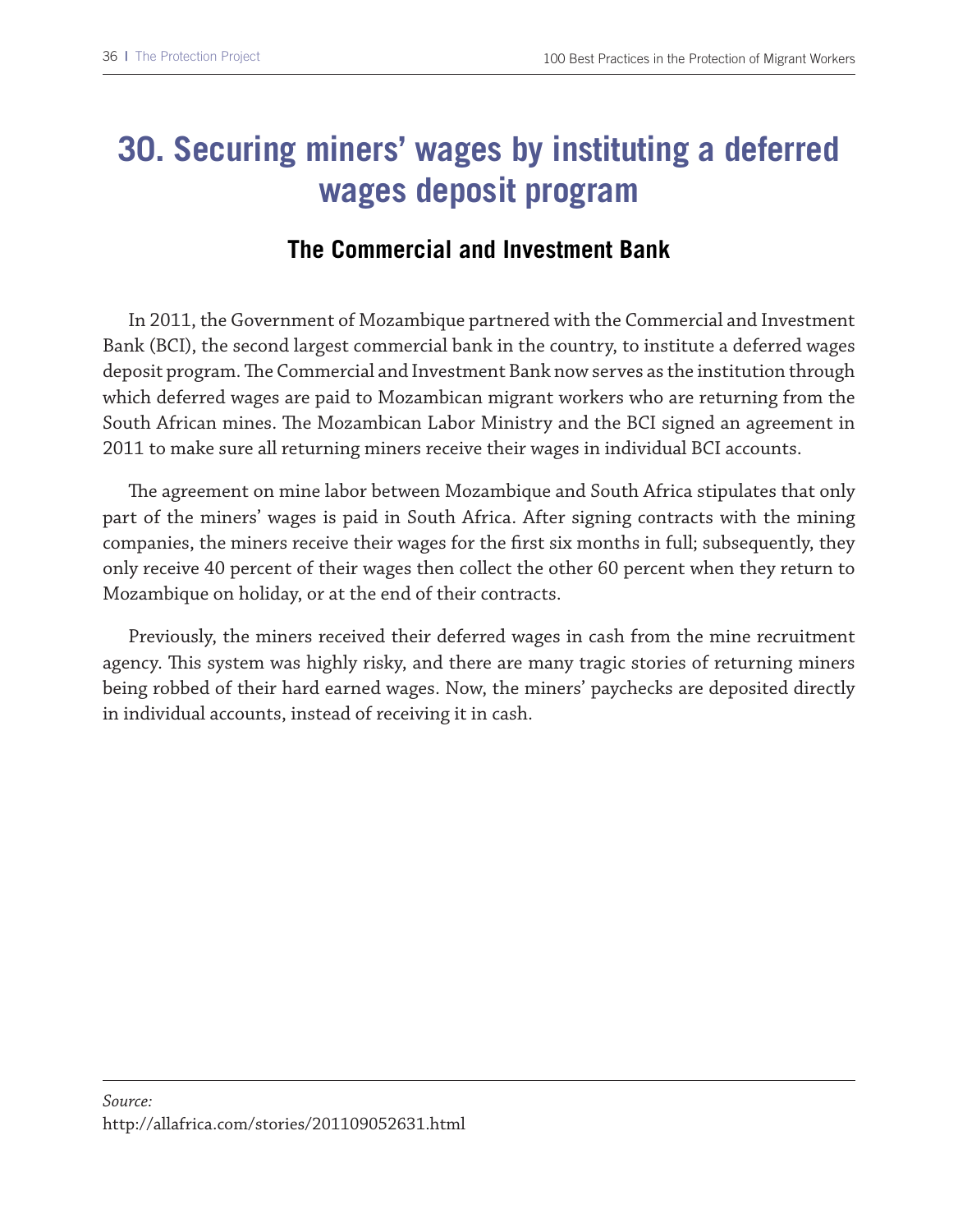## **30. Securing miners' wages by instituting a deferred wages deposit program**

#### **The Commercial and Investment Bank**

In 2011, the Government of Mozambique partnered with the Commercial and Investment Bank (BCI), the second largest commercial bank in the country, to institute a deferred wages deposit program. The Commercial and Investment Bank now serves as the institution through which deferred wages are paid to Mozambican migrant workers who are returning from the South African mines. The Mozambican Labor Ministry and the BCI signed an agreement in 2011 to make sure all returning miners receive their wages in individual BCI accounts.

The agreement on mine labor between Mozambique and South Africa stipulates that only part of the miners' wages is paid in South Africa. After signing contracts with the mining companies, the miners receive their wages for the frst six months in full; subsequently, they only receive 40 percent of their wages then collect the other 60 percent when they return to Mozambique on holiday, or at the end of their contracts.

Previously, the miners received their deferred wages in cash from the mine recruitment agency. This system was highly risky, and there are many tragic stories of returning miners being robbed of their hard earned wages. Now, the miners' paychecks are deposited directly in individual accounts, instead of receiving it in cash.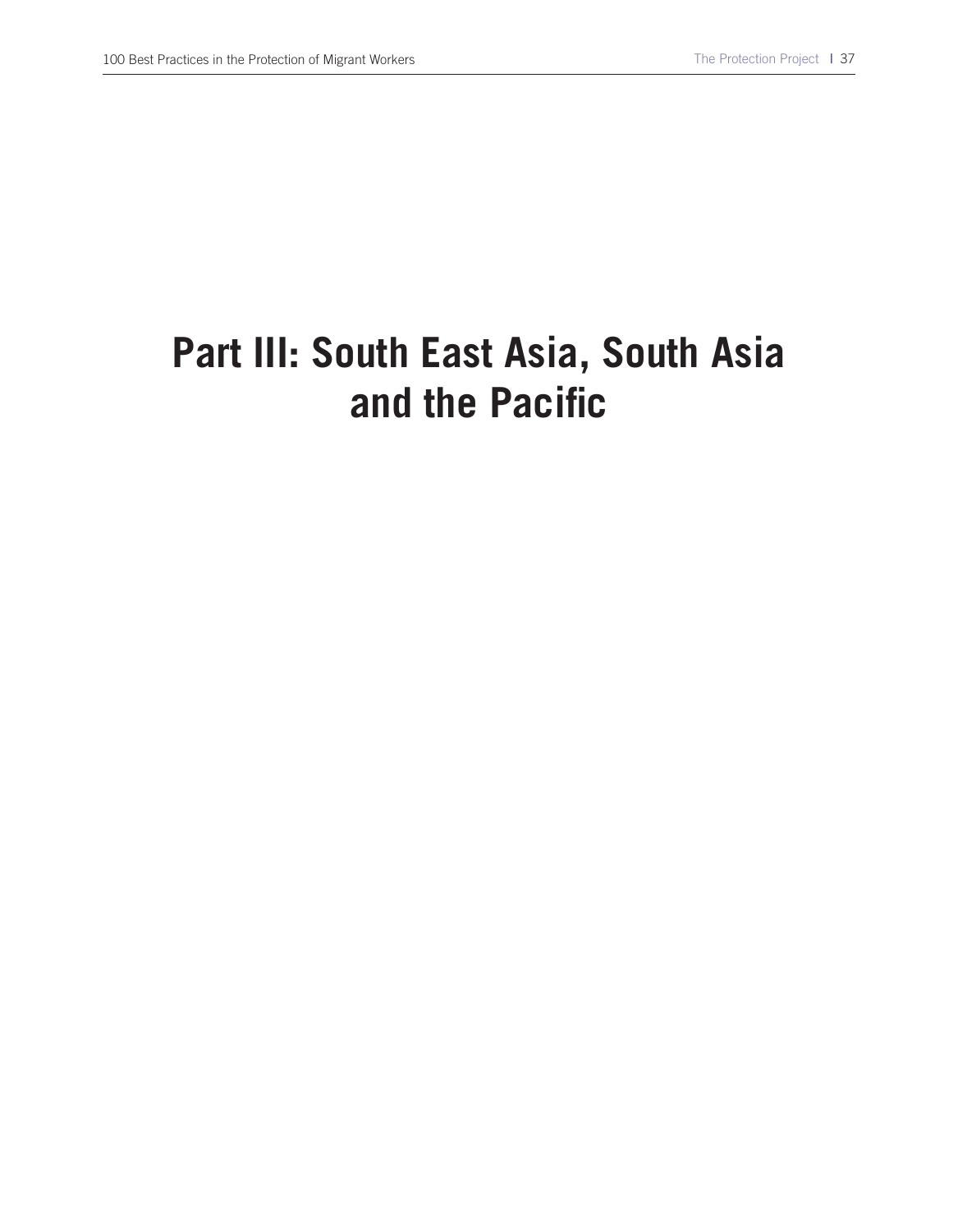# **Part III: South East Asia, South Asia and the Pacific**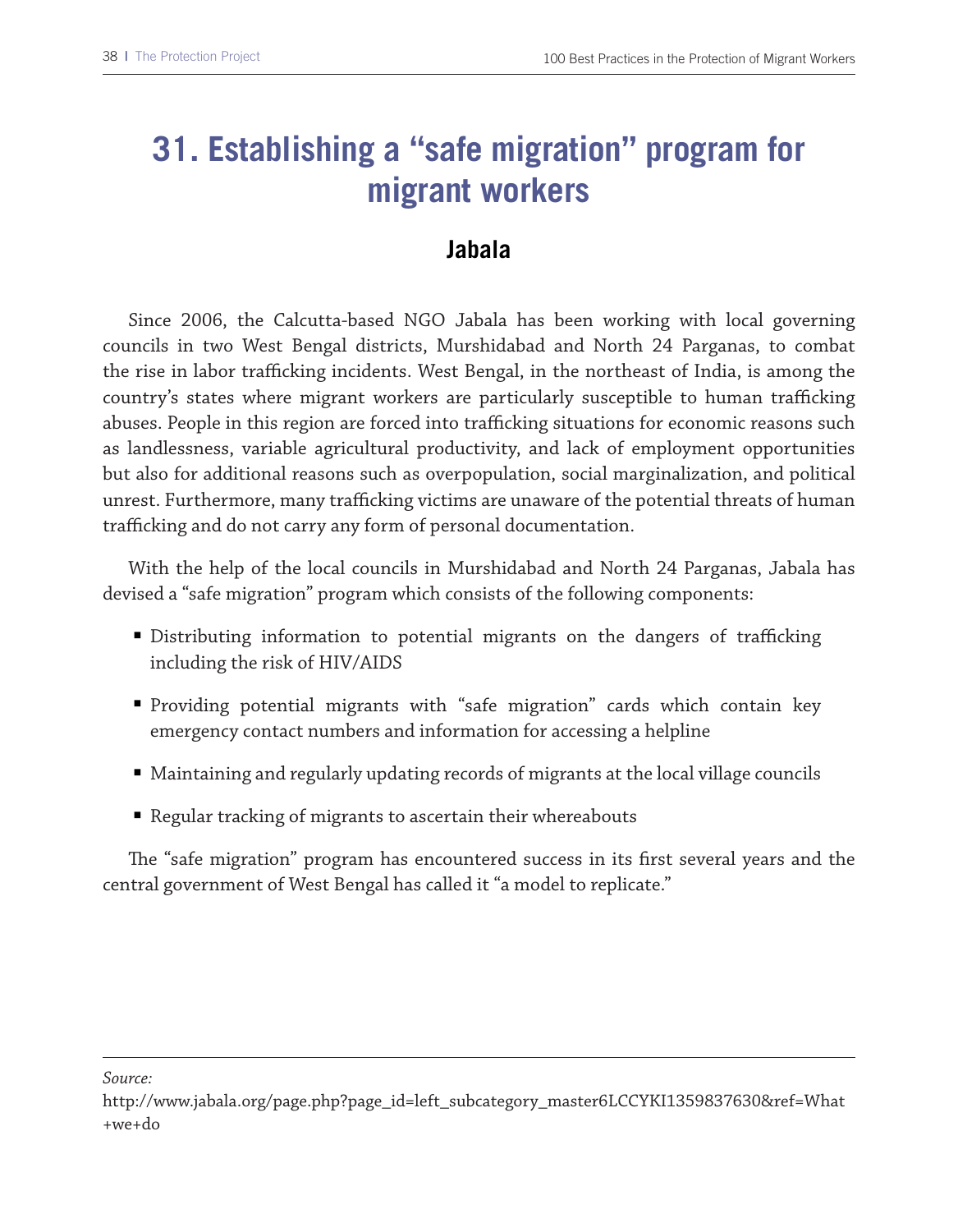### **31. Establishing a "safe migration" program for migrant workers**

#### **Jabala**

Since 2006, the Calcutta-based NGO Jabala has been working with local governing councils in two West Bengal districts, Murshidabad and North 24 Parganas, to combat the rise in labor trafficking incidents. West Bengal, in the northeast of India, is among the country's states where migrant workers are particularly susceptible to human trafficking abuses. People in this region are forced into trafficking situations for economic reasons such as landlessness, variable agricultural productivity, and lack of employment opportunities but also for additional reasons such as overpopulation, social marginalization, and political unrest. Furthermore, many trafficking victims are unaware of the potential threats of human trafficking and do not carry any form of personal documentation.

With the help of the local councils in Murshidabad and North 24 Parganas, Jabala has devised a "safe migration" program which consists of the following components:

- Distributing information to potential migrants on the dangers of trafficking including the risk of HIV/AIDS
- Providing potential migrants with "safe migration" cards which contain key emergency contact numbers and information for accessing a helpline
- Maintaining and regularly updating records of migrants at the local village councils
- Regular tracking of migrants to ascertain their whereabouts

The "safe migration" program has encountered success in its first several years and the central government of West Bengal has called it "a model to replicate."

http://www.jabala.org/page.php?page\_id=left\_subcategory\_master6LCCYKI1359837630&ref=What +we+do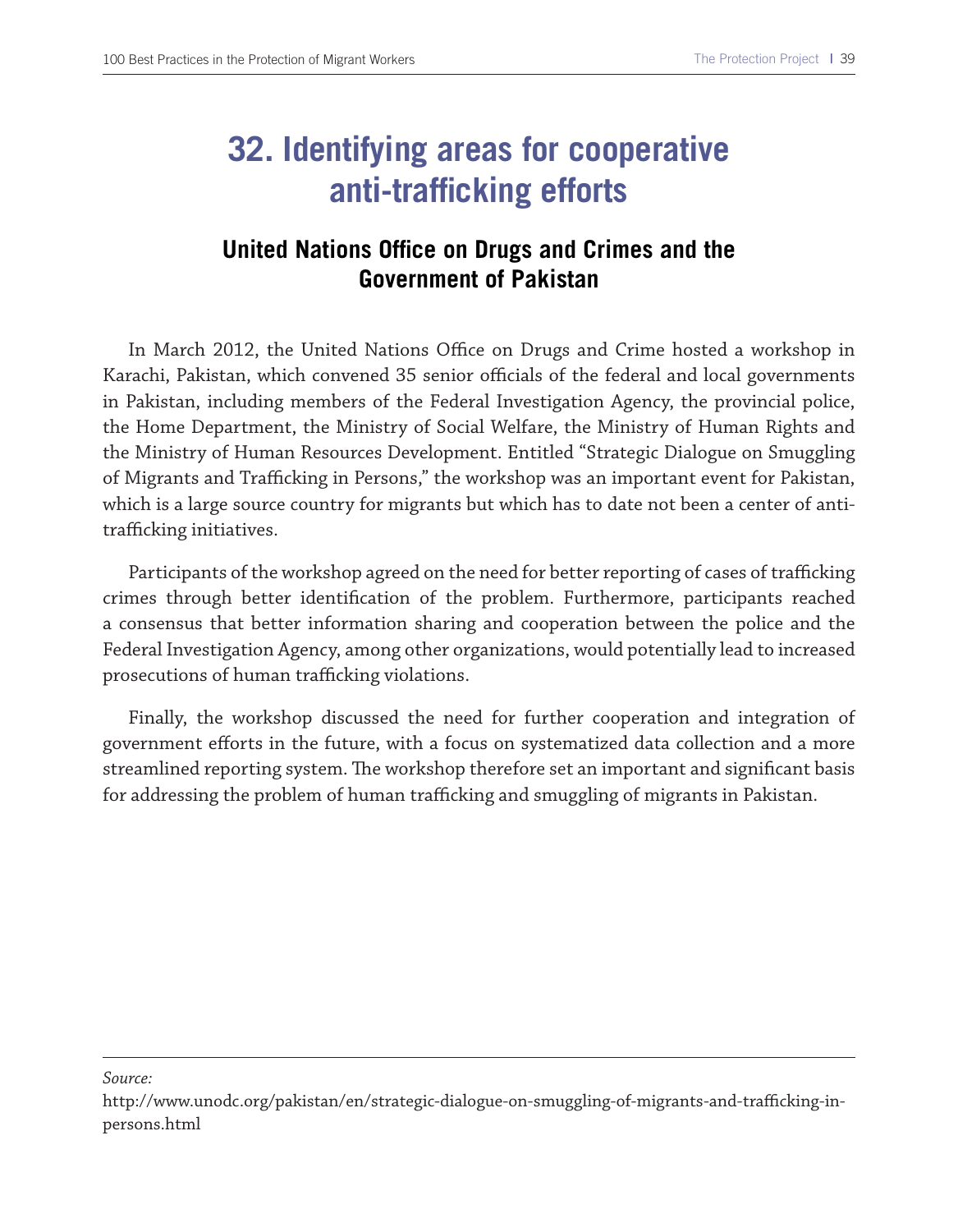### **32. Identifying areas for cooperative anti-trafficking efforts**

#### **United Nations Office on Drugs and Crimes and the Government of Pakistan**

In March 2012, the United Nations Office on Drugs and Crime hosted a workshop in Karachi, Pakistan, which convened 35 senior officials of the federal and local governments in Pakistan, including members of the Federal Investigation Agency, the provincial police, the Home Department, the Ministry of Social Welfare, the Ministry of Human Rights and the Ministry of Human Resources Development. Entitled "Strategic Dialogue on Smuggling of Migrants and Trafficking in Persons," the workshop was an important event for Pakistan, which is a large source country for migrants but which has to date not been a center of antitrafficking initiatives.

Participants of the workshop agreed on the need for better reporting of cases of trafficking crimes through better identifcation of the problem. Furthermore, participants reached a consensus that better information sharing and cooperation between the police and the Federal Investigation Agency, among other organizations, would potentially lead to increased prosecutions of human trafficking violations.

Finally, the workshop discussed the need for further cooperation and integration of government eforts in the future, with a focus on systematized data collection and a more streamlined reporting system. The workshop therefore set an important and significant basis for addressing the problem of human trafficking and smuggling of migrants in Pakistan.

http://www.unodc.org/pakistan/en/strategic-dialogue-on-smuggling-of-migrants-and-trafficking-inpersons.html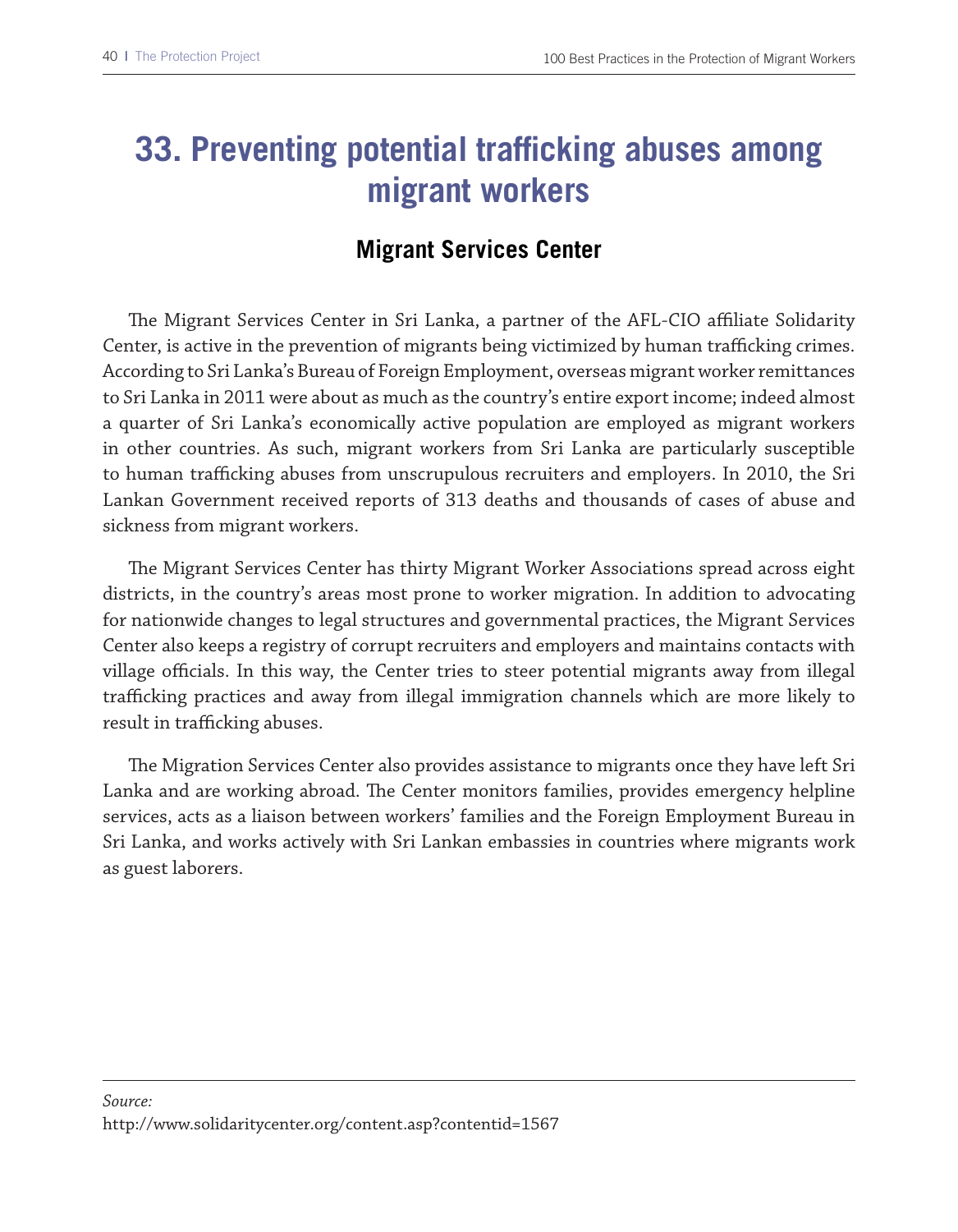### **33. Preventing potential trafficking abuses among migrant workers**

#### **Migrant Services Center**

The Migrant Services Center in Sri Lanka, a partner of the AFL-CIO affiliate Solidarity Center, is active in the prevention of migrants being victimized by human trafficking crimes. According to Sri Lanka's Bureau of Foreign Employment, overseas migrant worker remittances to Sri Lanka in 2011 were about as much as the country's entire export income; indeed almost a quarter of Sri Lanka's economically active population are employed as migrant workers in other countries. As such, migrant workers from Sri Lanka are particularly susceptible to human trafficking abuses from unscrupulous recruiters and employers. In 2010, the Sri Lankan Government received reports of 313 deaths and thousands of cases of abuse and sickness from migrant workers.

The Migrant Services Center has thirty Migrant Worker Associations spread across eight districts, in the country's areas most prone to worker migration. In addition to advocating for nationwide changes to legal structures and governmental practices, the Migrant Services Center also keeps a registry of corrupt recruiters and employers and maintains contacts with village officials. In this way, the Center tries to steer potential migrants away from illegal trafficking practices and away from illegal immigration channels which are more likely to result in trafficking abuses.

The Migration Services Center also provides assistance to migrants once they have left Sri Lanka and are working abroad. The Center monitors families, provides emergency helpline services, acts as a liaison between workers' families and the Foreign Employment Bureau in Sri Lanka, and works actively with Sri Lankan embassies in countries where migrants work as guest laborers.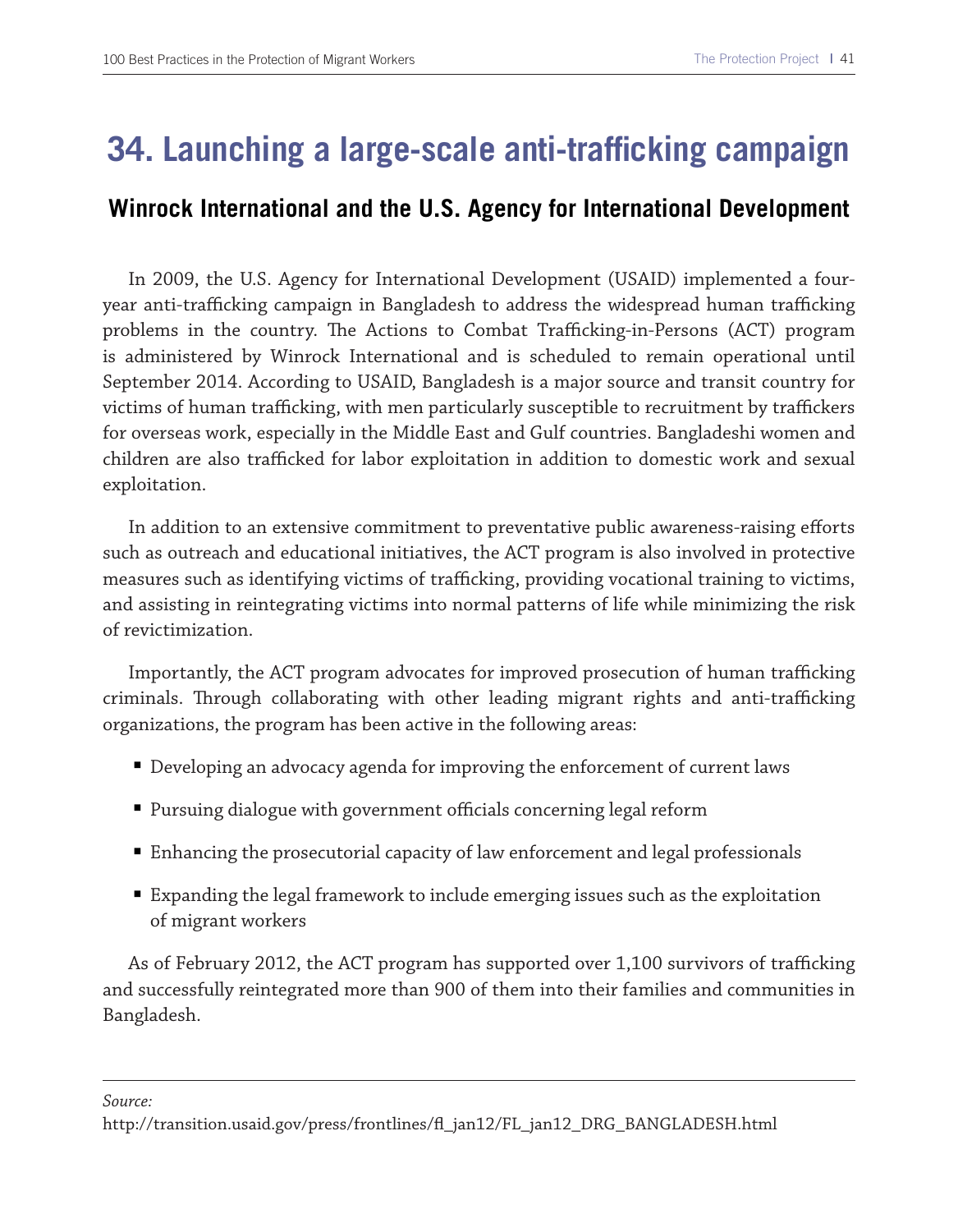### **34. Launching a large-scale anti-trafficking campaign**

#### **Winrock International and the U.S. Agency for International Development**

In 2009, the U.S. Agency for International Development (USAID) implemented a fouryear anti-trafficking campaign in Bangladesh to address the widespread human trafficking problems in the country. The Actions to Combat Trafficking-in-Persons (ACT) program is administered by Winrock International and is scheduled to remain operational until September 2014. According to USAID, Bangladesh is a major source and transit country for victims of human trafficking, with men particularly susceptible to recruitment by traffickers for overseas work, especially in the Middle East and Gulf countries. Bangladeshi women and children are also trafficked for labor exploitation in addition to domestic work and sexual exploitation.

In addition to an extensive commitment to preventative public awareness-raising eforts such as outreach and educational initiatives, the ACT program is also involved in protective measures such as identifying victims of trafficking, providing vocational training to victims, and assisting in reintegrating victims into normal patterns of life while minimizing the risk of revictimization.

Importantly, the ACT program advocates for improved prosecution of human trafficking criminals. Through collaborating with other leading migrant rights and anti-trafficking organizations, the program has been active in the following areas:

- Developing an advocacy agenda for improving the enforcement of current laws
- $\blacksquare$  Pursuing dialogue with government officials concerning legal reform
- Enhancing the prosecutorial capacity of law enforcement and legal professionals
- Expanding the legal framework to include emerging issues such as the exploitation of migrant workers

As of February 2012, the ACT program has supported over 1,100 survivors of trafficking and successfully reintegrated more than 900 of them into their families and communities in Bangladesh.

http://transition.usaid.gov/press/frontlines/f\_jan12/FL\_jan12\_DRG\_BANGLADESH.html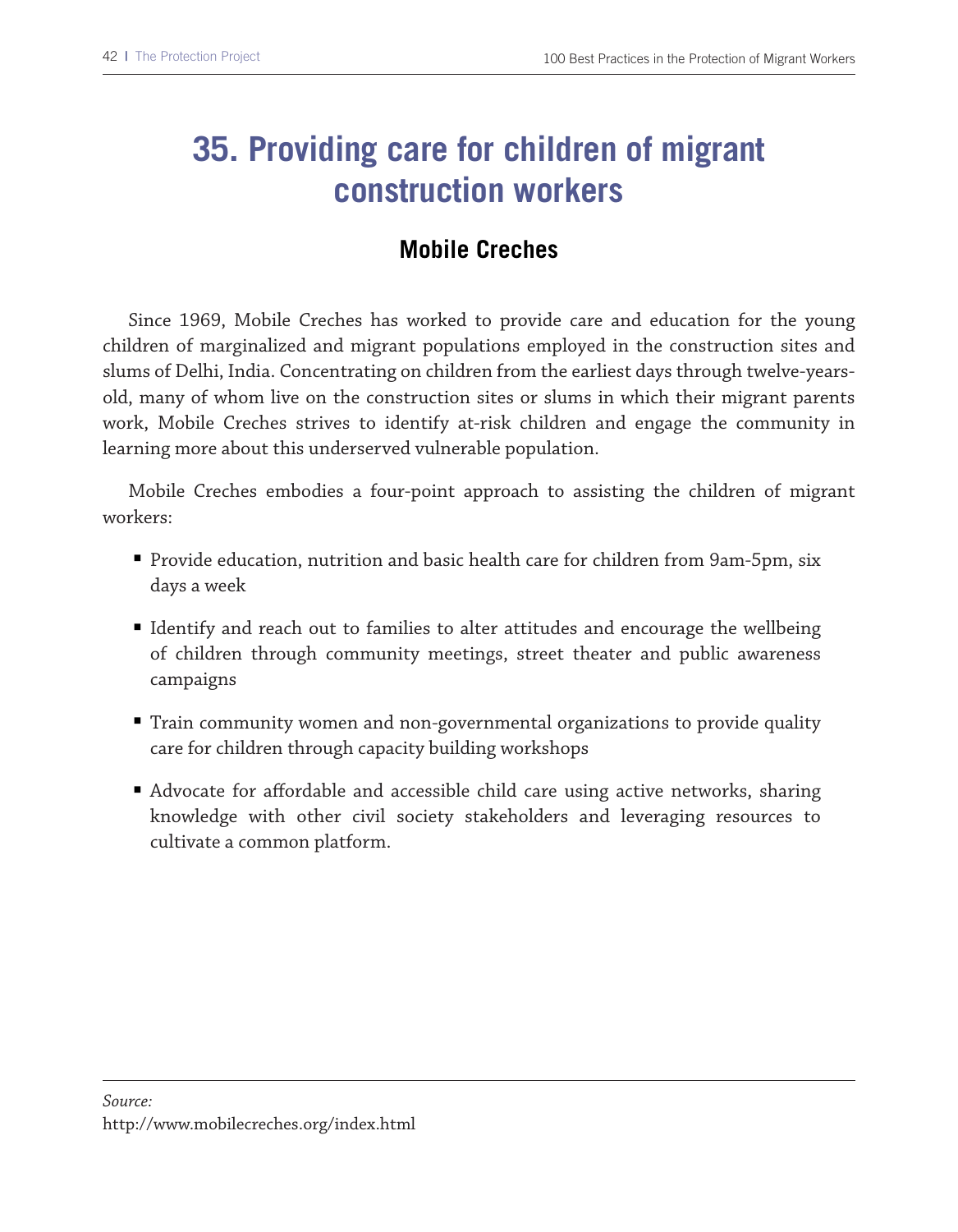## **35. Providing care for children of migrant construction workers**

### **Mobile Creches**

Since 1969, Mobile Creches has worked to provide care and education for the young children of marginalized and migrant populations employed in the construction sites and slums of Delhi, India. Concentrating on children from the earliest days through twelve-yearsold, many of whom live on the construction sites or slums in which their migrant parents work, Mobile Creches strives to identify at-risk children and engage the community in learning more about this underserved vulnerable population.

Mobile Creches embodies a four-point approach to assisting the children of migrant workers:

- Provide education, nutrition and basic health care for children from 9am-5pm, six days a week
- Identify and reach out to families to alter attitudes and encourage the wellbeing of children through community meetings, street theater and public awareness campaigns
- Train community women and non-governmental organizations to provide quality care for children through capacity building workshops
- Advocate for affordable and accessible child care using active networks, sharing knowledge with other civil society stakeholders and leveraging resources to cultivate a common platform.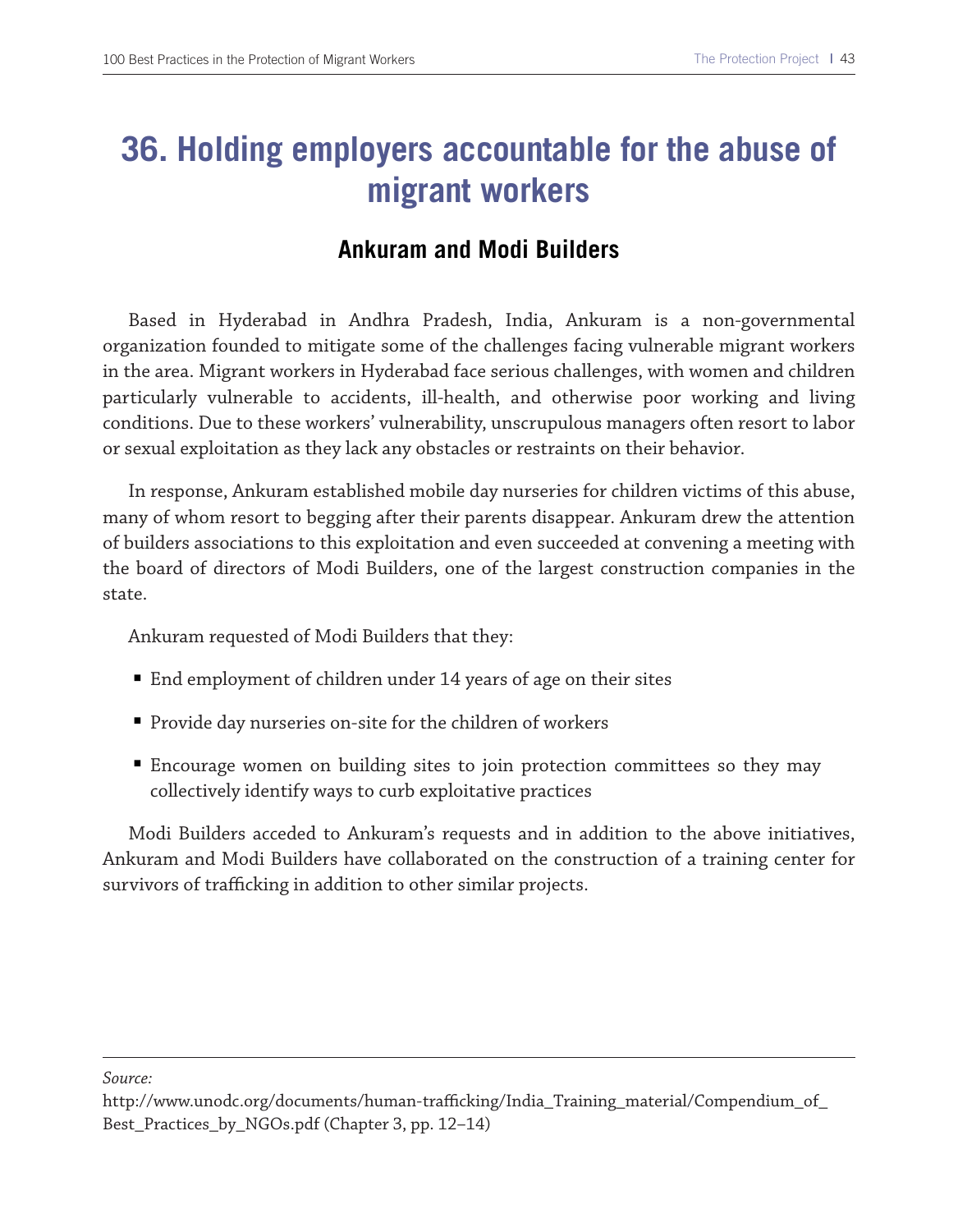### **36. Holding employers accountable for the abuse of migrant workers**

#### **Ankuram and Modi Builders**

Based in Hyderabad in Andhra Pradesh, India, Ankuram is a non-governmental organization founded to mitigate some of the challenges facing vulnerable migrant workers in the area. Migrant workers in Hyderabad face serious challenges, with women and children particularly vulnerable to accidents, ill-health, and otherwise poor working and living conditions. Due to these workers' vulnerability, unscrupulous managers often resort to labor or sexual exploitation as they lack any obstacles or restraints on their behavior.

In response, Ankuram established mobile day nurseries for children victims of this abuse, many of whom resort to begging after their parents disappear. Ankuram drew the attention of builders associations to this exploitation and even succeeded at convening a meeting with the board of directors of Modi Builders, one of the largest construction companies in the state.

Ankuram requested of Modi Builders that they:

- End employment of children under 14 years of age on their sites
- Provide day nurseries on-site for the children of workers
- Encourage women on building sites to join protection committees so they may collectively identify ways to curb exploitative practices

Modi Builders acceded to Ankuram's requests and in addition to the above initiatives, Ankuram and Modi Builders have collaborated on the construction of a training center for survivors of trafficking in addition to other similar projects.

http://www.unodc.org/documents/human-trafcking/India\_Training\_material/Compendium\_of\_ Best\_Practices\_by\_NGOs.pdf (Chapter 3, pp. 12–14)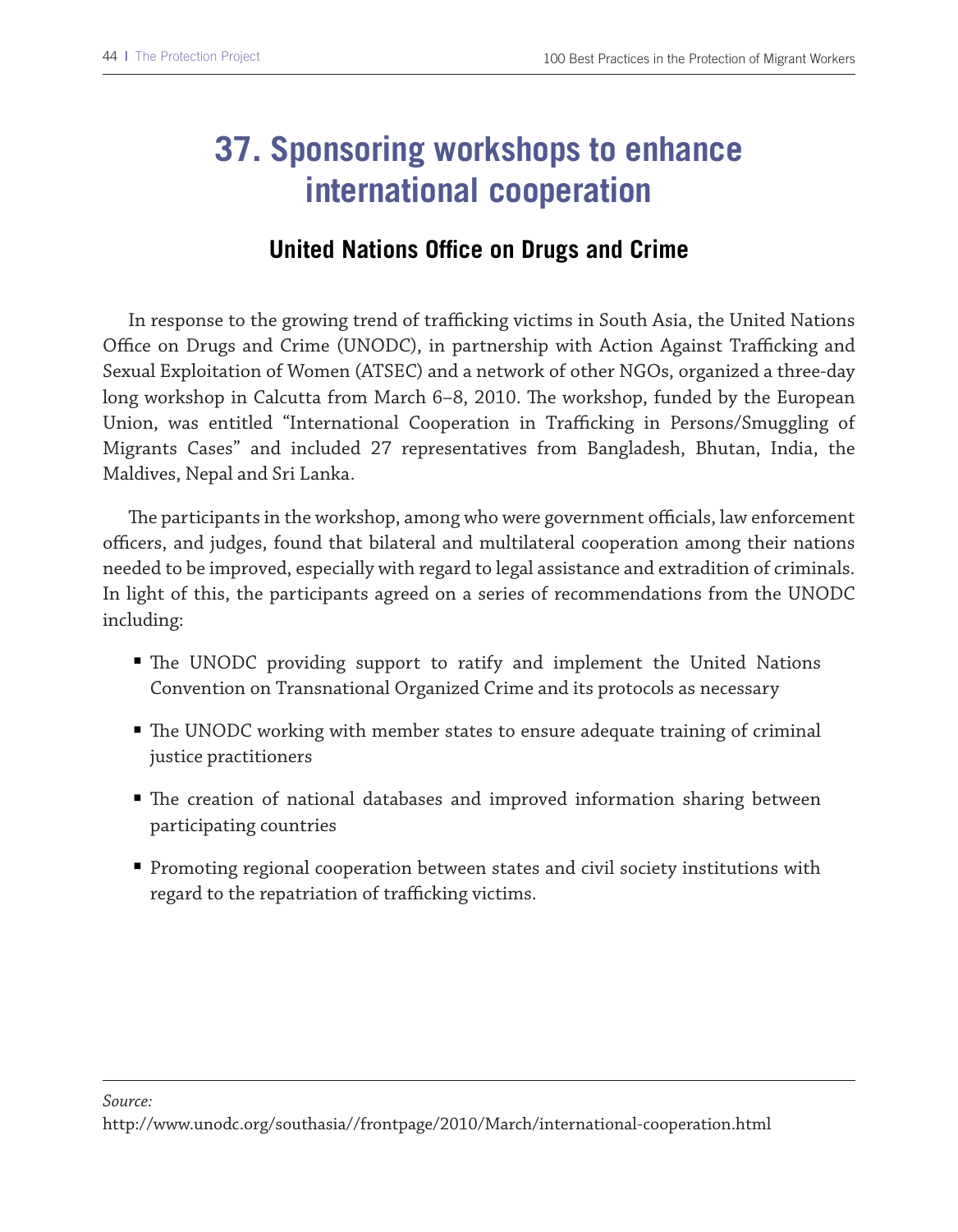## **37. Sponsoring workshops to enhance international cooperation**

### **United Nations Office on Drugs and Crime**

In response to the growing trend of trafficking victims in South Asia, the United Nations Office on Drugs and Crime (UNODC), in partnership with Action Against Trafficking and Sexual Exploitation of Women (ATSEC) and a network of other NGOs, organized a three-day long workshop in Calcutta from March 6–8, 2010. The workshop, funded by the European Union, was entitled "International Cooperation in Trafficking in Persons/Smuggling of Migrants Cases" and included 27 representatives from Bangladesh, Bhutan, India, the Maldives, Nepal and Sri Lanka.

The participants in the workshop, among who were government officials, law enforcement officers, and judges, found that bilateral and multilateral cooperation among their nations needed to be improved, especially with regard to legal assistance and extradition of criminals. In light of this, the participants agreed on a series of recommendations from the UNODC including:

- The UNODC providing support to ratify and implement the United Nations Convention on Transnational Organized Crime and its protocols as necessary
- The UNODC working with member states to ensure adequate training of criminal justice practitioners
- The creation of national databases and improved information sharing between participating countries
- Promoting regional cooperation between states and civil society institutions with regard to the repatriation of trafficking victims.

*Source:*

http://www.unodc.org/southasia//frontpage/2010/March/international-cooperation.html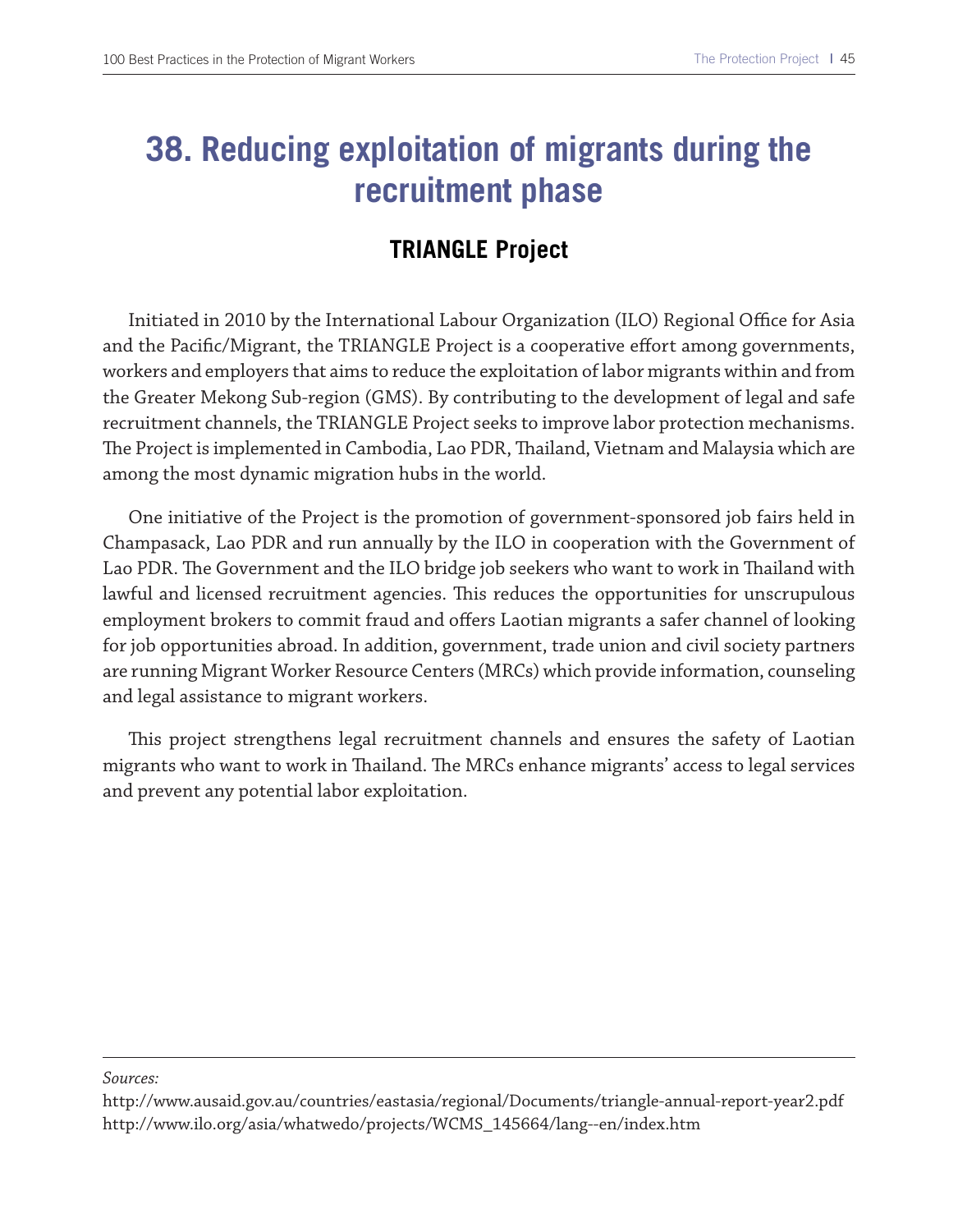### **38. Reducing exploitation of migrants during the recruitment phase**

### **TRIANGLE Project**

Initiated in 2010 by the International Labour Organization (ILO) Regional Office for Asia and the Pacific/Migrant, the TRIANGLE Project is a cooperative effort among governments, workers and employers that aims to reduce the exploitation of labor migrants within and from the Greater Mekong Sub-region (GMS). By contributing to the development of legal and safe recruitment channels, the TRIANGLE Project seeks to improve labor protection mechanisms. The Project is implemented in Cambodia, Lao PDR, Thailand, Vietnam and Malaysia which are among the most dynamic migration hubs in the world.

One initiative of the Project is the promotion of government-sponsored job fairs held in Champasack, Lao PDR and run annually by the ILO in cooperation with the Government of Lao PDR. The Government and the ILO bridge job seekers who want to work in Thailand with lawful and licensed recruitment agencies. Tis reduces the opportunities for unscrupulous employment brokers to commit fraud and ofers Laotian migrants a safer channel of looking for job opportunities abroad. In addition, government, trade union and civil society partners are running Migrant Worker Resource Centers (MRCs) which provide information, counseling and legal assistance to migrant workers.

This project strengthens legal recruitment channels and ensures the safety of Laotian migrants who want to work in Thailand. The MRCs enhance migrants' access to legal services and prevent any potential labor exploitation.

http://www.ausaid.gov.au/countries/eastasia/regional/Documents/triangle-annual-report-year2.pdf http://www.ilo.org/asia/whatwedo/projects/WCMS\_145664/lang--en/index.htm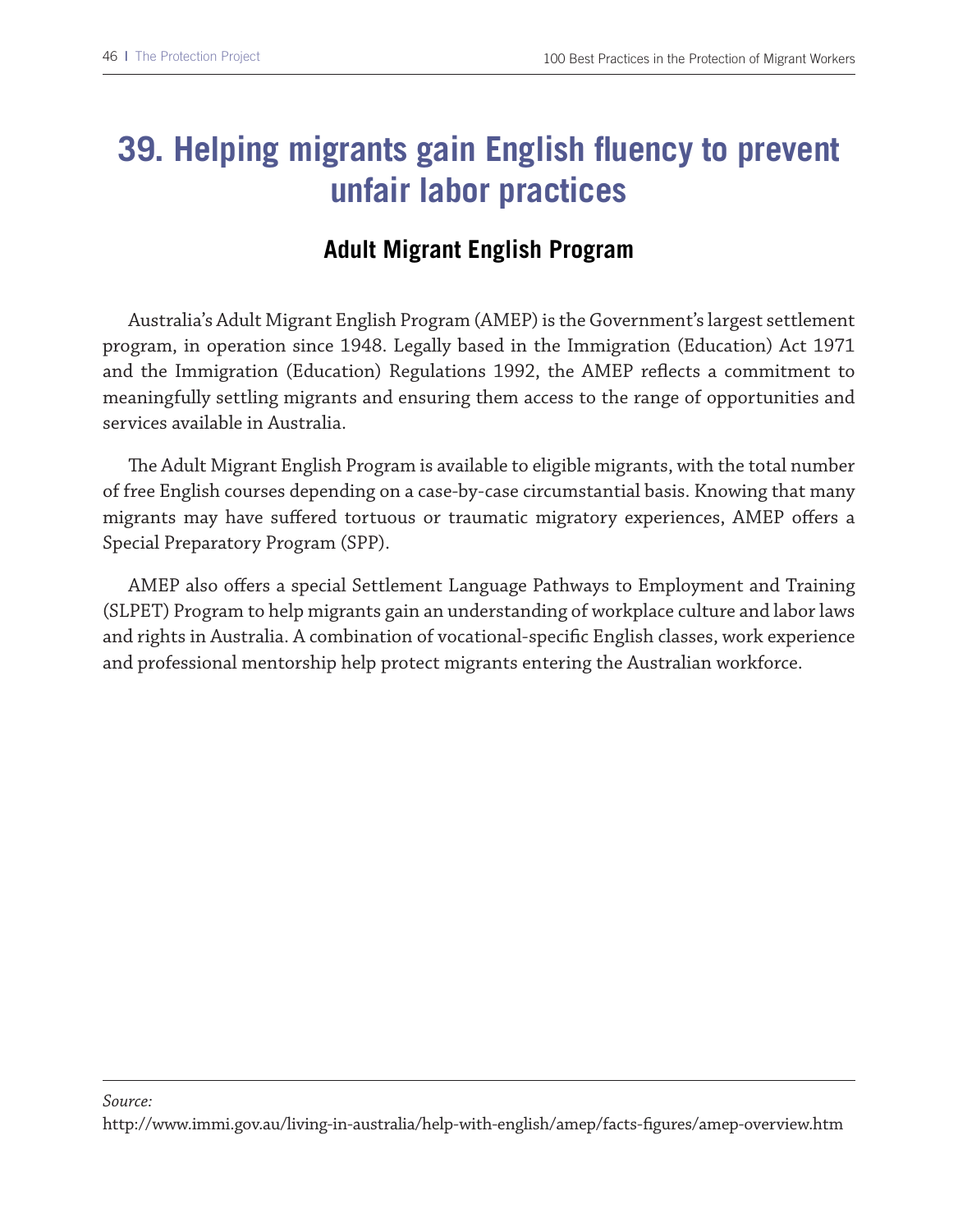### **39. Helping migrants gain English fluency to prevent unfair labor practices**

#### **Adult Migrant English Program**

Australia's Adult Migrant English Program (AMEP) is the Government's largest settlement program, in operation since 1948. Legally based in the Immigration (Education) Act 1971 and the Immigration (Education) Regulations 1992, the AMEP refects a commitment to meaningfully settling migrants and ensuring them access to the range of opportunities and services available in Australia.

Te Adult Migrant English Program is available to eligible migrants, with the total number of free English courses depending on a case-by-case circumstantial basis. Knowing that many migrants may have sufered tortuous or traumatic migratory experiences, AMEP ofers a Special Preparatory Program (SPP).

AMEP also ofers a special Settlement Language Pathways to Employment and Training (SLPET) Program to help migrants gain an understanding of workplace culture and labor laws and rights in Australia. A combination of vocational-specifc English classes, work experience and professional mentorship help protect migrants entering the Australian workforce.

#### *Source:*

http://www.immi.gov.au/living-in-australia/help-with-english/amep/facts-fgures/amep-overview.htm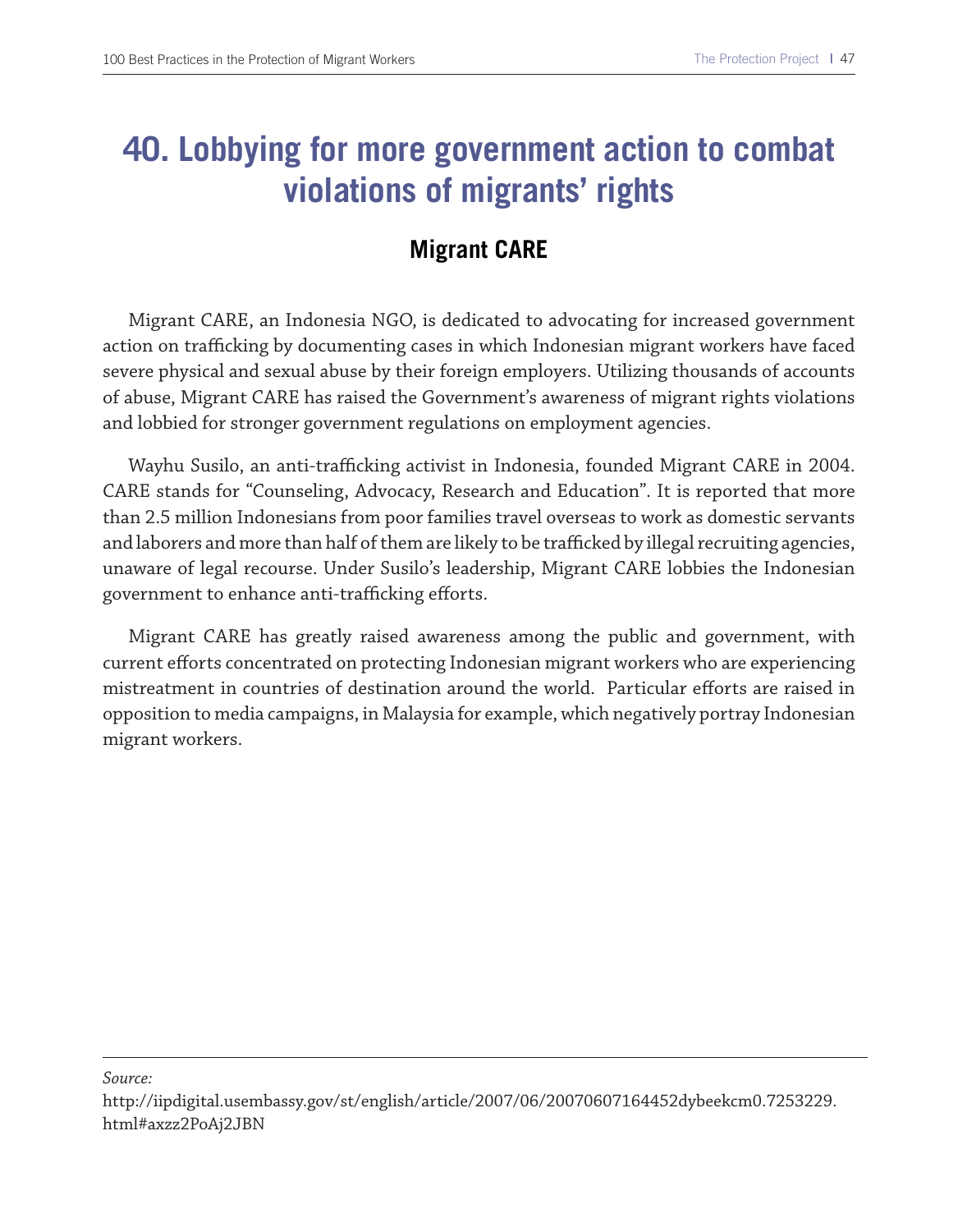### **40. Lobbying for more government action to combat violations of migrants' rights**

### **Migrant CARE**

Migrant CARE, an Indonesia NGO, is dedicated to advocating for increased government action on trafficking by documenting cases in which Indonesian migrant workers have faced severe physical and sexual abuse by their foreign employers. Utilizing thousands of accounts of abuse, Migrant CARE has raised the Government's awareness of migrant rights violations and lobbied for stronger government regulations on employment agencies.

Wayhu Susilo, an anti-trafficking activist in Indonesia, founded Migrant CARE in 2004. CARE stands for "Counseling, Advocacy, Research and Education". It is reported that more than 2.5 million Indonesians from poor families travel overseas to work as domestic servants and laborers and more than half of them are likely to be trafficked by illegal recruiting agencies, unaware of legal recourse. Under Susilo's leadership, Migrant CARE lobbies the Indonesian government to enhance anti-trafficking efforts.

Migrant CARE has greatly raised awareness among the public and government, with current eforts concentrated on protecting Indonesian migrant workers who are experiencing mistreatment in countries of destination around the world. Particular efforts are raised in opposition to media campaigns, in Malaysia for example, which negatively portray Indonesian migrant workers.

http://iipdigital.usembassy.gov/st/english/article/2007/06/20070607164452dybeekcm0.7253229. html#axzz2PoAj2JBN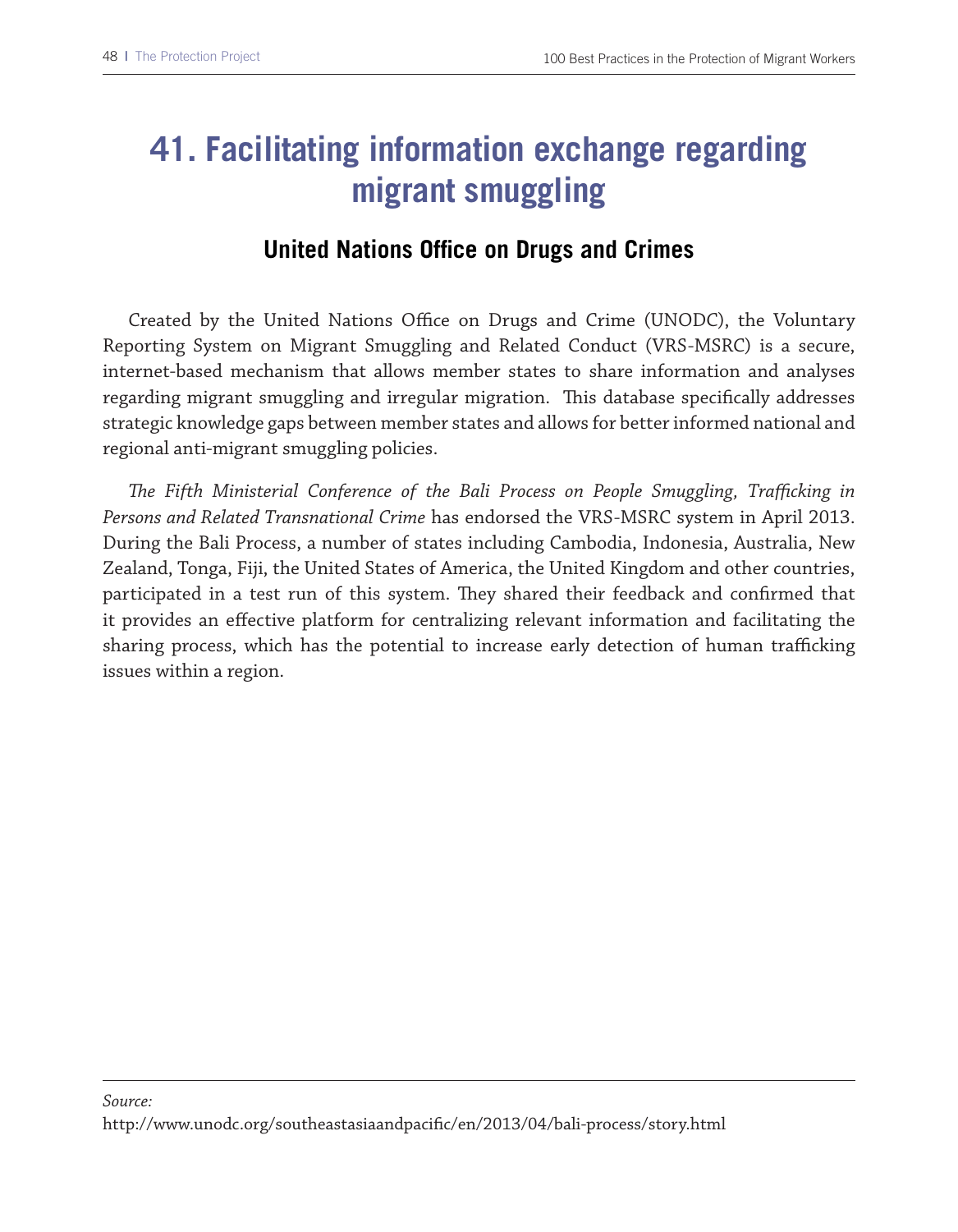## **41. Facilitating information exchange regarding migrant smuggling**

#### **United Nations Office on Drugs and Crimes**

Created by the United Nations Office on Drugs and Crime (UNODC), the Voluntary Reporting System on Migrant Smuggling and Related Conduct (VRS-MSRC) is a secure, internet-based mechanism that allows member states to share information and analyses regarding migrant smuggling and irregular migration. Tis database specifcally addresses strategic knowledge gaps between member states and allows for better informed national and regional anti-migrant smuggling policies.

*Te Fifth Ministerial Conference of the Bali Process on People Smuggling, Trafcking in Persons and Related Transnational Crime* has endorsed the VRS-MSRC system in April 2013. During the Bali Process, a number of states including Cambodia, Indonesia, Australia, New Zealand, Tonga, Fiji, the United States of America, the United Kingdom and other countries, participated in a test run of this system. They shared their feedback and confirmed that it provides an efective platform for centralizing relevant information and facilitating the sharing process, which has the potential to increase early detection of human trafficking issues within a region.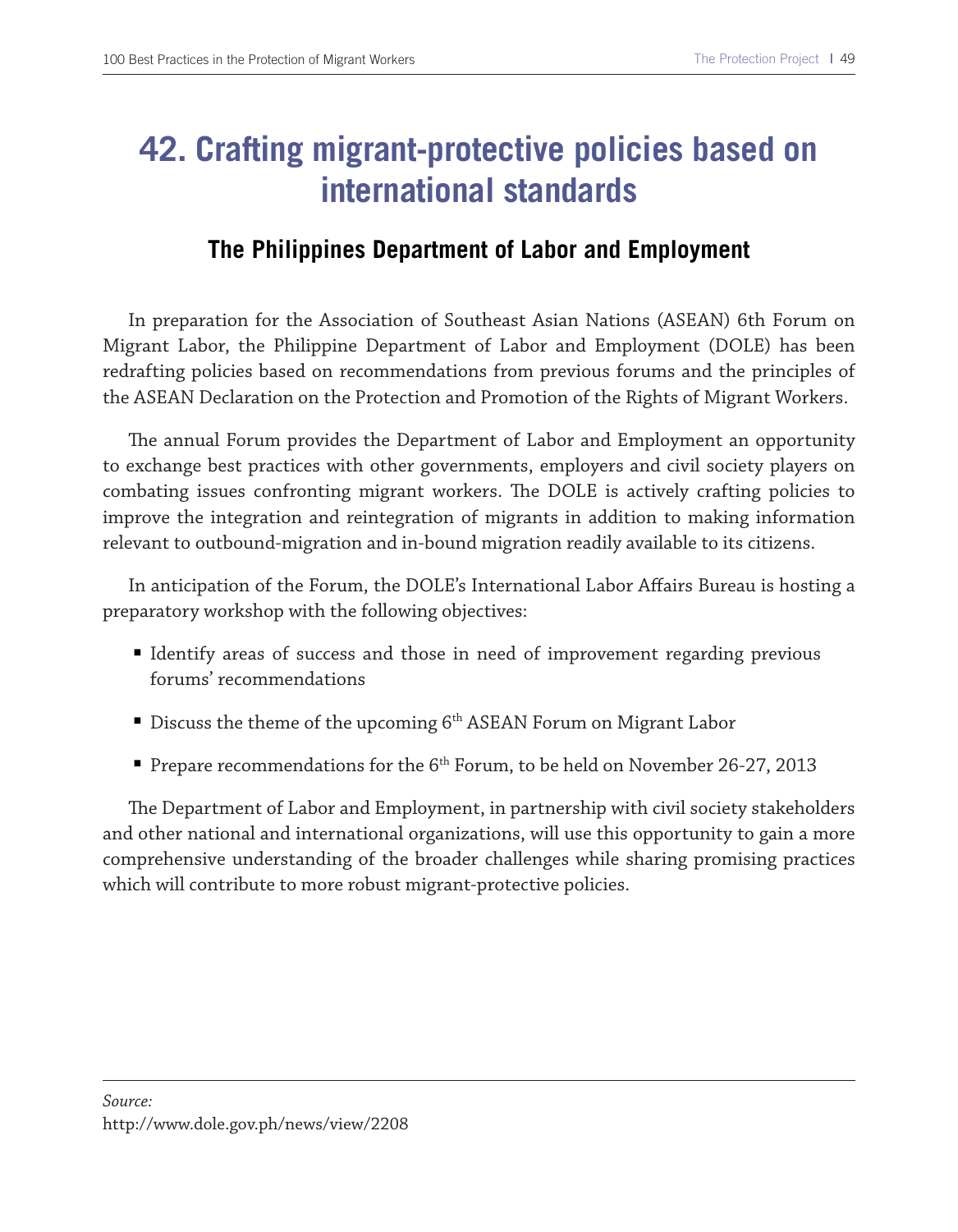### **42. Crafting migrant-protective policies based on international standards**

#### **The Philippines Department of Labor and Employment**

In preparation for the Association of Southeast Asian Nations (ASEAN) 6th Forum on Migrant Labor, the Philippine Department of Labor and Employment (DOLE) has been redrafting policies based on recommendations from previous forums and the principles of the ASEAN Declaration on the Protection and Promotion of the Rights of Migrant Workers.

The annual Forum provides the Department of Labor and Employment an opportunity to exchange best practices with other governments, employers and civil society players on combating issues confronting migrant workers. The DOLE is actively crafting policies to improve the integration and reintegration of migrants in addition to making information relevant to outbound-migration and in-bound migration readily available to its citizens.

In anticipation of the Forum, the DOLE's International Labor Afairs Bureau is hosting a preparatory workshop with the following objectives:

- Identify areas of success and those in need of improvement regarding previous forums' recommendations
- Discuss the theme of the upcoming  $6<sup>th</sup>$  ASEAN Forum on Migrant Labor
- Prepare recommendations for the 6<sup>th</sup> Forum, to be held on November 26-27, 2013

The Department of Labor and Employment, in partnership with civil society stakeholders and other national and international organizations, will use this opportunity to gain a more comprehensive understanding of the broader challenges while sharing promising practices which will contribute to more robust migrant-protective policies.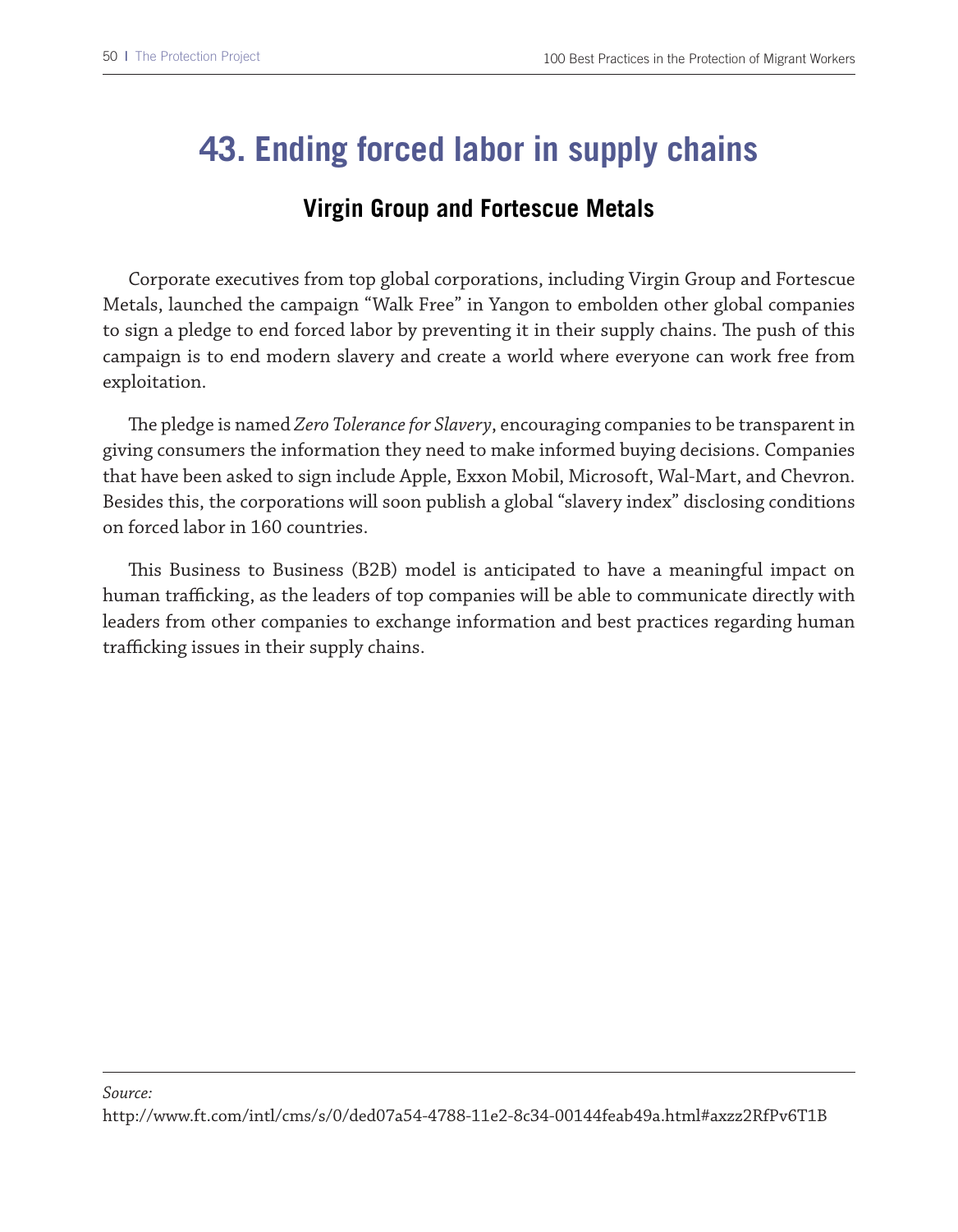### **43. Ending forced labor in supply chains**

#### **Virgin Group and Fortescue Metals**

Corporate executives from top global corporations, including Virgin Group and Fortescue Metals, launched the campaign "Walk Free" in Yangon to embolden other global companies to sign a pledge to end forced labor by preventing it in their supply chains. The push of this campaign is to end modern slavery and create a world where everyone can work free from exploitation.

Te pledge is named *Zero Tolerance for Slavery*, encouraging companies to be transparent in giving consumers the information they need to make informed buying decisions. Companies that have been asked to sign include Apple, Exxon Mobil, Microsoft, Wal-Mart, and Chevron. Besides this, the corporations will soon publish a global "slavery index" disclosing conditions on forced labor in 160 countries.

This Business to Business (B2B) model is anticipated to have a meaningful impact on human trafficking, as the leaders of top companies will be able to communicate directly with leaders from other companies to exchange information and best practices regarding human trafficking issues in their supply chains.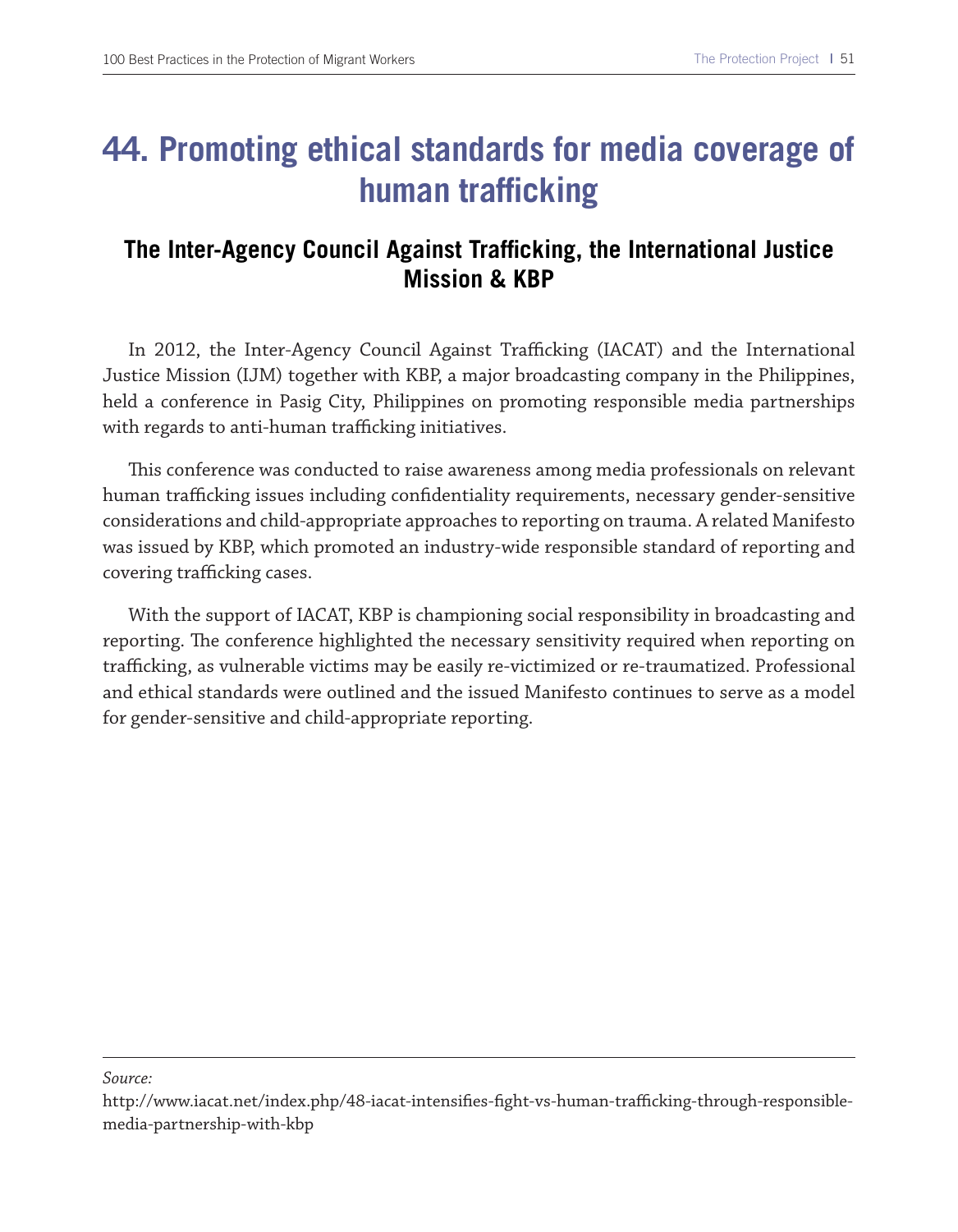### **44. Promoting ethical standards for media coverage of human trafficking**

#### **The Inter-Agency Council Against Trafficking, the International Justice Mission & KBP**

In 2012, the Inter-Agency Council Against Trafficking (IACAT) and the International Justice Mission (IJM) together with KBP, a major broadcasting company in the Philippines, held a conference in Pasig City, Philippines on promoting responsible media partnerships with regards to anti-human trafficking initiatives.

Tis conference was conducted to raise awareness among media professionals on relevant human trafficking issues including confidentiality requirements, necessary gender-sensitive considerations and child-appropriate approaches to reporting on trauma. A related Manifesto was issued by KBP, which promoted an industry-wide responsible standard of reporting and covering trafficking cases.

With the support of IACAT, KBP is championing social responsibility in broadcasting and reporting. The conference highlighted the necessary sensitivity required when reporting on trafficking, as vulnerable victims may be easily re-victimized or re-traumatized. Professional and ethical standards were outlined and the issued Manifesto continues to serve as a model for gender-sensitive and child-appropriate reporting.

http://www.iacat.net/index.php/48-iacat-intensifies-fight-vs-human-trafficking-through-responsiblemedia-partnership-with-kbp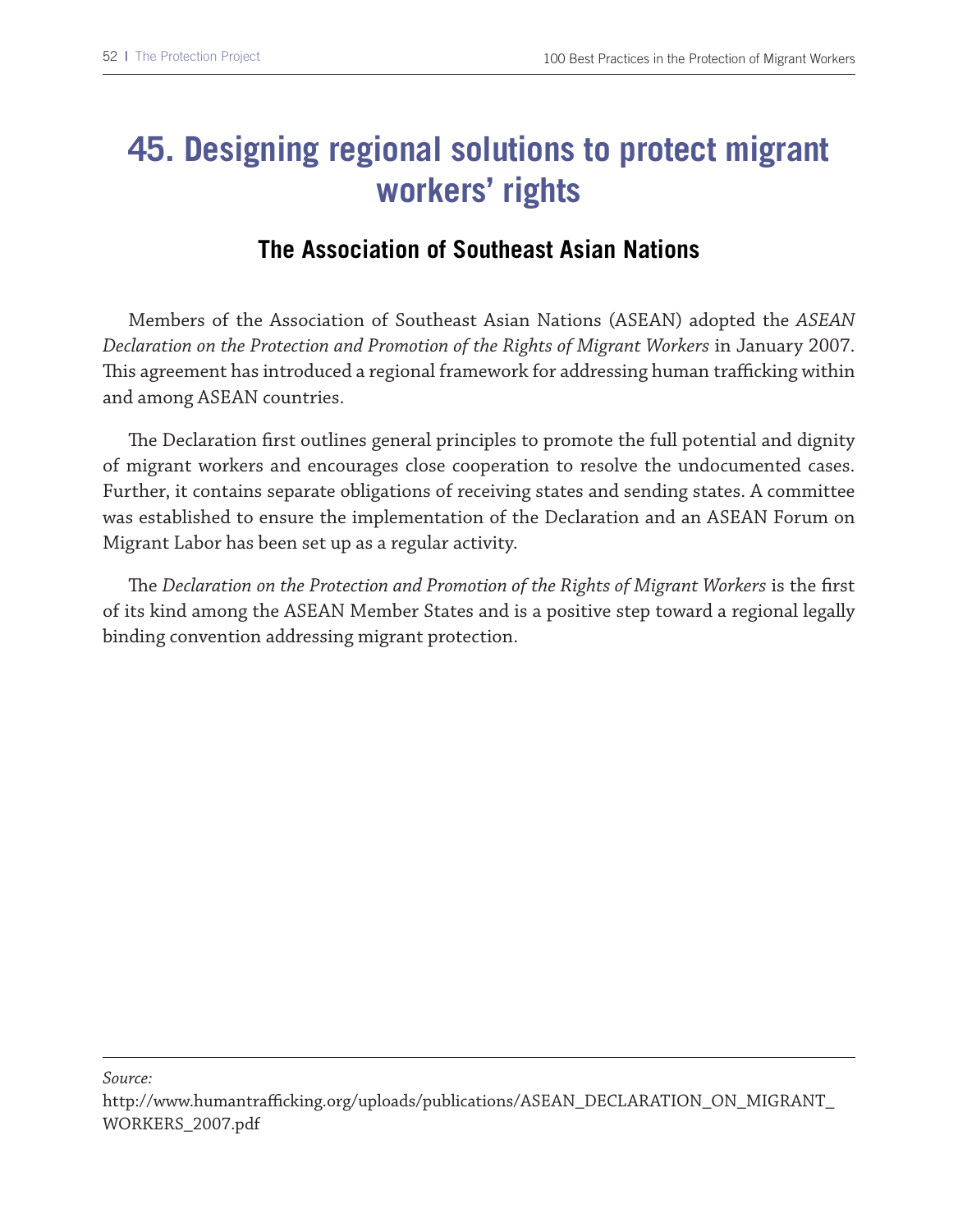## **45. Designing regional solutions to protect migrant workers' rights**

### **The Association of Southeast Asian Nations**

Members of the Association of Southeast Asian Nations (ASEAN) adopted the *ASEAN Declaration on the Protection and Promotion of the Rights of Migrant Workers* in January 2007. This agreement has introduced a regional framework for addressing human trafficking within and among ASEAN countries.

The Declaration first outlines general principles to promote the full potential and dignity of migrant workers and encourages close cooperation to resolve the undocumented cases. Further, it contains separate obligations of receiving states and sending states. A committee was established to ensure the implementation of the Declaration and an ASEAN Forum on Migrant Labor has been set up as a regular activity.

Te *Declaration on the Protection and Promotion of the Rights of Migrant Workers* is the frst of its kind among the ASEAN Member States and is a positive step toward a regional legally binding convention addressing migrant protection.

http://www.humantrafficking.org/uploads/publications/ASEAN\_DECLARATION\_ON\_MIGRANT\_ WORKERS\_2007.pdf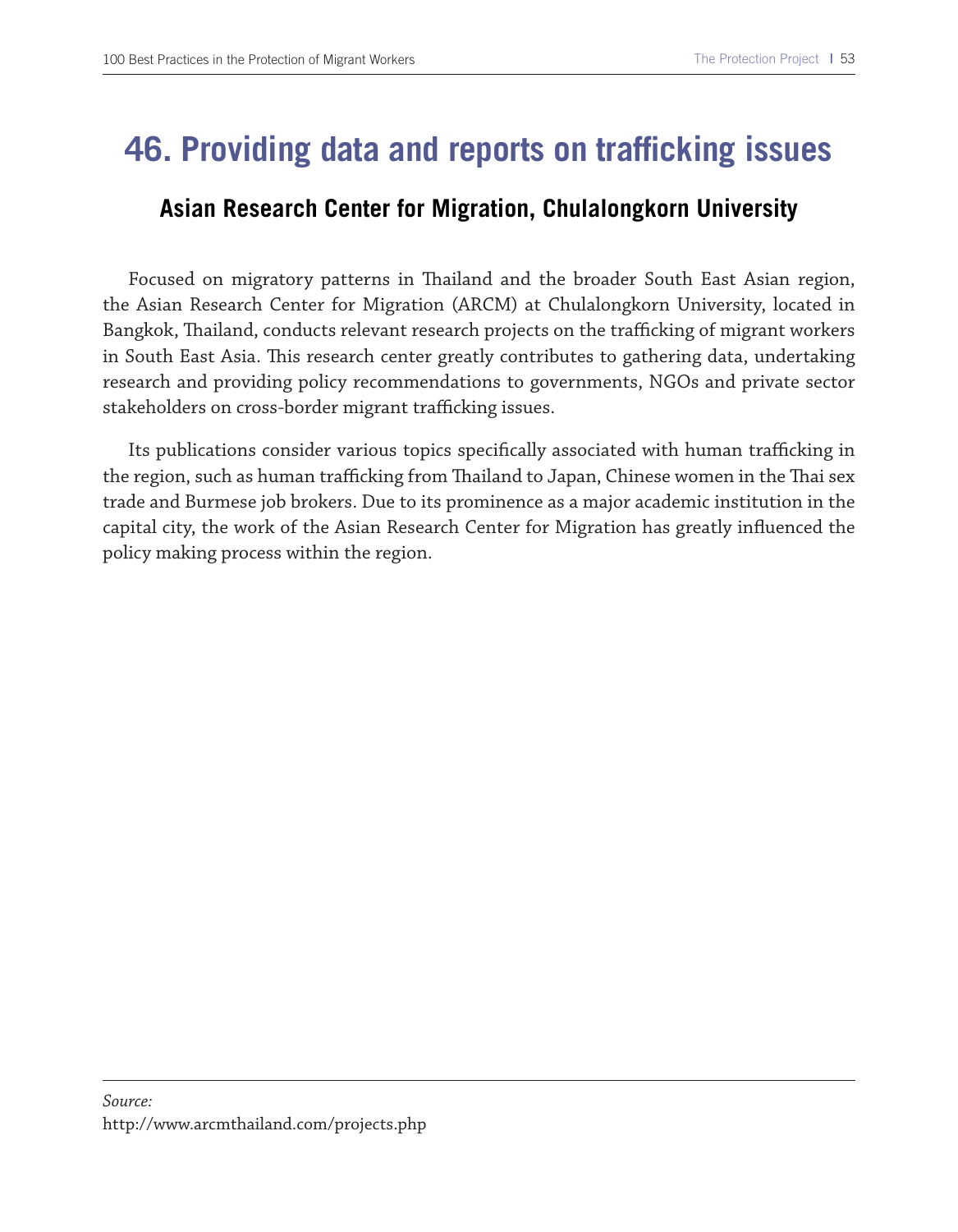### **46. Providing data and reports on trafficking issues**

#### **Asian Research Center for Migration, Chulalongkorn University**

Focused on migratory patterns in Tailand and the broader South East Asian region, the Asian Research Center for Migration (ARCM) at Chulalongkorn University, located in Bangkok, Thailand, conducts relevant research projects on the trafficking of migrant workers in South East Asia. This research center greatly contributes to gathering data, undertaking research and providing policy recommendations to governments, NGOs and private sector stakeholders on cross-border migrant trafficking issues.

Its publications consider various topics specifically associated with human trafficking in the region, such as human trafficking from Thailand to Japan, Chinese women in the Thai sex trade and Burmese job brokers. Due to its prominence as a major academic institution in the capital city, the work of the Asian Research Center for Migration has greatly infuenced the policy making process within the region.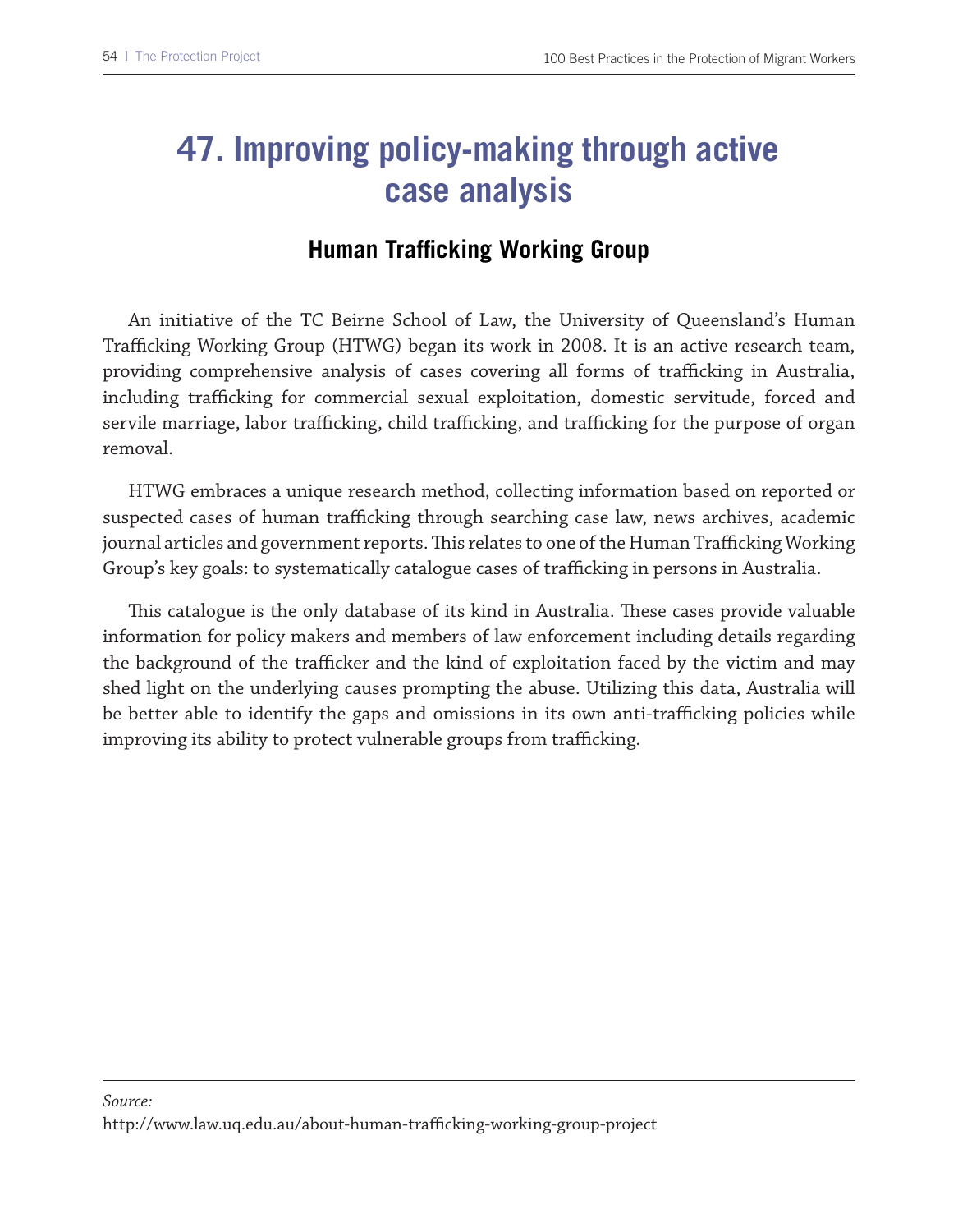## **47. Improving policy-making through active case analysis**

#### **Human Trafficking Working Group**

An initiative of the TC Beirne School of Law, the University of Queensland's Human Trafficking Working Group (HTWG) began its work in 2008. It is an active research team, providing comprehensive analysis of cases covering all forms of trafficking in Australia, including trafficking for commercial sexual exploitation, domestic servitude, forced and servile marriage, labor trafficking, child trafficking, and trafficking for the purpose of organ removal.

HTWG embraces a unique research method, collecting information based on reported or suspected cases of human trafficking through searching case law, news archives, academic journal articles and government reports. This relates to one of the Human Trafficking Working Group's key goals: to systematically catalogue cases of trafficking in persons in Australia.

This catalogue is the only database of its kind in Australia. These cases provide valuable information for policy makers and members of law enforcement including details regarding the background of the trafficker and the kind of exploitation faced by the victim and may shed light on the underlying causes prompting the abuse. Utilizing this data, Australia will be better able to identify the gaps and omissions in its own anti-trafficking policies while improving its ability to protect vulnerable groups from trafficking.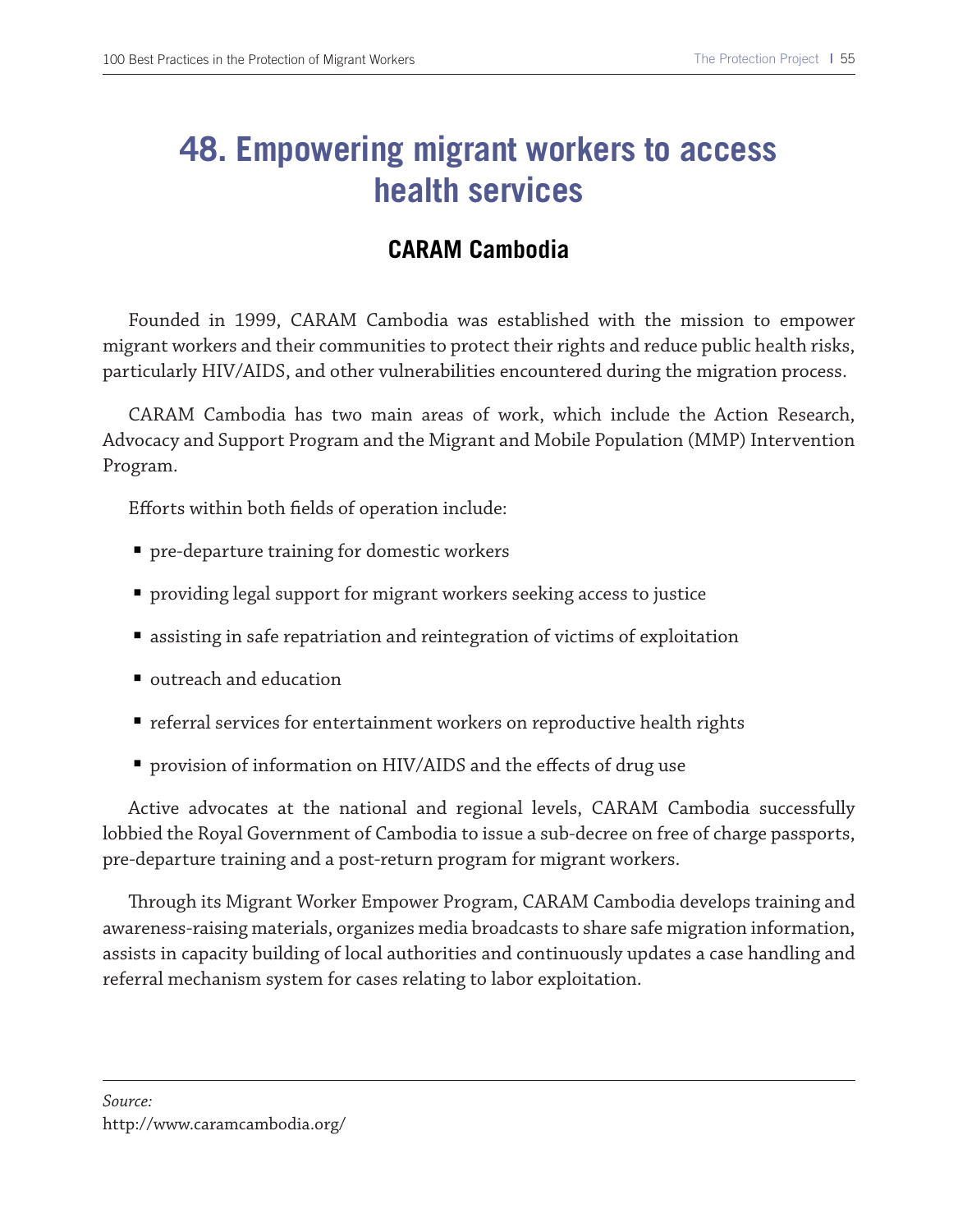### **48. Empowering migrant workers to access health services**

#### **CARAM Cambodia**

Founded in 1999, CARAM Cambodia was established with the mission to empower migrant workers and their communities to protect their rights and reduce public health risks, particularly HIV/AIDS, and other vulnerabilities encountered during the migration process.

CARAM Cambodia has two main areas of work, which include the Action Research, Advocacy and Support Program and the Migrant and Mobile Population (MMP) Intervention Program.

Eforts within both felds of operation include:

- pre-departure training for domestic workers
- providing legal support for migrant workers seeking access to justice
- assisting in safe repatriation and reintegration of victims of exploitation
- outreach and education
- referral services for entertainment workers on reproductive health rights
- provision of information on HIV/AIDS and the effects of drug use

Active advocates at the national and regional levels, CARAM Cambodia successfully lobbied the Royal Government of Cambodia to issue a sub-decree on free of charge passports, pre-departure training and a post-return program for migrant workers.

Trough its Migrant Worker Empower Program, CARAM Cambodia develops training and awareness-raising materials, organizes media broadcasts to share safe migration information, assists in capacity building of local authorities and continuously updates a case handling and referral mechanism system for cases relating to labor exploitation.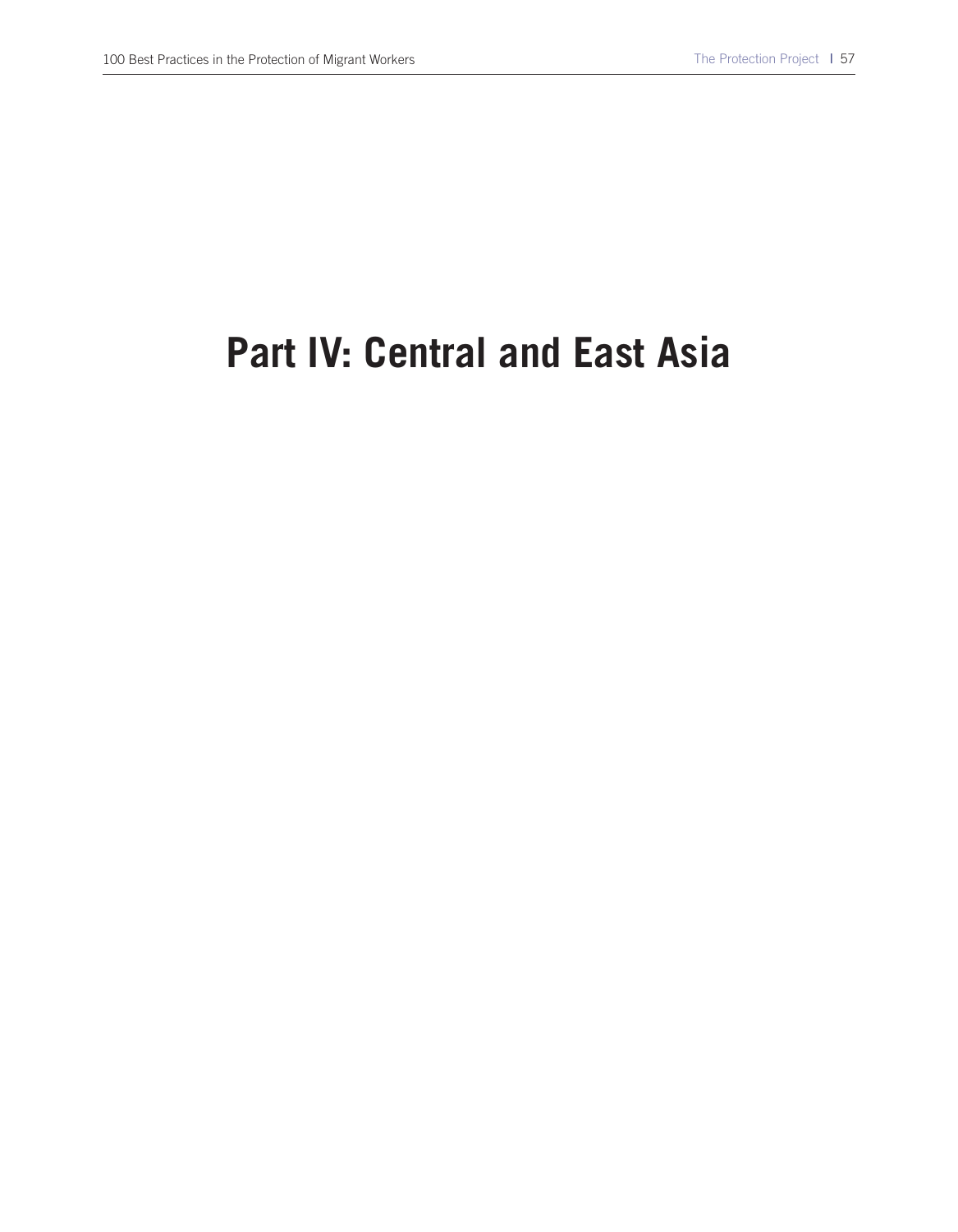# **Part IV: Central and East Asia**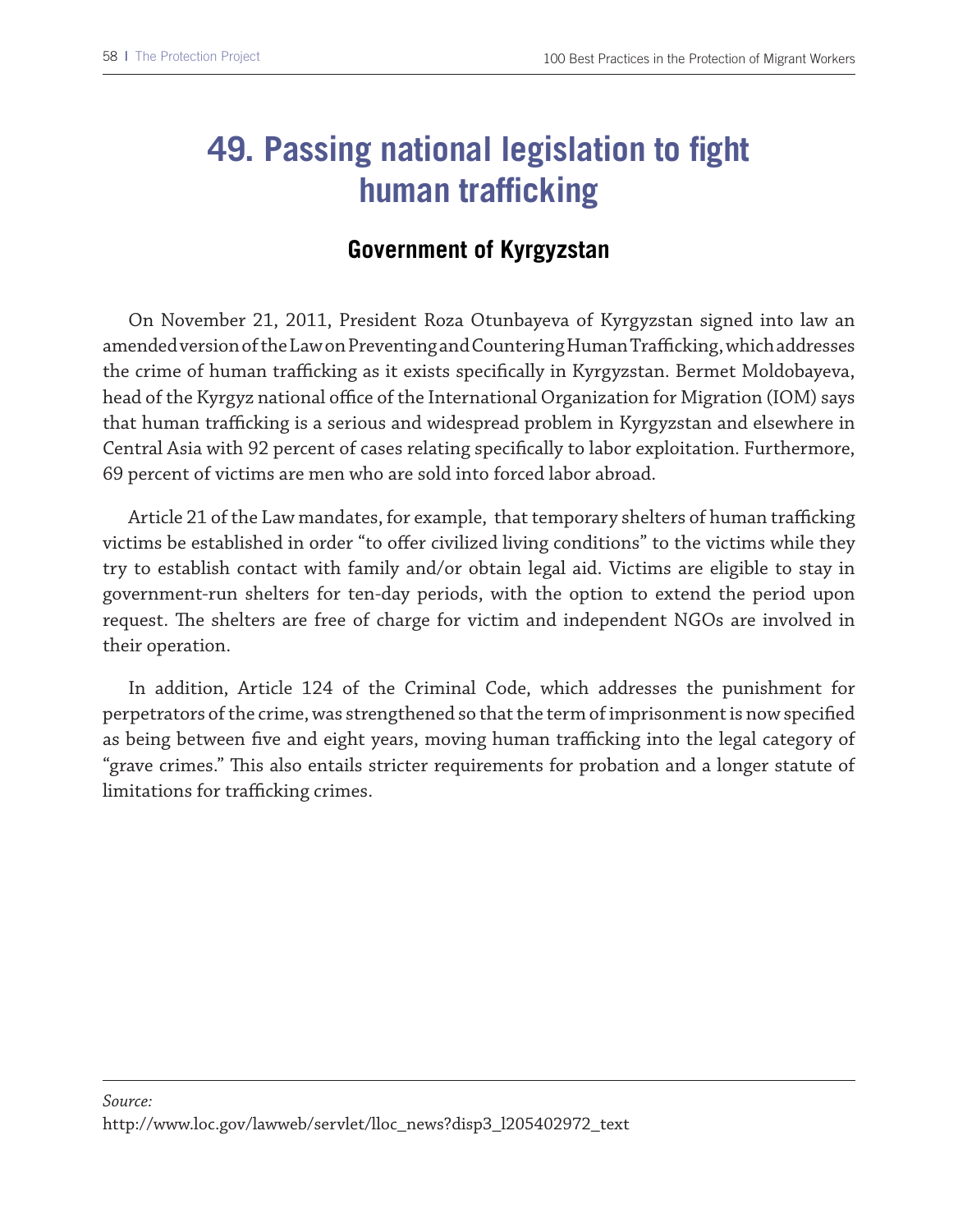## **49. Passing national legislation to fight human trafficking**

### **Government of Kyrgyzstan**

On November 21, 2011, President Roza Otunbayeva of Kyrgyzstan signed into law an amended version of the Law on Preventing and Countering Human Trafficking, which addresses the crime of human trafficking as it exists specifically in Kyrgyzstan. Bermet Moldobayeva, head of the Kyrgyz national office of the International Organization for Migration (IOM) says that human trafficking is a serious and widespread problem in Kyrgyzstan and elsewhere in Central Asia with 92 percent of cases relating specifcally to labor exploitation. Furthermore, 69 percent of victims are men who are sold into forced labor abroad.

Article 21 of the Law mandates, for example, that temporary shelters of human trafficking victims be established in order "to ofer civilized living conditions" to the victims while they try to establish contact with family and/or obtain legal aid. Victims are eligible to stay in government-run shelters for ten-day periods, with the option to extend the period upon request. The shelters are free of charge for victim and independent NGOs are involved in their operation.

In addition, Article 124 of the Criminal Code, which addresses the punishment for perpetrators of the crime, was strengthened so that the term of imprisonment is now specifed as being between five and eight years, moving human trafficking into the legal category of "grave crimes." This also entails stricter requirements for probation and a longer statute of limitations for trafficking crimes.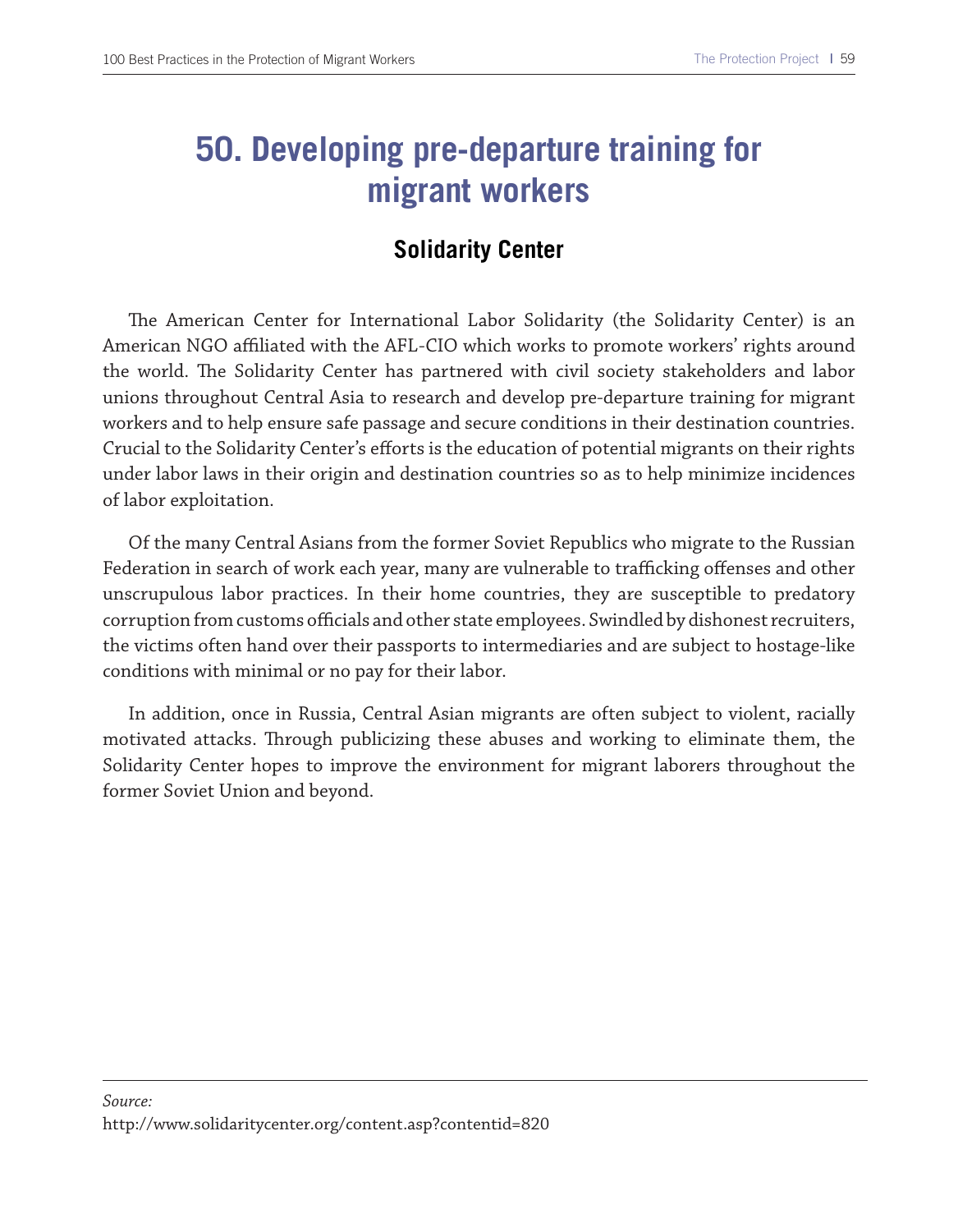### **50. Developing pre-departure training for migrant workers**

#### **Solidarity Center**

The American Center for International Labor Solidarity (the Solidarity Center) is an American NGO afliated with the AFL-CIO which works to promote workers' rights around the world. The Solidarity Center has partnered with civil society stakeholders and labor unions throughout Central Asia to research and develop pre-departure training for migrant workers and to help ensure safe passage and secure conditions in their destination countries. Crucial to the Solidarity Center's efforts is the education of potential migrants on their rights under labor laws in their origin and destination countries so as to help minimize incidences of labor exploitation.

Of the many Central Asians from the former Soviet Republics who migrate to the Russian Federation in search of work each year, many are vulnerable to trafficking offenses and other unscrupulous labor practices. In their home countries, they are susceptible to predatory corruption from customs officials and other state employees. Swindled by dishonest recruiters, the victims often hand over their passports to intermediaries and are subject to hostage-like conditions with minimal or no pay for their labor.

In addition, once in Russia, Central Asian migrants are often subject to violent, racially motivated attacks. Through publicizing these abuses and working to eliminate them, the Solidarity Center hopes to improve the environment for migrant laborers throughout the former Soviet Union and beyond.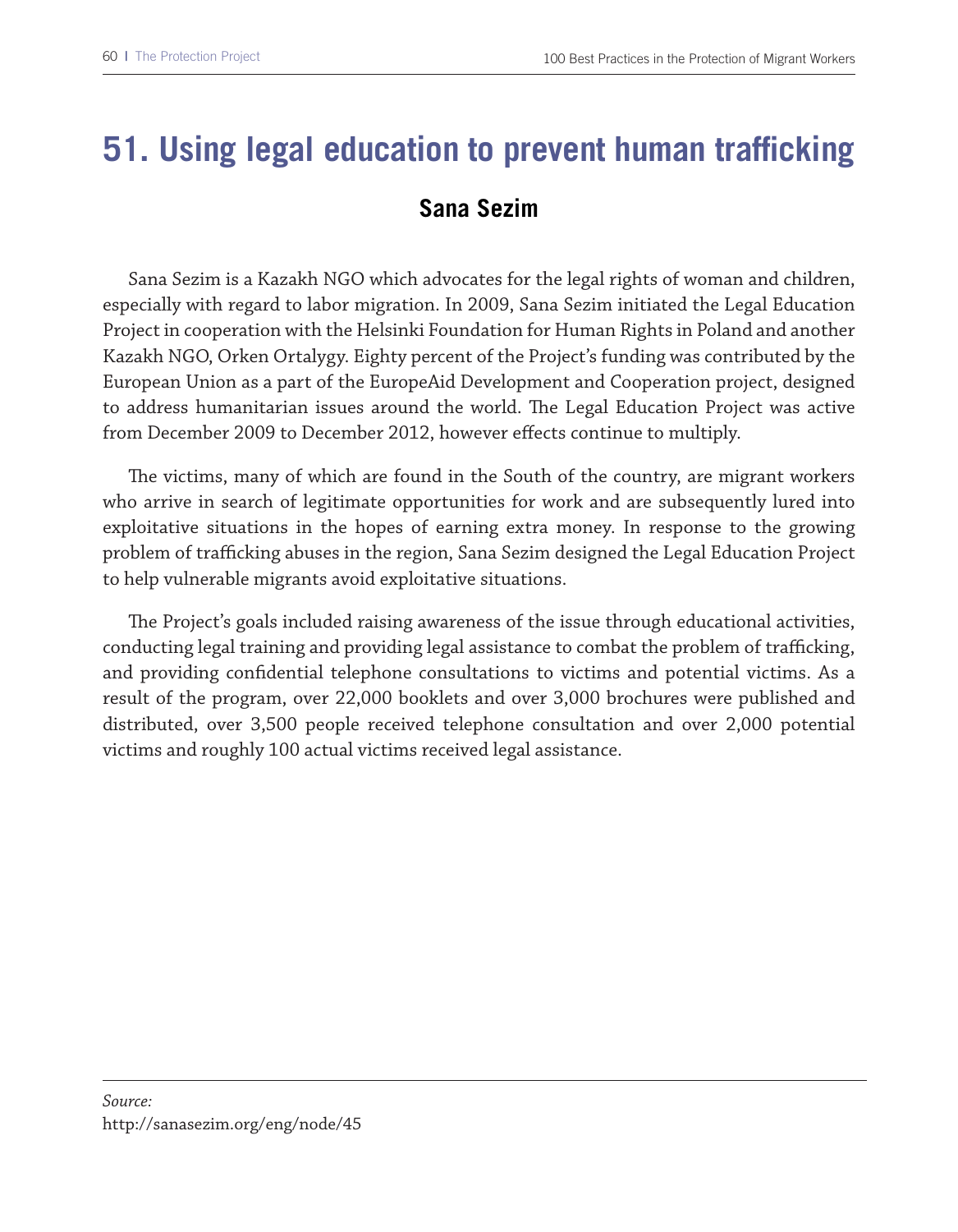# **51. Using legal education to prevent human trafficking Sana Sezim**

Sana Sezim is a Kazakh NGO which advocates for the legal rights of woman and children, especially with regard to labor migration. In 2009, Sana Sezim initiated the Legal Education Project in cooperation with the Helsinki Foundation for Human Rights in Poland and another Kazakh NGO, Orken Ortalygy. Eighty percent of the Project's funding was contributed by the European Union as a part of the EuropeAid Development and Cooperation project, designed to address humanitarian issues around the world. The Legal Education Project was active from December 2009 to December 2012, however efects continue to multiply.

The victims, many of which are found in the South of the country, are migrant workers who arrive in search of legitimate opportunities for work and are subsequently lured into exploitative situations in the hopes of earning extra money. In response to the growing problem of trafficking abuses in the region, Sana Sezim designed the Legal Education Project to help vulnerable migrants avoid exploitative situations.

The Project's goals included raising awareness of the issue through educational activities, conducting legal training and providing legal assistance to combat the problem of trafficking, and providing confdential telephone consultations to victims and potential victims. As a result of the program, over 22,000 booklets and over 3,000 brochures were published and distributed, over 3,500 people received telephone consultation and over 2,000 potential victims and roughly 100 actual victims received legal assistance.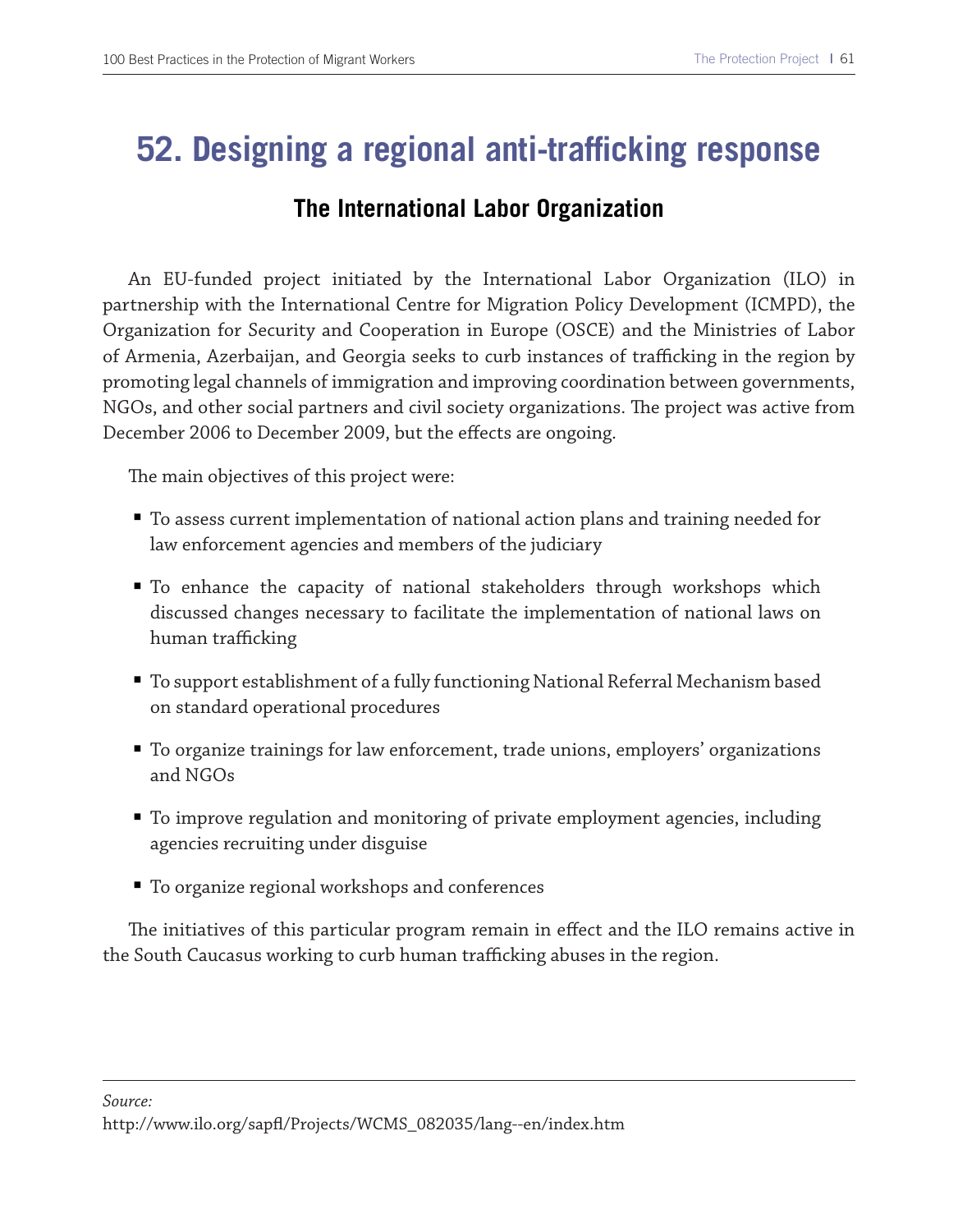### **52. Designing a regional anti-trafficking response**

#### **The International Labor Organization**

An EU-funded project initiated by the International Labor Organization (ILO) in partnership with the International Centre for Migration Policy Development (ICMPD), the Organization for Security and Cooperation in Europe (OSCE) and the Ministries of Labor of Armenia, Azerbaijan, and Georgia seeks to curb instances of trafficking in the region by promoting legal channels of immigration and improving coordination between governments, NGOs, and other social partners and civil society organizations. The project was active from December 2006 to December 2009, but the efects are ongoing.

The main objectives of this project were:

- To assess current implementation of national action plans and training needed for law enforcement agencies and members of the judiciary
- To enhance the capacity of national stakeholders through workshops which discussed changes necessary to facilitate the implementation of national laws on human trafficking
- To support establishment of a fully functioning National Referral Mechanism based on standard operational procedures
- To organize trainings for law enforcement, trade unions, employers' organizations and NGOs
- To improve regulation and monitoring of private employment agencies, including agencies recruiting under disguise
- To organize regional workshops and conferences

The initiatives of this particular program remain in effect and the ILO remains active in the South Caucasus working to curb human trafficking abuses in the region.

http://www.ilo.org/sapf/Projects/WCMS\_082035/lang--en/index.htm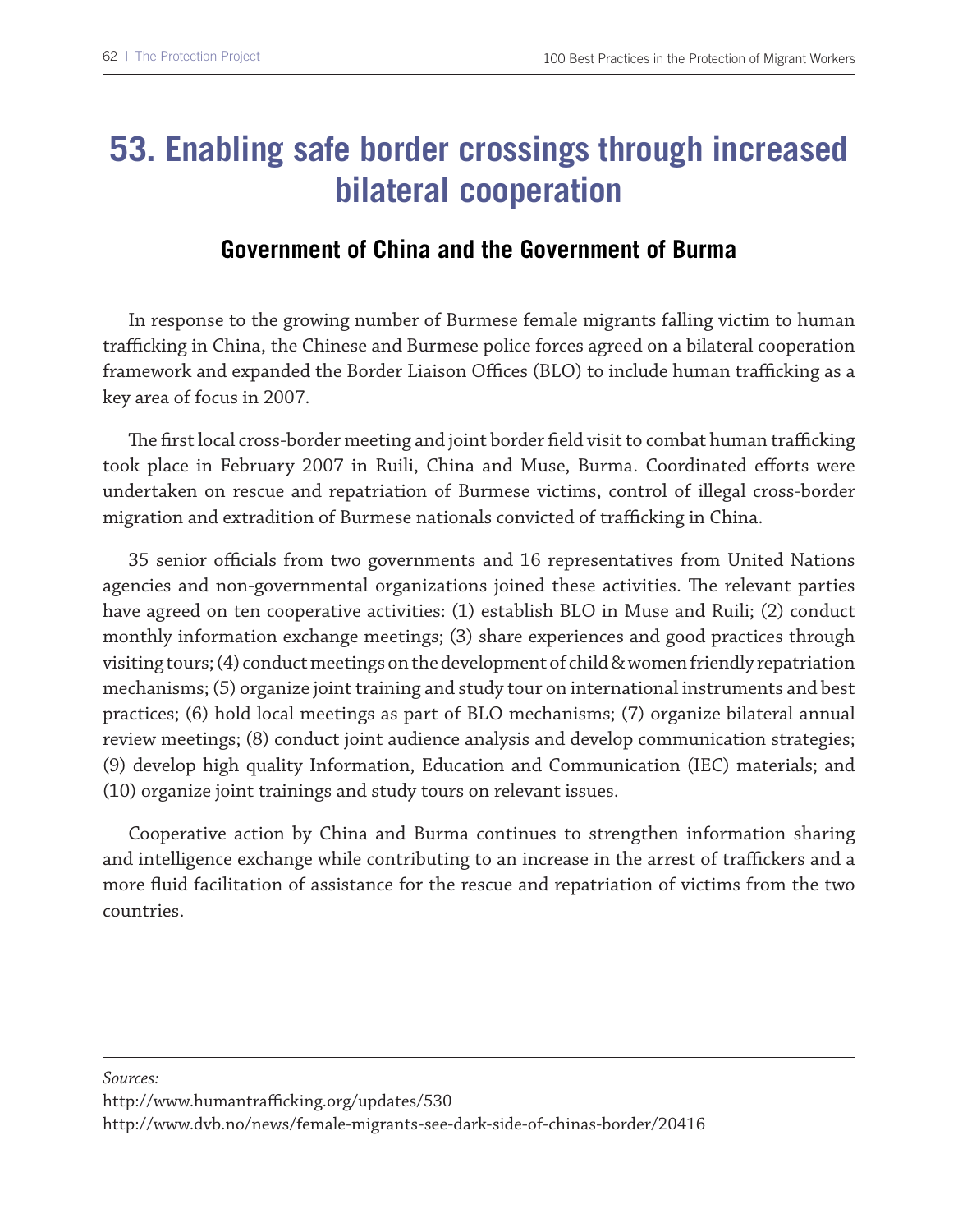### **53. Enabling safe border crossings through increased bilateral cooperation**

#### **Government of China and the Government of Burma**

In response to the growing number of Burmese female migrants falling victim to human trafficking in China, the Chinese and Burmese police forces agreed on a bilateral cooperation framework and expanded the Border Liaison Offices (BLO) to include human trafficking as a key area of focus in 2007.

The first local cross-border meeting and joint border field visit to combat human trafficking took place in February 2007 in Ruili, China and Muse, Burma. Coordinated eforts were undertaken on rescue and repatriation of Burmese victims, control of illegal cross-border migration and extradition of Burmese nationals convicted of trafficking in China.

35 senior officials from two governments and 16 representatives from United Nations agencies and non-governmental organizations joined these activities. The relevant parties have agreed on ten cooperative activities: (1) establish BLO in Muse and Ruili; (2) conduct monthly information exchange meetings; (3) share experiences and good practices through visiting tours; (4) conduct meetings on the development of child & women friendly repatriation mechanisms; (5) organize joint training and study tour on international instruments and best practices; (6) hold local meetings as part of BLO mechanisms; (7) organize bilateral annual review meetings; (8) conduct joint audience analysis and develop communication strategies; (9) develop high quality Information, Education and Communication (IEC) materials; and (10) organize joint trainings and study tours on relevant issues.

Cooperative action by China and Burma continues to strengthen information sharing and intelligence exchange while contributing to an increase in the arrest of traffickers and a more fuid facilitation of assistance for the rescue and repatriation of victims from the two countries.

*Sources:* 

http://www.humantrafficking.org/updates/530

http://www.dvb.no/news/female-migrants-see-dark-side-of-chinas-border/20416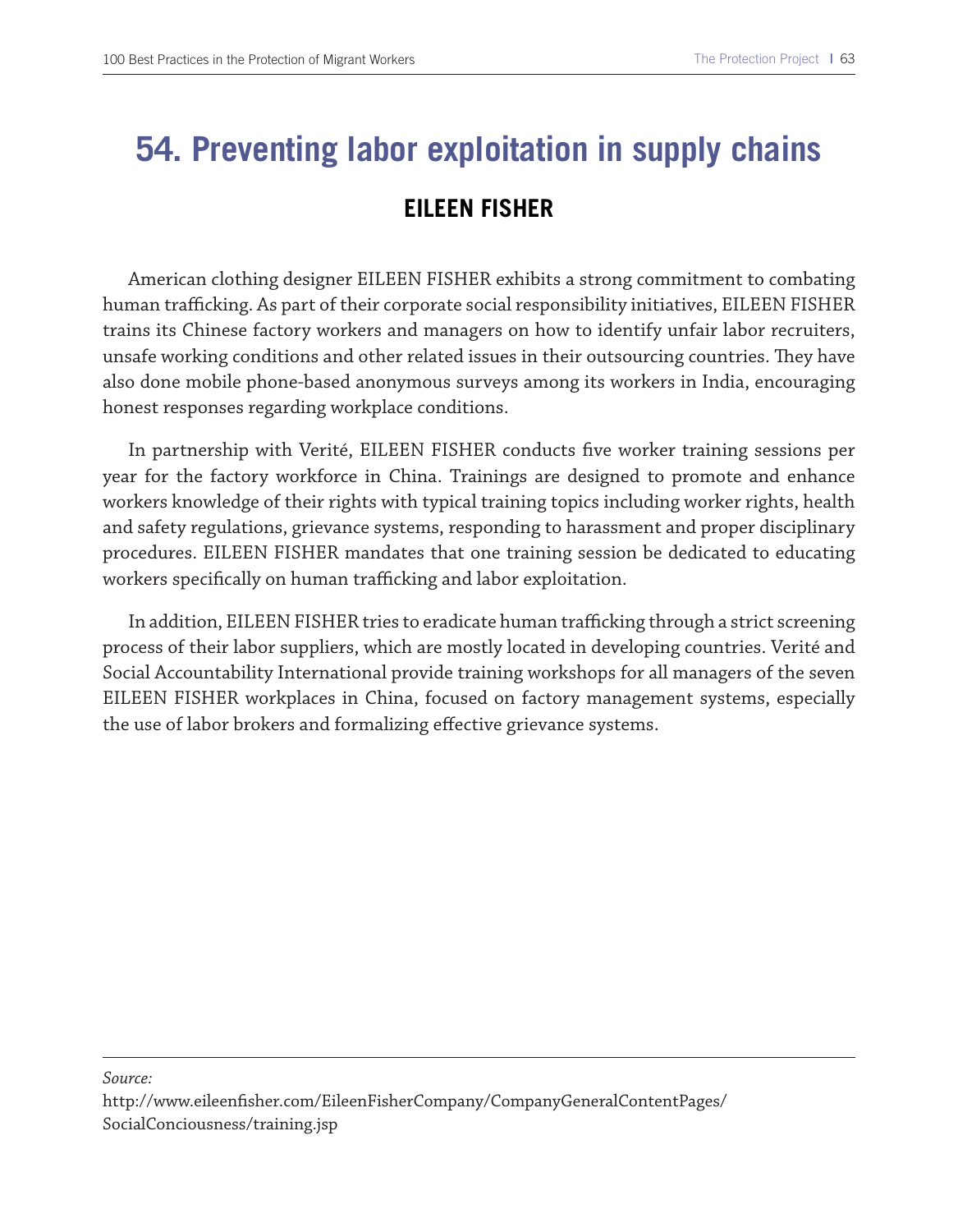# **54. Preventing labor exploitation in supply chains EILEEN FISHER**

American clothing designer EILEEN FISHER exhibits a strong commitment to combating human trafficking. As part of their corporate social responsibility initiatives, EILEEN FISHER trains its Chinese factory workers and managers on how to identify unfair labor recruiters, unsafe working conditions and other related issues in their outsourcing countries. They have also done mobile phone-based anonymous surveys among its workers in India, encouraging honest responses regarding workplace conditions.

In partnership with Verité, EILEEN FISHER conducts fve worker training sessions per year for the factory workforce in China. Trainings are designed to promote and enhance workers knowledge of their rights with typical training topics including worker rights, health and safety regulations, grievance systems, responding to harassment and proper disciplinary procedures. EILEEN FISHER mandates that one training session be dedicated to educating workers specifically on human trafficking and labor exploitation.

In addition, EILEEN FISHER tries to eradicate human trafficking through a strict screening process of their labor suppliers, which are mostly located in developing countries. Verité and Social Accountability International provide training workshops for all managers of the seven EILEEN FISHER workplaces in China, focused on factory management systems, especially the use of labor brokers and formalizing efective grievance systems.

#### *Source:*

http://www.eileenfsher.com/EileenFisherCompany/CompanyGeneralContentPages/ SocialConciousness/training.jsp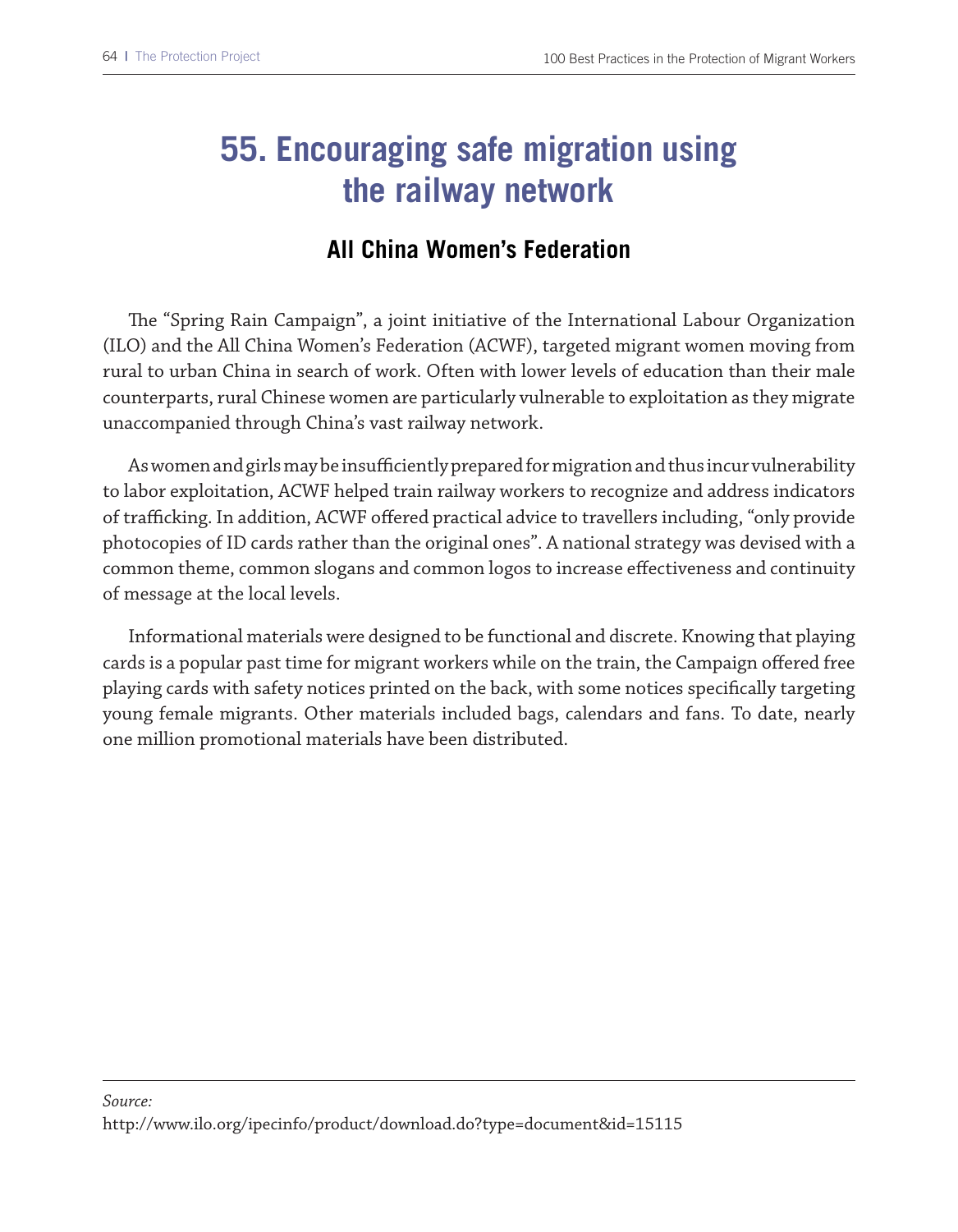## **55. Encouraging safe migration using the railway network**

### **All China Women's Federation**

The "Spring Rain Campaign", a joint initiative of the International Labour Organization (ILO) and the All China Women's Federation (ACWF), targeted migrant women moving from rural to urban China in search of work. Often with lower levels of education than their male counterparts, rural Chinese women are particularly vulnerable to exploitation as they migrate unaccompanied through China's vast railway network.

As women and girls may be insufficiently prepared for migration and thus incur vulnerability to labor exploitation, ACWF helped train railway workers to recognize and address indicators of trafficking. In addition, ACWF offered practical advice to travellers including, "only provide photocopies of ID cards rather than the original ones". A national strategy was devised with a common theme, common slogans and common logos to increase efectiveness and continuity of message at the local levels.

Informational materials were designed to be functional and discrete. Knowing that playing cards is a popular past time for migrant workers while on the train, the Campaign ofered free playing cards with safety notices printed on the back, with some notices specifcally targeting young female migrants. Other materials included bags, calendars and fans. To date, nearly one million promotional materials have been distributed.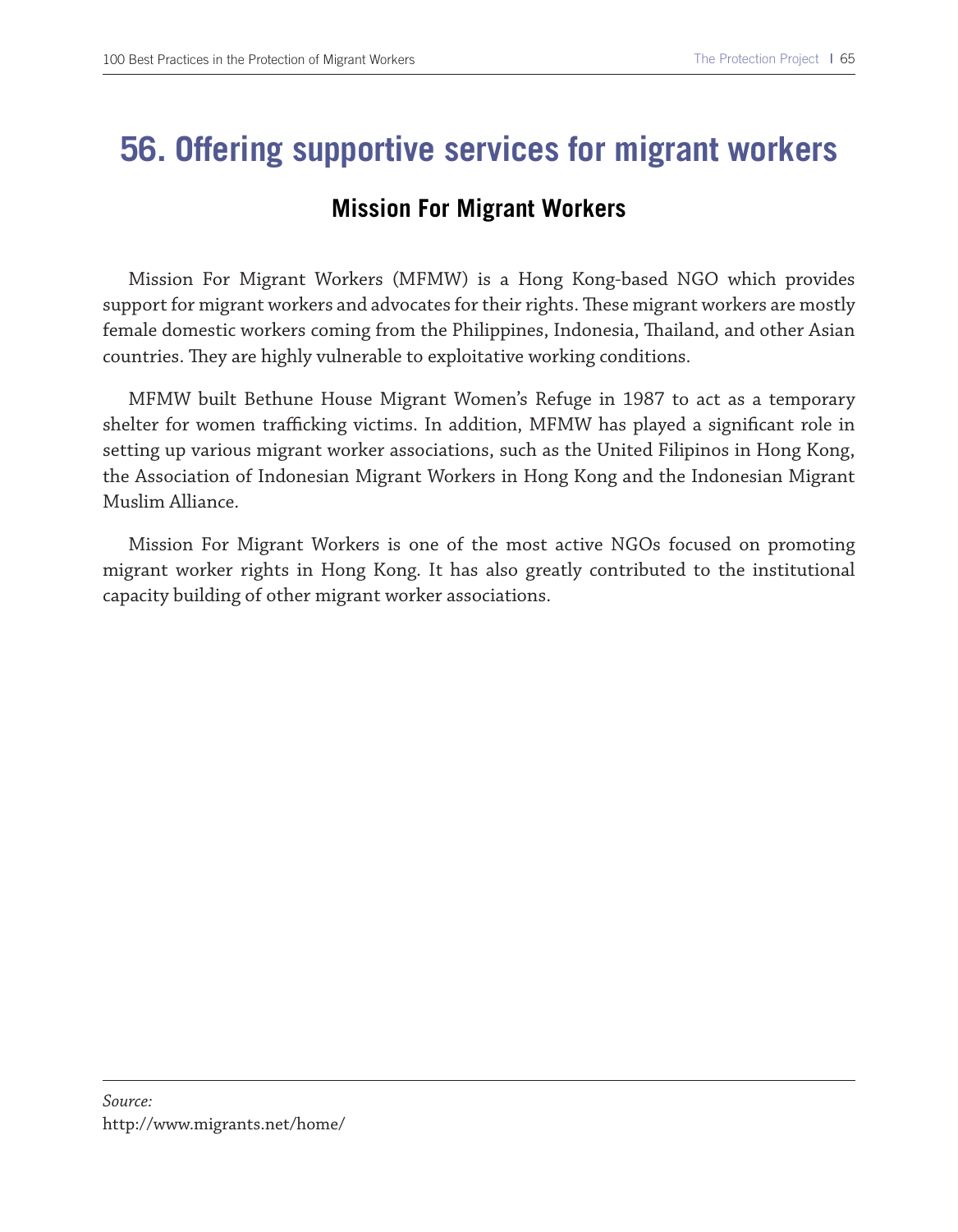### **56. Offering supportive services for migrant workers**

#### **Mission For Migrant Workers**

Mission For Migrant Workers (MFMW) is a Hong Kong-based NGO which provides support for migrant workers and advocates for their rights. These migrant workers are mostly female domestic workers coming from the Philippines, Indonesia, Tailand, and other Asian countries. They are highly vulnerable to exploitative working conditions.

MFMW built Bethune House Migrant Women's Refuge in 1987 to act as a temporary shelter for women trafficking victims. In addition, MFMW has played a significant role in setting up various migrant worker associations, such as the United Filipinos in Hong Kong, the Association of Indonesian Migrant Workers in Hong Kong and the Indonesian Migrant Muslim Alliance.

Mission For Migrant Workers is one of the most active NGOs focused on promoting migrant worker rights in Hong Kong. It has also greatly contributed to the institutional capacity building of other migrant worker associations.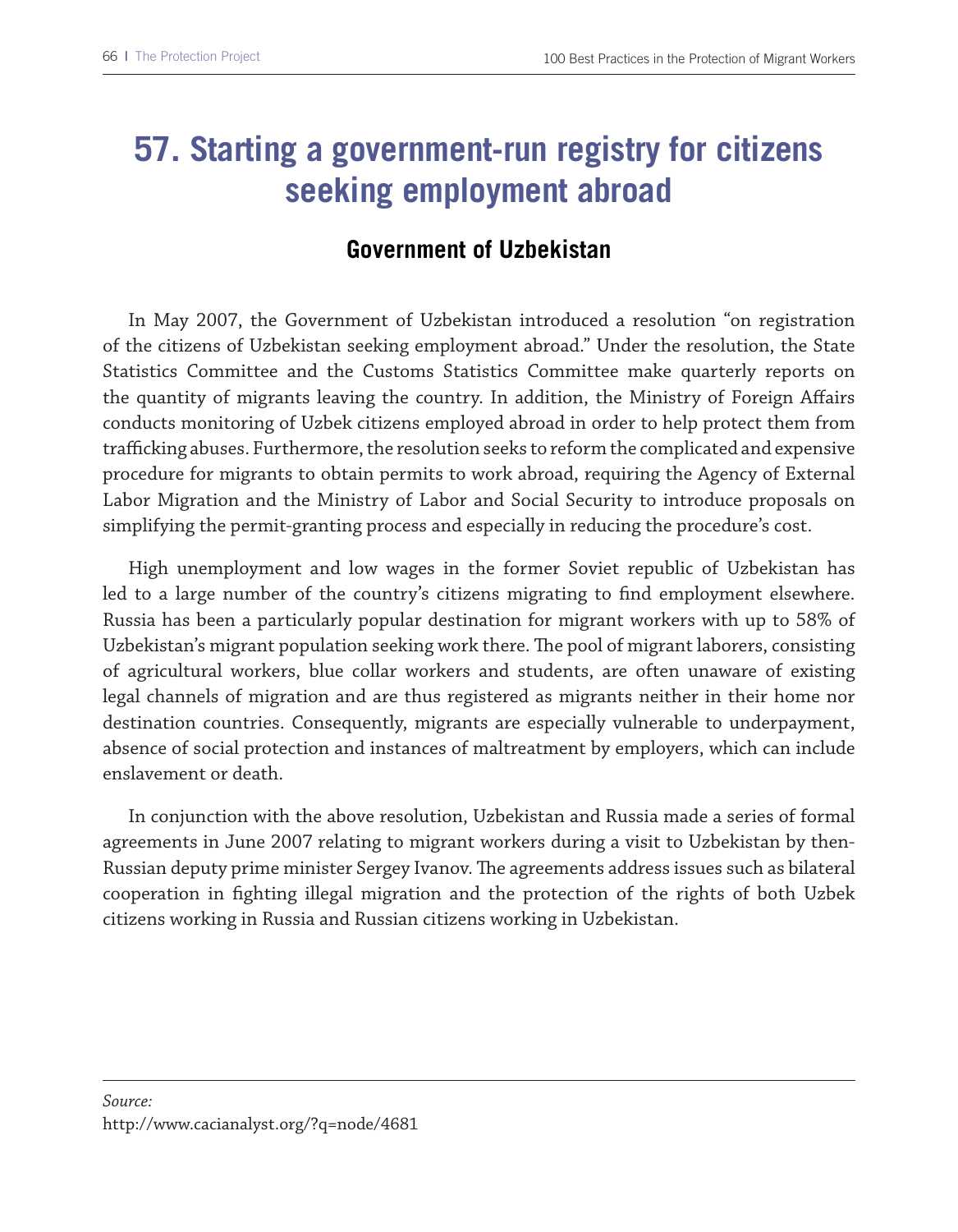### **57. Starting a government-run registry for citizens seeking employment abroad**

#### **Government of Uzbekistan**

In May 2007, the Government of Uzbekistan introduced a resolution "on registration of the citizens of Uzbekistan seeking employment abroad." Under the resolution, the State Statistics Committee and the Customs Statistics Committee make quarterly reports on the quantity of migrants leaving the country. In addition, the Ministry of Foreign Afairs conducts monitoring of Uzbek citizens employed abroad in order to help protect them from trafficking abuses. Furthermore, the resolution seeks to reform the complicated and expensive procedure for migrants to obtain permits to work abroad, requiring the Agency of External Labor Migration and the Ministry of Labor and Social Security to introduce proposals on simplifying the permit-granting process and especially in reducing the procedure's cost.

High unemployment and low wages in the former Soviet republic of Uzbekistan has led to a large number of the country's citizens migrating to fnd employment elsewhere. Russia has been a particularly popular destination for migrant workers with up to 58% of Uzbekistan's migrant population seeking work there. The pool of migrant laborers, consisting of agricultural workers, blue collar workers and students, are often unaware of existing legal channels of migration and are thus registered as migrants neither in their home nor destination countries. Consequently, migrants are especially vulnerable to underpayment, absence of social protection and instances of maltreatment by employers, which can include enslavement or death.

In conjunction with the above resolution, Uzbekistan and Russia made a series of formal agreements in June 2007 relating to migrant workers during a visit to Uzbekistan by then-Russian deputy prime minister Sergey Ivanov. The agreements address issues such as bilateral cooperation in fghting illegal migration and the protection of the rights of both Uzbek citizens working in Russia and Russian citizens working in Uzbekistan.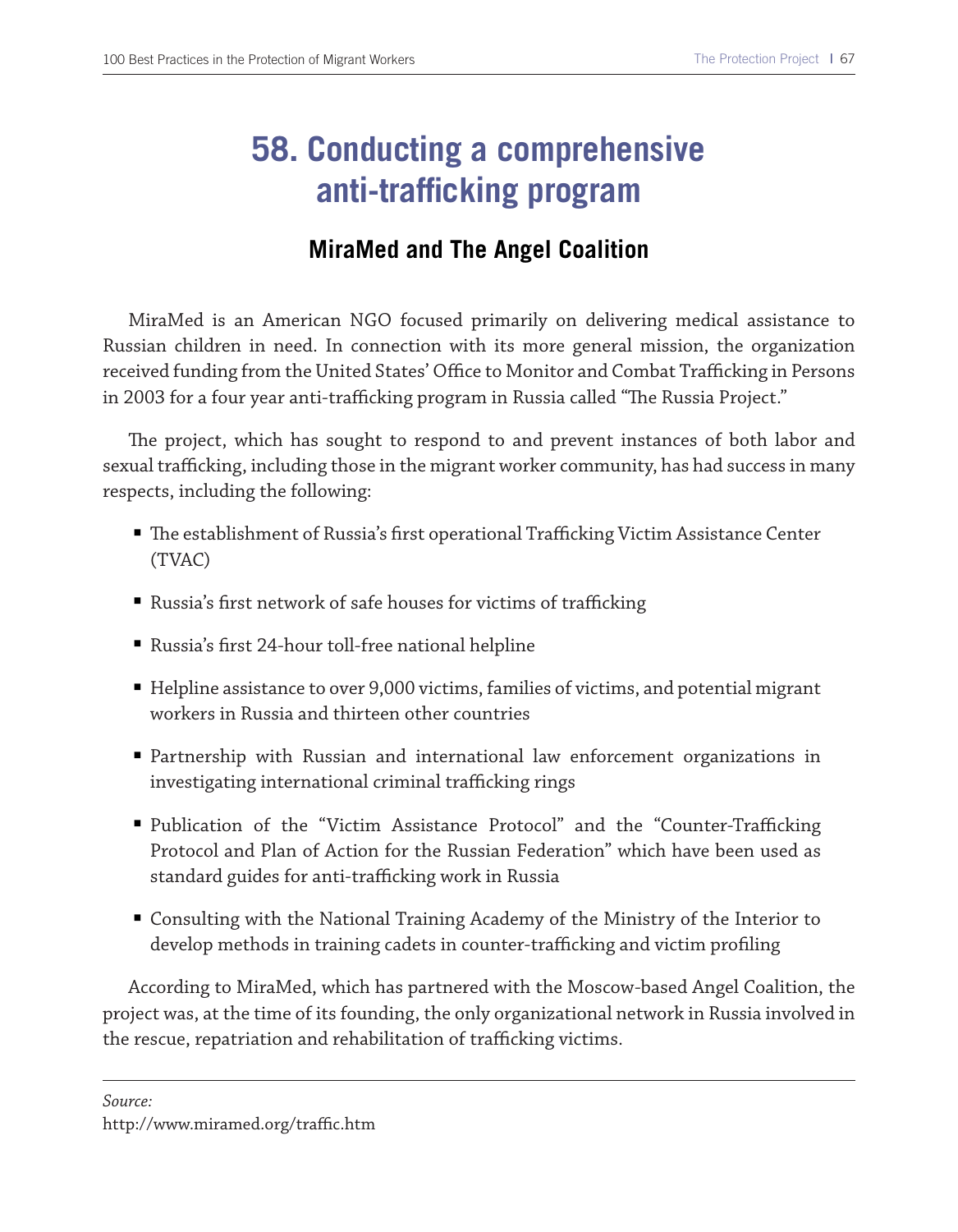## **58. Conducting a comprehensive anti-trafficking program**

#### **MiraMed and The Angel Coalition**

MiraMed is an American NGO focused primarily on delivering medical assistance to Russian children in need. In connection with its more general mission, the organization received funding from the United States' Office to Monitor and Combat Trafficking in Persons in 2003 for a four year anti-trafficking program in Russia called "The Russia Project."

The project, which has sought to respond to and prevent instances of both labor and sexual trafficking, including those in the migrant worker community, has had success in many respects, including the following:

- The establishment of Russia's first operational Trafficking Victim Assistance Center (TVAC)
- Russia's first network of safe houses for victims of trafficking
- Russia's frst 24-hour toll-free national helpline
- Helpline assistance to over 9,000 victims, families of victims, and potential migrant workers in Russia and thirteen other countries
- Partnership with Russian and international law enforcement organizations in investigating international criminal trafficking rings
- Publication of the "Victim Assistance Protocol" and the "Counter-Trafficking Protocol and Plan of Action for the Russian Federation" which have been used as standard guides for anti-trafficking work in Russia
- Consulting with the National Training Academy of the Ministry of the Interior to develop methods in training cadets in counter-trafficking and victim profiling

According to MiraMed, which has partnered with the Moscow-based Angel Coalition, the project was, at the time of its founding, the only organizational network in Russia involved in the rescue, repatriation and rehabilitation of trafficking victims.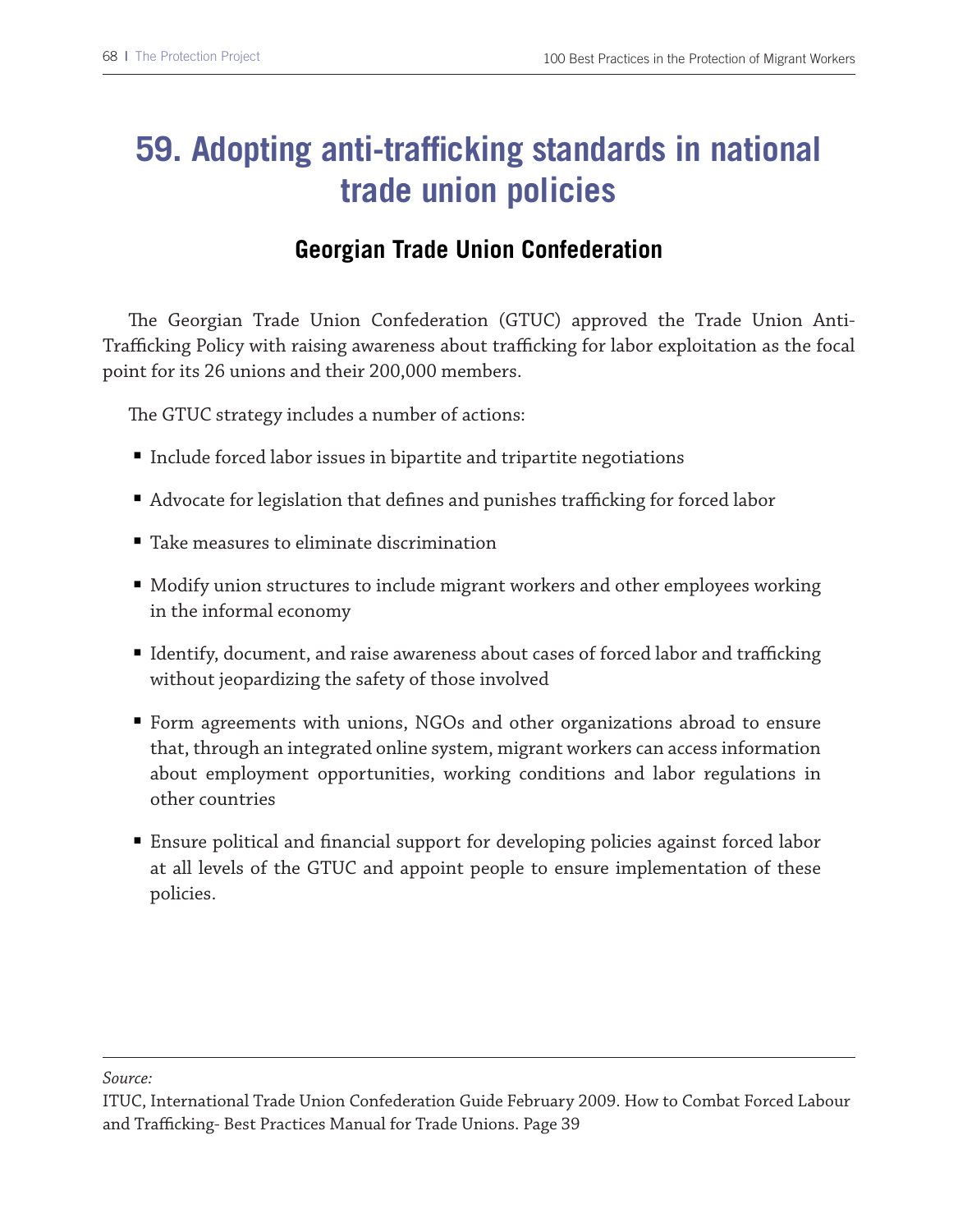## **59. Adopting anti-trafficking standards in national trade union policies**

#### **Georgian Trade Union Confederation**

The Georgian Trade Union Confederation (GTUC) approved the Trade Union Anti-Trafficking Policy with raising awareness about trafficking for labor exploitation as the focal point for its 26 unions and their 200,000 members.

The GTUC strategy includes a number of actions:

- Include forced labor issues in bipartite and tripartite negotiations
- Advocate for legislation that defines and punishes trafficking for forced labor
- Take measures to eliminate discrimination
- Modify union structures to include migrant workers and other employees working in the informal economy
- Identify, document, and raise awareness about cases of forced labor and trafficking without jeopardizing the safety of those involved
- Form agreements with unions, NGOs and other organizations abroad to ensure that, through an integrated online system, migrant workers can access information about employment opportunities, working conditions and labor regulations in other countries
- Ensure political and financial support for developing policies against forced labor at all levels of the GTUC and appoint people to ensure implementation of these policies.

*Source:*

ITUC, International Trade Union Confederation Guide February 2009. How to Combat Forced Labour and Trafficking- Best Practices Manual for Trade Unions. Page 39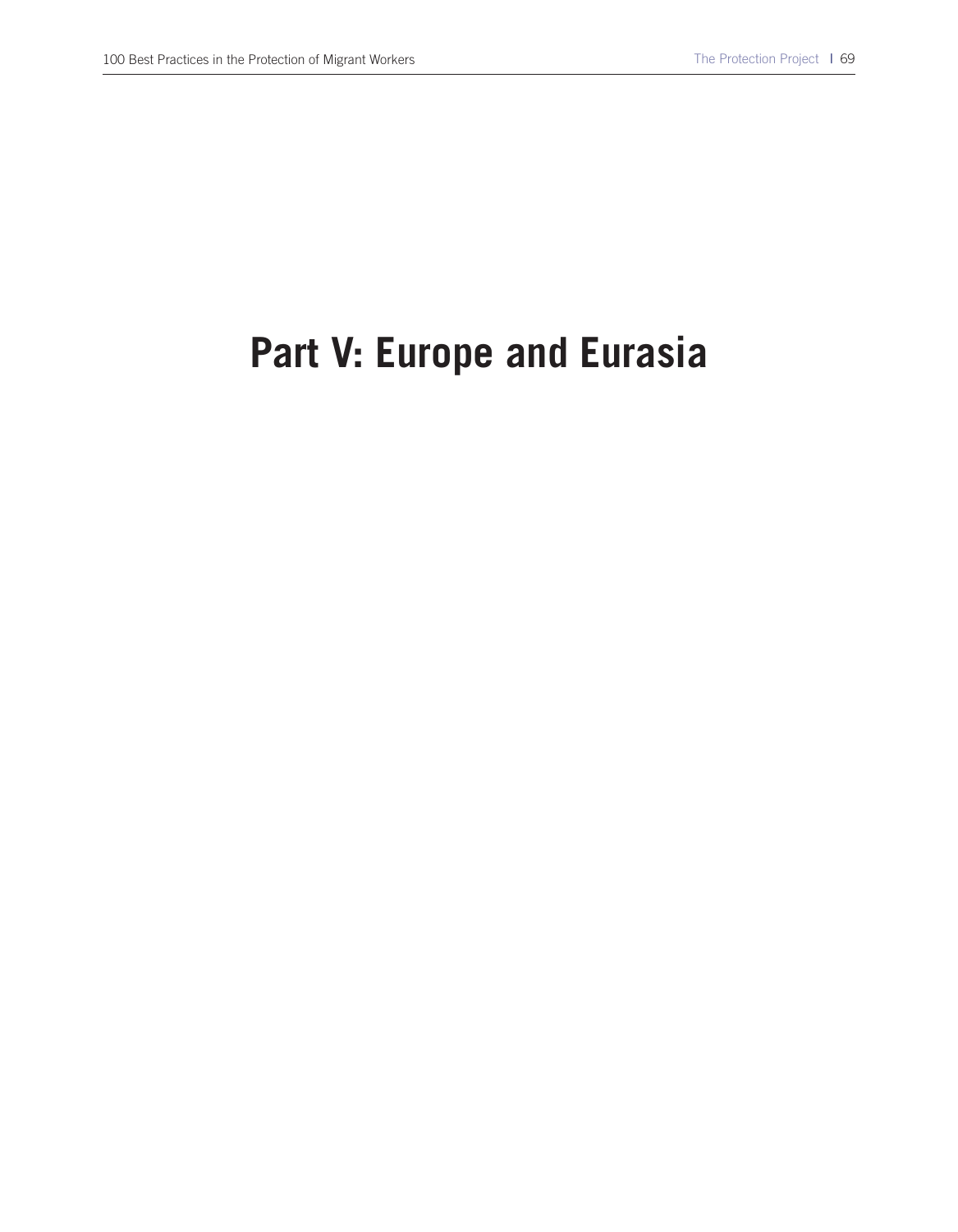# **Part V: Europe and Eurasia**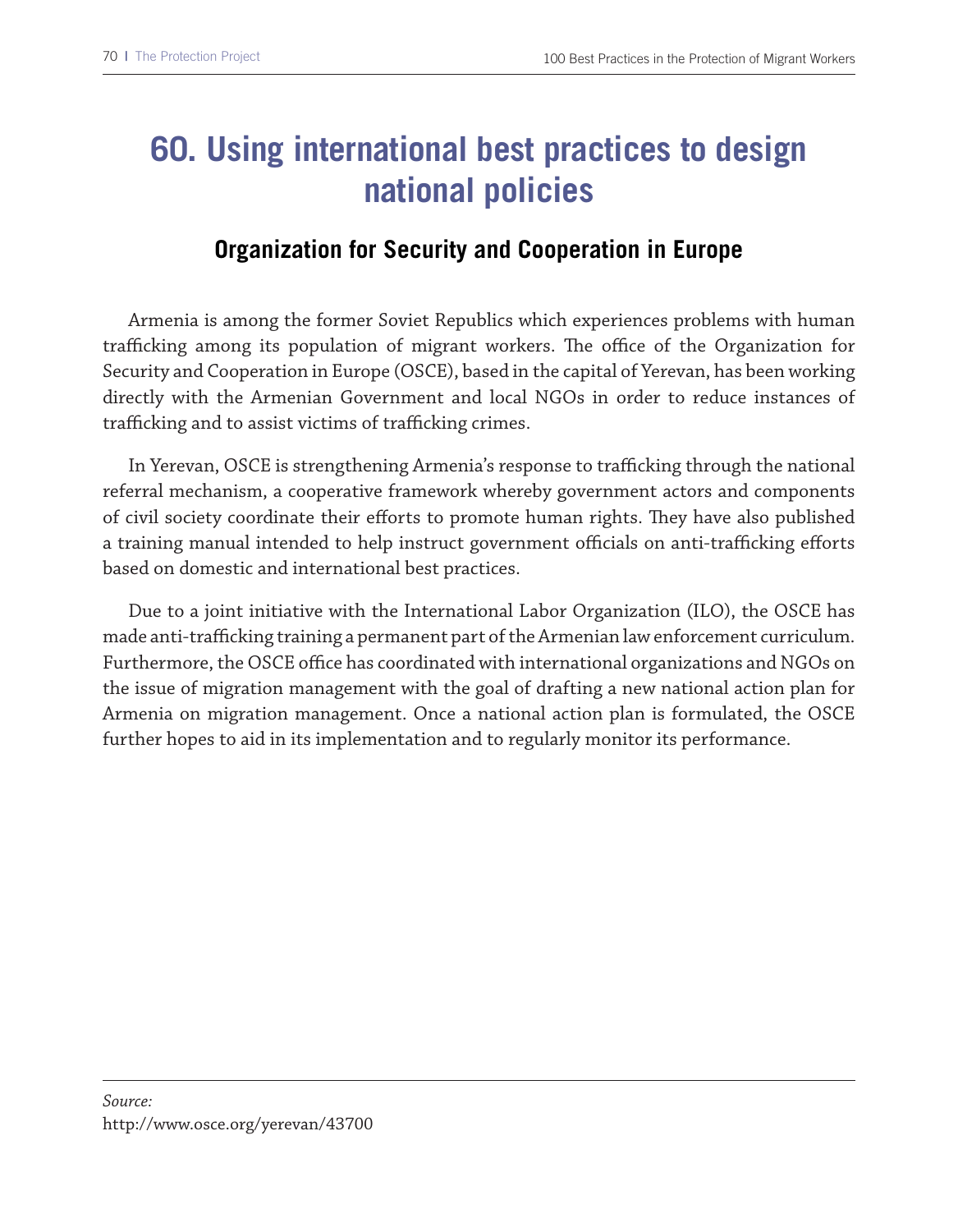## **60. Using international best practices to design national policies**

#### **Organization for Security and Cooperation in Europe**

Armenia is among the former Soviet Republics which experiences problems with human trafficking among its population of migrant workers. The office of the Organization for Security and Cooperation in Europe (OSCE), based in the capital of Yerevan, has been working directly with the Armenian Government and local NGOs in order to reduce instances of trafficking and to assist victims of trafficking crimes.

In Yerevan, OSCE is strengthening Armenia's response to trafficking through the national referral mechanism, a cooperative framework whereby government actors and components of civil society coordinate their efforts to promote human rights. They have also published a training manual intended to help instruct government officials on anti-trafficking efforts based on domestic and international best practices.

Due to a joint initiative with the International Labor Organization (ILO), the OSCE has made anti-trafficking training a permanent part of the Armenian law enforcement curriculum. Furthermore, the OSCE office has coordinated with international organizations and NGOs on the issue of migration management with the goal of drafting a new national action plan for Armenia on migration management. Once a national action plan is formulated, the OSCE further hopes to aid in its implementation and to regularly monitor its performance.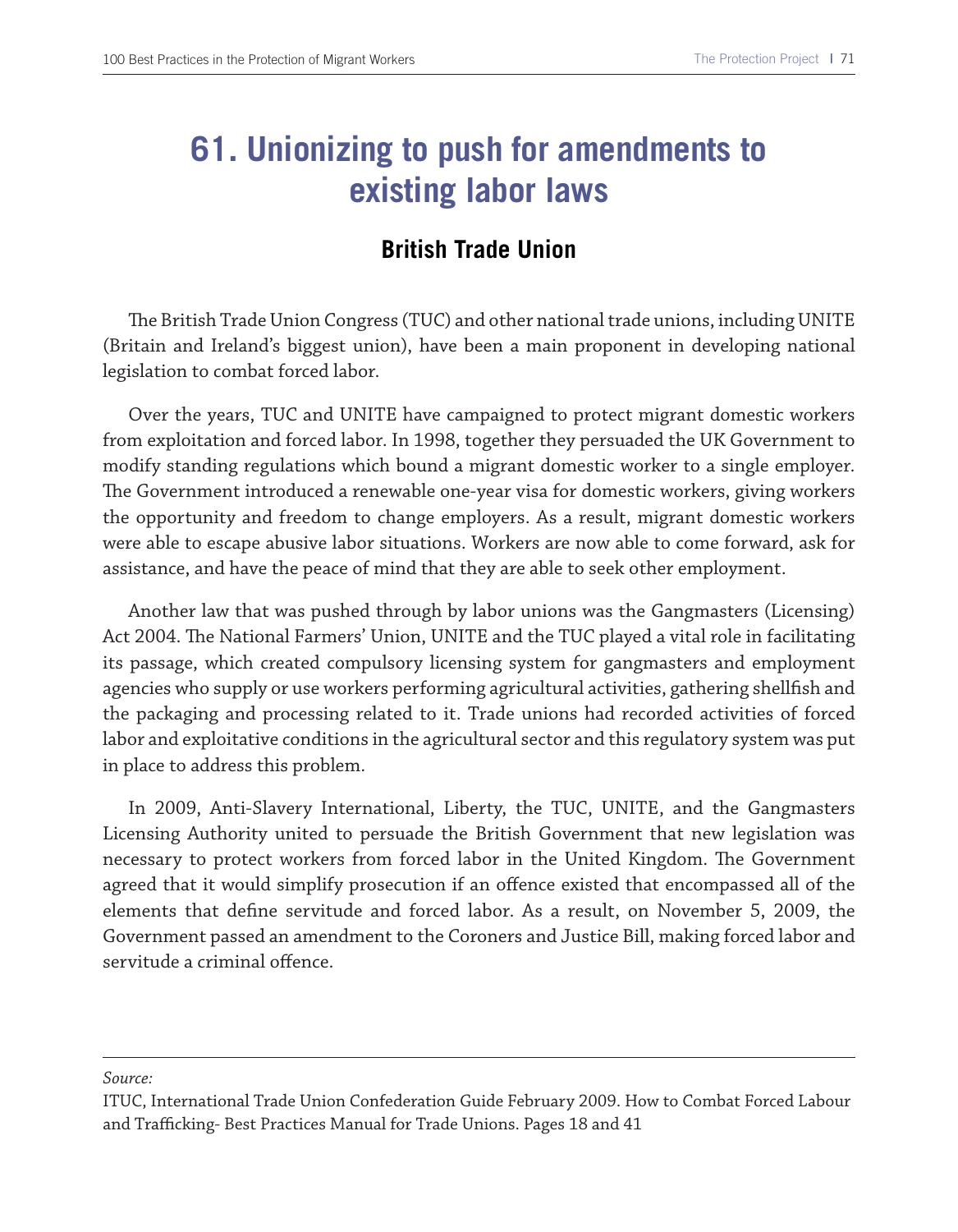### **61. Unionizing to push for amendments to existing labor laws**

### **British Trade Union**

The British Trade Union Congress (TUC) and other national trade unions, including UNITE (Britain and Ireland's biggest union), have been a main proponent in developing national legislation to combat forced labor.

Over the years, TUC and UNITE have campaigned to protect migrant domestic workers from exploitation and forced labor. In 1998, together they persuaded the UK Government to modify standing regulations which bound a migrant domestic worker to a single employer. The Government introduced a renewable one-year visa for domestic workers, giving workers the opportunity and freedom to change employers. As a result, migrant domestic workers were able to escape abusive labor situations. Workers are now able to come forward, ask for assistance, and have the peace of mind that they are able to seek other employment.

Another law that was pushed through by labor unions was the Gangmasters (Licensing) Act 2004. The National Farmers' Union, UNITE and the TUC played a vital role in facilitating its passage, which created compulsory licensing system for gangmasters and employment agencies who supply or use workers performing agricultural activities, gathering shellfsh and the packaging and processing related to it. Trade unions had recorded activities of forced labor and exploitative conditions in the agricultural sector and this regulatory system was put in place to address this problem.

In 2009, Anti-Slavery International, Liberty, the TUC, UNITE, and the Gangmasters Licensing Authority united to persuade the British Government that new legislation was necessary to protect workers from forced labor in the United Kingdom. The Government agreed that it would simplify prosecution if an ofence existed that encompassed all of the elements that defne servitude and forced labor. As a result, on November 5, 2009, the Government passed an amendment to the Coroners and Justice Bill, making forced labor and servitude a criminal offence.

*Source:*

ITUC, International Trade Union Confederation Guide February 2009. How to Combat Forced Labour and Trafficking-Best Practices Manual for Trade Unions. Pages 18 and 41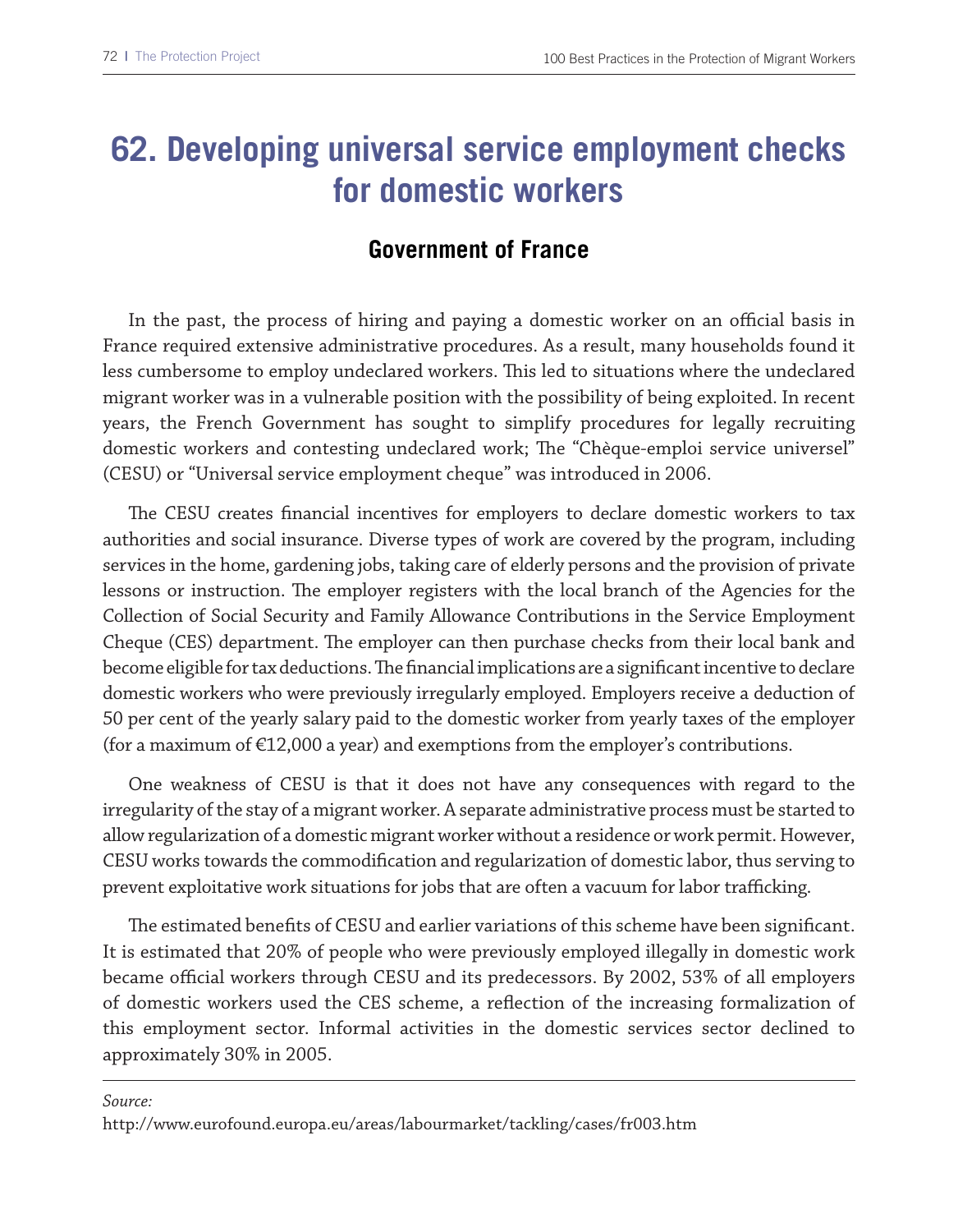### **62. Developing universal service employment checks for domestic workers**

#### **Government of France**

In the past, the process of hiring and paying a domestic worker on an official basis in France required extensive administrative procedures. As a result, many households found it less cumbersome to employ undeclared workers. Tis led to situations where the undeclared migrant worker was in a vulnerable position with the possibility of being exploited. In recent years, the French Government has sought to simplify procedures for legally recruiting domestic workers and contesting undeclared work; The "Chèque-emploi service universel" (CESU) or "Universal service employment cheque" was introduced in 2006.

The CESU creates financial incentives for employers to declare domestic workers to tax authorities and social insurance. Diverse types of work are covered by the program, including services in the home, gardening jobs, taking care of elderly persons and the provision of private lessons or instruction. The employer registers with the local branch of the Agencies for the Collection of Social Security and Family Allowance Contributions in the Service Employment Cheque (CES) department. The employer can then purchase checks from their local bank and become eligible for tax deductions. The financial implications are a significant incentive to declare domestic workers who were previously irregularly employed. Employers receive a deduction of 50 per cent of the yearly salary paid to the domestic worker from yearly taxes of the employer (for a maximum of  $\epsilon$ 12,000 a year) and exemptions from the employer's contributions.

One weakness of CESU is that it does not have any consequences with regard to the irregularity of the stay of a migrant worker. A separate administrative process must be started to allow regularization of a domestic migrant worker without a residence or work permit. However, CESU works towards the commodifcation and regularization of domestic labor, thus serving to prevent exploitative work situations for jobs that are often a vacuum for labor trafficking.

The estimated benefits of CESU and earlier variations of this scheme have been significant. It is estimated that 20% of people who were previously employed illegally in domestic work became official workers through CESU and its predecessors. By 2002, 53% of all employers of domestic workers used the CES scheme, a refection of the increasing formalization of this employment sector. Informal activities in the domestic services sector declined to approximately 30% in 2005.

*Source:*

http://www.eurofound.europa.eu/areas/labourmarket/tackling/cases/fr003.htm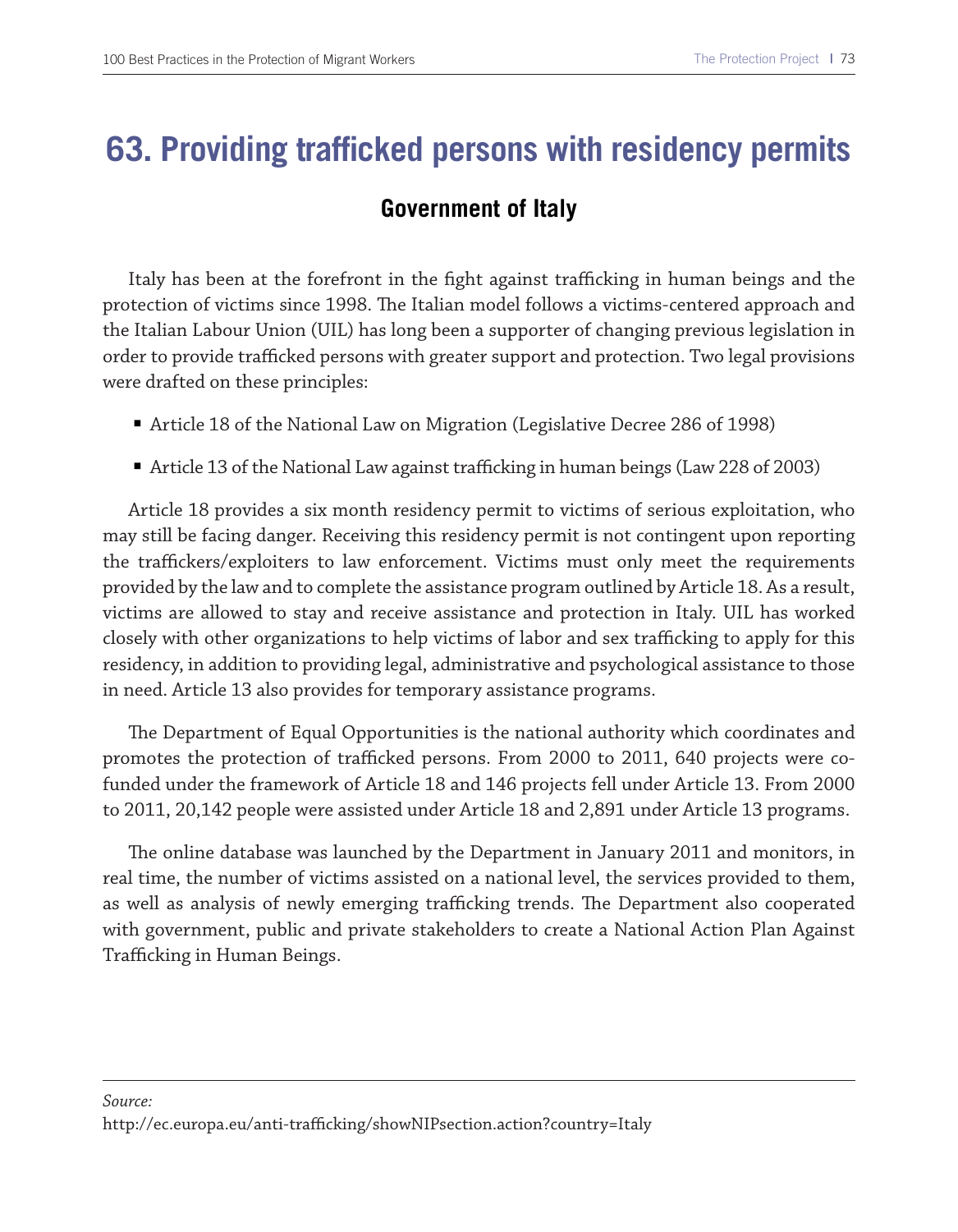### **63. Providing trafficked persons with residency permits**

#### **Government of Italy**

Italy has been at the forefront in the fight against trafficking in human beings and the protection of victims since 1998. The Italian model follows a victims-centered approach and the Italian Labour Union (UIL) has long been a supporter of changing previous legislation in order to provide trafficked persons with greater support and protection. Two legal provisions were drafted on these principles:

- Article 18 of the National Law on Migration (Legislative Decree 286 of 1998)
- Article 13 of the National Law against trafficking in human beings (Law 228 of 2003)

Article 18 provides a six month residency permit to victims of serious exploitation, who may still be facing danger. Receiving this residency permit is not contingent upon reporting the traffickers/exploiters to law enforcement. Victims must only meet the requirements provided by the law and to complete the assistance program outlined by Article 18. As a result, victims are allowed to stay and receive assistance and protection in Italy. UIL has worked closely with other organizations to help victims of labor and sex trafficking to apply for this residency, in addition to providing legal, administrative and psychological assistance to those in need. Article 13 also provides for temporary assistance programs.

The Department of Equal Opportunities is the national authority which coordinates and promotes the protection of trafficked persons. From 2000 to 2011, 640 projects were cofunded under the framework of Article 18 and 146 projects fell under Article 13. From 2000 to 2011, 20,142 people were assisted under Article 18 and 2,891 under Article 13 programs.

The online database was launched by the Department in January 2011 and monitors, in real time, the number of victims assisted on a national level, the services provided to them, as well as analysis of newly emerging trafficking trends. The Department also cooperated with government, public and private stakeholders to create a National Action Plan Against Trafficking in Human Beings.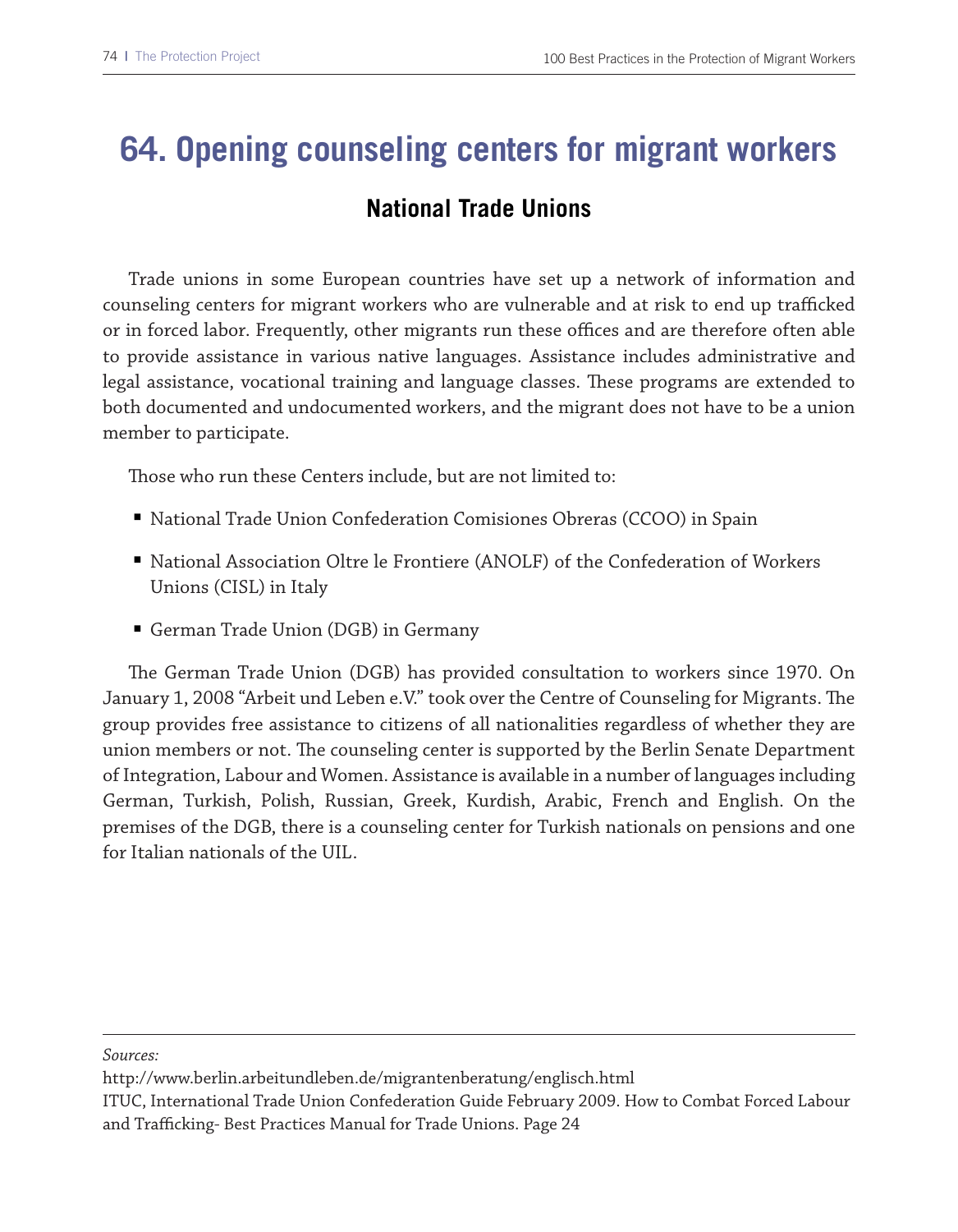# **64. Opening counseling centers for migrant workers**

### **National Trade Unions**

Trade unions in some European countries have set up a network of information and counseling centers for migrant workers who are vulnerable and at risk to end up trafficked or in forced labor. Frequently, other migrants run these offices and are therefore often able to provide assistance in various native languages. Assistance includes administrative and legal assistance, vocational training and language classes. These programs are extended to both documented and undocumented workers, and the migrant does not have to be a union member to participate.

Those who run these Centers include, but are not limited to:

- National Trade Union Confederation Comisiones Obreras (CCOO) in Spain
- National Association Oltre le Frontiere (ANOLF) of the Confederation of Workers Unions (CISL) in Italy
- German Trade Union (DGB) in Germany

The German Trade Union (DGB) has provided consultation to workers since 1970. On January 1, 2008 "Arbeit und Leben e.V." took over the Centre of Counseling for Migrants. The group provides free assistance to citizens of all nationalities regardless of whether they are union members or not. The counseling center is supported by the Berlin Senate Department of Integration, Labour and Women. Assistance is available in a number of languages including German, Turkish, Polish, Russian, Greek, Kurdish, Arabic, French and English. On the premises of the DGB, there is a counseling center for Turkish nationals on pensions and one for Italian nationals of the UIL.

*Sources:*

http://www.berlin.arbeitundleben.de/migrantenberatung/englisch.html

ITUC, International Trade Union Confederation Guide February 2009. How to Combat Forced Labour and Trafficking- Best Practices Manual for Trade Unions. Page 24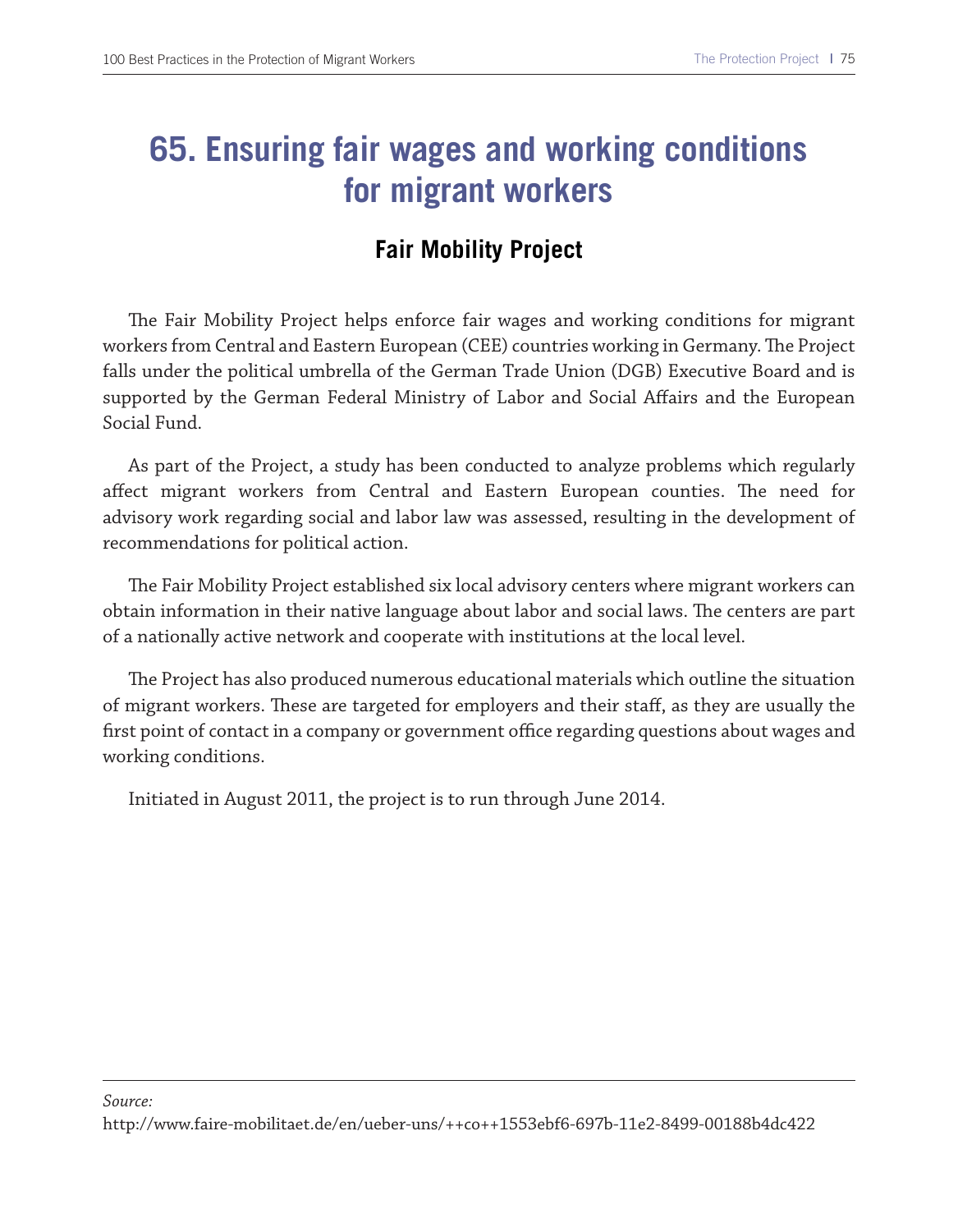### **65. Ensuring fair wages and working conditions for migrant workers**

#### **Fair Mobility Project**

The Fair Mobility Project helps enforce fair wages and working conditions for migrant workers from Central and Eastern European (CEE) countries working in Germany. The Project falls under the political umbrella of the German Trade Union (DGB) Executive Board and is supported by the German Federal Ministry of Labor and Social Afairs and the European Social Fund.

As part of the Project, a study has been conducted to analyze problems which regularly affect migrant workers from Central and Eastern European counties. The need for advisory work regarding social and labor law was assessed, resulting in the development of recommendations for political action.

The Fair Mobility Project established six local advisory centers where migrant workers can obtain information in their native language about labor and social laws. The centers are part of a nationally active network and cooperate with institutions at the local level.

The Project has also produced numerous educational materials which outline the situation of migrant workers. Tese are targeted for employers and their staf, as they are usually the first point of contact in a company or government office regarding questions about wages and working conditions.

Initiated in August 2011, the project is to run through June 2014.

http://www.faire-mobilitaet.de/en/ueber-uns/++co++1553ebf6-697b-11e2-8499-00188b4dc422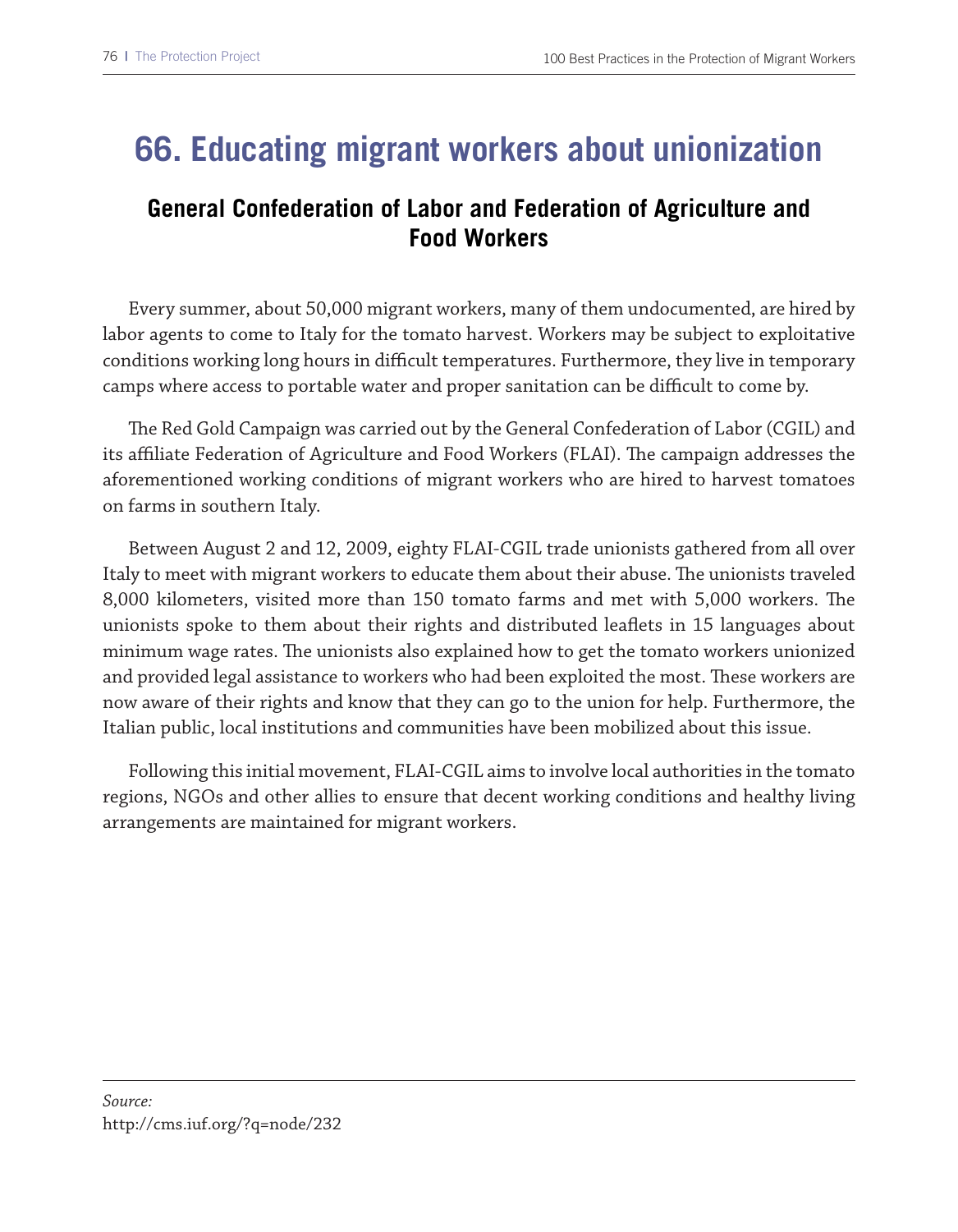### **66. Educating migrant workers about unionization**

### **General Confederation of Labor and Federation of Agriculture and Food Workers**

Every summer, about 50,000 migrant workers, many of them undocumented, are hired by labor agents to come to Italy for the tomato harvest. Workers may be subject to exploitative conditions working long hours in difcult temperatures. Furthermore, they live in temporary camps where access to portable water and proper sanitation can be difficult to come by.

The Red Gold Campaign was carried out by the General Confederation of Labor (CGIL) and its affiliate Federation of Agriculture and Food Workers (FLAI). The campaign addresses the aforementioned working conditions of migrant workers who are hired to harvest tomatoes on farms in southern Italy.

Between August 2 and 12, 2009, eighty FLAI-CGIL trade unionists gathered from all over Italy to meet with migrant workers to educate them about their abuse. The unionists traveled 8,000 kilometers, visited more than 150 tomato farms and met with 5,000 workers. The unionists spoke to them about their rights and distributed leafets in 15 languages about minimum wage rates. The unionists also explained how to get the tomato workers unionized and provided legal assistance to workers who had been exploited the most. These workers are now aware of their rights and know that they can go to the union for help. Furthermore, the Italian public, local institutions and communities have been mobilized about this issue.

Following this initial movement, FLAI-CGIL aims to involve local authorities in the tomato regions, NGOs and other allies to ensure that decent working conditions and healthy living arrangements are maintained for migrant workers.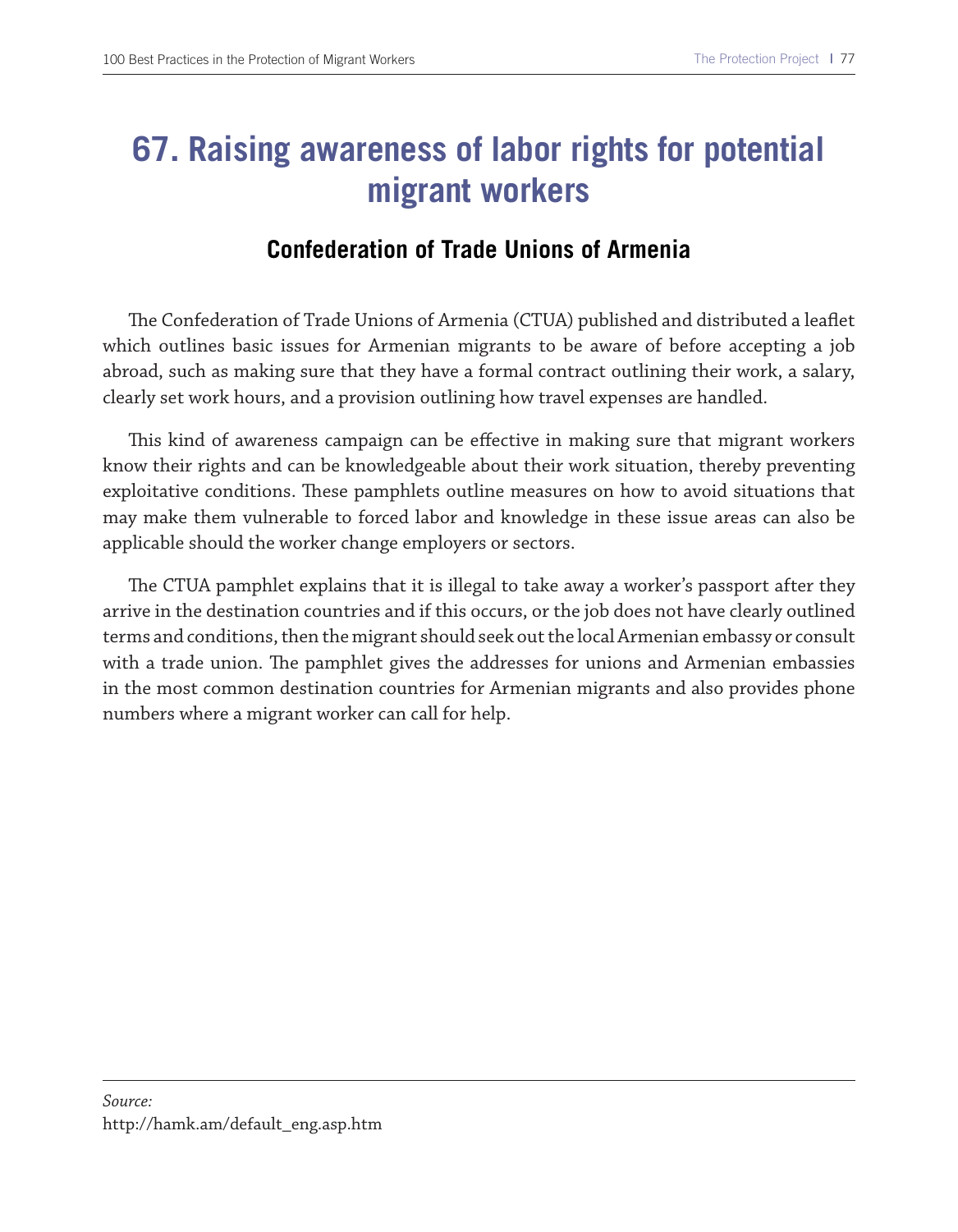## **67. Raising awareness of labor rights for potential migrant workers**

#### **Confederation of Trade Unions of Armenia**

The Confederation of Trade Unions of Armenia (CTUA) published and distributed a leaflet which outlines basic issues for Armenian migrants to be aware of before accepting a job abroad, such as making sure that they have a formal contract outlining their work, a salary, clearly set work hours, and a provision outlining how travel expenses are handled.

This kind of awareness campaign can be effective in making sure that migrant workers know their rights and can be knowledgeable about their work situation, thereby preventing exploitative conditions. Tese pamphlets outline measures on how to avoid situations that may make them vulnerable to forced labor and knowledge in these issue areas can also be applicable should the worker change employers or sectors.

The CTUA pamphlet explains that it is illegal to take away a worker's passport after they arrive in the destination countries and if this occurs, or the job does not have clearly outlined terms and conditions, then the migrant should seek out the local Armenian embassy or consult with a trade union. The pamphlet gives the addresses for unions and Armenian embassies in the most common destination countries for Armenian migrants and also provides phone numbers where a migrant worker can call for help.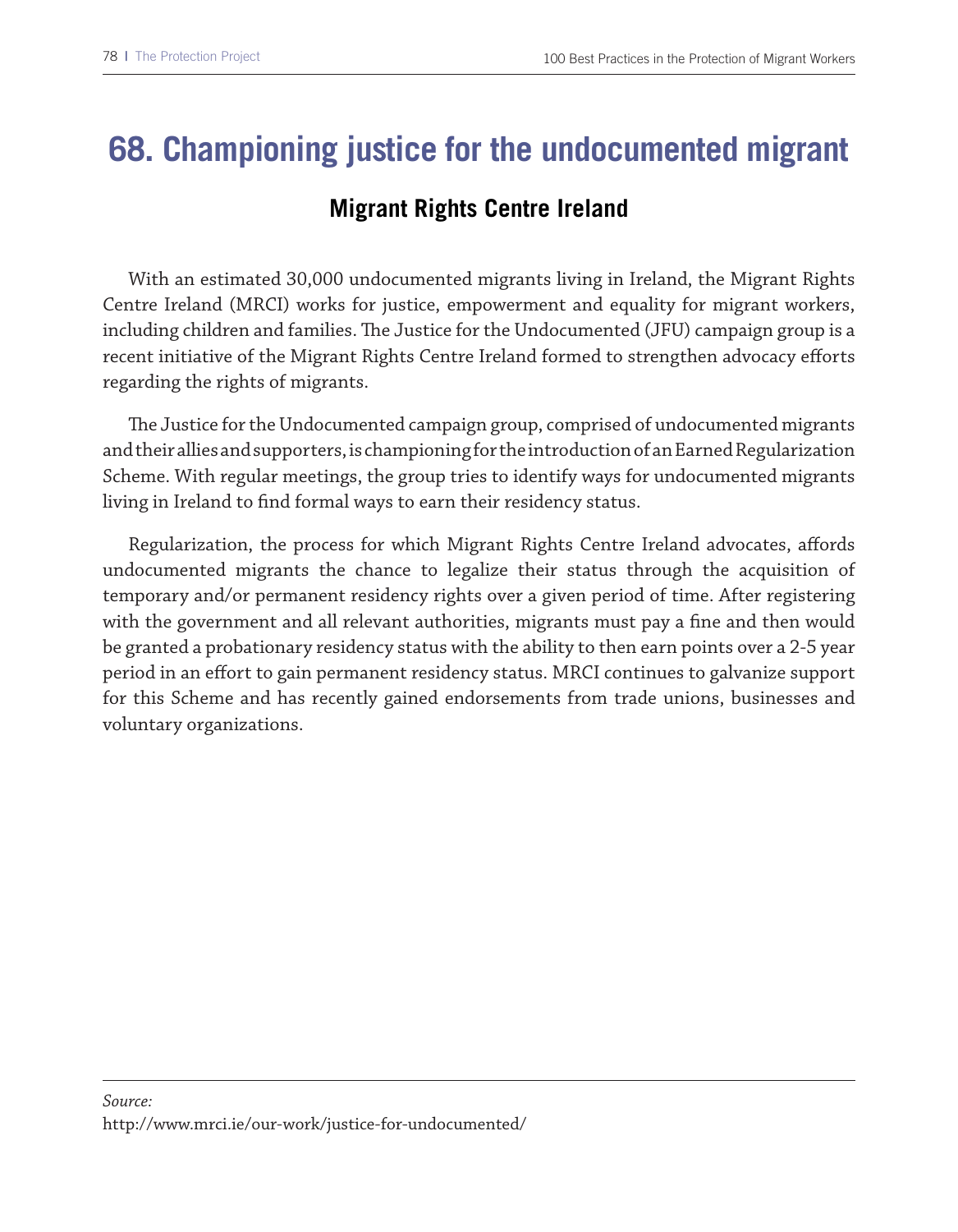### **68. Championing justice for the undocumented migrant**

#### **Migrant Rights Centre Ireland**

With an estimated 30,000 undocumented migrants living in Ireland, the Migrant Rights Centre Ireland (MRCI) works for justice, empowerment and equality for migrant workers, including children and families. The Justice for the Undocumented (JFU) campaign group is a recent initiative of the Migrant Rights Centre Ireland formed to strengthen advocacy eforts regarding the rights of migrants.

The Justice for the Undocumented campaign group, comprised of undocumented migrants and their allies and supporters, is championing for the introduction of an Earned Regularization Scheme. With regular meetings, the group tries to identify ways for undocumented migrants living in Ireland to fnd formal ways to earn their residency status.

Regularization, the process for which Migrant Rights Centre Ireland advocates, afords undocumented migrants the chance to legalize their status through the acquisition of temporary and/or permanent residency rights over a given period of time. After registering with the government and all relevant authorities, migrants must pay a fne and then would be granted a probationary residency status with the ability to then earn points over a 2-5 year period in an efort to gain permanent residency status. MRCI continues to galvanize support for this Scheme and has recently gained endorsements from trade unions, businesses and voluntary organizations.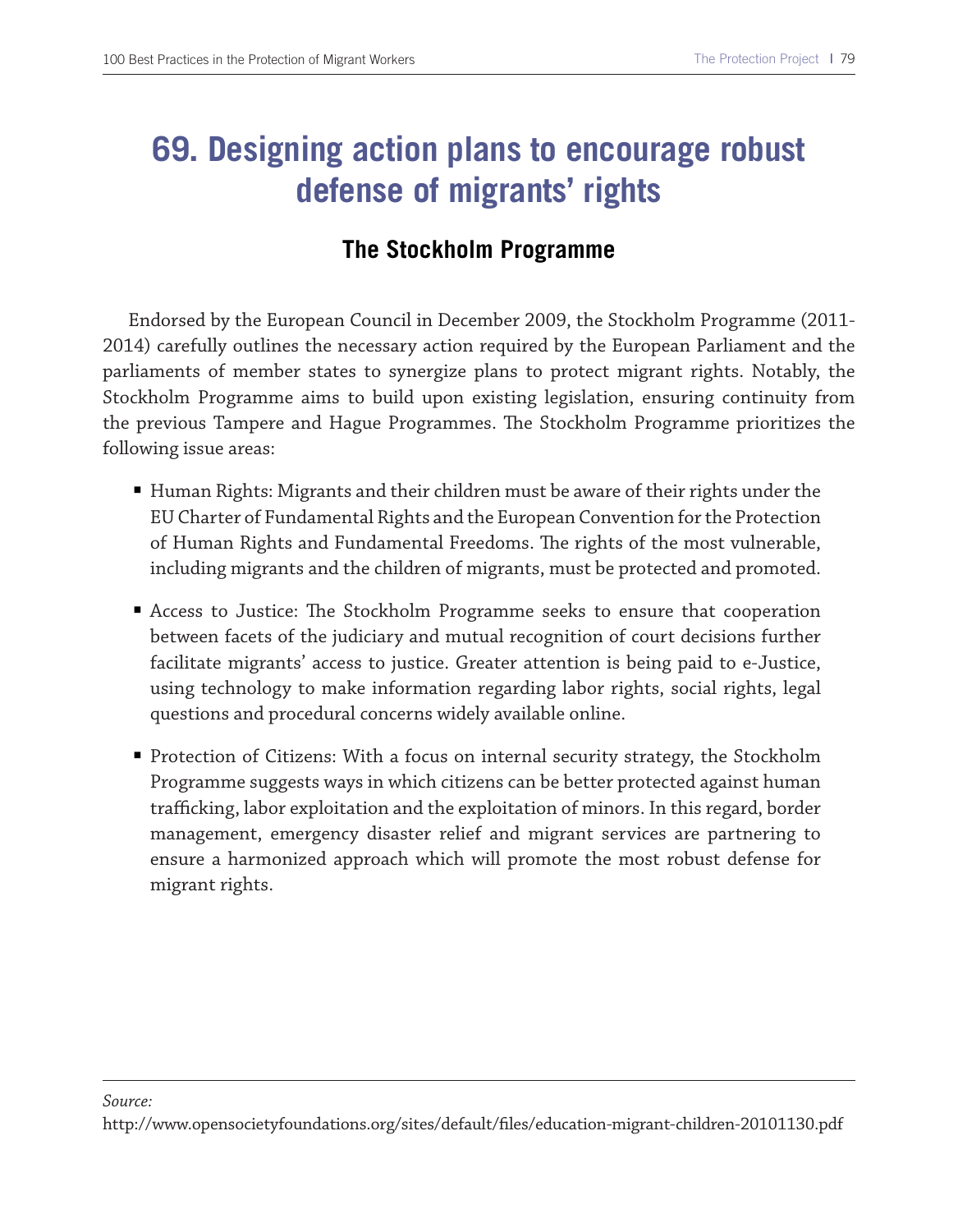### **69. Designing action plans to encourage robust defense of migrants' rights**

#### **The Stockholm Programme**

Endorsed by the European Council in December 2009, the Stockholm Programme (2011- 2014) carefully outlines the necessary action required by the European Parliament and the parliaments of member states to synergize plans to protect migrant rights. Notably, the Stockholm Programme aims to build upon existing legislation, ensuring continuity from the previous Tampere and Hague Programmes. The Stockholm Programme prioritizes the following issue areas:

- Human Rights: Migrants and their children must be aware of their rights under the EU Charter of Fundamental Rights and the European Convention for the Protection of Human Rights and Fundamental Freedoms. The rights of the most vulnerable, including migrants and the children of migrants, must be protected and promoted.
- Access to Justice: The Stockholm Programme seeks to ensure that cooperation between facets of the judiciary and mutual recognition of court decisions further facilitate migrants' access to justice. Greater attention is being paid to e-Justice, using technology to make information regarding labor rights, social rights, legal questions and procedural concerns widely available online.
- Protection of Citizens: With a focus on internal security strategy, the Stockholm Programme suggests ways in which citizens can be better protected against human trafficking, labor exploitation and the exploitation of minors. In this regard, border management, emergency disaster relief and migrant services are partnering to ensure a harmonized approach which will promote the most robust defense for migrant rights.

#### *Source:*

http://www.opensocietyfoundations.org/sites/default/fles/education-migrant-children-20101130.pdf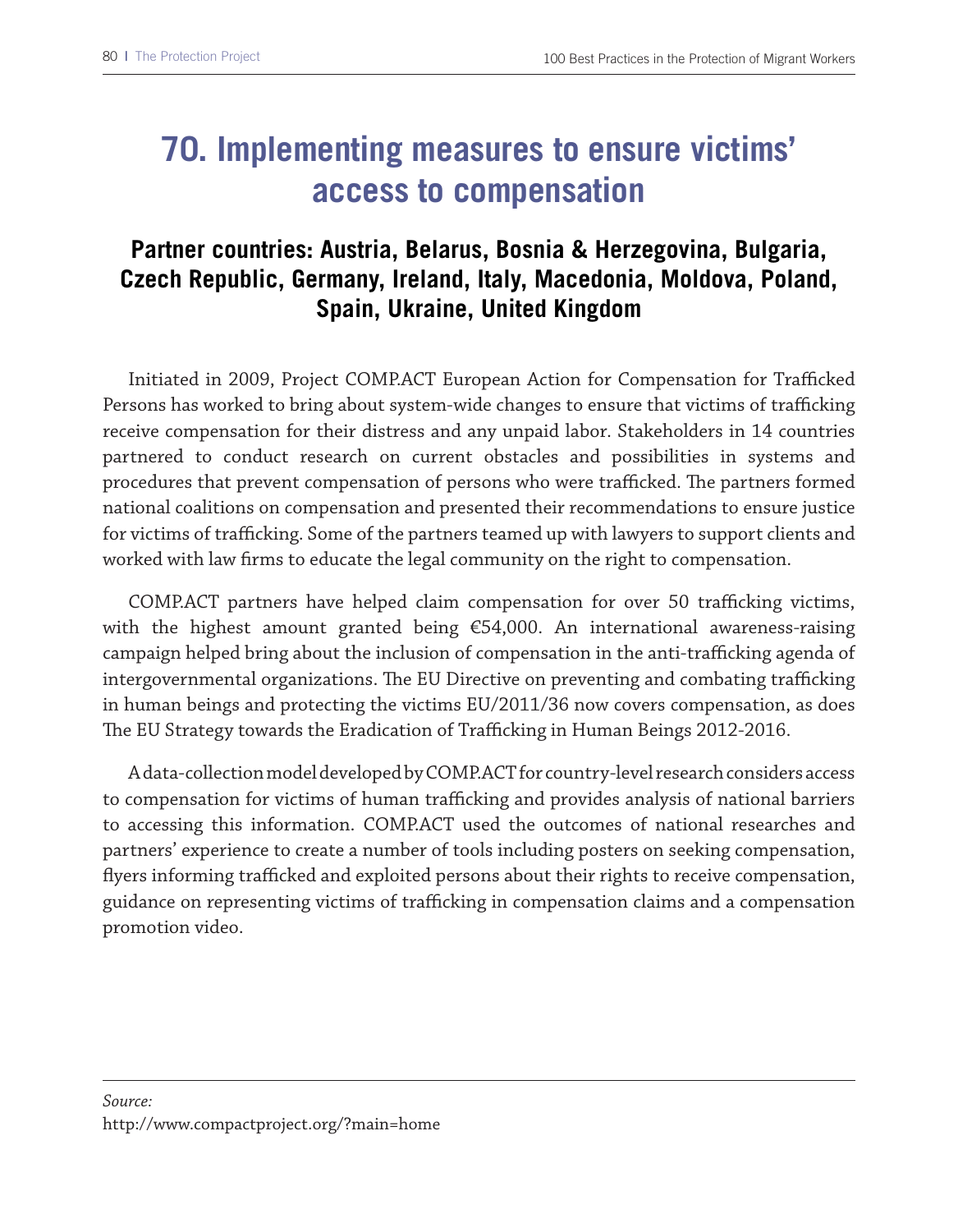## **70. Implementing measures to ensure victims' access to compensation**

### **Partner countries: Austria, Belarus, Bosnia & Herzegovina, Bulgaria, Czech Republic, Germany, Ireland, Italy, Macedonia, Moldova, Poland, Spain, Ukraine, United Kingdom**

Initiated in 2009, Project COMP.ACT European Action for Compensation for Trafficked Persons has worked to bring about system-wide changes to ensure that victims of trafficking receive compensation for their distress and any unpaid labor. Stakeholders in 14 countries partnered to conduct research on current obstacles and possibilities in systems and procedures that prevent compensation of persons who were trafficked. The partners formed national coalitions on compensation and presented their recommendations to ensure justice for victims of trafficking. Some of the partners teamed up with lawyers to support clients and worked with law frms to educate the legal community on the right to compensation.

COMP.ACT partners have helped claim compensation for over 50 trafficking victims, with the highest amount granted being €54,000. An international awareness-raising campaign helped bring about the inclusion of compensation in the anti-trafficking agenda of intergovernmental organizations. The EU Directive on preventing and combating trafficking in human beings and protecting the victims EU/2011/36 now covers compensation, as does The EU Strategy towards the Eradication of Trafficking in Human Beings 2012-2016.

A data-collection model developed by COMP.ACT for country-level research considers access to compensation for victims of human trafficking and provides analysis of national barriers to accessing this information. COMP.ACT used the outcomes of national researches and partners' experience to create a number of tools including posters on seeking compensation, flyers informing trafficked and exploited persons about their rights to receive compensation, guidance on representing victims of trafficking in compensation claims and a compensation promotion video.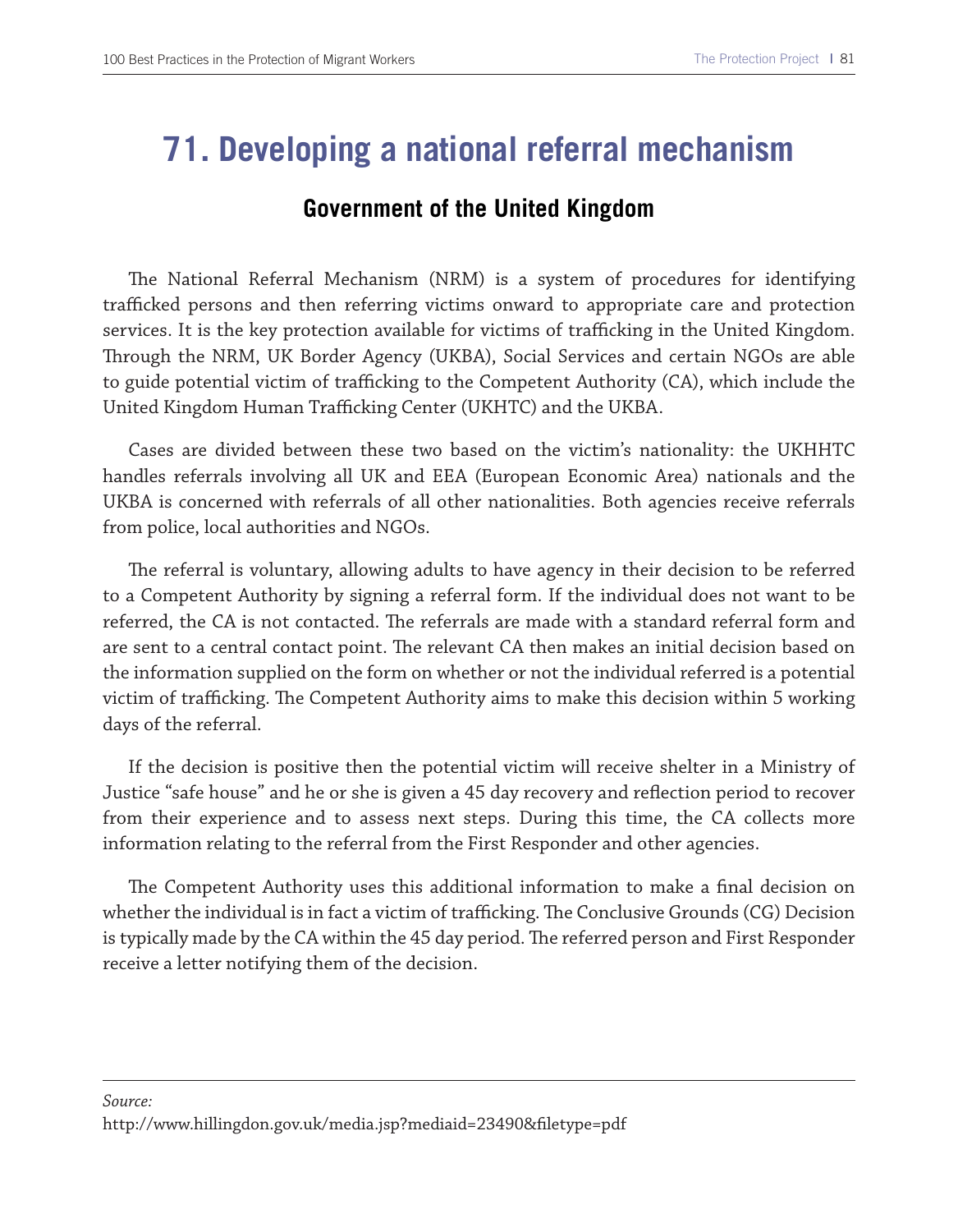### **71. Developing a national referral mechanism**

#### **Government of the United Kingdom**

The National Referral Mechanism (NRM) is a system of procedures for identifying trafficked persons and then referring victims onward to appropriate care and protection services. It is the key protection available for victims of trafficking in the United Kingdom. Trough the NRM, UK Border Agency (UKBA), Social Services and certain NGOs are able to guide potential victim of trafficking to the Competent Authority (CA), which include the United Kingdom Human Trafficking Center (UKHTC) and the UKBA.

Cases are divided between these two based on the victim's nationality: the UKHHTC handles referrals involving all UK and EEA (European Economic Area) nationals and the UKBA is concerned with referrals of all other nationalities. Both agencies receive referrals from police, local authorities and NGOs.

The referral is voluntary, allowing adults to have agency in their decision to be referred to a Competent Authority by signing a referral form. If the individual does not want to be referred, the CA is not contacted. The referrals are made with a standard referral form and are sent to a central contact point. The relevant CA then makes an initial decision based on the information supplied on the form on whether or not the individual referred is a potential victim of trafficking. The Competent Authority aims to make this decision within 5 working days of the referral.

If the decision is positive then the potential victim will receive shelter in a Ministry of Justice "safe house" and he or she is given a 45 day recovery and refection period to recover from their experience and to assess next steps. During this time, the CA collects more information relating to the referral from the First Responder and other agencies.

The Competent Authority uses this additional information to make a final decision on whether the individual is in fact a victim of trafficking. The Conclusive Grounds (CG) Decision is typically made by the CA within the 45 day period. The referred person and First Responder receive a letter notifying them of the decision.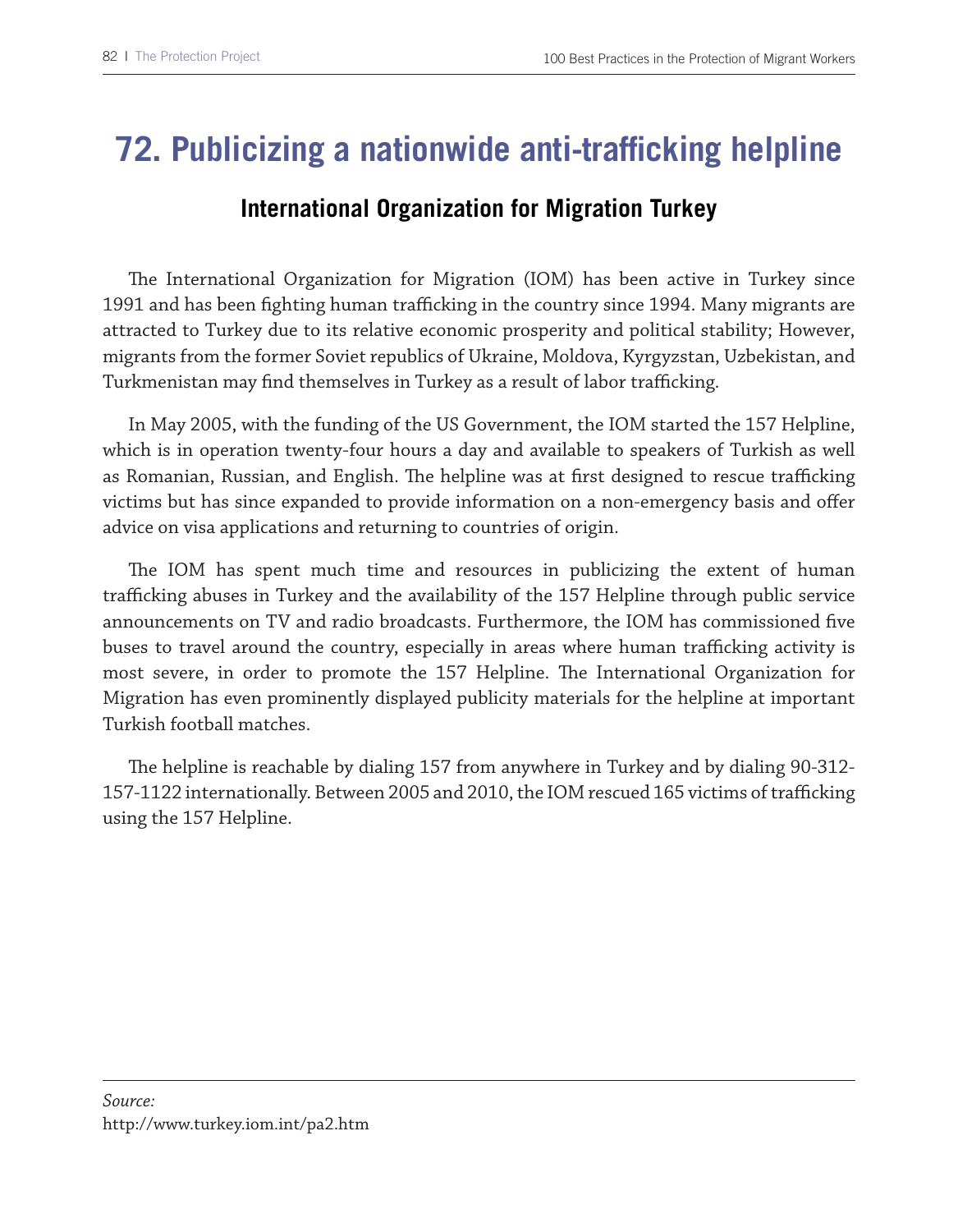### **72. Publicizing a nationwide anti-trafficking helpline**

#### **International Organization for Migration Turkey**

The International Organization for Migration (IOM) has been active in Turkey since 1991 and has been fighting human trafficking in the country since 1994. Many migrants are attracted to Turkey due to its relative economic prosperity and political stability; However, migrants from the former Soviet republics of Ukraine, Moldova, Kyrgyzstan, Uzbekistan, and Turkmenistan may find themselves in Turkey as a result of labor trafficking.

In May 2005, with the funding of the US Government, the IOM started the 157 Helpline, which is in operation twenty-four hours a day and available to speakers of Turkish as well as Romanian, Russian, and English. The helpline was at first designed to rescue trafficking victims but has since expanded to provide information on a non-emergency basis and ofer advice on visa applications and returning to countries of origin.

The IOM has spent much time and resources in publicizing the extent of human trafficking abuses in Turkey and the availability of the 157 Helpline through public service announcements on TV and radio broadcasts. Furthermore, the IOM has commissioned fve buses to travel around the country, especially in areas where human trafficking activity is most severe, in order to promote the 157 Helpline. The International Organization for Migration has even prominently displayed publicity materials for the helpline at important Turkish football matches.

Te helpline is reachable by dialing 157 from anywhere in Turkey and by dialing 90-312- 157-1122 internationally. Between 2005 and 2010, the IOM rescued 165 victims of trafficking using the 157 Helpline.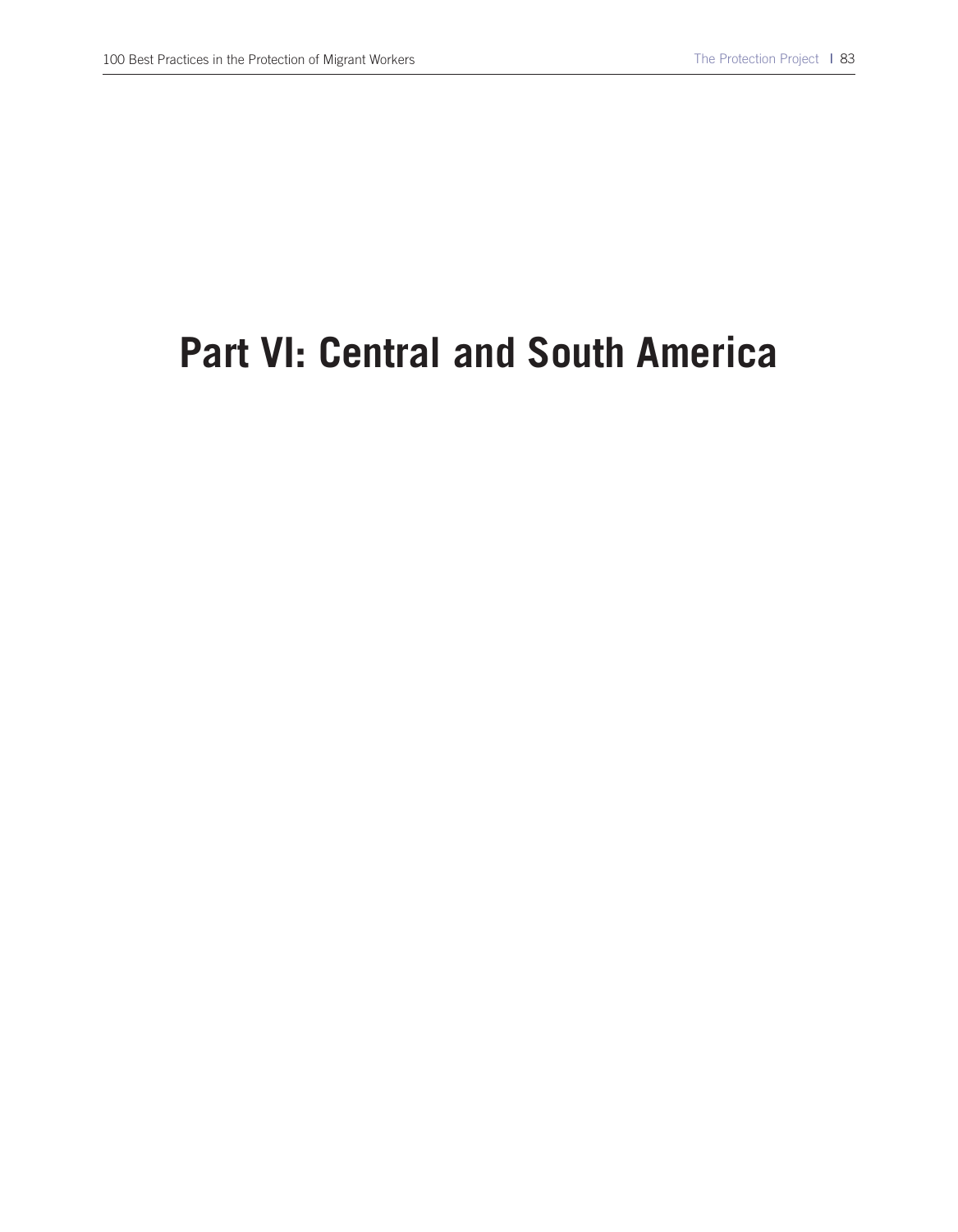# **Part VI: Central and South America**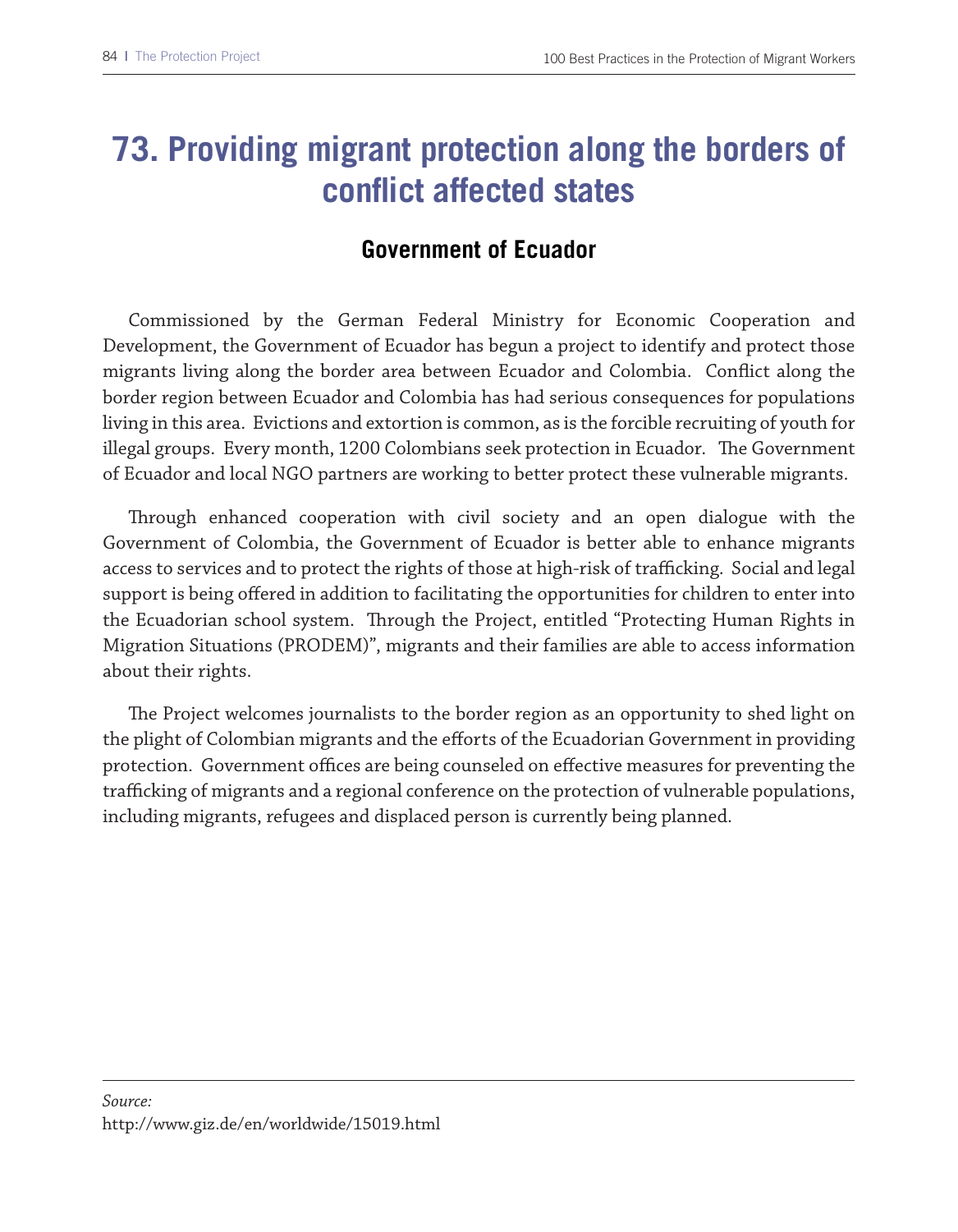### **73. Providing migrant protection along the borders of conflict affected states**

#### **Government of Ecuador**

Commissioned by the German Federal Ministry for Economic Cooperation and Development, the Government of Ecuador has begun a project to identify and protect those migrants living along the border area between Ecuador and Colombia. Confict along the border region between Ecuador and Colombia has had serious consequences for populations living in this area. Evictions and extortion is common, as is the forcible recruiting of youth for illegal groups. Every month, 1200 Colombians seek protection in Ecuador. The Government of Ecuador and local NGO partners are working to better protect these vulnerable migrants.

Trough enhanced cooperation with civil society and an open dialogue with the Government of Colombia, the Government of Ecuador is better able to enhance migrants access to services and to protect the rights of those at high-risk of trafficking. Social and legal support is being offered in addition to facilitating the opportunities for children to enter into the Ecuadorian school system. Through the Project, entitled "Protecting Human Rights in Migration Situations (PRODEM)", migrants and their families are able to access information about their rights.

The Project welcomes journalists to the border region as an opportunity to shed light on the plight of Colombian migrants and the eforts of the Ecuadorian Government in providing protection. Government offices are being counseled on effective measures for preventing the trafficking of migrants and a regional conference on the protection of vulnerable populations, including migrants, refugees and displaced person is currently being planned.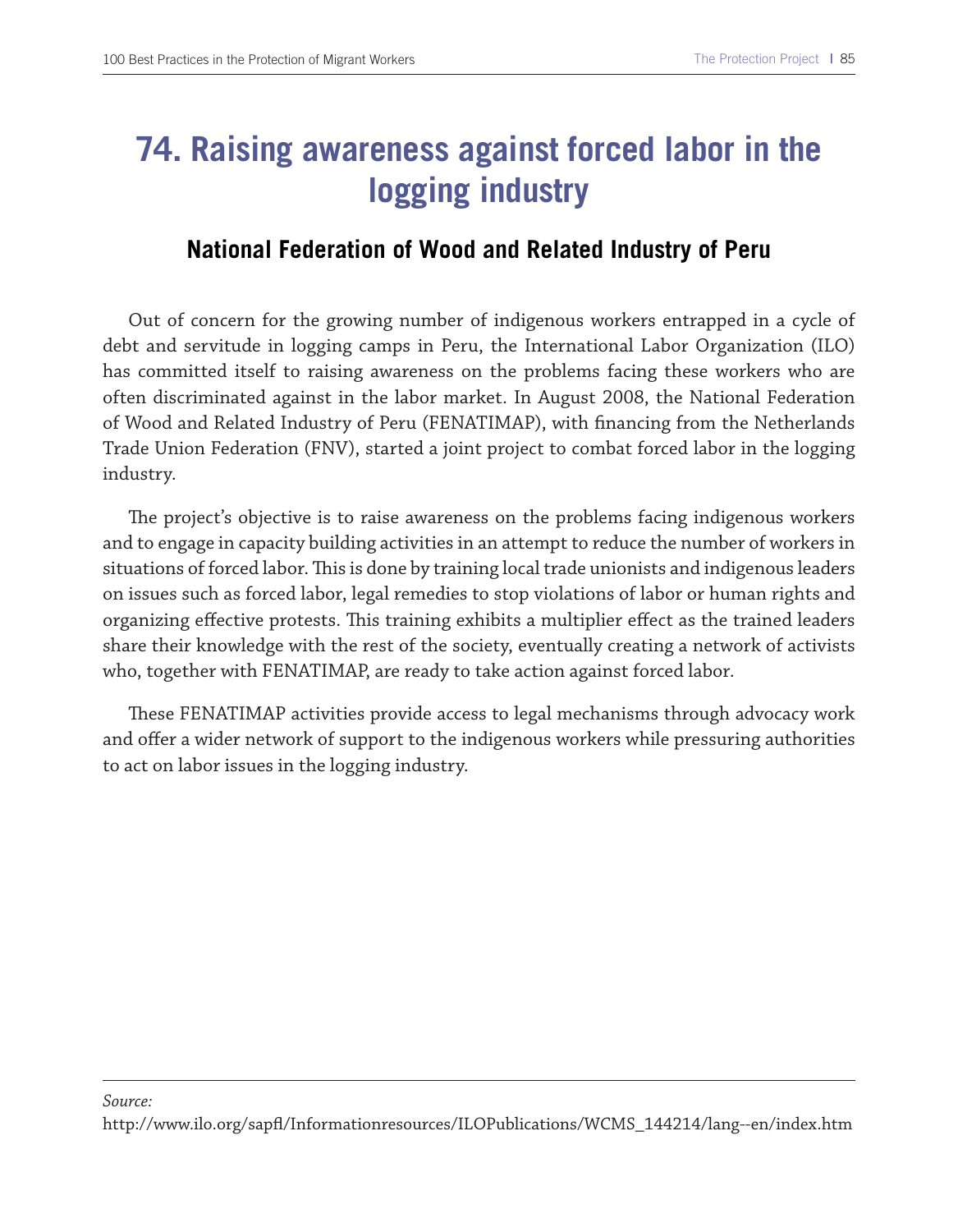## **74. Raising awareness against forced labor in the logging industry**

#### **National Federation of Wood and Related Industry of Peru**

Out of concern for the growing number of indigenous workers entrapped in a cycle of debt and servitude in logging camps in Peru, the International Labor Organization (ILO) has committed itself to raising awareness on the problems facing these workers who are often discriminated against in the labor market. In August 2008, the National Federation of Wood and Related Industry of Peru (FENATIMAP), with fnancing from the Netherlands Trade Union Federation (FNV), started a joint project to combat forced labor in the logging industry.

The project's objective is to raise awareness on the problems facing indigenous workers and to engage in capacity building activities in an attempt to reduce the number of workers in situations of forced labor. This is done by training local trade unionists and indigenous leaders on issues such as forced labor, legal remedies to stop violations of labor or human rights and organizing effective protests. This training exhibits a multiplier effect as the trained leaders share their knowledge with the rest of the society, eventually creating a network of activists who, together with FENATIMAP, are ready to take action against forced labor.

These FENATIMAP activities provide access to legal mechanisms through advocacy work and offer a wider network of support to the indigenous workers while pressuring authorities to act on labor issues in the logging industry.

#### *Source:*  http://www.ilo.org/sapf/Informationresources/ILOPublications/WCMS\_144214/lang--en/index.htm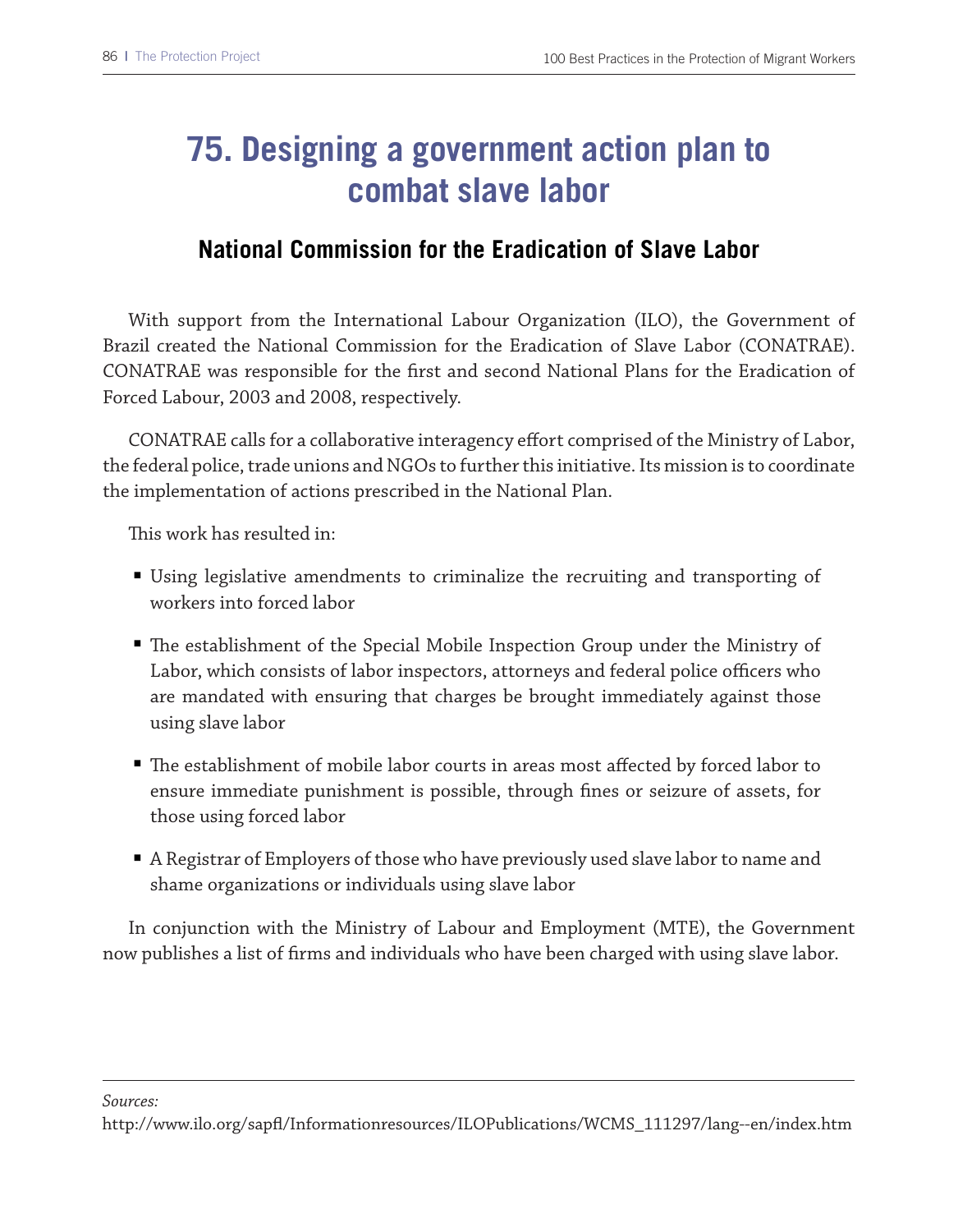## **75. Designing a government action plan to combat slave labor**

#### **National Commission for the Eradication of Slave Labor**

With support from the International Labour Organization (ILO), the Government of Brazil created the National Commission for the Eradication of Slave Labor (CONATRAE). CONATRAE was responsible for the frst and second National Plans for the Eradication of Forced Labour, 2003 and 2008, respectively.

CONATRAE calls for a collaborative interagency efort comprised of the Ministry of Labor, the federal police, trade unions and NGOs to further this initiative. Its mission is to coordinate the implementation of actions prescribed in the National Plan.

This work has resulted in:

- Using legislative amendments to criminalize the recruiting and transporting of workers into forced labor
- The establishment of the Special Mobile Inspection Group under the Ministry of Labor, which consists of labor inspectors, attorneys and federal police officers who are mandated with ensuring that charges be brought immediately against those using slave labor
- The establishment of mobile labor courts in areas most affected by forced labor to ensure immediate punishment is possible, through fnes or seizure of assets, for those using forced labor
- A Registrar of Employers of those who have previously used slave labor to name and shame organizations or individuals using slave labor

In conjunction with the Ministry of Labour and Employment (MTE), the Government now publishes a list of frms and individuals who have been charged with using slave labor.

*Sources:* 

http://www.ilo.org/sapf/Informationresources/ILOPublications/WCMS\_111297/lang--en/index.htm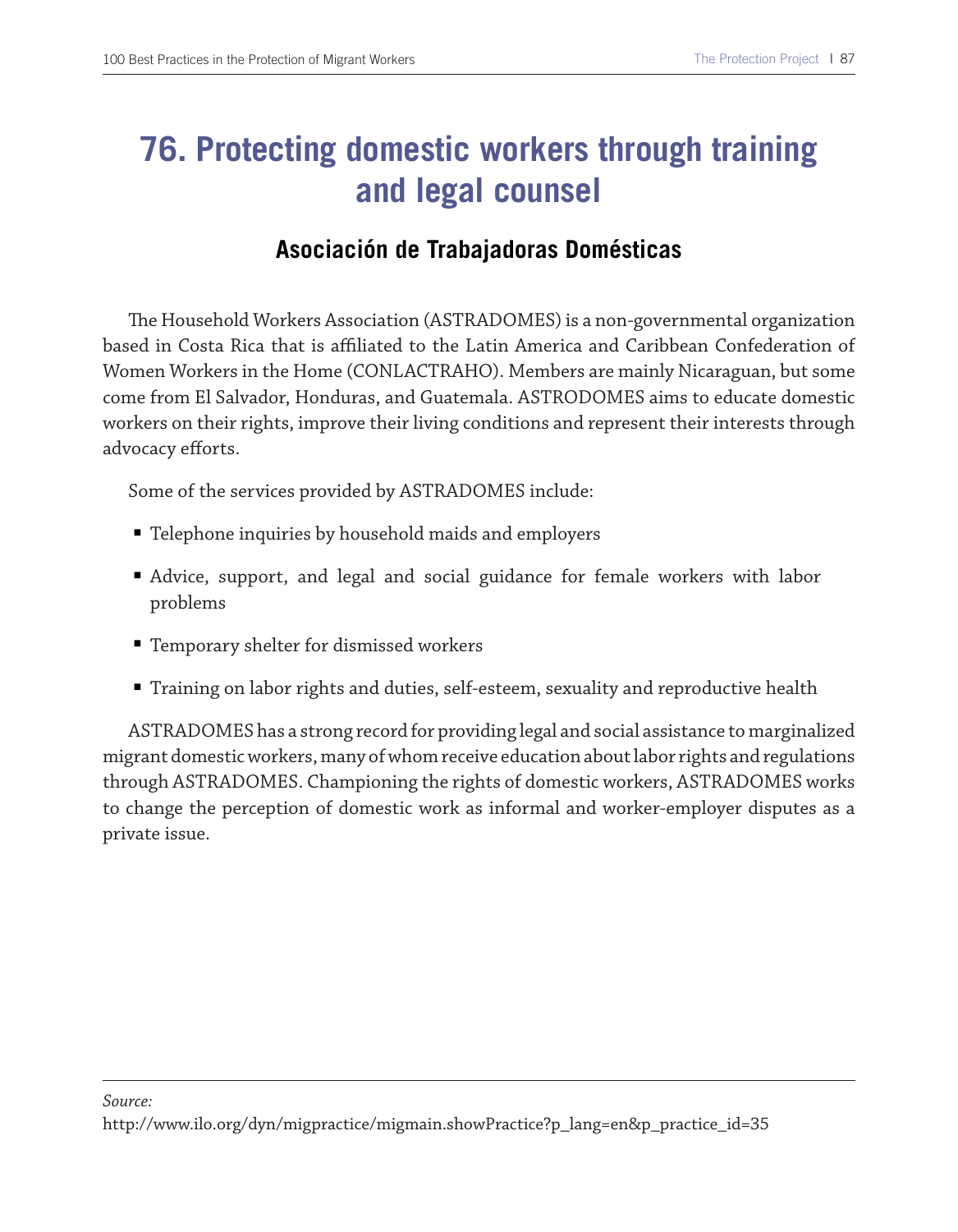### **76. Protecting domestic workers through training and legal counsel**

#### **Asociación de Trabajadoras Domésticas**

The Household Workers Association (ASTRADOMES) is a non-governmental organization based in Costa Rica that is afliated to the Latin America and Caribbean Confederation of Women Workers in the Home (CONLACTRAHO). Members are mainly Nicaraguan, but some come from El Salvador, Honduras, and Guatemala. ASTRODOMES aims to educate domestic workers on their rights, improve their living conditions and represent their interests through advocacy efforts.

Some of the services provided by ASTRADOMES include:

- Telephone inquiries by household maids and employers
- Advice, support, and legal and social guidance for female workers with labor problems
- Temporary shelter for dismissed workers
- Training on labor rights and duties, self-esteem, sexuality and reproductive health

ASTRADOMES has a strong record for providing legal and social assistance to marginalized migrant domestic workers, many of whom receive education about labor rights and regulations through ASTRADOMES. Championing the rights of domestic workers, ASTRADOMES works to change the perception of domestic work as informal and worker-employer disputes as a private issue.

*Source:* 

http://www.ilo.org/dyn/migpractice/migmain.showPractice?p\_lang=en&p\_practice\_id=35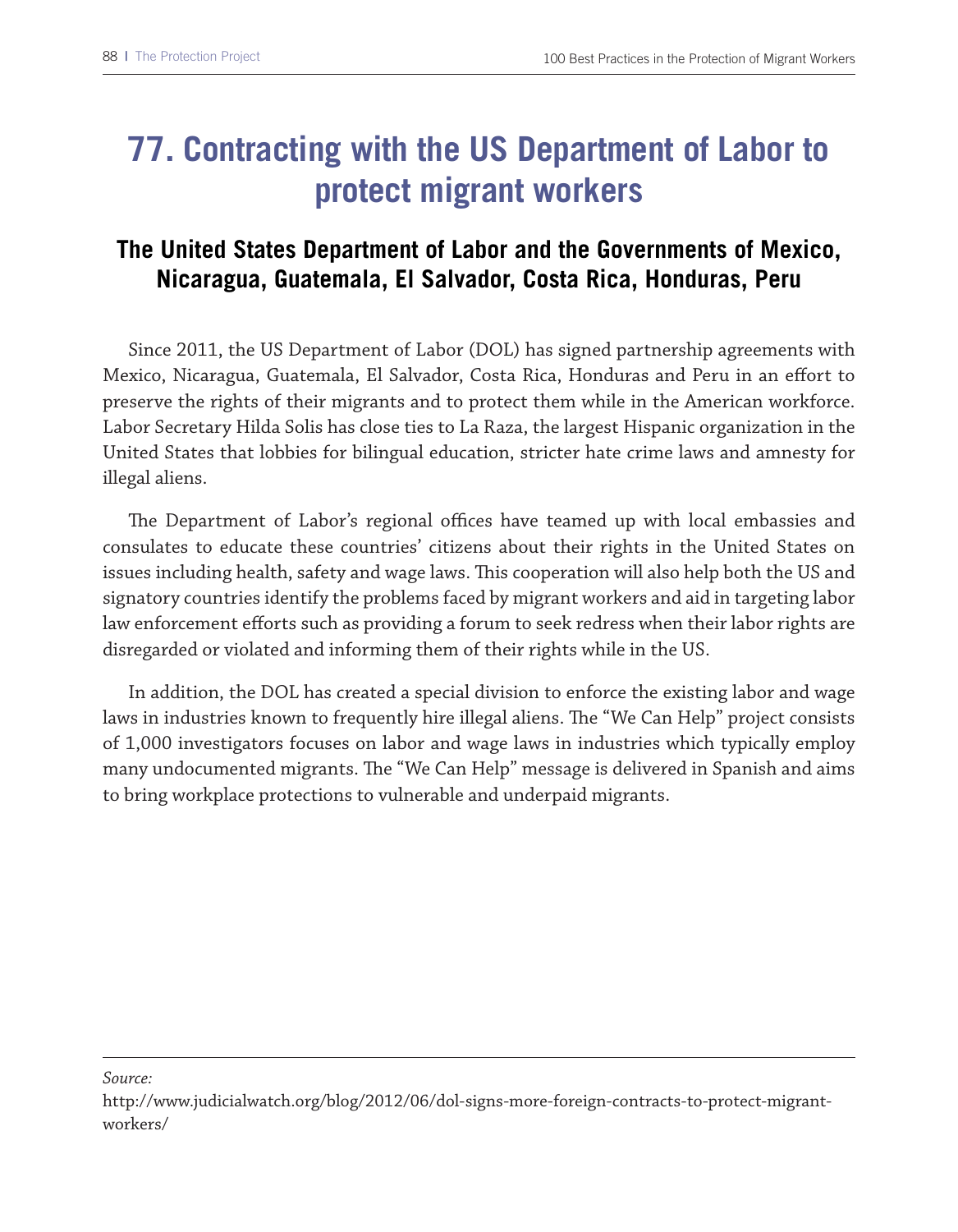## **77. Contracting with the US Department of Labor to protect migrant workers**

### **The United States Department of Labor and the Governments of Mexico, Nicaragua, Guatemala, El Salvador, Costa Rica, Honduras, Peru**

Since 2011, the US Department of Labor (DOL) has signed partnership agreements with Mexico, Nicaragua, Guatemala, El Salvador, Costa Rica, Honduras and Peru in an efort to preserve the rights of their migrants and to protect them while in the American workforce. Labor Secretary Hilda Solis has close ties to La Raza, the largest Hispanic organization in the United States that lobbies for bilingual education, stricter hate crime laws and amnesty for illegal aliens.

The Department of Labor's regional offices have teamed up with local embassies and consulates to educate these countries' citizens about their rights in the United States on issues including health, safety and wage laws. This cooperation will also help both the US and signatory countries identify the problems faced by migrant workers and aid in targeting labor law enforcement eforts such as providing a forum to seek redress when their labor rights are disregarded or violated and informing them of their rights while in the US.

In addition, the DOL has created a special division to enforce the existing labor and wage laws in industries known to frequently hire illegal aliens. The "We Can Help" project consists of 1,000 investigators focuses on labor and wage laws in industries which typically employ many undocumented migrants. The "We Can Help" message is delivered in Spanish and aims to bring workplace protections to vulnerable and underpaid migrants.

*Source:*

http://www.judicialwatch.org/blog/2012/06/dol-signs-more-foreign-contracts-to-protect-migrantworkers/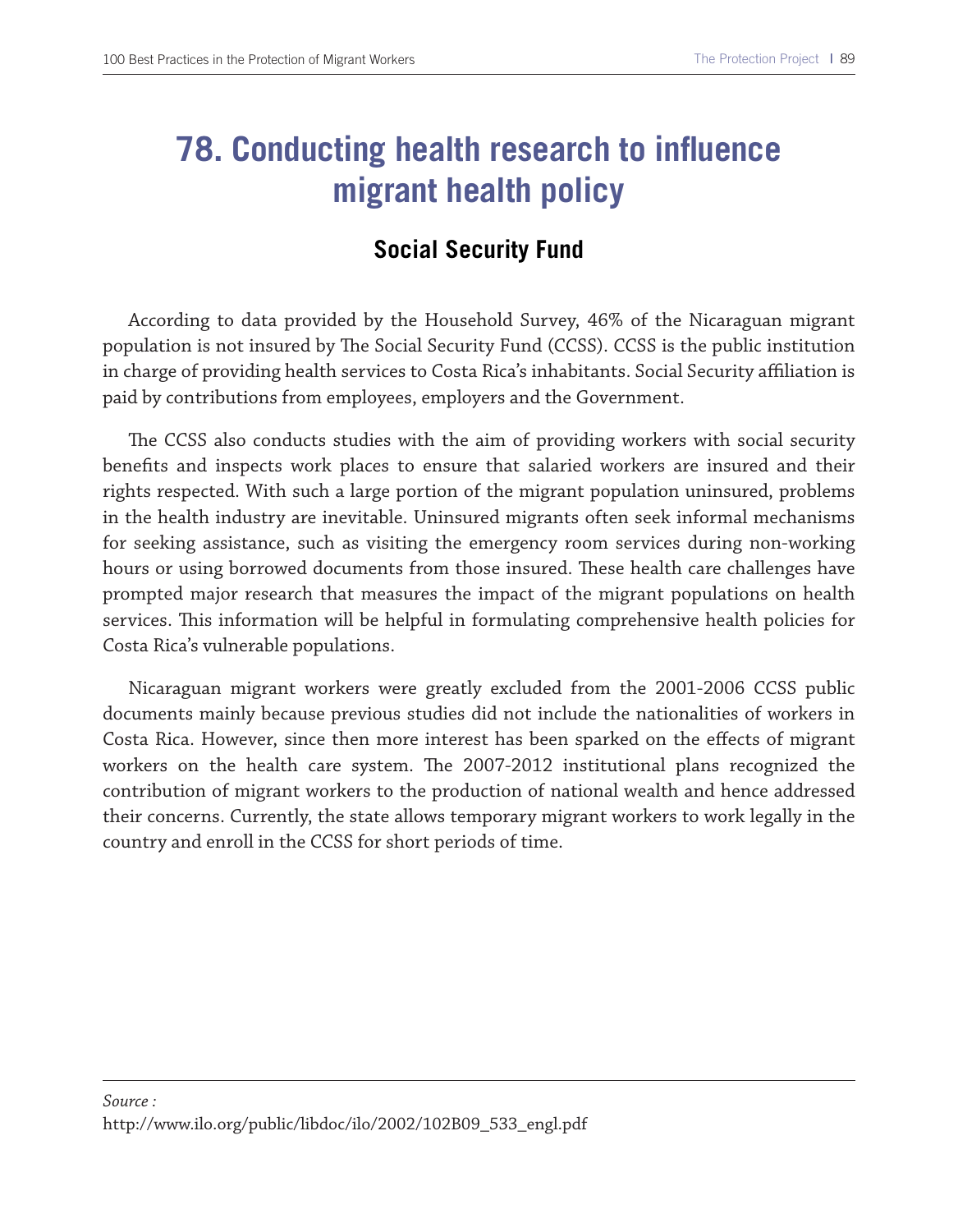### **78. Conducting health research to influence migrant health policy**

#### **Social Security Fund**

According to data provided by the Household Survey, 46% of the Nicaraguan migrant population is not insured by The Social Security Fund (CCSS). CCSS is the public institution in charge of providing health services to Costa Rica's inhabitants. Social Security afliation is paid by contributions from employees, employers and the Government.

The CCSS also conducts studies with the aim of providing workers with social security benefts and inspects work places to ensure that salaried workers are insured and their rights respected. With such a large portion of the migrant population uninsured, problems in the health industry are inevitable. Uninsured migrants often seek informal mechanisms for seeking assistance, such as visiting the emergency room services during non-working hours or using borrowed documents from those insured. These health care challenges have prompted major research that measures the impact of the migrant populations on health services. This information will be helpful in formulating comprehensive health policies for Costa Rica's vulnerable populations.

Nicaraguan migrant workers were greatly excluded from the 2001-2006 CCSS public documents mainly because previous studies did not include the nationalities of workers in Costa Rica. However, since then more interest has been sparked on the efects of migrant workers on the health care system. The 2007-2012 institutional plans recognized the contribution of migrant workers to the production of national wealth and hence addressed their concerns. Currently, the state allows temporary migrant workers to work legally in the country and enroll in the CCSS for short periods of time.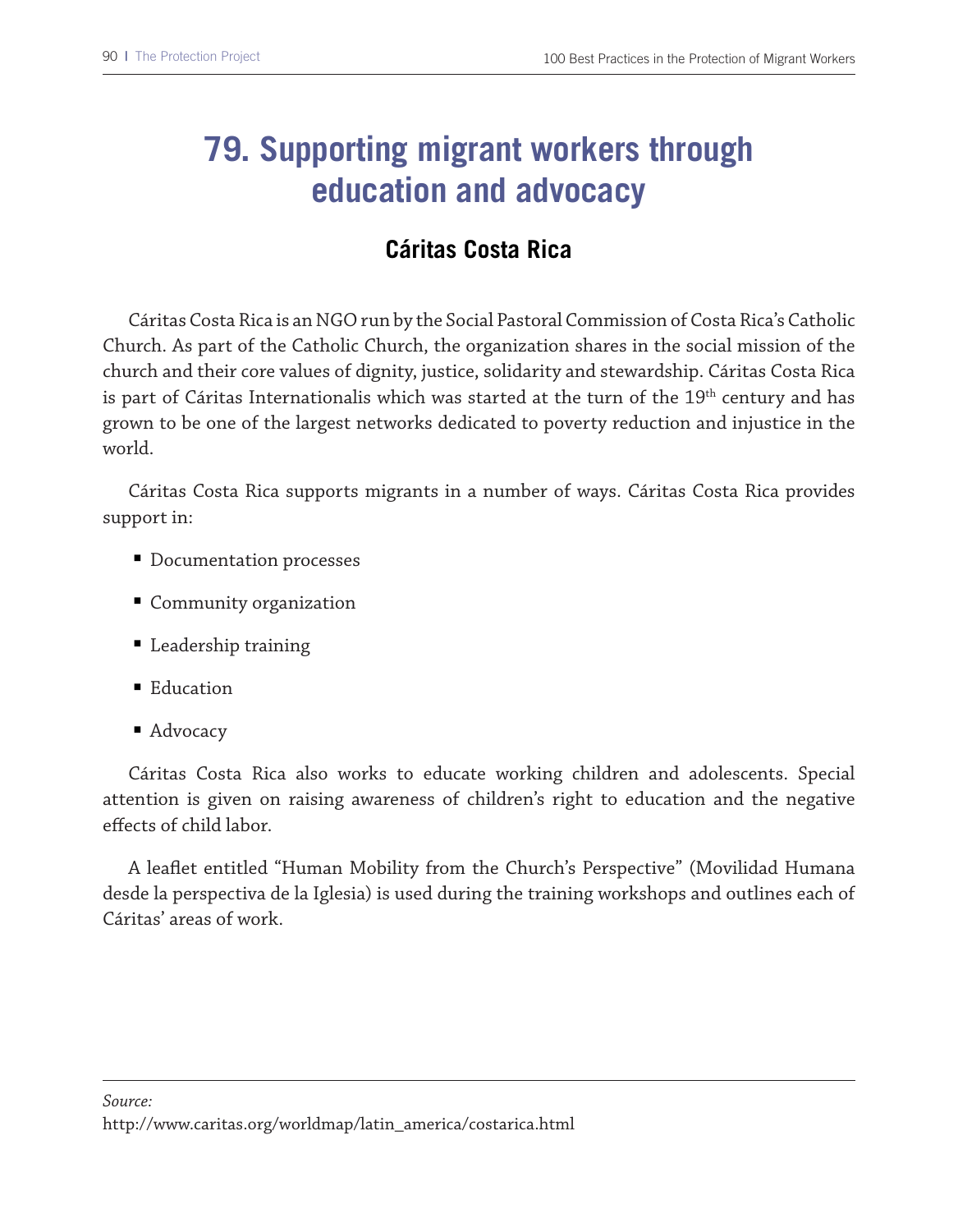## **79. Supporting migrant workers through education and advocacy**

### **Cáritas Costa Rica**

Cáritas Costa Rica is an NGO run by the Social Pastoral Commission of Costa Rica's Catholic Church. As part of the Catholic Church, the organization shares in the social mission of the church and their core values of dignity, justice, solidarity and stewardship. Cáritas Costa Rica is part of Cáritas Internationalis which was started at the turn of the 19<sup>th</sup> century and has grown to be one of the largest networks dedicated to poverty reduction and injustice in the world.

Cáritas Costa Rica supports migrants in a number of ways. Cáritas Costa Rica provides support in:

- Documentation processes
- Community organization
- Leadership training
- Education
- Advocacy

Cáritas Costa Rica also works to educate working children and adolescents. Special attention is given on raising awareness of children's right to education and the negative efects of child labor.

A leafet entitled "Human Mobility from the Church's Perspective" (Movilidad Humana desde la perspectiva de la Iglesia) is used during the training workshops and outlines each of Cáritas' areas of work.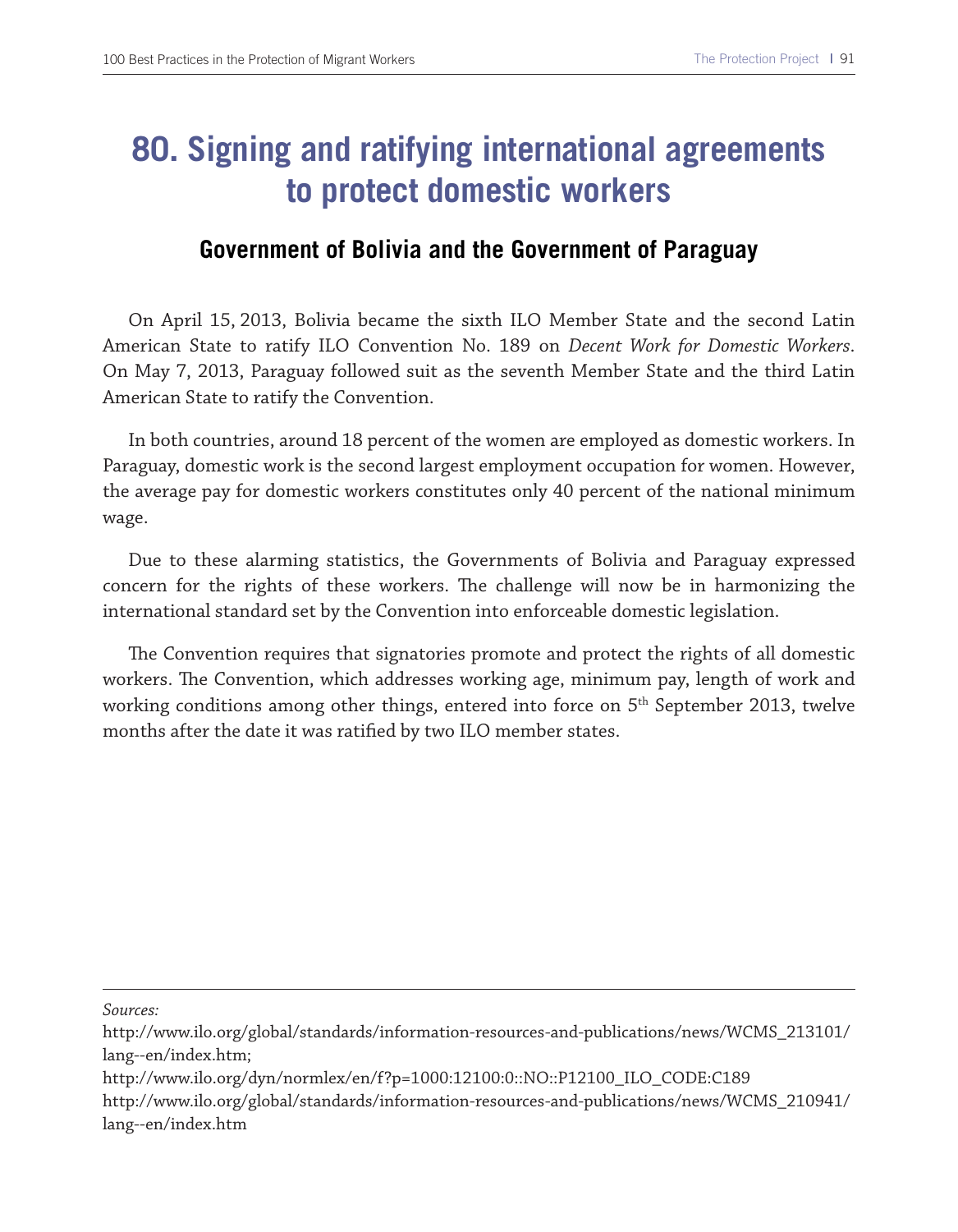### **80. Signing and ratifying international agreements to protect domestic workers**

#### **Government of Bolivia and the Government of Paraguay**

On April 15, 2013, Bolivia became the sixth ILO Member State and the second Latin American State to ratify ILO Convention No. 189 on *Decent Work for Domestic Workers*. On May 7, 2013, Paraguay followed suit as the seventh Member State and the third Latin American State to ratify the Convention.

In both countries, around 18 percent of the women are employed as domestic workers. In Paraguay, domestic work is the second largest employment occupation for women. However, the average pay for domestic workers constitutes only 40 percent of the national minimum wage.

Due to these alarming statistics, the Governments of Bolivia and Paraguay expressed concern for the rights of these workers. The challenge will now be in harmonizing the international standard set by the Convention into enforceable domestic legislation.

The Convention requires that signatories promote and protect the rights of all domestic workers. The Convention, which addresses working age, minimum pay, length of work and working conditions among other things, entered into force on 5<sup>th</sup> September 2013, twelve months after the date it was ratifed by two ILO member states.

*Sources:*

http://www.ilo.org/global/standards/information-resources-and-publications/news/WCMS\_213101/ lang--en/index.htm;

http://www.ilo.org/dyn/normlex/en/f?p=1000:12100:0::NO::P12100\_ILO\_CODE:C189

http://www.ilo.org/global/standards/information-resources-and-publications/news/WCMS\_210941/ lang--en/index.htm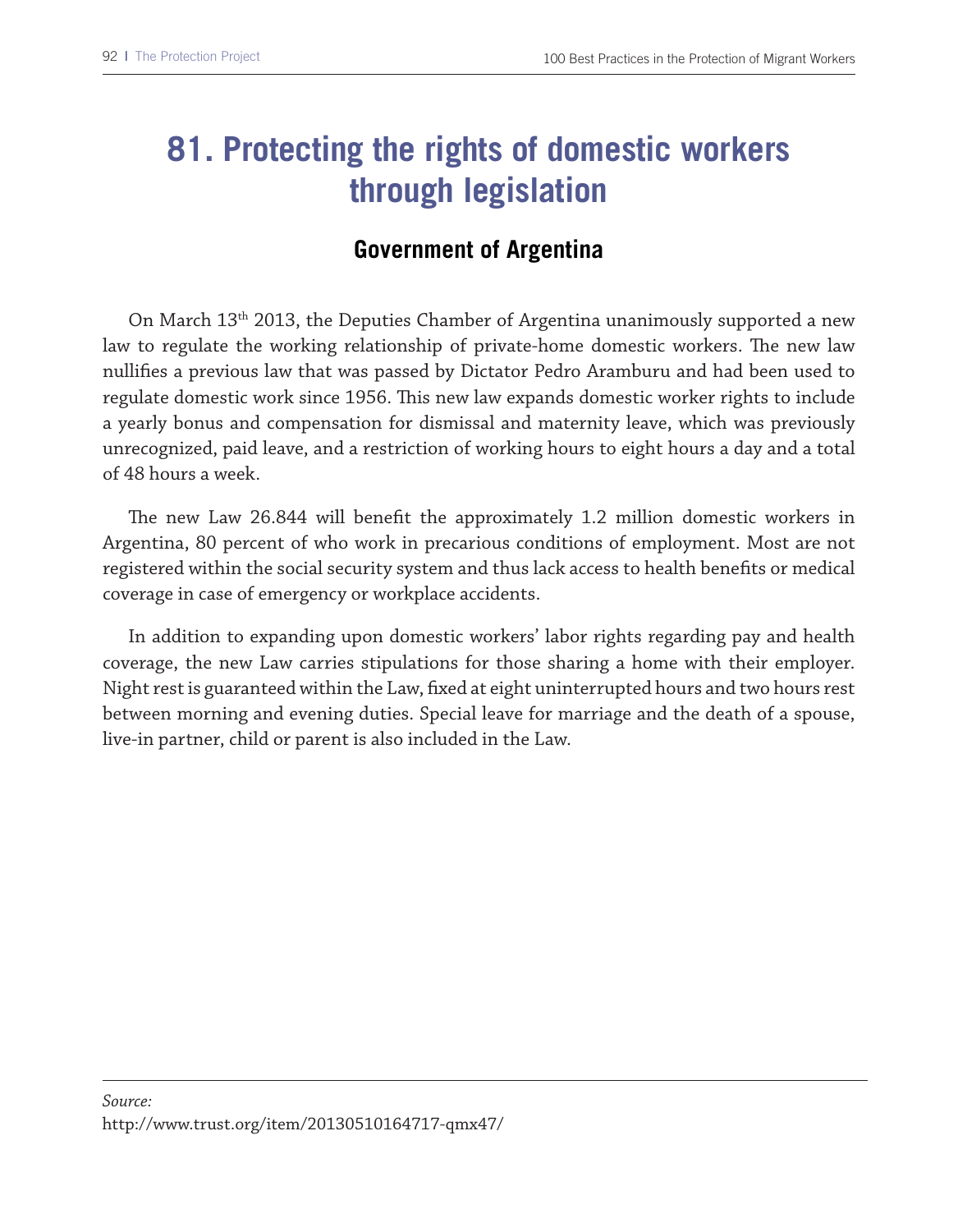### **81. Protecting the rights of domestic workers through legislation**

#### **Government of Argentina**

On March 13th 2013, the Deputies Chamber of Argentina unanimously supported a new law to regulate the working relationship of private-home domestic workers. The new law nullifes a previous law that was passed by Dictator Pedro Aramburu and had been used to regulate domestic work since 1956. Tis new law expands domestic worker rights to include a yearly bonus and compensation for dismissal and maternity leave, which was previously unrecognized, paid leave, and a restriction of working hours to eight hours a day and a total of 48 hours a week.

The new Law 26.844 will benefit the approximately 1.2 million domestic workers in Argentina, 80 percent of who work in precarious conditions of employment. Most are not registered within the social security system and thus lack access to health benefts or medical coverage in case of emergency or workplace accidents.

In addition to expanding upon domestic workers' labor rights regarding pay and health coverage, the new Law carries stipulations for those sharing a home with their employer. Night rest is guaranteed within the Law, fxed at eight uninterrupted hours and two hours rest between morning and evening duties. Special leave for marriage and the death of a spouse, live-in partner, child or parent is also included in the Law.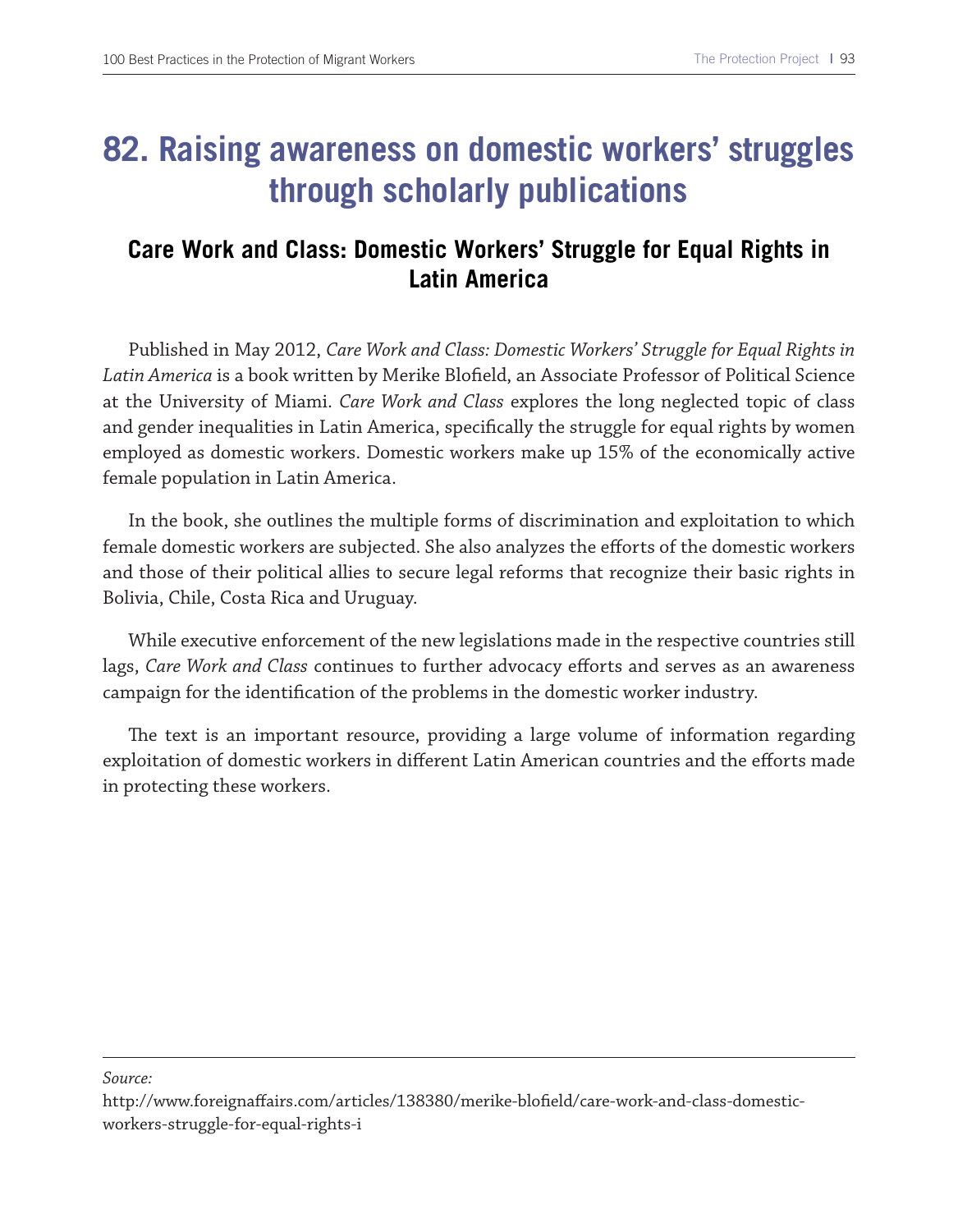### **82. Raising awareness on domestic workers' struggles through scholarly publications**

### **Care Work and Class: Domestic Workers' Struggle for Equal Rights in Latin America**

Published in May 2012, *Care Work and Class: Domestic Workers' Struggle for Equal Rights in Latin America* is a book written by Merike Blofeld, an Associate Professor of Political Science at the University of Miami. *Care Work and Class* explores the long neglected topic of class and gender inequalities in Latin America, specifcally the struggle for equal rights by women employed as domestic workers. Domestic workers make up 15% of the economically active female population in Latin America.

In the book, she outlines the multiple forms of discrimination and exploitation to which female domestic workers are subjected. She also analyzes the eforts of the domestic workers and those of their political allies to secure legal reforms that recognize their basic rights in Bolivia, Chile, Costa Rica and Uruguay.

While executive enforcement of the new legislations made in the respective countries still lags, *Care Work and Class* continues to further advocacy eforts and serves as an awareness campaign for the identifcation of the problems in the domestic worker industry.

The text is an important resource, providing a large volume of information regarding exploitation of domestic workers in diferent Latin American countries and the eforts made in protecting these workers.

*Source:*

http://www.foreignafairs.com/articles/138380/merike-blofeld/care-work-and-class-domesticworkers-struggle-for-equal-rights-i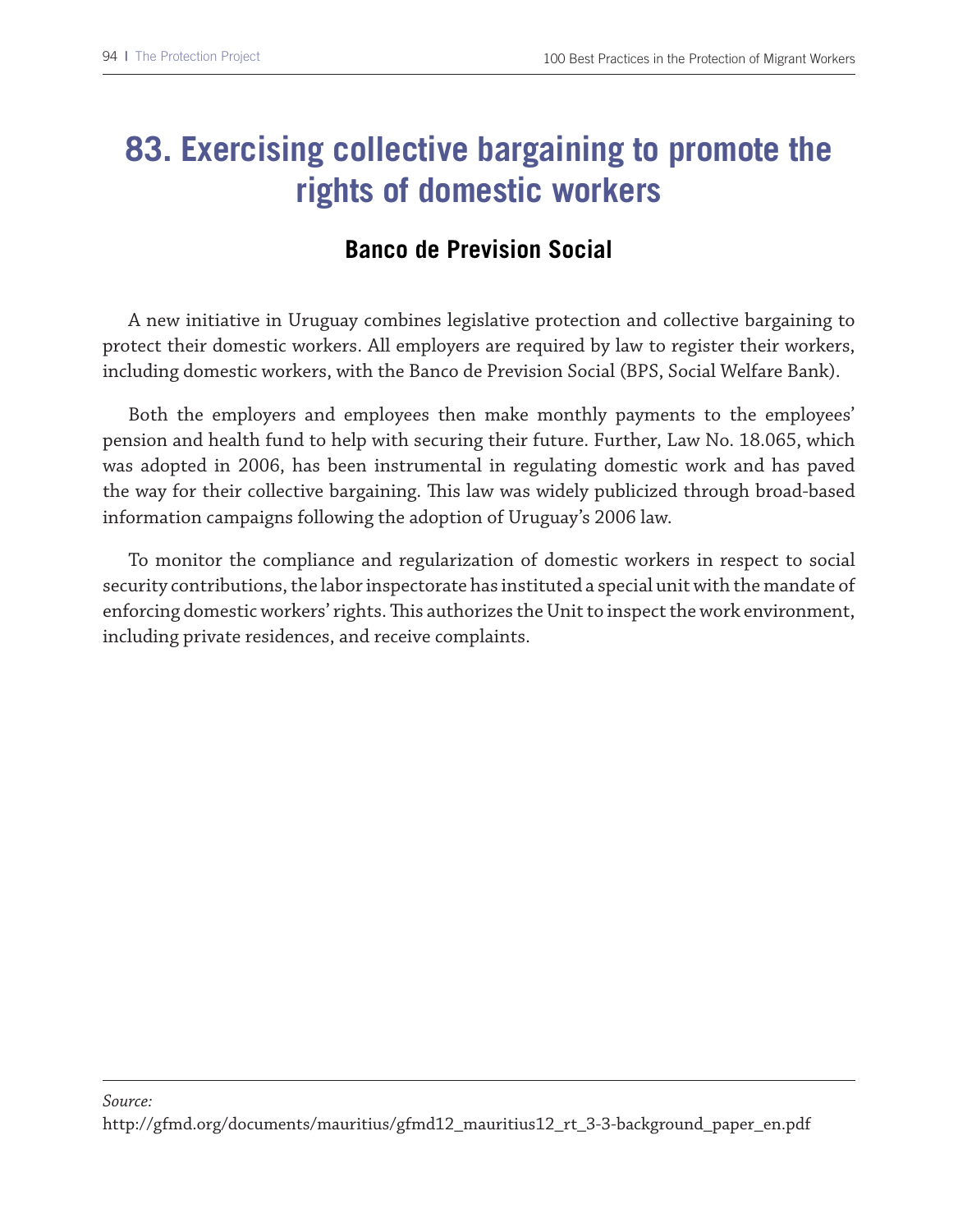### **83. Exercising collective bargaining to promote the rights of domestic workers**

### **Banco de Prevision Social**

A new initiative in Uruguay combines legislative protection and collective bargaining to protect their domestic workers. All employers are required by law to register their workers, including domestic workers, with the Banco de Prevision Social (BPS, Social Welfare Bank).

Both the employers and employees then make monthly payments to the employees' pension and health fund to help with securing their future. Further, Law No. 18.065, which was adopted in 2006, has been instrumental in regulating domestic work and has paved the way for their collective bargaining. This law was widely publicized through broad-based information campaigns following the adoption of Uruguay's 2006 law.

To monitor the compliance and regularization of domestic workers in respect to social security contributions, the labor inspectorate has instituted a special unit with the mandate of enforcing domestic workers' rights. Tis authorizes the Unit to inspect the work environment, including private residences, and receive complaints.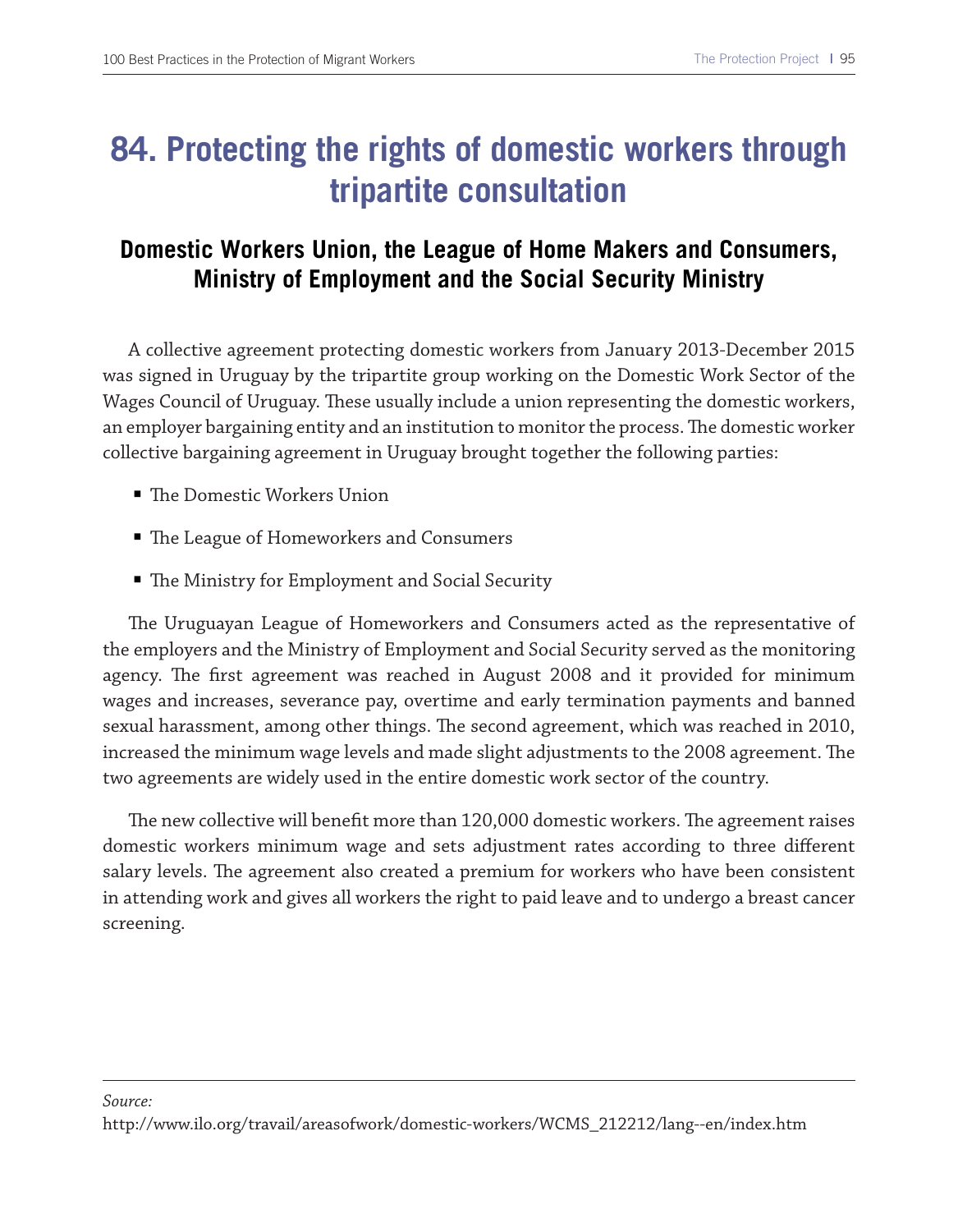### **84. Protecting the rights of domestic workers through tripartite consultation**

### **Domestic Workers Union, the League of Home Makers and Consumers, Ministry of Employment and the Social Security Ministry**

A collective agreement protecting domestic workers from January 2013-December 2015 was signed in Uruguay by the tripartite group working on the Domestic Work Sector of the Wages Council of Uruguay. These usually include a union representing the domestic workers, an employer bargaining entity and an institution to monitor the process. The domestic worker collective bargaining agreement in Uruguay brought together the following parties:

- The Domestic Workers Union
- The League of Homeworkers and Consumers
- $\blacksquare$  The Ministry for Employment and Social Security

The Uruguayan League of Homeworkers and Consumers acted as the representative of the employers and the Ministry of Employment and Social Security served as the monitoring agency. The first agreement was reached in August 2008 and it provided for minimum wages and increases, severance pay, overtime and early termination payments and banned sexual harassment, among other things. The second agreement, which was reached in 2010, increased the minimum wage levels and made slight adjustments to the 2008 agreement. The two agreements are widely used in the entire domestic work sector of the country.

The new collective will benefit more than 120,000 domestic workers. The agreement raises domestic workers minimum wage and sets adjustment rates according to three diferent salary levels. The agreement also created a premium for workers who have been consistent in attending work and gives all workers the right to paid leave and to undergo a breast cancer screening.

#### *Source:*

http://www.ilo.org/travail/areasofwork/domestic-workers/WCMS\_212212/lang--en/index.htm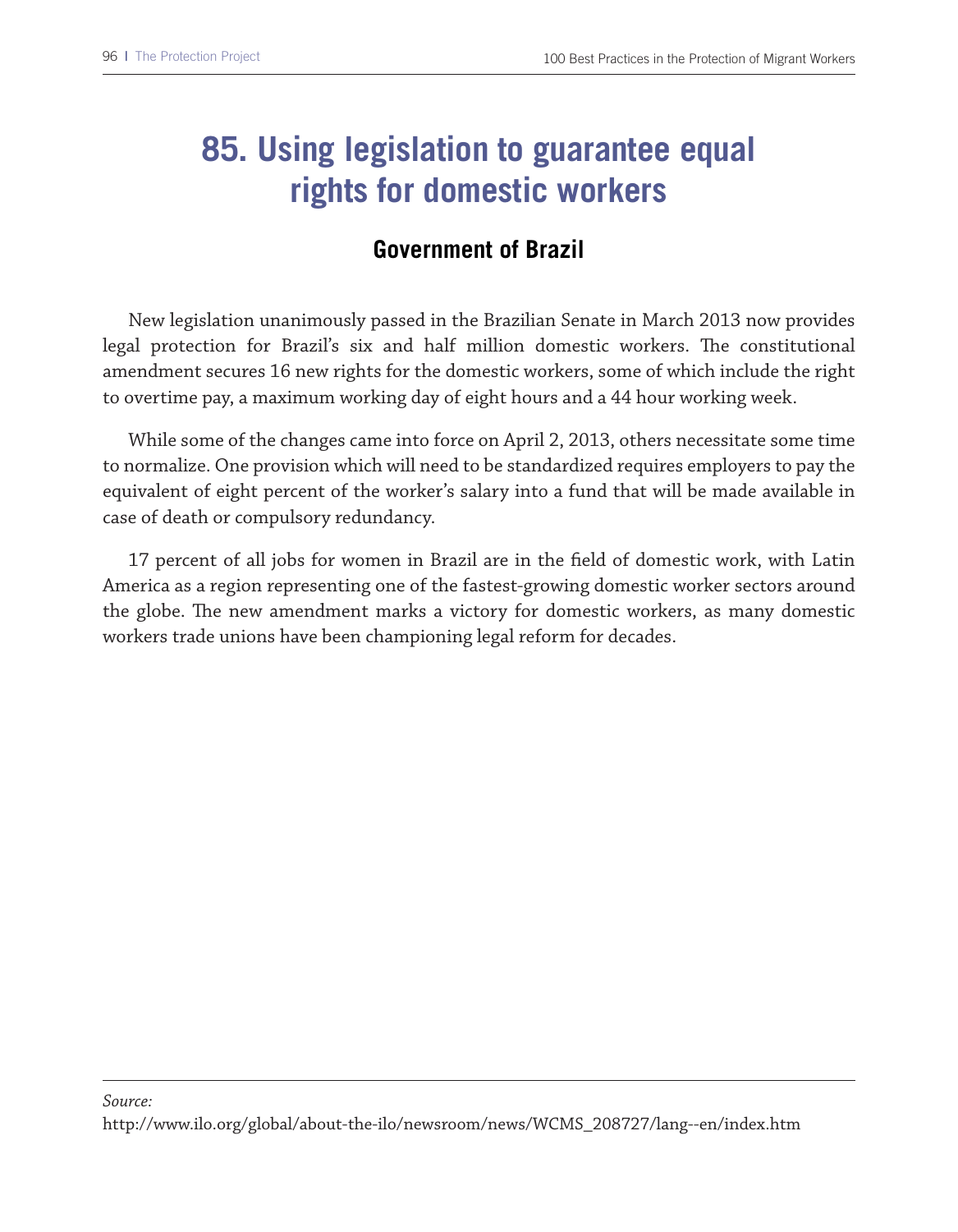### **85. Using legislation to guarantee equal rights for domestic workers**

#### **Government of Brazil**

New legislation unanimously passed in the Brazilian Senate in March 2013 now provides legal protection for Brazil's six and half million domestic workers. The constitutional amendment secures 16 new rights for the domestic workers, some of which include the right to overtime pay, a maximum working day of eight hours and a 44 hour working week.

While some of the changes came into force on April 2, 2013, others necessitate some time to normalize. One provision which will need to be standardized requires employers to pay the equivalent of eight percent of the worker's salary into a fund that will be made available in case of death or compulsory redundancy.

17 percent of all jobs for women in Brazil are in the feld of domestic work, with Latin America as a region representing one of the fastest-growing domestic worker sectors around the globe. The new amendment marks a victory for domestic workers, as many domestic workers trade unions have been championing legal reform for decades.

#### *Source:* http://www.ilo.org/global/about-the-ilo/newsroom/news/WCMS\_208727/lang--en/index.htm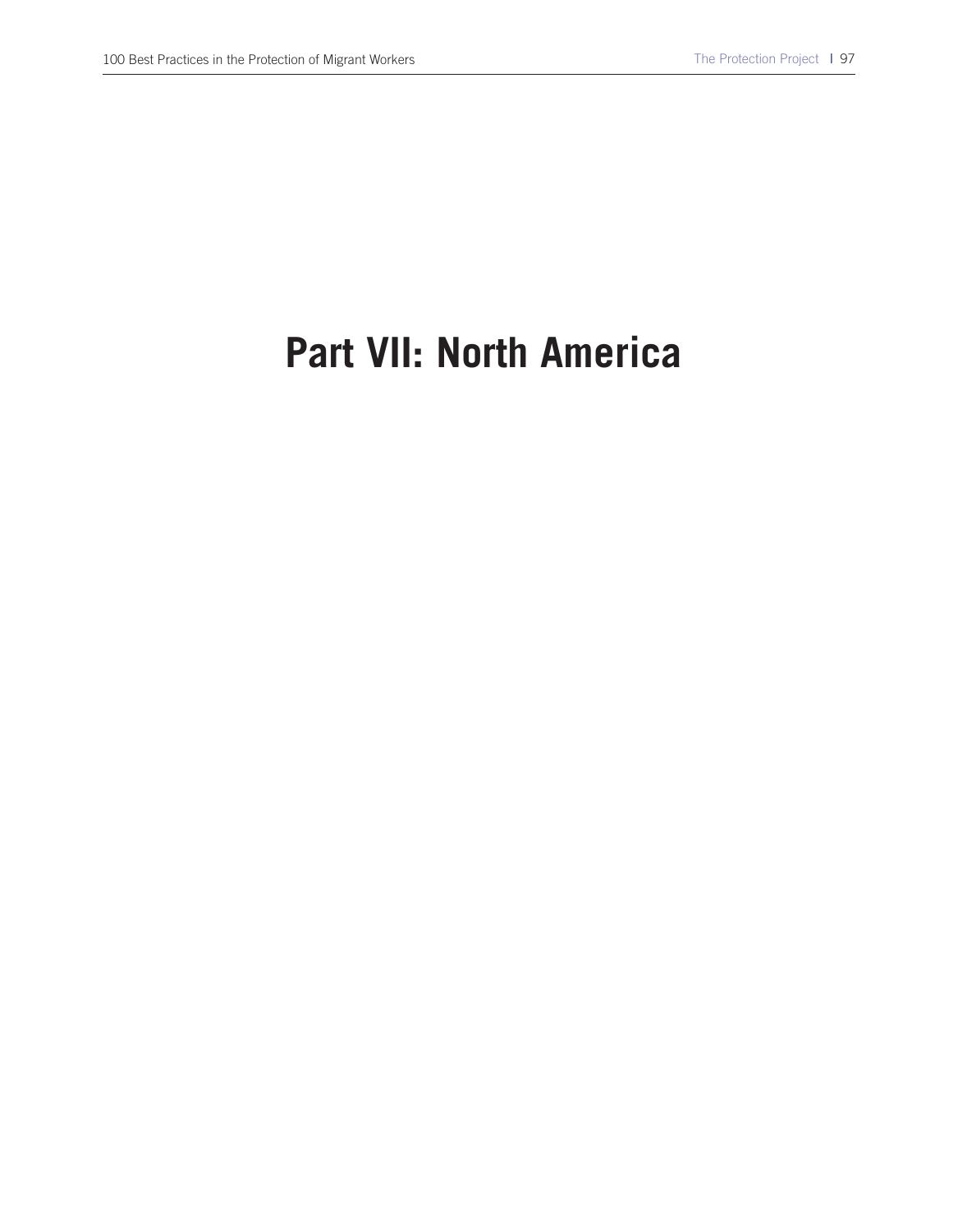# **Part VII: North America**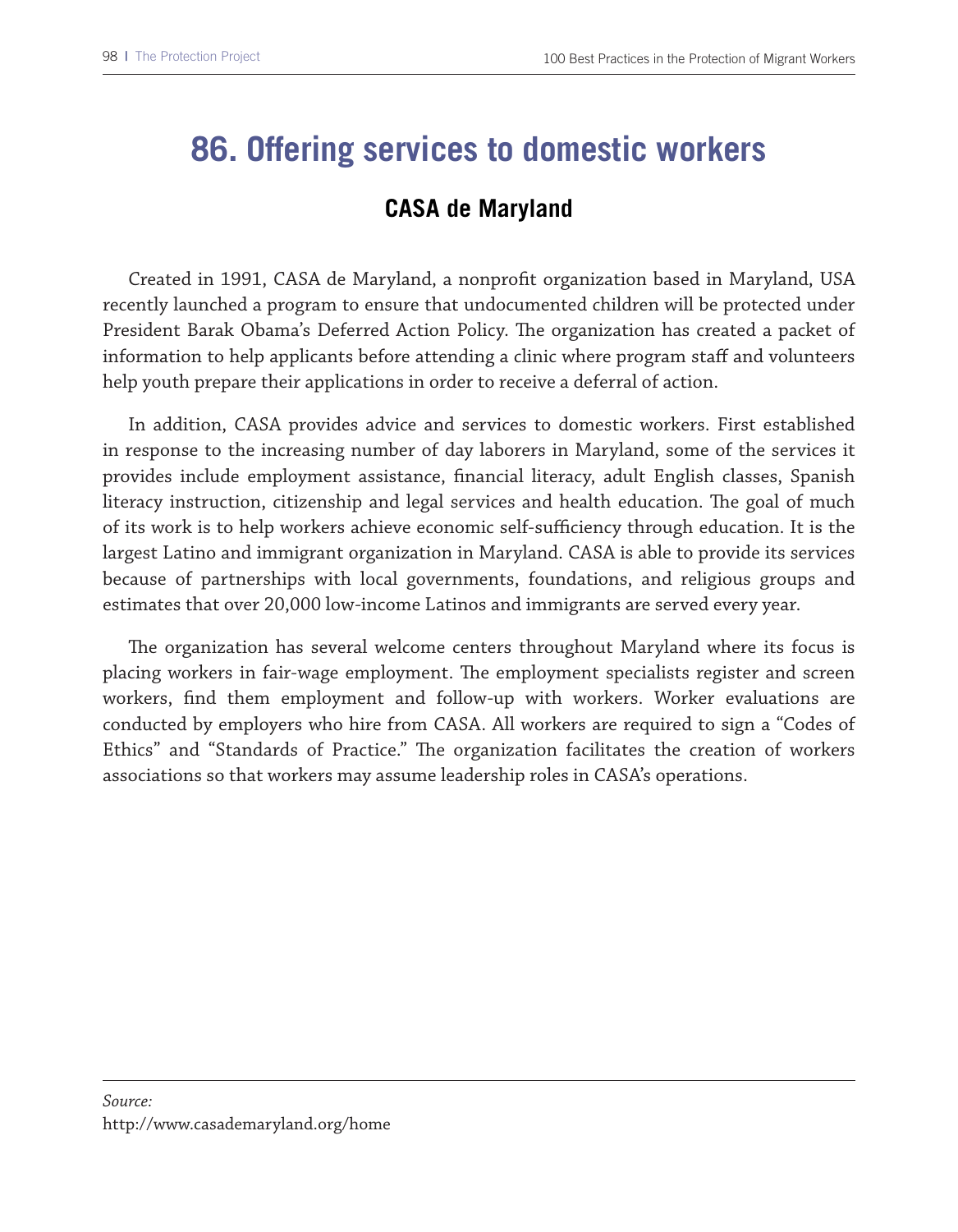### **86. Offering services to domestic workers**

#### **CASA de Maryland**

Created in 1991, CASA de Maryland, a nonproft organization based in Maryland, USA recently launched a program to ensure that undocumented children will be protected under President Barak Obama's Deferred Action Policy. The organization has created a packet of information to help applicants before attending a clinic where program staf and volunteers help youth prepare their applications in order to receive a deferral of action.

In addition, CASA provides advice and services to domestic workers. First established in response to the increasing number of day laborers in Maryland, some of the services it provides include employment assistance, fnancial literacy, adult English classes, Spanish literacy instruction, citizenship and legal services and health education. The goal of much of its work is to help workers achieve economic self-sufficiency through education. It is the largest Latino and immigrant organization in Maryland. CASA is able to provide its services because of partnerships with local governments, foundations, and religious groups and estimates that over 20,000 low-income Latinos and immigrants are served every year.

The organization has several welcome centers throughout Maryland where its focus is placing workers in fair-wage employment. The employment specialists register and screen workers, fnd them employment and follow-up with workers. Worker evaluations are conducted by employers who hire from CASA. All workers are required to sign a "Codes of Ethics" and "Standards of Practice." The organization facilitates the creation of workers associations so that workers may assume leadership roles in CASA's operations.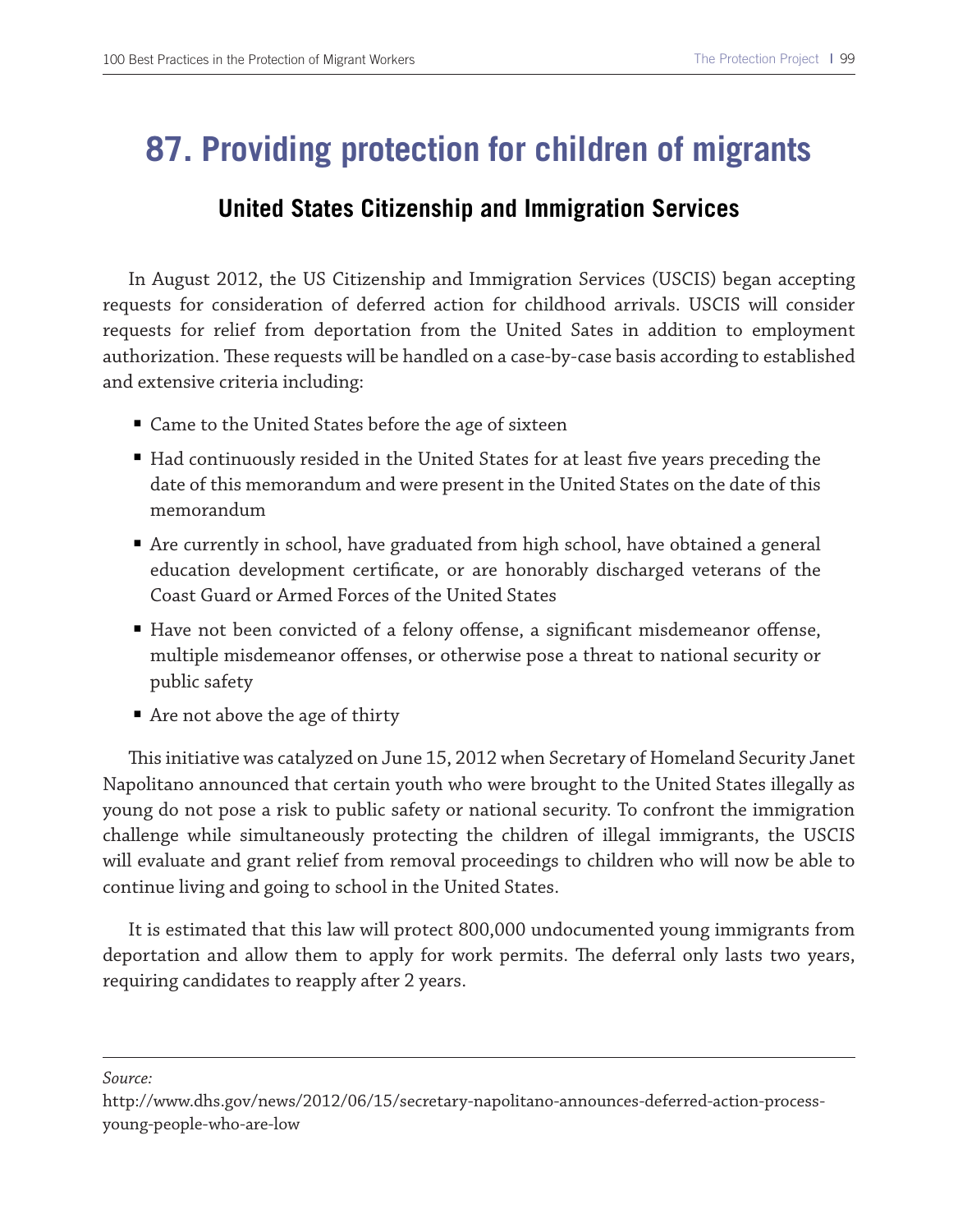### **87. Providing protection for children of migrants**

#### **United States Citizenship and Immigration Services**

In August 2012, the US Citizenship and Immigration Services (USCIS) began accepting requests for consideration of deferred action for childhood arrivals. USCIS will consider requests for relief from deportation from the United Sates in addition to employment authorization. Tese requests will be handled on a case-by-case basis according to established and extensive criteria including:

- Came to the United States before the age of sixteen
- Had continuously resided in the United States for at least five years preceding the date of this memorandum and were present in the United States on the date of this memorandum
- Are currently in school, have graduated from high school, have obtained a general education development certifcate, or are honorably discharged veterans of the Coast Guard or Armed Forces of the United States
- Have not been convicted of a felony offense, a significant misdemeanor offense, multiple misdemeanor ofenses, or otherwise pose a threat to national security or public safety
- Are not above the age of thirty

Tis initiative was catalyzed on June 15, 2012 when Secretary of Homeland Security Janet Napolitano announced that certain youth who were brought to the United States illegally as young do not pose a risk to public safety or national security. To confront the immigration challenge while simultaneously protecting the children of illegal immigrants, the USCIS will evaluate and grant relief from removal proceedings to children who will now be able to continue living and going to school in the United States.

It is estimated that this law will protect 800,000 undocumented young immigrants from deportation and allow them to apply for work permits. The deferral only lasts two years, requiring candidates to reapply after 2 years.

*Source:*

http://www.dhs.gov/news/2012/06/15/secretary-napolitano-announces-deferred-action-processyoung-people-who-are-low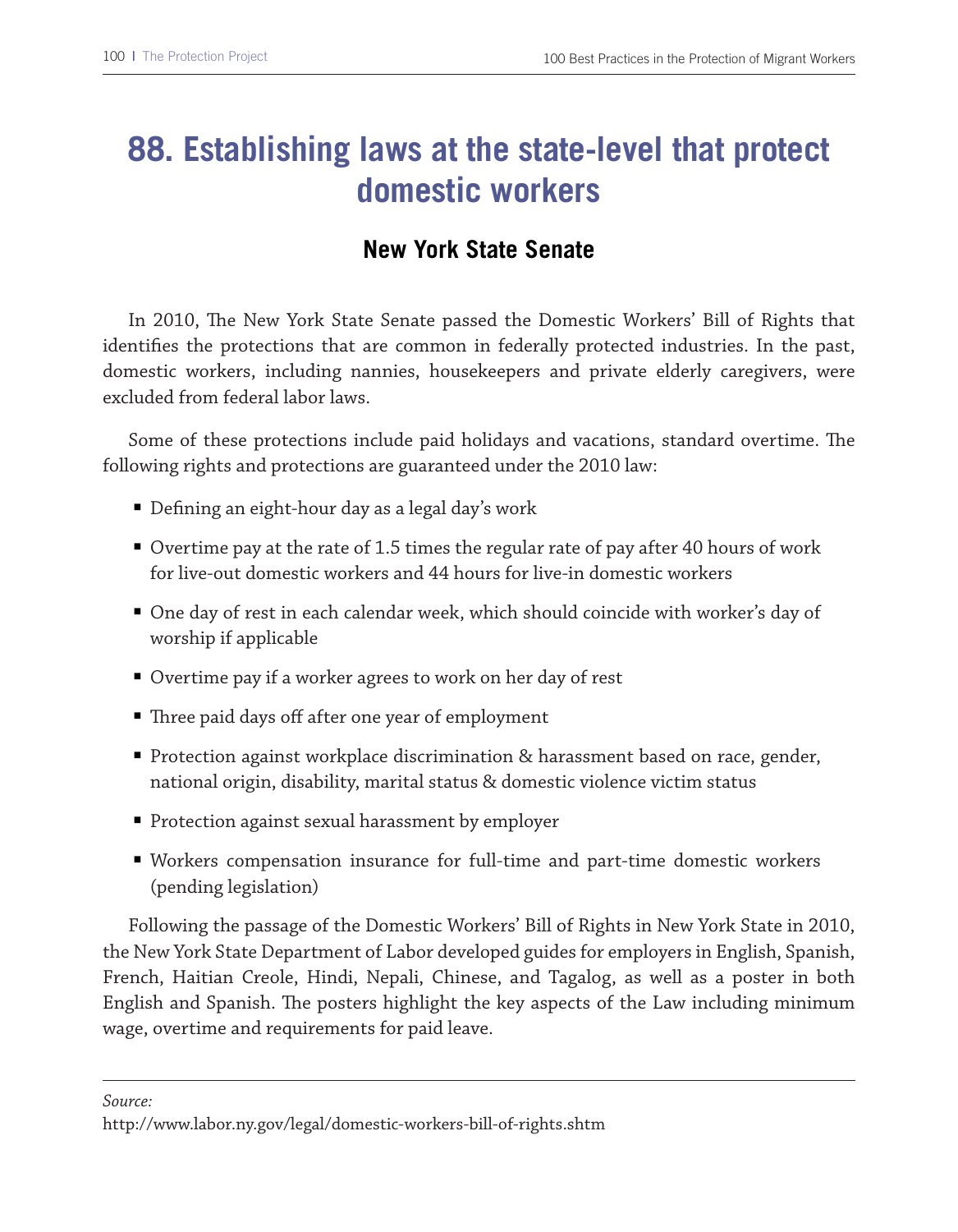### **88. Establishing laws at the state-level that protect domestic workers**

### **New York State Senate**

In 2010, The New York State Senate passed the Domestic Workers' Bill of Rights that identifes the protections that are common in federally protected industries. In the past, domestic workers, including nannies, housekeepers and private elderly caregivers, were excluded from federal labor laws.

Some of these protections include paid holidays and vacations, standard overtime. The following rights and protections are guaranteed under the 2010 law:

- Defining an eight-hour day as a legal day's work
- Overtime pay at the rate of 1.5 times the regular rate of pay after 40 hours of work for live-out domestic workers and 44 hours for live-in domestic workers
- One day of rest in each calendar week, which should coincide with worker's day of worship if applicable
- Overtime pay if a worker agrees to work on her day of rest
- Three paid days off after one year of employment
- Protection against workplace discrimination & harassment based on race, gender, national origin, disability, marital status & domestic violence victim status
- Protection against sexual harassment by employer
- Workers compensation insurance for full-time and part-time domestic workers (pending legislation)

Following the passage of the Domestic Workers' Bill of Rights in New York State in 2010, the New York State Department of Labor developed guides for employers in English, Spanish, French, Haitian Creole, Hindi, Nepali, Chinese, and Tagalog, as well as a poster in both English and Spanish. The posters highlight the key aspects of the Law including minimum wage, overtime and requirements for paid leave.

*Source:*

http://www.labor.ny.gov/legal/domestic-workers-bill-of-rights.shtm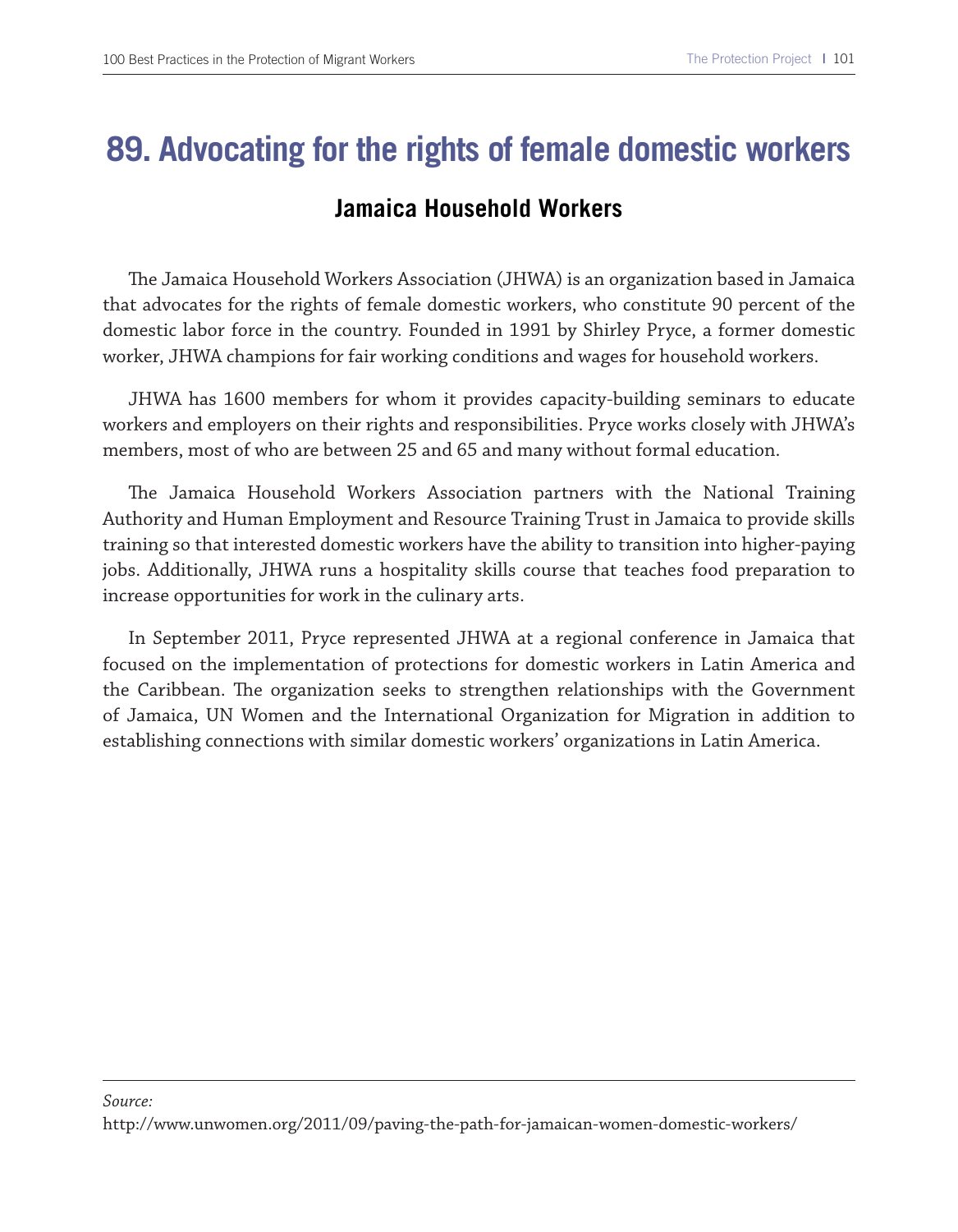### **89. Advocating for the rights of female domestic workers**

#### **Jamaica Household Workers**

Te Jamaica Household Workers Association (JHWA) is an organization based in Jamaica that advocates for the rights of female domestic workers, who constitute 90 percent of the domestic labor force in the country. Founded in 1991 by Shirley Pryce, a former domestic worker, JHWA champions for fair working conditions and wages for household workers.

JHWA has 1600 members for whom it provides capacity-building seminars to educate workers and employers on their rights and responsibilities. Pryce works closely with JHWA's members, most of who are between 25 and 65 and many without formal education.

The Jamaica Household Workers Association partners with the National Training Authority and Human Employment and Resource Training Trust in Jamaica to provide skills training so that interested domestic workers have the ability to transition into higher-paying jobs. Additionally, JHWA runs a hospitality skills course that teaches food preparation to increase opportunities for work in the culinary arts.

In September 2011, Pryce represented JHWA at a regional conference in Jamaica that focused on the implementation of protections for domestic workers in Latin America and the Caribbean. The organization seeks to strengthen relationships with the Government of Jamaica, UN Women and the International Organization for Migration in addition to establishing connections with similar domestic workers' organizations in Latin America.

#### *Source:*

http://www.unwomen.org/2011/09/paving-the-path-for-jamaican-women-domestic-workers/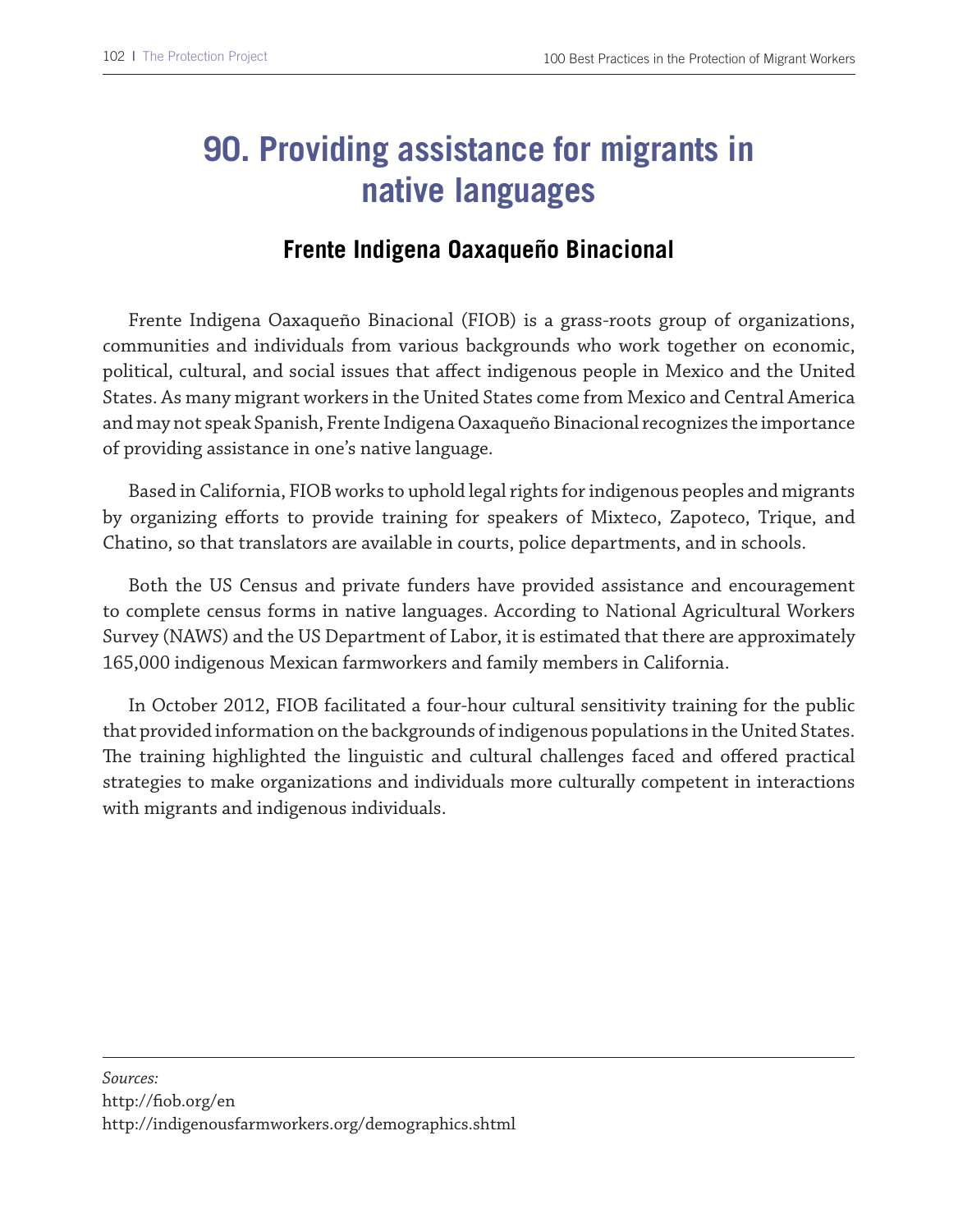# **90. Providing assistance for migrants in native languages**

### **Frente Indigena Oaxaqueño Binacional**

Frente Indigena Oaxaqueño Binacional (FIOB) is a grass-roots group of organizations, communities and individuals from various backgrounds who work together on economic, political, cultural, and social issues that afect indigenous people in Mexico and the United States. As many migrant workers in the United States come from Mexico and Central America and may not speak Spanish, Frente Indigena Oaxaqueño Binacional recognizes the importance of providing assistance in one's native language.

Based in California, FIOB works to uphold legal rights for indigenous peoples and migrants by organizing eforts to provide training for speakers of Mixteco, Zapoteco, Trique, and Chatino, so that translators are available in courts, police departments, and in schools.

Both the US Census and private funders have provided assistance and encouragement to complete census forms in native languages. According to National Agricultural Workers Survey (NAWS) and the US Department of Labor, it is estimated that there are approximately 165,000 indigenous Mexican farmworkers and family members in California.

In October 2012, FIOB facilitated a four-hour cultural sensitivity training for the public that provided information on the backgrounds of indigenous populations in the United States. The training highlighted the linguistic and cultural challenges faced and offered practical strategies to make organizations and individuals more culturally competent in interactions with migrants and indigenous individuals.

*Sources:* 

http://fob.org/en

http://indigenousfarmworkers.org/demographics.shtml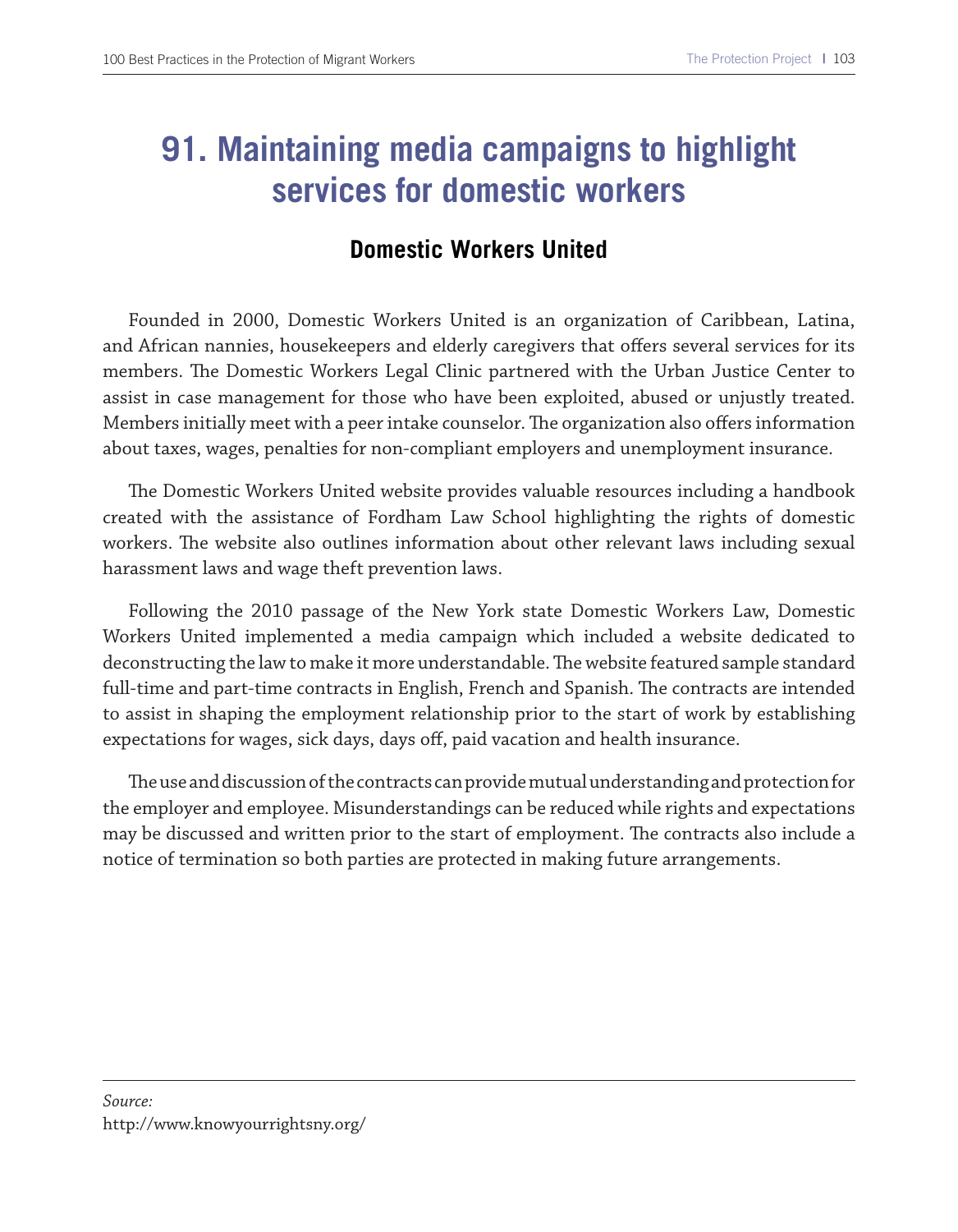# **91. Maintaining media campaigns to highlight services for domestic workers**

### **Domestic Workers United**

Founded in 2000, Domestic Workers United is an organization of Caribbean, Latina, and African nannies, housekeepers and elderly caregivers that offers several services for its members. The Domestic Workers Legal Clinic partnered with the Urban Justice Center to assist in case management for those who have been exploited, abused or unjustly treated. Members initially meet with a peer intake counselor. The organization also offers information about taxes, wages, penalties for non-compliant employers and unemployment insurance.

The Domestic Workers United website provides valuable resources including a handbook created with the assistance of Fordham Law School highlighting the rights of domestic workers. The website also outlines information about other relevant laws including sexual harassment laws and wage theft prevention laws.

Following the 2010 passage of the New York state Domestic Workers Law, Domestic Workers United implemented a media campaign which included a website dedicated to deconstructing the law to make it more understandable. The website featured sample standard full-time and part-time contracts in English, French and Spanish. The contracts are intended to assist in shaping the employment relationship prior to the start of work by establishing expectations for wages, sick days, days off, paid vacation and health insurance.

The use and discussion of the contracts can provide mutual understanding and protection for the employer and employee. Misunderstandings can be reduced while rights and expectations may be discussed and written prior to the start of employment. The contracts also include a notice of termination so both parties are protected in making future arrangements.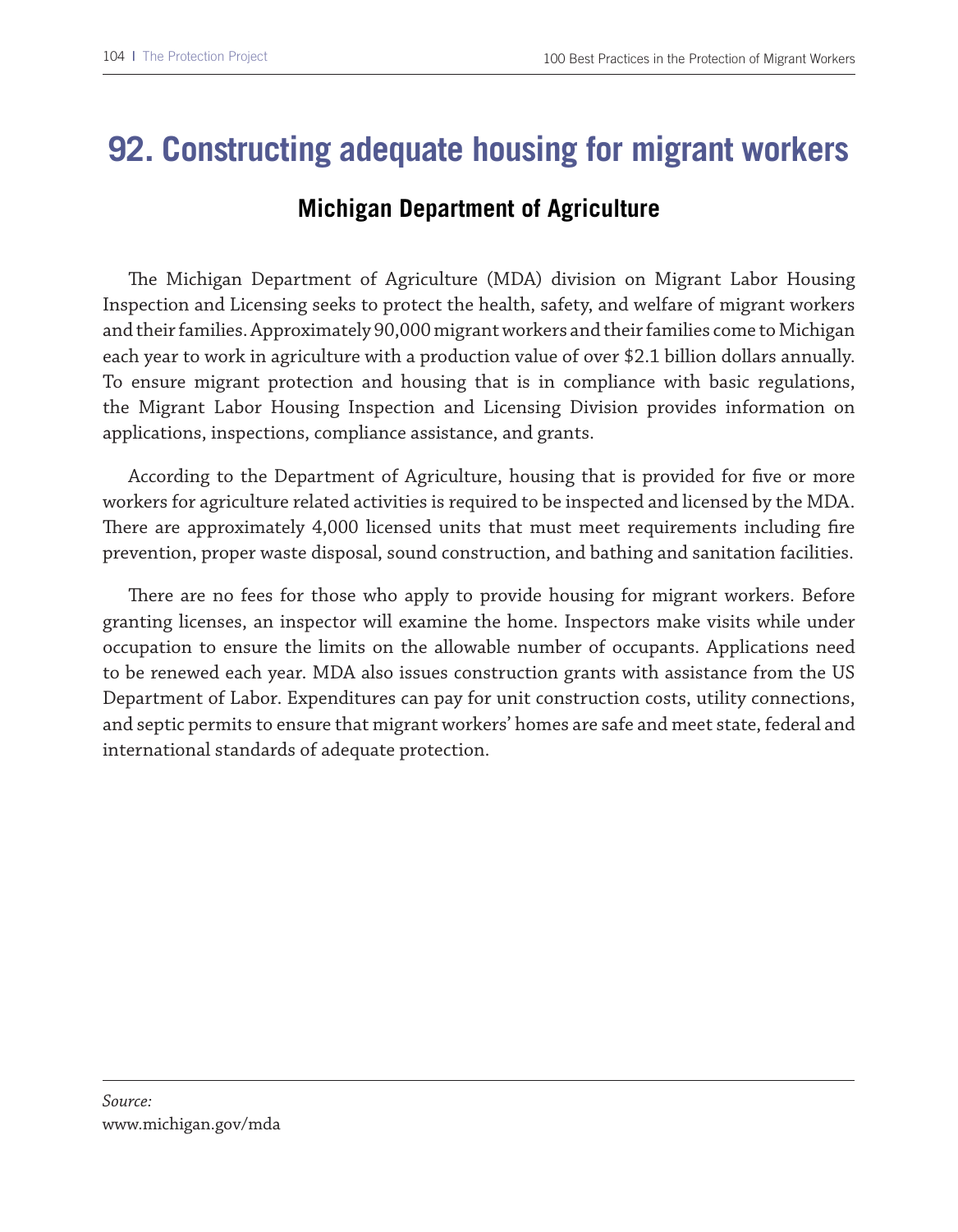### **92. Constructing adequate housing for migrant workers**

### **Michigan Department of Agriculture**

The Michigan Department of Agriculture (MDA) division on Migrant Labor Housing Inspection and Licensing seeks to protect the health, safety, and welfare of migrant workers and their families. Approximately 90,000 migrant workers and their families come to Michigan each year to work in agriculture with a production value of over \$2.1 billion dollars annually. To ensure migrant protection and housing that is in compliance with basic regulations, the Migrant Labor Housing Inspection and Licensing Division provides information on applications, inspections, compliance assistance, and grants.

According to the Department of Agriculture, housing that is provided for fve or more workers for agriculture related activities is required to be inspected and licensed by the MDA. There are approximately 4,000 licensed units that must meet requirements including fire prevention, proper waste disposal, sound construction, and bathing and sanitation facilities.

There are no fees for those who apply to provide housing for migrant workers. Before granting licenses, an inspector will examine the home. Inspectors make visits while under occupation to ensure the limits on the allowable number of occupants. Applications need to be renewed each year. MDA also issues construction grants with assistance from the US Department of Labor. Expenditures can pay for unit construction costs, utility connections, and septic permits to ensure that migrant workers' homes are safe and meet state, federal and international standards of adequate protection.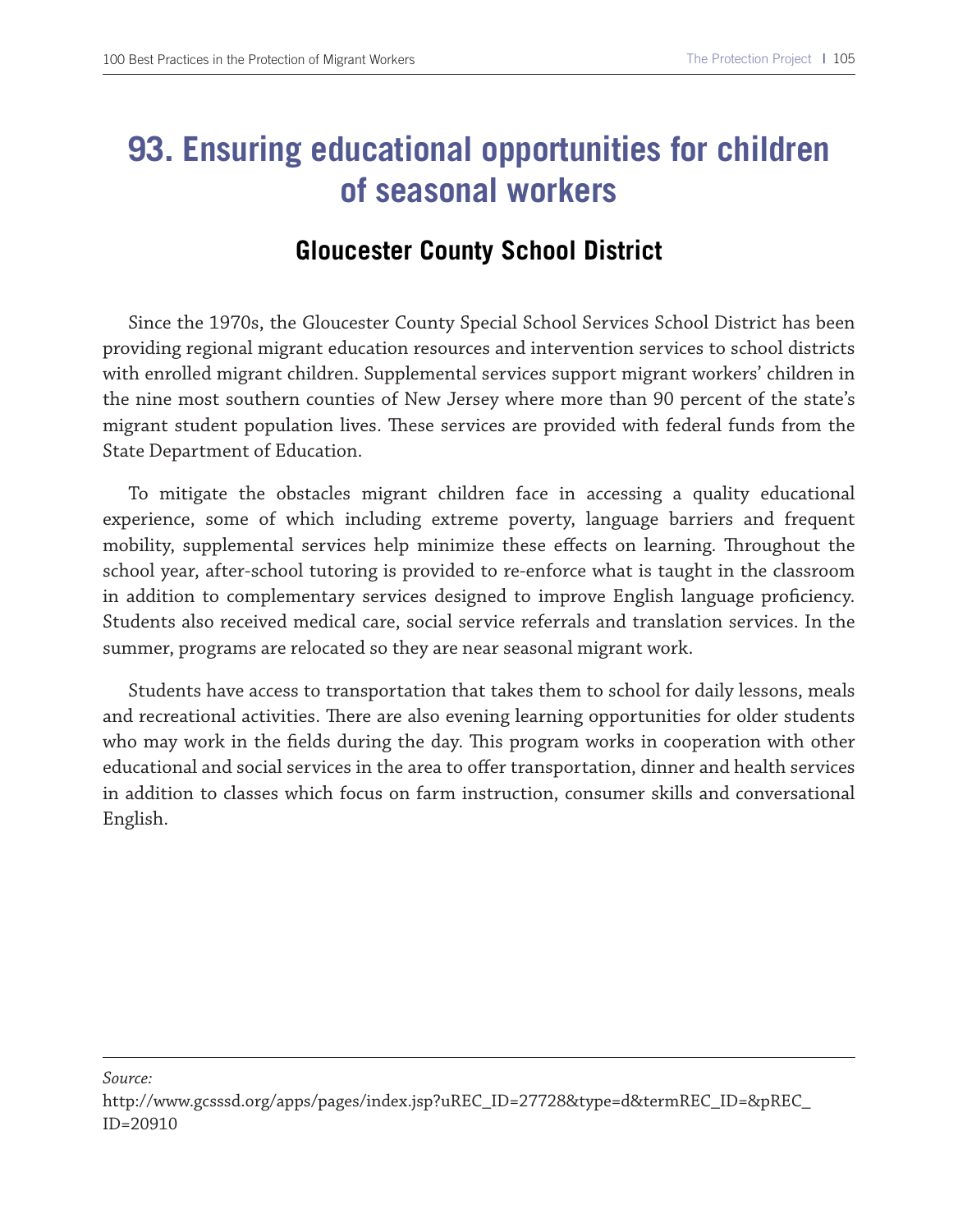# **93. Ensuring educational opportunities for children of seasonal workers**

### **Gloucester County School District**

Since the 1970s, the Gloucester County Special School Services School District has been providing regional migrant education resources and intervention services to school districts with enrolled migrant children. Supplemental services support migrant workers' children in the nine most southern counties of New Jersey where more than 90 percent of the state's migrant student population lives. These services are provided with federal funds from the State Department of Education.

To mitigate the obstacles migrant children face in accessing a quality educational experience, some of which including extreme poverty, language barriers and frequent mobility, supplemental services help minimize these effects on learning. Throughout the school year, after-school tutoring is provided to re-enforce what is taught in the classroom in addition to complementary services designed to improve English language profciency. Students also received medical care, social service referrals and translation services. In the summer, programs are relocated so they are near seasonal migrant work.

Students have access to transportation that takes them to school for daily lessons, meals and recreational activities. There are also evening learning opportunities for older students who may work in the felds during the day. Tis program works in cooperation with other educational and social services in the area to ofer transportation, dinner and health services in addition to classes which focus on farm instruction, consumer skills and conversational English.

*Source:*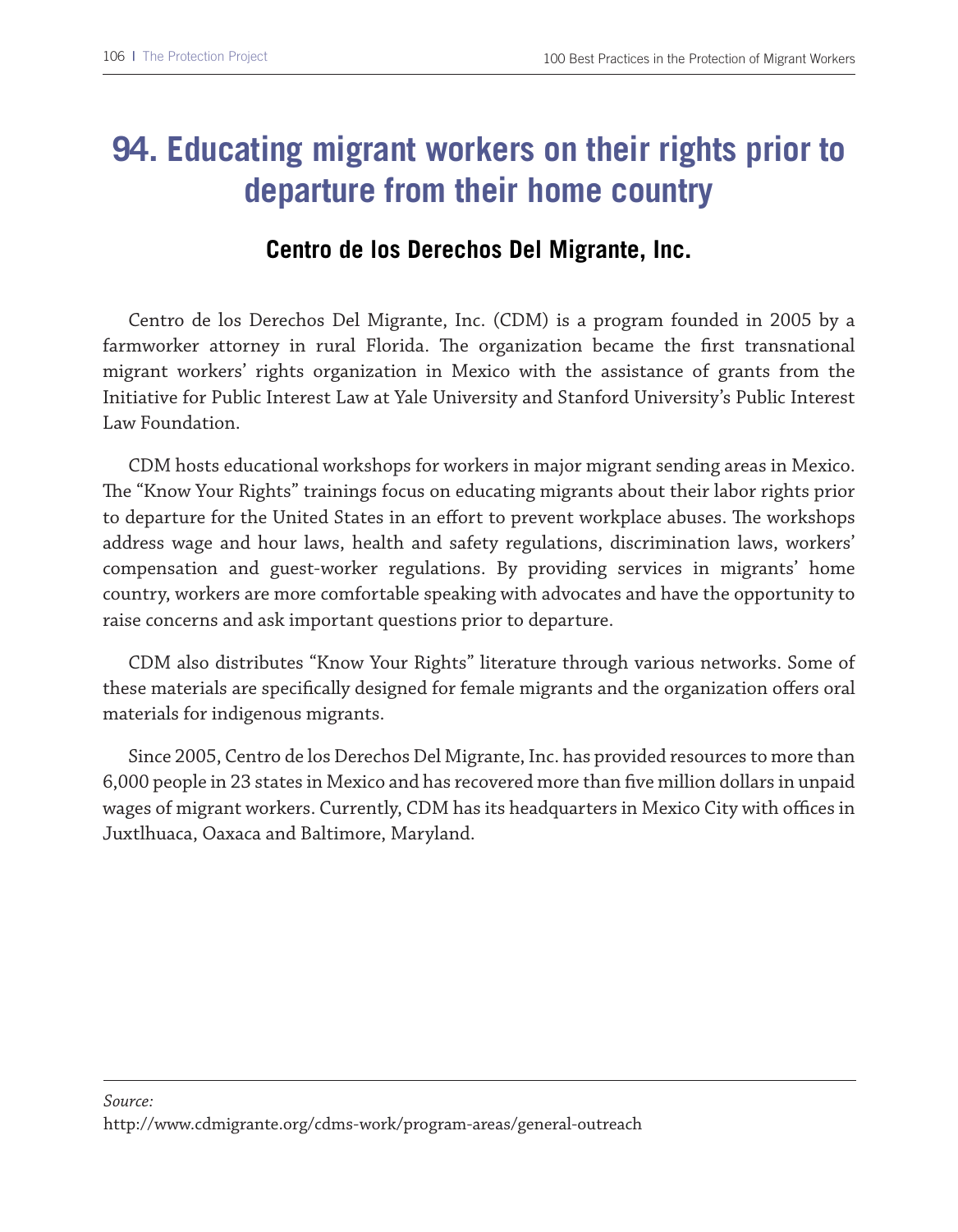# **94. Educating migrant workers on their rights prior to departure from their home country**

### **Centro de los Derechos Del Migrante, Inc.**

Centro de los Derechos Del Migrante, Inc. (CDM) is a program founded in 2005 by a farmworker attorney in rural Florida. The organization became the first transnational migrant workers' rights organization in Mexico with the assistance of grants from the Initiative for Public Interest Law at Yale University and Stanford University's Public Interest Law Foundation.

CDM hosts educational workshops for workers in major migrant sending areas in Mexico. The "Know Your Rights" trainings focus on educating migrants about their labor rights prior to departure for the United States in an effort to prevent workplace abuses. The workshops address wage and hour laws, health and safety regulations, discrimination laws, workers' compensation and guest-worker regulations. By providing services in migrants' home country, workers are more comfortable speaking with advocates and have the opportunity to raise concerns and ask important questions prior to departure.

CDM also distributes "Know Your Rights" literature through various networks. Some of these materials are specifcally designed for female migrants and the organization ofers oral materials for indigenous migrants.

Since 2005, Centro de los Derechos Del Migrante, Inc. has provided resources to more than 6,000 people in 23 states in Mexico and has recovered more than fve million dollars in unpaid wages of migrant workers. Currently, CDM has its headquarters in Mexico City with offices in Juxtlhuaca, Oaxaca and Baltimore, Maryland.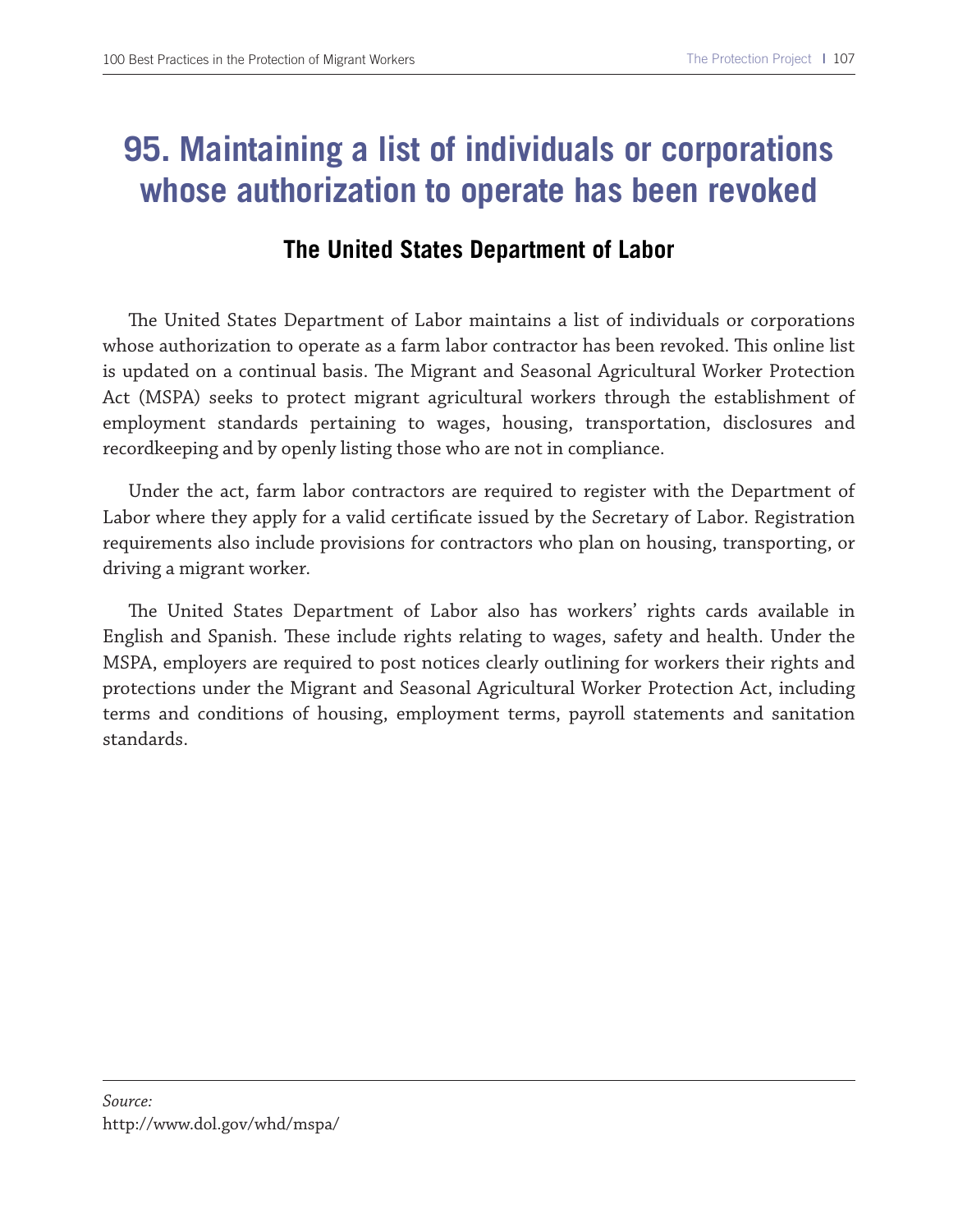# **95. Maintaining a list of individuals or corporations whose authorization to operate has been revoked**

#### **The United States Department of Labor**

The United States Department of Labor maintains a list of individuals or corporations whose authorization to operate as a farm labor contractor has been revoked. This online list is updated on a continual basis. The Migrant and Seasonal Agricultural Worker Protection Act (MSPA) seeks to protect migrant agricultural workers through the establishment of employment standards pertaining to wages, housing, transportation, disclosures and recordkeeping and by openly listing those who are not in compliance.

Under the act, farm labor contractors are required to register with the Department of Labor where they apply for a valid certifcate issued by the Secretary of Labor. Registration requirements also include provisions for contractors who plan on housing, transporting, or driving a migrant worker.

The United States Department of Labor also has workers' rights cards available in English and Spanish. These include rights relating to wages, safety and health. Under the MSPA, employers are required to post notices clearly outlining for workers their rights and protections under the Migrant and Seasonal Agricultural Worker Protection Act, including terms and conditions of housing, employment terms, payroll statements and sanitation standards.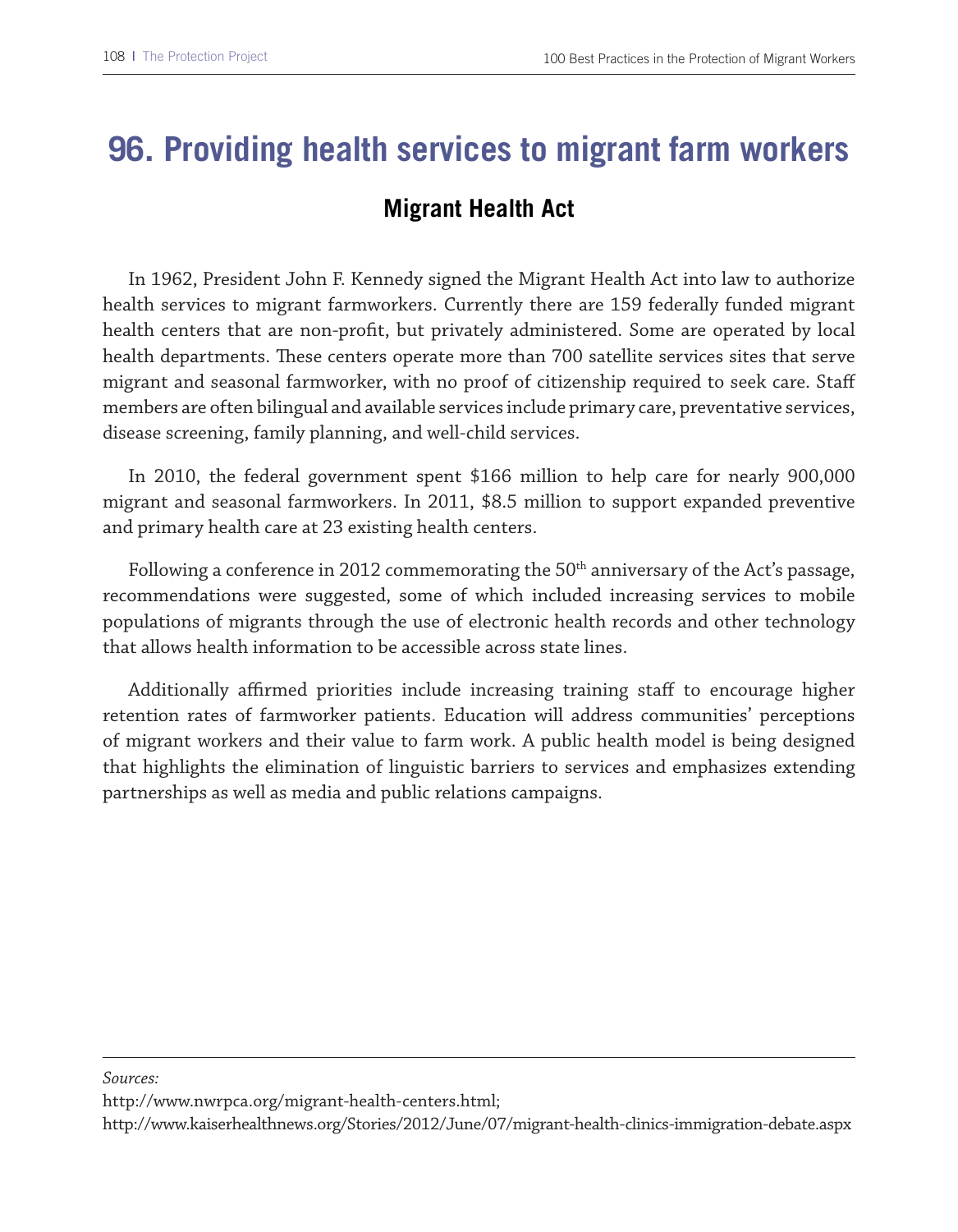# **96. Providing health services to migrant farm workers**

### **Migrant Health Act**

In 1962, President John F. Kennedy signed the Migrant Health Act into law to authorize health services to migrant farmworkers. Currently there are 159 federally funded migrant health centers that are non-proft, but privately administered. Some are operated by local health departments. Tese centers operate more than 700 satellite services sites that serve migrant and seasonal farmworker, with no proof of citizenship required to seek care. Staf members are often bilingual and available services include primary care, preventative services, disease screening, family planning, and well-child services.

In 2010, the federal government spent \$166 million to help care for nearly 900,000 migrant and seasonal farmworkers. In 2011, \$8.5 million to support expanded preventive and primary health care at 23 existing health centers.

Following a conference in 2012 commemorating the  $50<sup>th</sup>$  anniversary of the Act's passage, recommendations were suggested, some of which included increasing services to mobile populations of migrants through the use of electronic health records and other technology that allows health information to be accessible across state lines.

Additionally affirmed priorities include increasing training staff to encourage higher retention rates of farmworker patients. Education will address communities' perceptions of migrant workers and their value to farm work. A public health model is being designed that highlights the elimination of linguistic barriers to services and emphasizes extending partnerships as well as media and public relations campaigns.

*Sources:*

http://www.nwrpca.org/migrant-health-centers.html;

http://www.kaiserhealthnews.org/Stories/2012/June/07/migrant-health-clinics-immigration-debate.aspx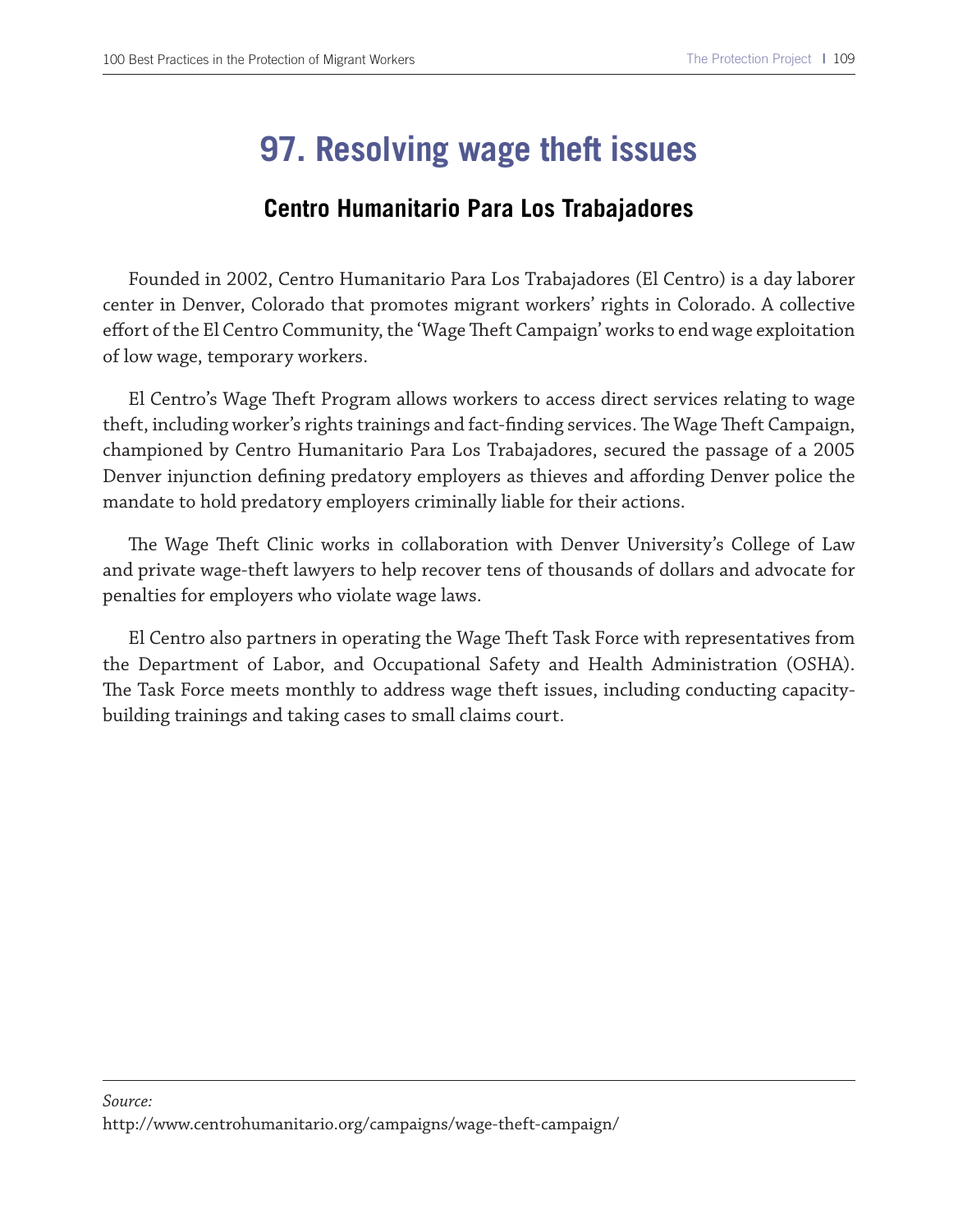# **97. Resolving wage theft issues**

### **Centro Humanitario Para Los Trabajadores**

Founded in 2002, Centro Humanitario Para Los Trabajadores (El Centro) is a day laborer center in Denver, Colorado that promotes migrant workers' rights in Colorado. A collective efort of the El Centro Community, the 'Wage Teft Campaign' works to end wage exploitation of low wage, temporary workers.

El Centro's Wage Theft Program allows workers to access direct services relating to wage theft, including worker's rights trainings and fact-finding services. The Wage Theft Campaign, championed by Centro Humanitario Para Los Trabajadores, secured the passage of a 2005 Denver injunction defining predatory employers as thieves and affording Denver police the mandate to hold predatory employers criminally liable for their actions.

The Wage Theft Clinic works in collaboration with Denver University's College of Law and private wage-theft lawyers to help recover tens of thousands of dollars and advocate for penalties for employers who violate wage laws.

El Centro also partners in operating the Wage Theft Task Force with representatives from the Department of Labor, and Occupational Safety and Health Administration (OSHA). The Task Force meets monthly to address wage theft issues, including conducting capacitybuilding trainings and taking cases to small claims court.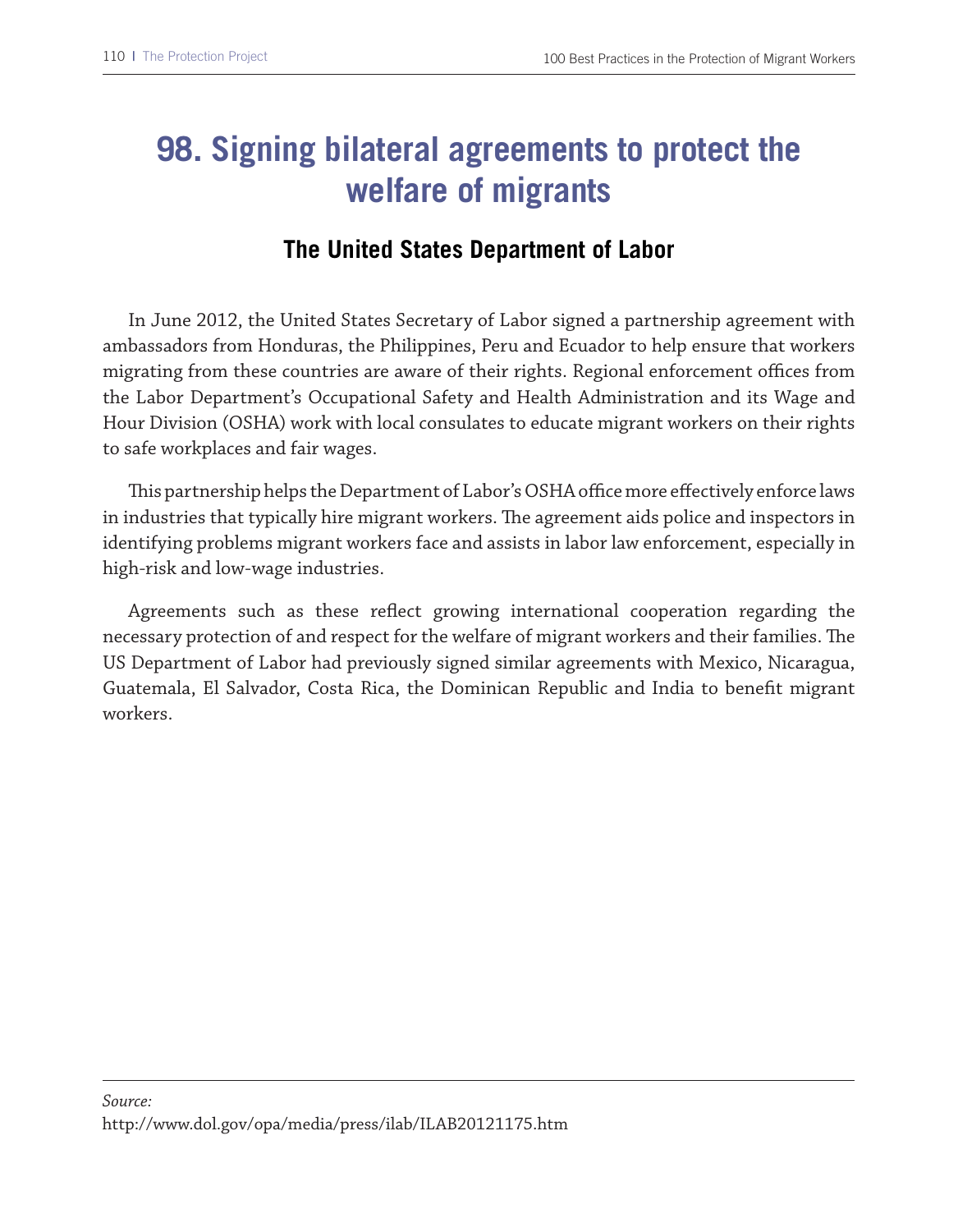# **98. Signing bilateral agreements to protect the welfare of migrants**

### **The United States Department of Labor**

In June 2012, the United States Secretary of Labor signed a partnership agreement with ambassadors from Honduras, the Philippines, Peru and Ecuador to help ensure that workers migrating from these countries are aware of their rights. Regional enforcement offices from the Labor Department's Occupational Safety and Health Administration and its Wage and Hour Division (OSHA) work with local consulates to educate migrant workers on their rights to safe workplaces and fair wages.

This partnership helps the Department of Labor's OSHA office more effectively enforce laws in industries that typically hire migrant workers. The agreement aids police and inspectors in identifying problems migrant workers face and assists in labor law enforcement, especially in high-risk and low-wage industries.

Agreements such as these refect growing international cooperation regarding the necessary protection of and respect for the welfare of migrant workers and their families. The US Department of Labor had previously signed similar agreements with Mexico, Nicaragua, Guatemala, El Salvador, Costa Rica, the Dominican Republic and India to beneft migrant workers.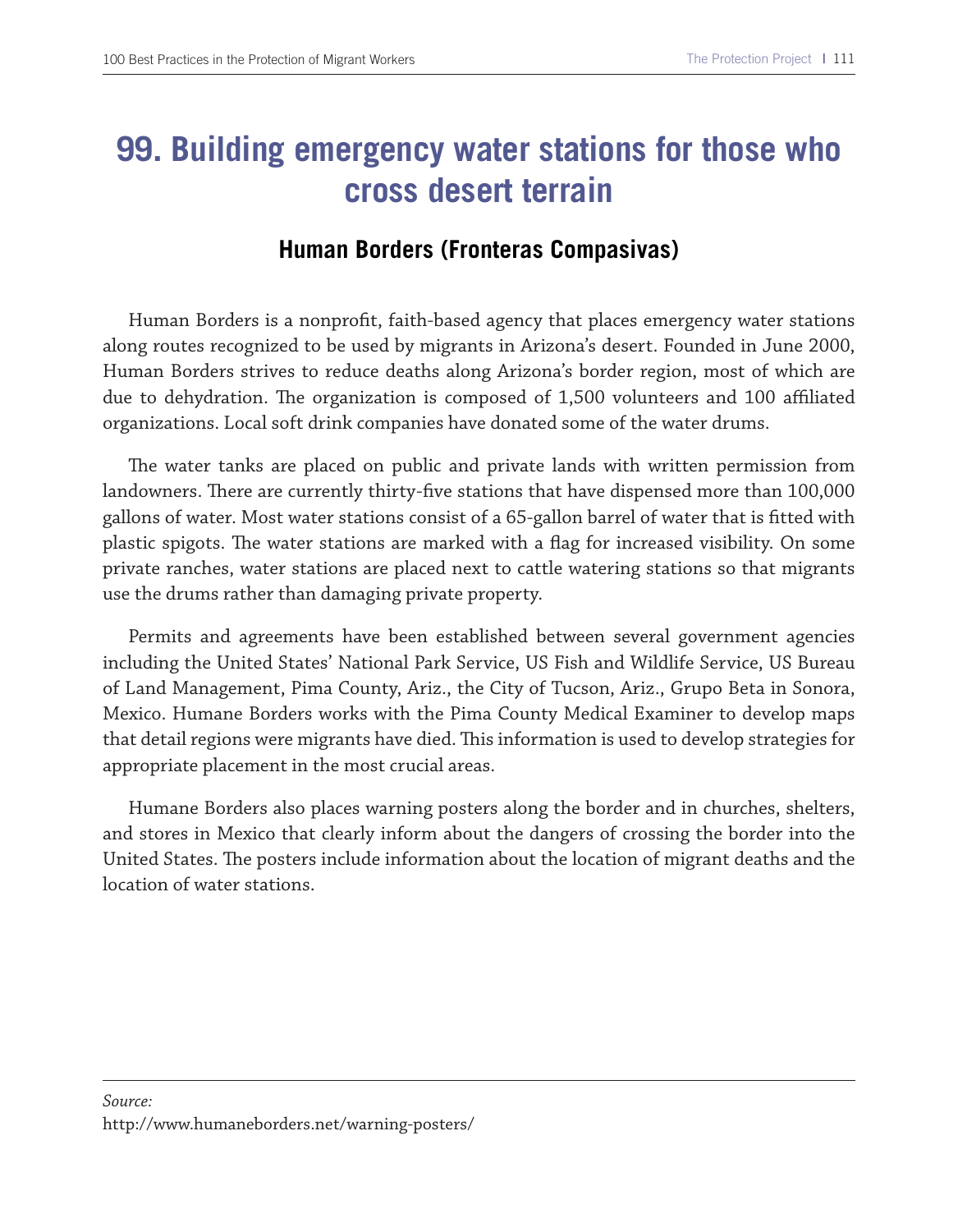# **99. Building emergency water stations for those who cross desert terrain**

### **Human Borders (Fronteras Compasivas)**

Human Borders is a nonproft, faith-based agency that places emergency water stations along routes recognized to be used by migrants in Arizona's desert. Founded in June 2000, Human Borders strives to reduce deaths along Arizona's border region, most of which are due to dehydration. The organization is composed of 1,500 volunteers and 100 affiliated organizations. Local soft drink companies have donated some of the water drums.

The water tanks are placed on public and private lands with written permission from landowners. There are currently thirty-five stations that have dispensed more than 100,000 gallons of water. Most water stations consist of a 65-gallon barrel of water that is ftted with plastic spigots. The water stations are marked with a flag for increased visibility. On some private ranches, water stations are placed next to cattle watering stations so that migrants use the drums rather than damaging private property.

Permits and agreements have been established between several government agencies including the United States' National Park Service, US Fish and Wildlife Service, US Bureau of Land Management, Pima County, Ariz., the City of Tucson, Ariz., Grupo Beta in Sonora, Mexico. Humane Borders works with the Pima County Medical Examiner to develop maps that detail regions were migrants have died. This information is used to develop strategies for appropriate placement in the most crucial areas.

Humane Borders also places warning posters along the border and in churches, shelters, and stores in Mexico that clearly inform about the dangers of crossing the border into the United States. The posters include information about the location of migrant deaths and the location of water stations.

#### *Source:*  http://www.humaneborders.net/warning-posters/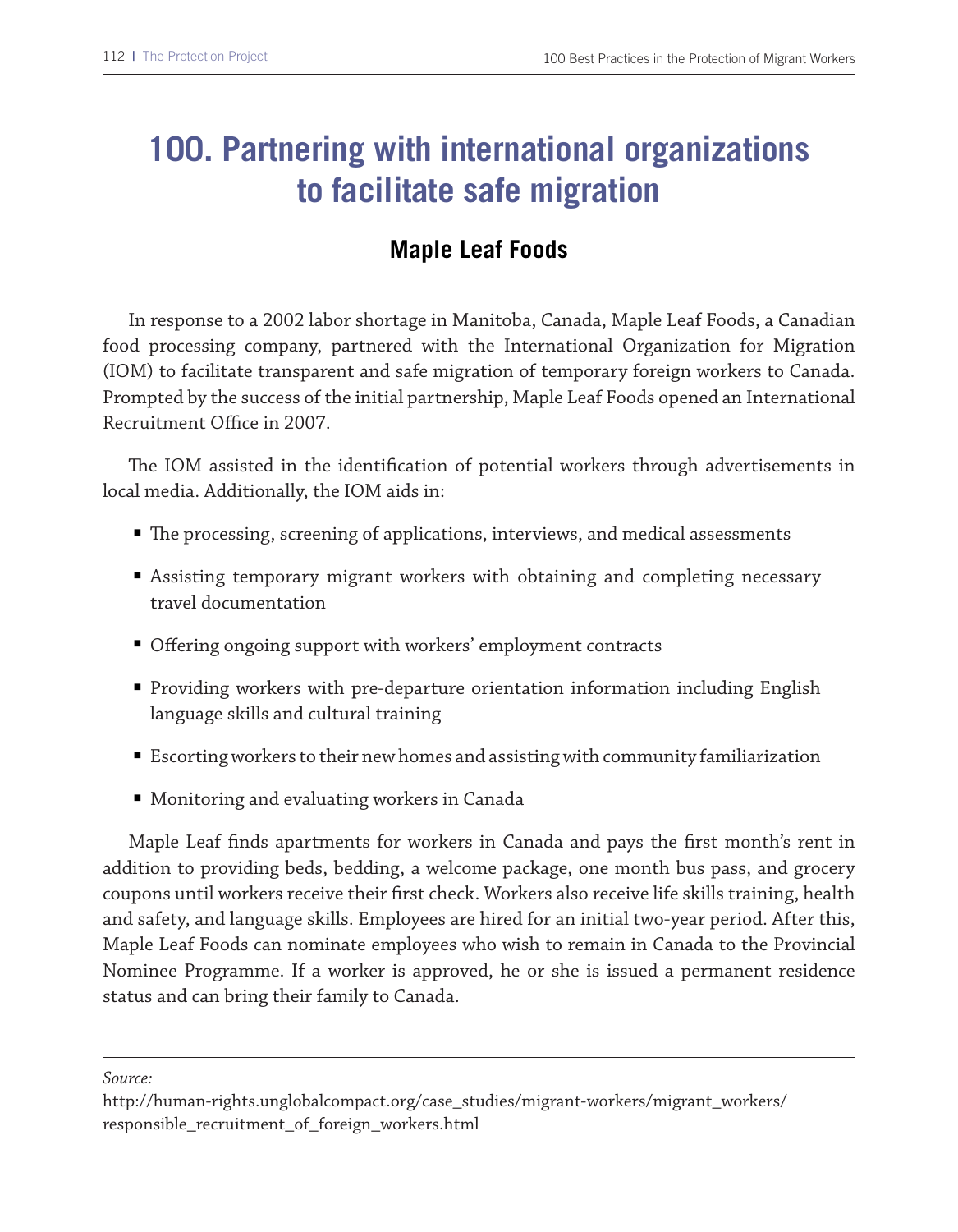# **100. Partnering with international organizations to facilitate safe migration**

### **Maple Leaf Foods**

In response to a 2002 labor shortage in Manitoba, Canada, Maple Leaf Foods, a Canadian food processing company, partnered with the International Organization for Migration (IOM) to facilitate transparent and safe migration of temporary foreign workers to Canada. Prompted by the success of the initial partnership, Maple Leaf Foods opened an International Recruitment Office in 2007.

The IOM assisted in the identification of potential workers through advertisements in local media. Additionally, the IOM aids in:

- The processing, screening of applications, interviews, and medical assessments
- Assisting temporary migrant workers with obtaining and completing necessary travel documentation
- Offering ongoing support with workers' employment contracts
- Providing workers with pre-departure orientation information including English language skills and cultural training
- Escorting workers to their new homes and assisting with community familiarization
- Monitoring and evaluating workers in Canada

Maple Leaf fnds apartments for workers in Canada and pays the frst month's rent in addition to providing beds, bedding, a welcome package, one month bus pass, and grocery coupons until workers receive their frst check. Workers also receive life skills training, health and safety, and language skills. Employees are hired for an initial two-year period. After this, Maple Leaf Foods can nominate employees who wish to remain in Canada to the Provincial Nominee Programme. If a worker is approved, he or she is issued a permanent residence status and can bring their family to Canada.

*Source:* 

http://human-rights.unglobalcompact.org/case\_studies/migrant-workers/migrant\_workers/ responsible\_recruitment\_of\_foreign\_workers.html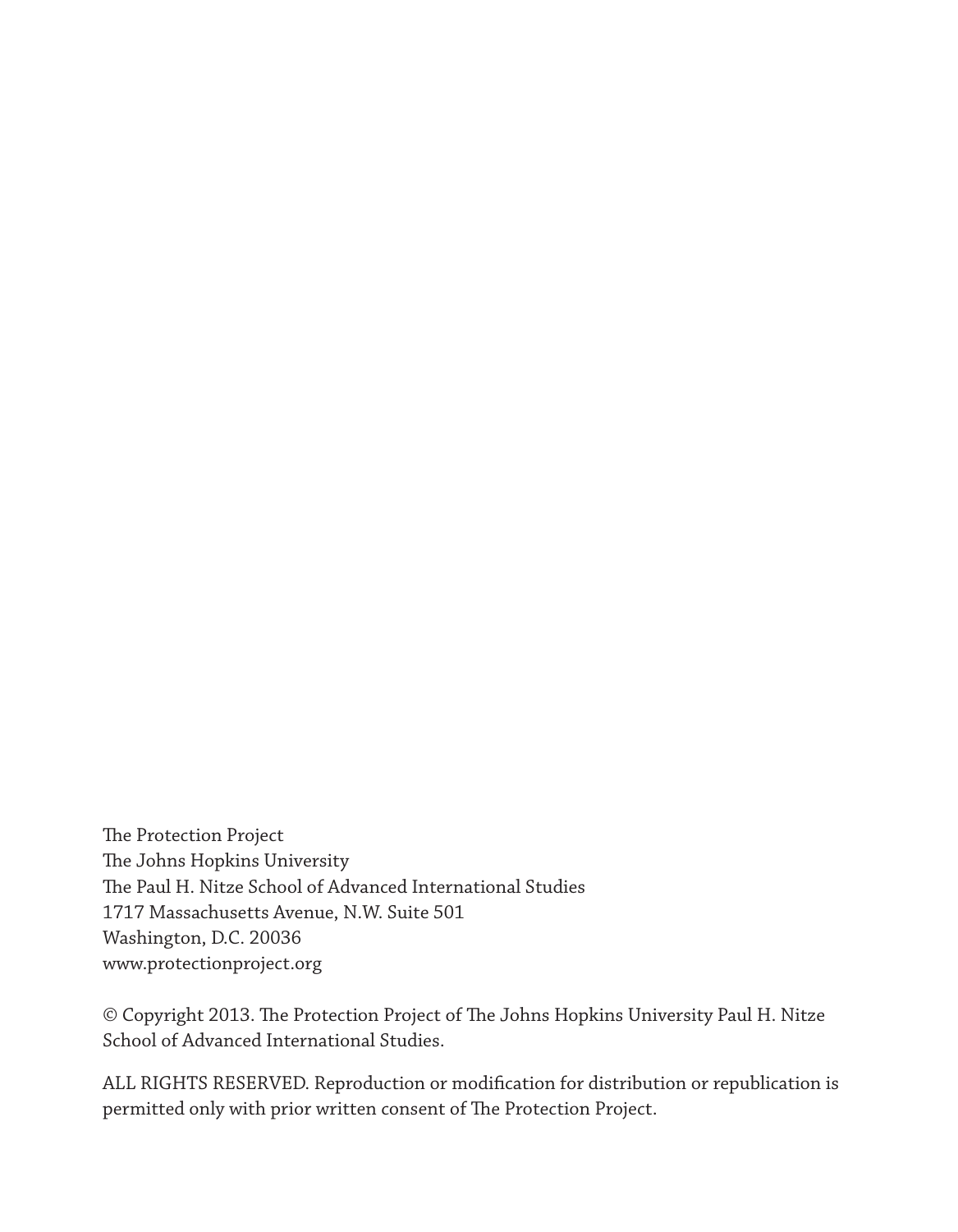The Protection Project The Johns Hopkins University The Paul H. Nitze School of Advanced International Studies 1717 Massachusetts Avenue, N.W. Suite 501 Washington, D.C. 20036 www.protectionproject.org

© Copyright 2013. The Protection Project of The Johns Hopkins University Paul H. Nitze School of Advanced International Studies.

ALL RIGHTS RESERVED. Reproduction or modifcation for distribution or republication is permitted only with prior written consent of The Protection Project.